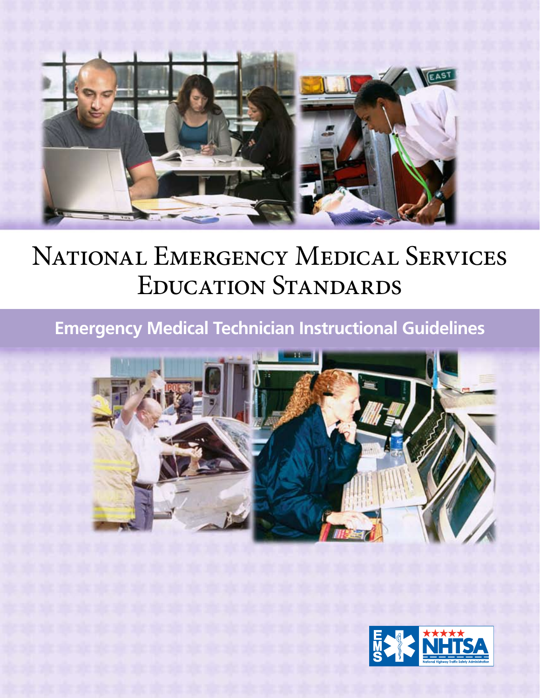

# NATIONAL EMERGENCY MEDICAL SERVICES Education Standards

# **Emergency Medical Technician Instructional Guidelines**



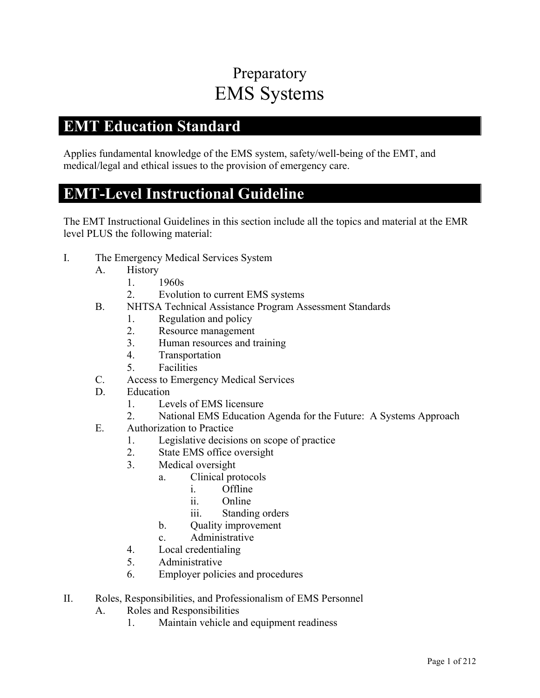### Preparatory EMS Systems

#### **EMT Education Standard**

Applies fundamental knowledge of the EMS system, safety/well-being of the EMT, and medical/legal and ethical issues to the provision of emergency care.

#### **EMT-Level Instructional Guideline**

- I. The Emergency Medical Services System
	- A. History
		- 1. 1960s
		- 2. Evolution to current EMS systems
	- B. NHTSA Technical Assistance Program Assessment Standards
		- 1. Regulation and policy
		- 2. Resource management
		- 3. Human resources and training
		- 4. Transportation
		- 5. Facilities
	- C. Access to Emergency Medical Services
	- D. Education
		- 1. Levels of EMS licensure
		- 2. National EMS Education Agenda for the Future: A Systems Approach
	- E. Authorization to Practice
		- 1. Legislative decisions on scope of practice
		- 2. State EMS office oversight
		- 3. Medical oversight
			- a. Clinical protocols
				- i. Offline
				- ii. Online
				- iii. Standing orders
			- b. Quality improvement
			- c. Administrative
		- 4. Local credentialing
		- 5. Administrative
		- 6. Employer policies and procedures
- II. Roles, Responsibilities, and Professionalism of EMS Personnel
	- A. Roles and Responsibilities
		- 1. Maintain vehicle and equipment readiness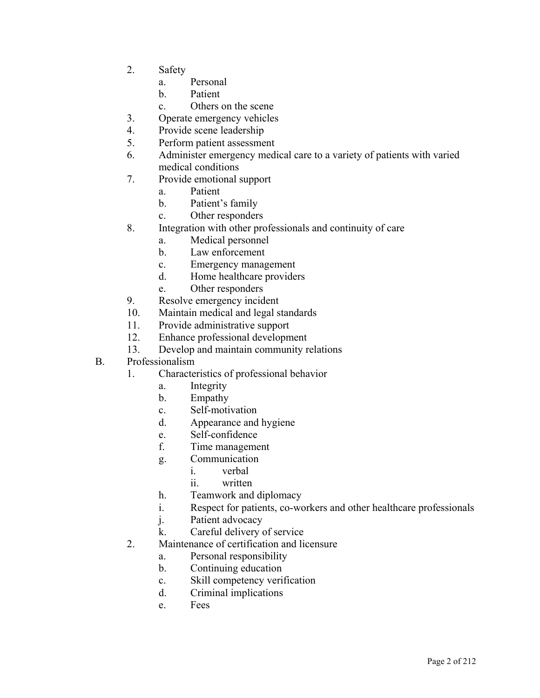- 2. Safety
	- a. Personal
	- b. Patient
	- c. Others on the scene
- 3. Operate emergency vehicles
- 4. Provide scene leadership
- 5. Perform patient assessment
- 6. Administer emergency medical care to a variety of patients with varied medical conditions
- 7. Provide emotional support
	- a. Patient
	- b. Patient's family
	- c. Other responders
- 8. Integration with other professionals and continuity of care
	- a. Medical personnel
	- b. Law enforcement
	- c. Emergency management
	- d. Home healthcare providers
	- e. Other responders
- 9. Resolve emergency incident
- 10. Maintain medical and legal standards
- 11. Provide administrative support
- 12. Enhance professional development
- 13. Develop and maintain community relations
- B. Professionalism
	- 1. Characteristics of professional behavior
		- a. Integrity
		- b. Empathy
		- c. Self-motivation
		- d. Appearance and hygiene
		- e. Self-confidence
		- f. Time management
		- g. Communication
			- i. verbal
			- ii. written
		- h. Teamwork and diplomacy
		- i. Respect for patients, co-workers and other healthcare professionals
		- j. Patient advocacy
		- k. Careful delivery of service
	- 2. Maintenance of certification and licensure
		- a. Personal responsibility
		- b. Continuing education
		- c. Skill competency verification
		- d. Criminal implications
		- e. Fees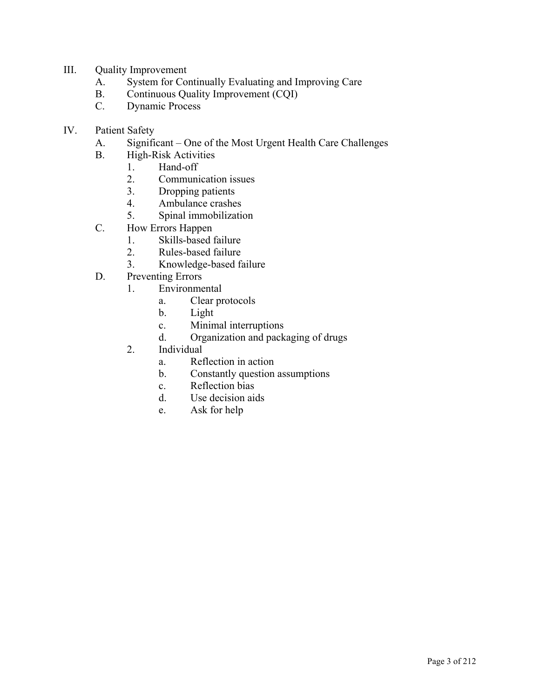- III. Quality Improvement
	- A. System for Continually Evaluating and Improving Care
	- B. Continuous Quality Improvement (CQI)
	- C. Dynamic Process
- IV. Patient Safety
	- A. Significant One of the Most Urgent Health Care Challenges
	- B. High-Risk Activities
		- 1. Hand-off
			- 2. Communication issues
			- 3. Dropping patients
			- 4. Ambulance crashes
		- 5. Spinal immobilization
	- C. How Errors Happen
		- 1. Skills-based failure
		- 2. Rules-based failure
		- 3. Knowledge-based failure
	- D. Preventing Errors
		- 1. Environmental
			- a. Clear protocols
			- b. Light
			- c. Minimal interruptions
			- d. Organization and packaging of drugs
		- 2. Individual
			- a. Reflection in action
			- b. Constantly question assumptions
			- c. Reflection bias
			- d. Use decision aids
			- e. Ask for help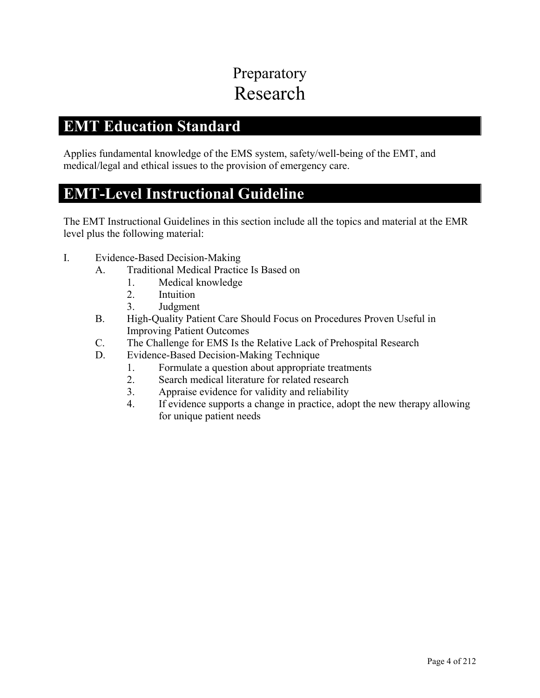# Preparatory Research

#### **EMT Education Standard**

Applies fundamental knowledge of the EMS system, safety/well-being of the EMT, and medical/legal and ethical issues to the provision of emergency care.

### **EMT-Level Instructional Guideline**

- I. Evidence-Based Decision-Making
	- A. Traditional Medical Practice Is Based on
		- 1. Medical knowledge
		- 2. Intuition
		- 3. Judgment
	- B. High-Quality Patient Care Should Focus on Procedures Proven Useful in Improving Patient Outcomes
	- C. The Challenge for EMS Is the Relative Lack of Prehospital Research
	- D. Evidence-Based Decision-Making Technique
		- 1. Formulate a question about appropriate treatments
		- 2. Search medical literature for related research
		- 3. Appraise evidence for validity and reliability
		- 4. If evidence supports a change in practice, adopt the new therapy allowing for unique patient needs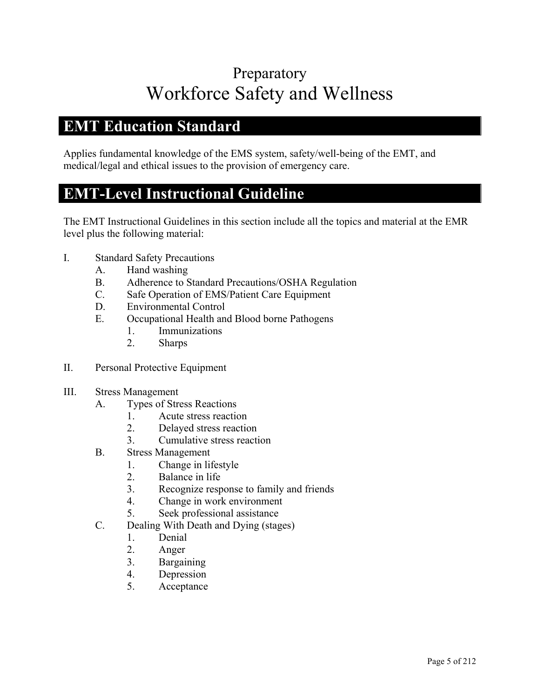# Preparatory Workforce Safety and Wellness

#### **EMT Education Standard**

Applies fundamental knowledge of the EMS system, safety/well-being of the EMT, and medical/legal and ethical issues to the provision of emergency care.

#### **EMT-Level Instructional Guideline**

- I. Standard Safety Precautions
	- A. Hand washing
	- B. Adherence to Standard Precautions/OSHA Regulation
	- C. Safe Operation of EMS/Patient Care Equipment
	- D. Environmental Control
	- E. Occupational Health and Blood borne Pathogens
		- 1. Immunizations
		- 2. Sharps
- II. Personal Protective Equipment
- III. Stress Management
	- A. Types of Stress Reactions
		- 1. Acute stress reaction
		- 2. Delayed stress reaction
		- 3. Cumulative stress reaction
	- B. Stress Management
		- 1. Change in lifestyle
		- 2. Balance in life
		- 3. Recognize response to family and friends
		- 4. Change in work environment
		- 5. Seek professional assistance
	- C. Dealing With Death and Dying (stages)
		- 1. Denial
		- 2. Anger
		- 3. Bargaining
		- 4. Depression
		- 5. Acceptance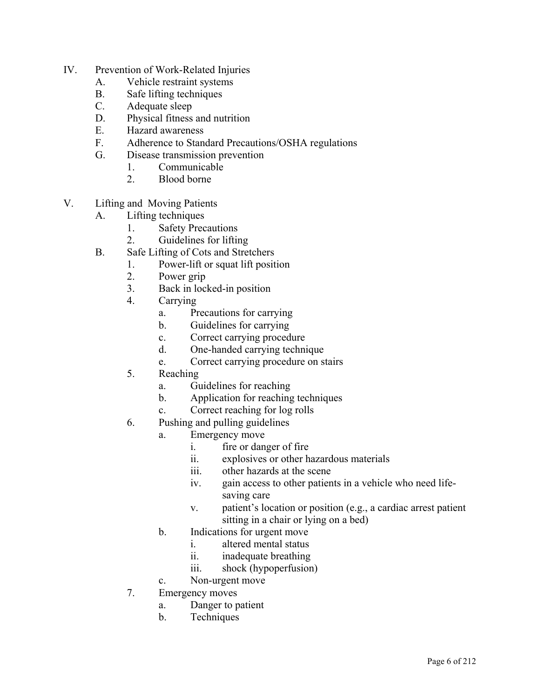- IV. Prevention of Work-Related Injuries
	- A. Vehicle restraint systems
	- B. Safe lifting techniques
	- C. Adequate sleep
	- D. Physical fitness and nutrition
	- E. Hazard awareness
	- F. Adherence to Standard Precautions/OSHA regulations
	- G. Disease transmission prevention
		- 1. Communicable
		- 2. Blood borne
- V. Lifting and Moving Patients
	- A. Lifting techniques
		- 1. Safety Precautions
		- 2. Guidelines for lifting
	- B. Safe Lifting of Cots and Stretchers
		- 1. Power-lift or squat lift position
		- 2. Power grip
		- 3. Back in locked-in position
		- 4. Carrying
			- a. Precautions for carrying
			- b. Guidelines for carrying
			- c. Correct carrying procedure
			- d. One-handed carrying technique
			- e. Correct carrying procedure on stairs
		- 5. Reaching
			- a. Guidelines for reaching
			- b. Application for reaching techniques
			- c. Correct reaching for log rolls
		- 6. Pushing and pulling guidelines
			- a. Emergency move
				- i. fire or danger of fire
				- ii. explosives or other hazardous materials
				- iii. other hazards at the scene
				- iv. gain access to other patients in a vehicle who need lifesaving care
				- v. patient's location or position (e.g., a cardiac arrest patient sitting in a chair or lying on a bed)
			- b. Indications for urgent move
				- i. altered mental status
				- ii. inadequate breathing
				- iii. shock (hypoperfusion)
			- c. Non-urgent move
		- 7. Emergency moves
			- a. Danger to patient
			- b. Techniques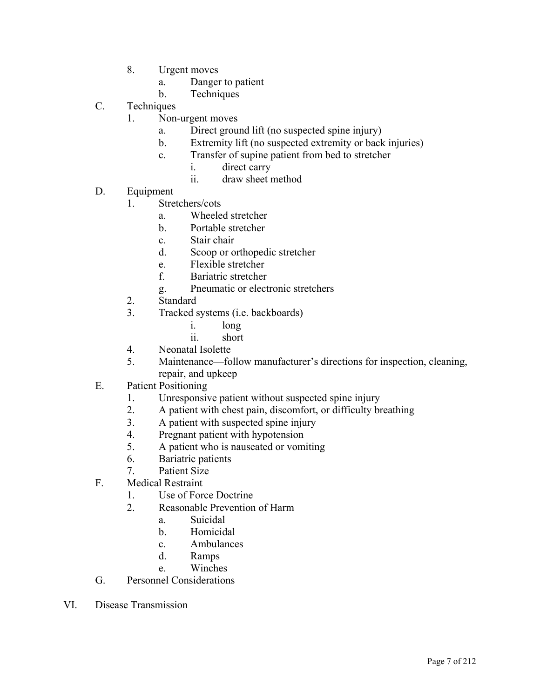- 8. Urgent moves
	- a. Danger to patient
	- b. Techniques
- C. Techniques
	- 1. Non-urgent moves
		- a. Direct ground lift (no suspected spine injury)
		- b. Extremity lift (no suspected extremity or back injuries)
		- c. Transfer of supine patient from bed to stretcher
			- i. direct carry
			- ii. draw sheet method
- D. Equipment
	- 1. Stretchers/cots
		- a. Wheeled stretcher
		- b. Portable stretcher
		- c. Stair chair
		- d. Scoop or orthopedic stretcher
		- e. Flexible stretcher
		- f. Bariatric stretcher
		- g. Pneumatic or electronic stretchers
	- 2. Standard
	- 3. Tracked systems (i.e. backboards)
		- i. long
		- ii. short
	- 4. Neonatal Isolette
	- 5. Maintenance—follow manufacturer's directions for inspection, cleaning, repair, and upkeep
- E. Patient Positioning
	- 1. Unresponsive patient without suspected spine injury
	- 2. A patient with chest pain, discomfort, or difficulty breathing
	- 3. A patient with suspected spine injury
	- 4. Pregnant patient with hypotension
	- 5. A patient who is nauseated or vomiting
	- 6. Bariatric patients
	- 7. Patient Size
- F. Medical Restraint
	- 1. Use of Force Doctrine
	- 2. Reasonable Prevention of Harm
		- a. Suicidal
		- b. Homicidal
		- c. Ambulances
		- d. Ramps
		- e. Winches
- G. Personnel Considerations
- VI. Disease Transmission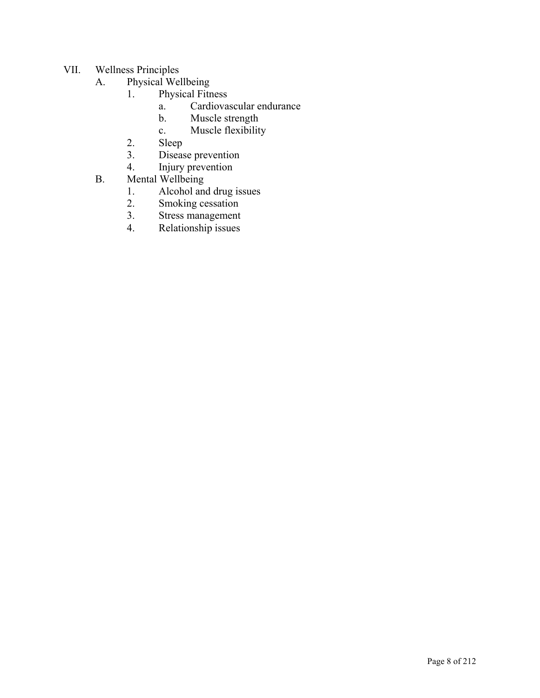- VII. Wellness Principles
	- A. Physical Wellbeing
		- 1. Physical Fitness
			- a. Cardiovascular endurance
			- b. Muscle strength
			- c. Muscle flexibility
		- 2. Sleep
		- 3. Disease prevention
		- 4. Injury prevention
	- B. Mental Wellbeing
		- 1. Alcohol and drug issues
		- 2. Smoking cessation
		- 3. Stress management
		- 4. Relationship issues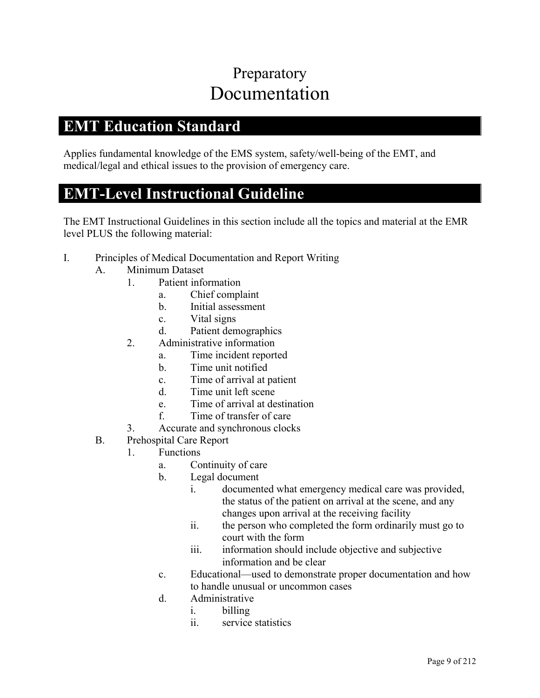### Preparatory Documentation

#### **EMT Education Standard**

Applies fundamental knowledge of the EMS system, safety/well-being of the EMT, and medical/legal and ethical issues to the provision of emergency care.

#### **EMT-Level Instructional Guideline**

- I. Principles of Medical Documentation and Report Writing
	- A. Minimum Dataset
		- 1. Patient information
			- a. Chief complaint
			- b. Initial assessment
			- c. Vital signs
			- d. Patient demographics
		- 2. Administrative information
			- a. Time incident reported
			- b. Time unit notified
			- c. Time of arrival at patient
			- d. Time unit left scene
			- e. Time of arrival at destination
			- f. Time of transfer of care
		- 3. Accurate and synchronous clocks
	- B. Prehospital Care Report
		- 1. Functions
			- a. Continuity of care
			- b. Legal document
				- i. documented what emergency medical care was provided, the status of the patient on arrival at the scene, and any changes upon arrival at the receiving facility
				- ii. the person who completed the form ordinarily must go to court with the form
				- iii. information should include objective and subjective information and be clear
			- c. Educational—used to demonstrate proper documentation and how to handle unusual or uncommon cases
			- d. Administrative
				- i. billing
				- ii. service statistics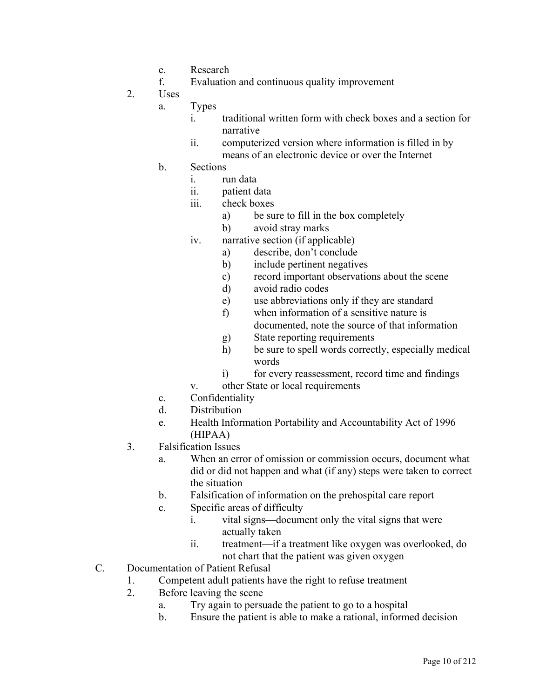- e. Research
- f. Evaluation and continuous quality improvement
- 2. Uses

a. Types

- i. traditional written form with check boxes and a section for narrative
- ii. computerized version where information is filled in by means of an electronic device or over the Internet
- b. Sections
	- i. run data
	- ii. patient data
	- iii. check boxes
		- a) be sure to fill in the box completely
		- b) avoid stray marks
	- iv. narrative section (if applicable)
		- a) describe, don't conclude
		- b) include pertinent negatives
		- c) record important observations about the scene
		- d) avoid radio codes
		- e) use abbreviations only if they are standard
		- f) when information of a sensitive nature is documented, note the source of that information
		- g) State reporting requirements
		- h) be sure to spell words correctly, especially medical words
		- i) for every reassessment, record time and findings
	- v. other State or local requirements
- c. Confidentiality
- d. Distribution
- e. Health Information Portability and Accountability Act of 1996 (HIPAA)
- 3. Falsification Issues
	- a. When an error of omission or commission occurs, document what did or did not happen and what (if any) steps were taken to correct the situation
	- b. Falsification of information on the prehospital care report
	- c. Specific areas of difficulty
		- i. vital signs—document only the vital signs that were actually taken
		- ii. treatment—if a treatment like oxygen was overlooked, do not chart that the patient was given oxygen
- C. Documentation of Patient Refusal
	- 1. Competent adult patients have the right to refuse treatment
	- 2. Before leaving the scene
		- a. Try again to persuade the patient to go to a hospital
		- b. Ensure the patient is able to make a rational, informed decision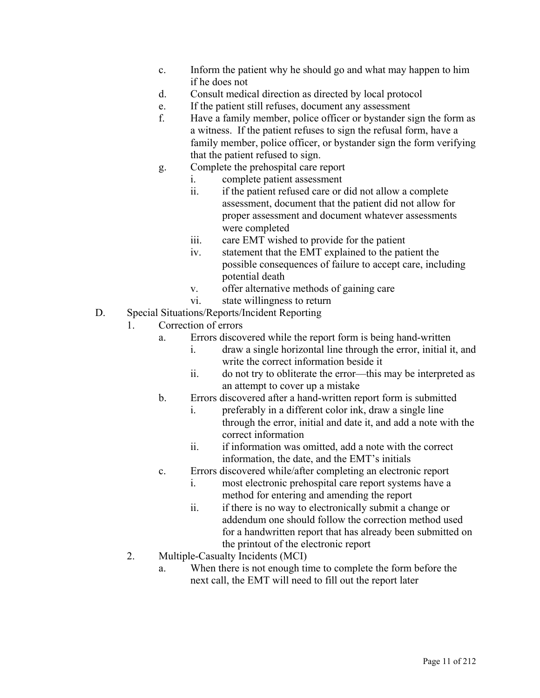- c. Inform the patient why he should go and what may happen to him if he does not
- d. Consult medical direction as directed by local protocol
- e. If the patient still refuses, document any assessment
- f. Have a family member, police officer or bystander sign the form as a witness. If the patient refuses to sign the refusal form, have a family member, police officer, or bystander sign the form verifying that the patient refused to sign.
- g. Complete the prehospital care report
	- i. complete patient assessment
	- ii. if the patient refused care or did not allow a complete assessment, document that the patient did not allow for proper assessment and document whatever assessments were completed
	- iii. care EMT wished to provide for the patient
	- iv. statement that the EMT explained to the patient the possible consequences of failure to accept care, including potential death
	- v. offer alternative methods of gaining care
	- vi. state willingness to return
- D. Special Situations/Reports/Incident Reporting
	- 1. Correction of errors
		- a. Errors discovered while the report form is being hand-written
			- i. draw a single horizontal line through the error, initial it, and write the correct information beside it
			- ii. do not try to obliterate the error—this may be interpreted as an attempt to cover up a mistake
		- b. Errors discovered after a hand-written report form is submitted
			- i. preferably in a different color ink, draw a single line through the error, initial and date it, and add a note with the correct information
			- ii. if information was omitted, add a note with the correct information, the date, and the EMT's initials
		- c. Errors discovered while/after completing an electronic report
			- i. most electronic prehospital care report systems have a method for entering and amending the report
			- ii. if there is no way to electronically submit a change or addendum one should follow the correction method used for a handwritten report that has already been submitted on the printout of the electronic report
	- 2. Multiple-Casualty Incidents (MCI)
		- a. When there is not enough time to complete the form before the next call, the EMT will need to fill out the report later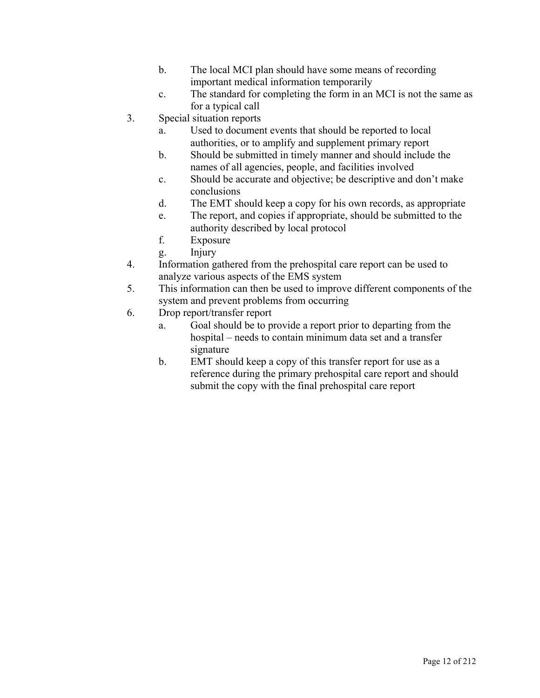- b. The local MCI plan should have some means of recording important medical information temporarily
- c. The standard for completing the form in an MCI is not the same as for a typical call
- 3. Special situation reports
	- a. Used to document events that should be reported to local authorities, or to amplify and supplement primary report
	- b. Should be submitted in timely manner and should include the names of all agencies, people, and facilities involved
	- c. Should be accurate and objective; be descriptive and don't make conclusions
	- d. The EMT should keep a copy for his own records, as appropriate
	- e. The report, and copies if appropriate, should be submitted to the authority described by local protocol
	- f. Exposure
	- g. Injury
- 4. Information gathered from the prehospital care report can be used to analyze various aspects of the EMS system
- 5. This information can then be used to improve different components of the system and prevent problems from occurring
- 6. Drop report/transfer report
	- a. Goal should be to provide a report prior to departing from the hospital – needs to contain minimum data set and a transfer signature
	- b. EMT should keep a copy of this transfer report for use as a reference during the primary prehospital care report and should submit the copy with the final prehospital care report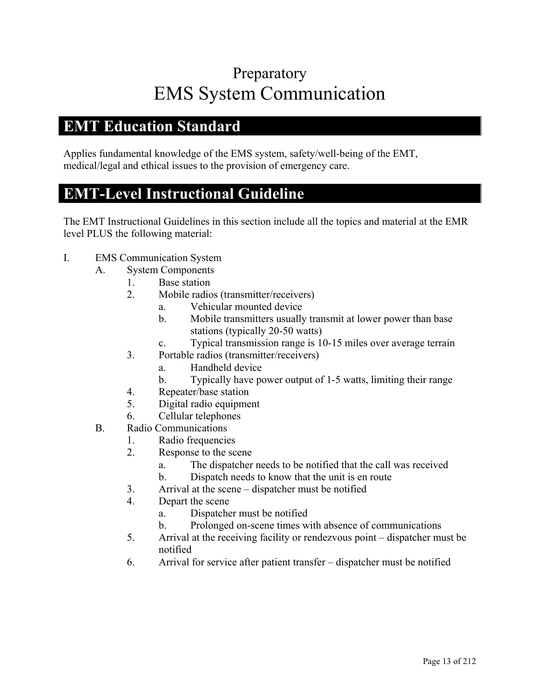## Preparatory EMS System Communication

#### **EMT Education Standard**

Applies fundamental knowledge of the EMS system, safety/well-being of the EMT, medical/legal and ethical issues to the provision of emergency care.

#### **EMT-Level Instructional Guideline**

- I. EMS Communication System
	- A. System Components
		- 1. Base station
		- 2. Mobile radios (transmitter/receivers)
			- a. Vehicular mounted device
			- b. Mobile transmitters usually transmit at lower power than base stations (typically 20-50 watts)
			- c. Typical transmission range is 10-15 miles over average terrain
		- 3. Portable radios (transmitter/receivers)
			- a. Handheld device
			- b. Typically have power output of 1-5 watts, limiting their range
		- 4. Repeater/base station
		- 5. Digital radio equipment
		- 6. Cellular telephones
	- B. Radio Communications
		- 1. Radio frequencies
		- 2. Response to the scene
			- a. The dispatcher needs to be notified that the call was received
			- b. Dispatch needs to know that the unit is en route
		- 3. Arrival at the scene dispatcher must be notified
		- 4. Depart the scene
			- a. Dispatcher must be notified
			- b. Prolonged on-scene times with absence of communications
		- 5. Arrival at the receiving facility or rendezvous point dispatcher must be notified
		- 6. Arrival for service after patient transfer dispatcher must be notified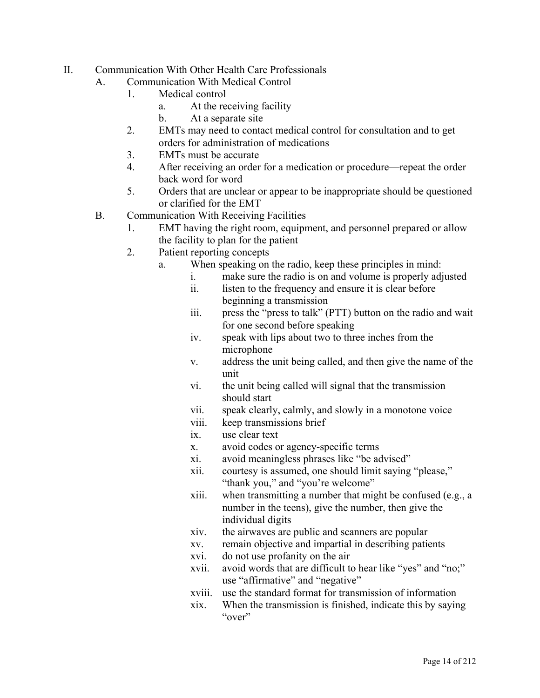- II. Communication With Other Health Care Professionals
	- A. Communication With Medical Control
		- 1. Medical control
			- a. At the receiving facility
			- b. At a separate site
		- 2. EMTs may need to contact medical control for consultation and to get orders for administration of medications
		- 3. EMTs must be accurate
		- 4. After receiving an order for a medication or procedure—repeat the order back word for word
		- 5. Orders that are unclear or appear to be inappropriate should be questioned or clarified for the EMT
		- B. Communication With Receiving Facilities
			- 1. EMT having the right room, equipment, and personnel prepared or allow the facility to plan for the patient
			- 2. Patient reporting concepts
				- a. When speaking on the radio, keep these principles in mind:
					- i. make sure the radio is on and volume is properly adjusted
					- ii. listen to the frequency and ensure it is clear before beginning a transmission
					- iii. press the "press to talk" (PTT) button on the radio and wait for one second before speaking
					- iv. speak with lips about two to three inches from the microphone
					- v. address the unit being called, and then give the name of the unit
					- vi. the unit being called will signal that the transmission should start
					- vii. speak clearly, calmly, and slowly in a monotone voice
					- viii. keep transmissions brief
					- ix. use clear text
					- x. avoid codes or agency-specific terms
					- xi. avoid meaningless phrases like "be advised"
					- xii. courtesy is assumed, one should limit saying "please," "thank you," and "you're welcome"
					- xiii. when transmitting a number that might be confused (e.g., a number in the teens), give the number, then give the individual digits
					- xiv. the airwaves are public and scanners are popular
					- xv. remain objective and impartial in describing patients
					- xvi. do not use profanity on the air
					- xvii. avoid words that are difficult to hear like "yes" and "no;" use "affirmative" and "negative"
					- xviii. use the standard format for transmission of information
					- xix. When the transmission is finished, indicate this by saying "over"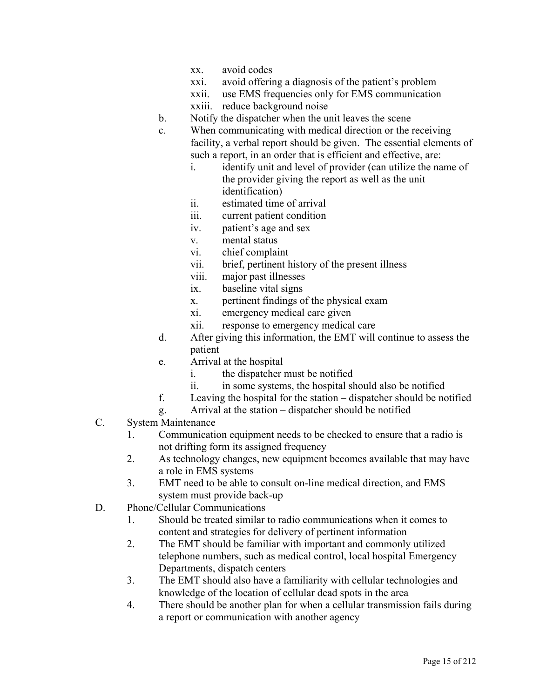- xx. avoid codes
- xxi. avoid offering a diagnosis of the patient's problem
- xxii. use EMS frequencies only for EMS communication
- xxiii. reduce background noise
- b. Notify the dispatcher when the unit leaves the scene
- c. When communicating with medical direction or the receiving facility, a verbal report should be given. The essential elements of such a report, in an order that is efficient and effective, are:
	- i. identify unit and level of provider (can utilize the name of the provider giving the report as well as the unit identification)
	- ii. estimated time of arrival
	- iii. current patient condition
	- iv. patient's age and sex
	- v. mental status
	- vi. chief complaint
	- vii. brief, pertinent history of the present illness
	- viii. major past illnesses
	- ix. baseline vital signs
	- x. pertinent findings of the physical exam
	- xi. emergency medical care given
	- xii. response to emergency medical care
- d. After giving this information, the EMT will continue to assess the patient
- e. Arrival at the hospital
	- i. the dispatcher must be notified
	- ii. in some systems, the hospital should also be notified
- f. Leaving the hospital for the station dispatcher should be notified
- g. Arrival at the station dispatcher should be notified
- C. System Maintenance
	- 1. Communication equipment needs to be checked to ensure that a radio is not drifting form its assigned frequency
	- 2. As technology changes, new equipment becomes available that may have a role in EMS systems
	- 3. EMT need to be able to consult on-line medical direction, and EMS system must provide back-up
- D. Phone/Cellular Communications
	- 1. Should be treated similar to radio communications when it comes to content and strategies for delivery of pertinent information
	- 2. The EMT should be familiar with important and commonly utilized telephone numbers, such as medical control, local hospital Emergency Departments, dispatch centers
	- 3. The EMT should also have a familiarity with cellular technologies and knowledge of the location of cellular dead spots in the area
	- 4. There should be another plan for when a cellular transmission fails during a report or communication with another agency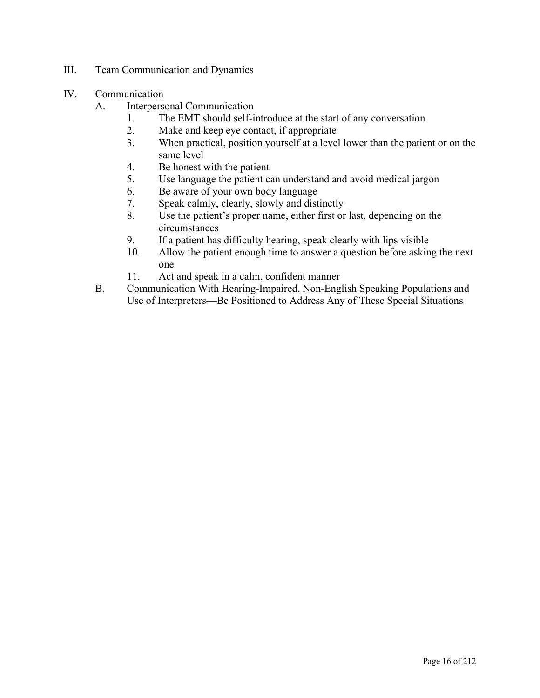- III. Team Communication and Dynamics
- IV. Communication
	- A. Interpersonal Communication
		- 1. The EMT should self-introduce at the start of any conversation
		- 2. Make and keep eye contact, if appropriate
		- 3. When practical, position yourself at a level lower than the patient or on the same level
		- 4. Be honest with the patient
		- 5. Use language the patient can understand and avoid medical jargon
		- 6. Be aware of your own body language
		- 7. Speak calmly, clearly, slowly and distinctly
		- 8. Use the patient's proper name, either first or last, depending on the circumstances
		- 9. If a patient has difficulty hearing, speak clearly with lips visible
		- 10. Allow the patient enough time to answer a question before asking the next one
		- 11. Act and speak in a calm, confident manner
	- B. Communication With Hearing-Impaired, Non-English Speaking Populations and Use of Interpreters—Be Positioned to Address Any of These Special Situations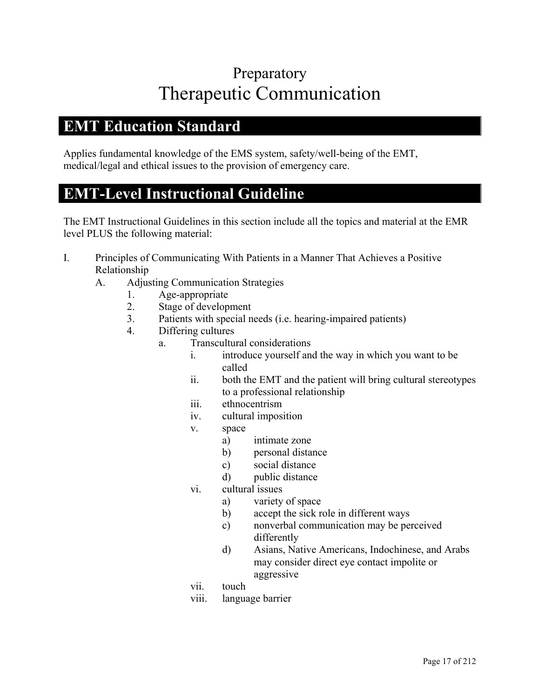## Preparatory Therapeutic Communication

#### **EMT Education Standard**

Applies fundamental knowledge of the EMS system, safety/well-being of the EMT, medical/legal and ethical issues to the provision of emergency care.

#### **EMT-Level Instructional Guideline**

- I. Principles of Communicating With Patients in a Manner That Achieves a Positive Relationship
	- A. Adjusting Communication Strategies
		- 1. Age-appropriate
		- 2. Stage of development
		- 3. Patients with special needs (i.e. hearing-impaired patients)
		- 4. Differing cultures
			- a. Transcultural considerations
				- i. introduce yourself and the way in which you want to be called
				- ii. both the EMT and the patient will bring cultural stereotypes to a professional relationship
				- iii. ethnocentrism
				- iv. cultural imposition
				- v. space
					- a) intimate zone
					- b) personal distance
					- c) social distance
					- d) public distance
				- vi. cultural issues
					- a) variety of space
					- b) accept the sick role in different ways
					- c) nonverbal communication may be perceived differently
					- d) Asians, Native Americans, Indochinese, and Arabs may consider direct eye contact impolite or aggressive
				- vii. touch
				- viii. language barrier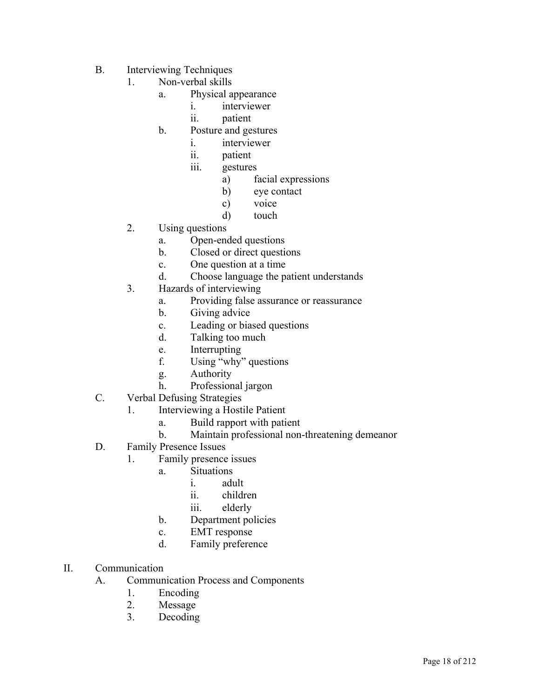- B. Interviewing Techniques
	- 1. Non-verbal skills
		- a. Physical appearance
			- i. interviewer
			- ii. patient
		- b. Posture and gestures
			- i. interviewer
			- ii. patient
			- iii. gestures
				- a) facial expressions
				- b) eye contact
				- c) voice
				- d) touch
	- 2. Using questions
		- a. Open-ended questions
		- b. Closed or direct questions
		- c. One question at a time
		- d. Choose language the patient understands
	- 3. Hazards of interviewing
		- a. Providing false assurance or reassurance
		- b. Giving advice
		- c. Leading or biased questions
		- d. Talking too much
		- e. Interrupting
		- f. Using "why" questions
		- g. Authority
		- h. Professional jargon
- C. Verbal Defusing Strategies
	- 1. Interviewing a Hostile Patient
		- a. Build rapport with patient
		- b. Maintain professional non-threatening demeanor
- D. Family Presence Issues
	- 1. Family presence issues
		- a. Situations
			- i. adult
			- ii. children
			- iii. elderly
		- b. Department policies
		- c. EMT response
		- d. Family preference
- II. Communication
	- A. Communication Process and Components
		- 1. Encoding
		- 2. Message
		- 3. Decoding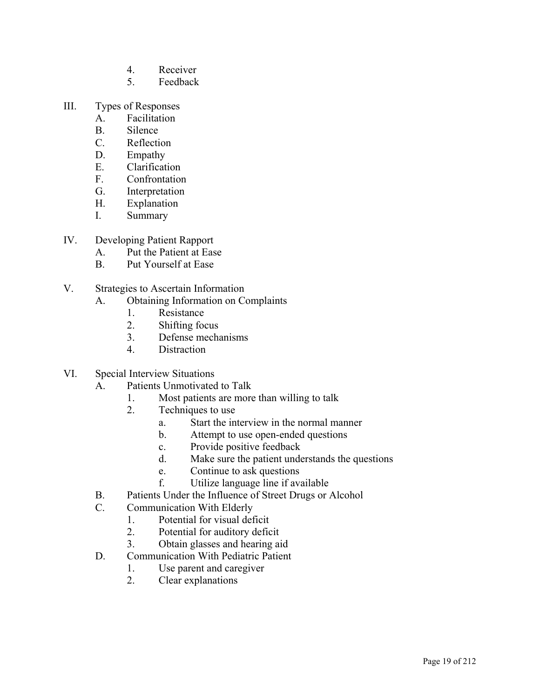- 4. Receiver
- 5. Feedback
- III. Types of Responses
	- A. Facilitation
	- B. Silence
	- C. Reflection
	- D. Empathy
	- E. Clarification
	- F. Confrontation
	- G. Interpretation
	- H. Explanation
	- I. Summary
- IV. Developing Patient Rapport
	- A. Put the Patient at Ease
	- B. Put Yourself at Ease
- V. Strategies to Ascertain Information
	- A. Obtaining Information on Complaints
		- 1. Resistance
		- 2. Shifting focus
		- 3. Defense mechanisms
		- 4. Distraction
- VI. Special Interview Situations
	- A. Patients Unmotivated to Talk
		- 1. Most patients are more than willing to talk
		- 2. Techniques to use
			- a. Start the interview in the normal manner
			- b. Attempt to use open-ended questions
			- c. Provide positive feedback
			- d. Make sure the patient understands the questions
			- e. Continue to ask questions
			- f. Utilize language line if available
	- B. Patients Under the Influence of Street Drugs or Alcohol
	- C. Communication With Elderly
		- 1. Potential for visual deficit
		- 2. Potential for auditory deficit
		- 3. Obtain glasses and hearing aid
	- D. Communication With Pediatric Patient
		- 1. Use parent and caregiver
		- 2. Clear explanations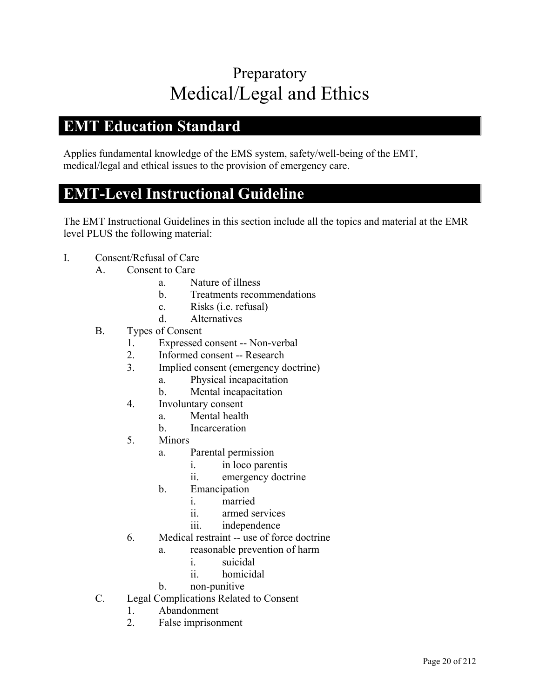# Preparatory Medical/Legal and Ethics

#### **EMT Education Standard**

Applies fundamental knowledge of the EMS system, safety/well-being of the EMT, medical/legal and ethical issues to the provision of emergency care.

#### **EMT-Level Instructional Guideline**

- I. Consent/Refusal of Care
	- A. Consent to Care
		- a. Nature of illness
		- b. Treatments recommendations
		- c. Risks (i.e. refusal)
		- d. Alternatives
	- B. Types of Consent
		- 1. Expressed consent -- Non-verbal
		- 2. Informed consent -- Research
		- 3. Implied consent (emergency doctrine)
			- a. Physical incapacitation
			- b. Mental incapacitation
		- 4. Involuntary consent
			- a. Mental health
			- b. Incarceration
		- 5. Minors
			- a. Parental permission
				- i. in loco parentis
				- ii. emergency doctrine
			- b. Emancipation
				- i. married
				- ii. armed services
				- iii. independence
		- 6. Medical restraint -- use of force doctrine
			- a. reasonable prevention of harm
				- i. suicidal
				- ii. homicidal
			- b. non-punitive
	- C. Legal Complications Related to Consent
		- 1. Abandonment
		- 2. False imprisonment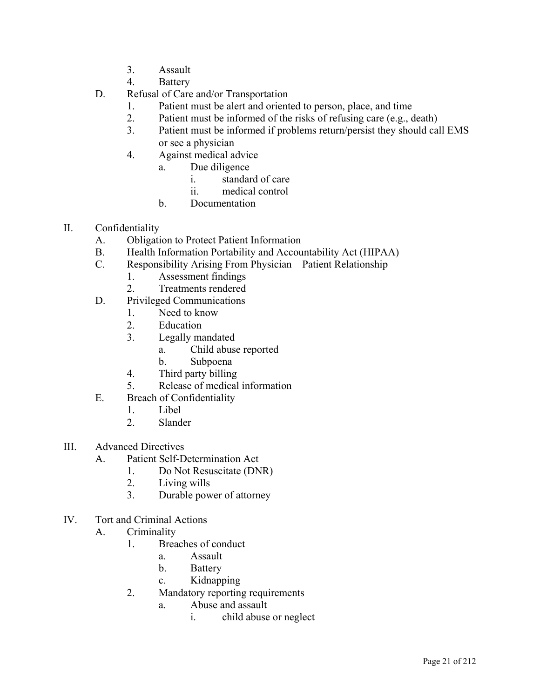- 3. Assault
- 4. Battery
- D. Refusal of Care and/or Transportation
	- 1. Patient must be alert and oriented to person, place, and time
	- 2. Patient must be informed of the risks of refusing care (e.g., death)
	- 3. Patient must be informed if problems return/persist they should call EMS or see a physician
	- 4. Against medical advice
		- a. Due diligence
			- i. standard of care
			- ii. medical control
		- b. Documentation
- II. Confidentiality
	- A. Obligation to Protect Patient Information
	- B. Health Information Portability and Accountability Act (HIPAA)
	- C. Responsibility Arising From Physician Patient Relationship
		- 1. Assessment findings
		- 2. Treatments rendered
	- D. Privileged Communications
		- 1. Need to know
		- 2. Education
		- 3. Legally mandated
			- a. Child abuse reported
			- b. Subpoena
		- 4. Third party billing
		- 5. Release of medical information
	- E. Breach of Confidentiality
		- 1. Libel
		- 2. Slander
- III. Advanced Directives
	- A. Patient Self-Determination Act
		- 1. Do Not Resuscitate (DNR)
		- 2. Living wills
		- 3. Durable power of attorney
- IV. Tort and Criminal Actions
	- A. Criminality
		- 1. Breaches of conduct
			- a. Assault
			- b. Battery
			- c. Kidnapping
		- 2. Mandatory reporting requirements
			- a. Abuse and assault
				- i. child abuse or neglect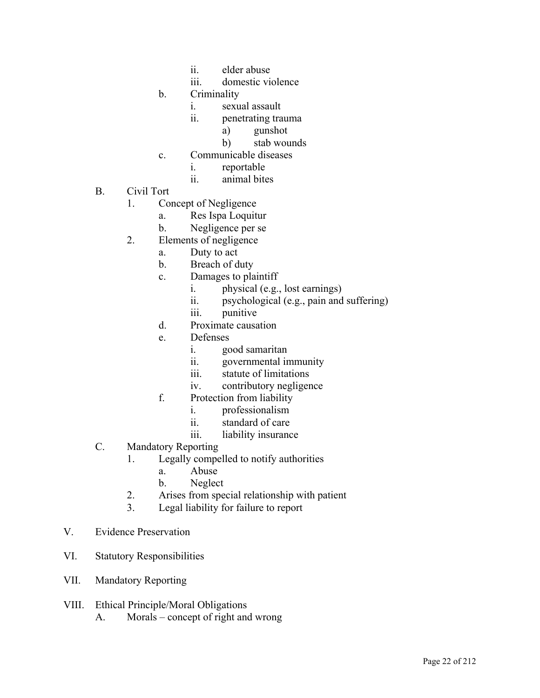- ii. elder abuse
- iii. domestic violence
- b. Criminality
	- i. sexual assault
	- ii. penetrating trauma
		- a) gunshot
		- b) stab wounds
- c. Communicable diseases
	- i. reportable
	- ii. animal bites
- B. Civil Tort
	- 1. Concept of Negligence
		- a. Res Ispa Loquitur
		- b. Negligence per se
	- 2. Elements of negligence
		- a. Duty to act
		- b. Breach of duty
		- c. Damages to plaintiff
			- i. physical (e.g., lost earnings)
			- ii. psychological (e.g., pain and suffering)
			- iii. punitive
		- d. Proximate causation
		- e. Defenses
			- i. good samaritan
			- ii. governmental immunity
			- iii. statute of limitations
			- iv. contributory negligence
		- f. Protection from liability
			- i. professionalism
			- ii. standard of care
			- iii. liability insurance
- C. Mandatory Reporting
	- 1. Legally compelled to notify authorities
		- a. Abuse
		- b. Neglect
	- 2. Arises from special relationship with patient
	- 3. Legal liability for failure to report
- V. Evidence Preservation
- VI. Statutory Responsibilities
- VII. Mandatory Reporting
- VIII. Ethical Principle/Moral Obligations A. Morals – concept of right and wrong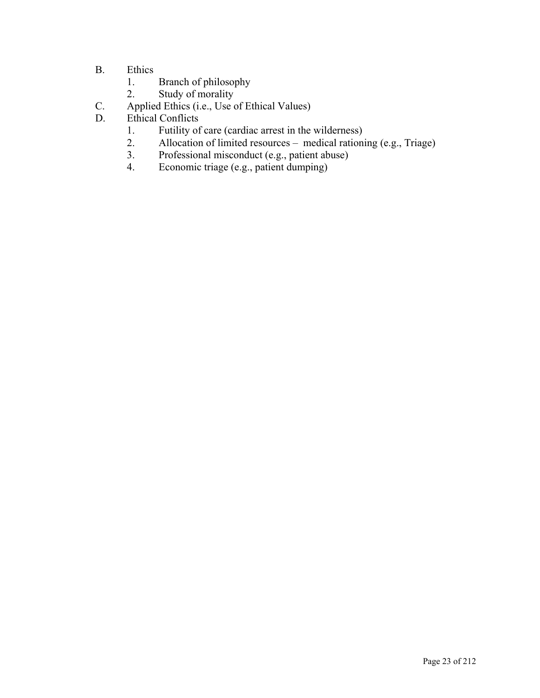- B. Ethics
	- 1. Branch of philosophy
	- 2. Study of morality
- C. Applied Ethics (i.e., Use of Ethical Values)<br>D. Ethical Conflicts
- Ethical Conflicts
	- 1. Futility of care (cardiac arrest in the wilderness)<br>2. Allocation of limited resources medical rationi
	- Allocation of limited resources medical rationing (e.g., Triage)
	- 3. Professional misconduct (e.g., patient abuse)
	- 4. Economic triage (e.g., patient dumping)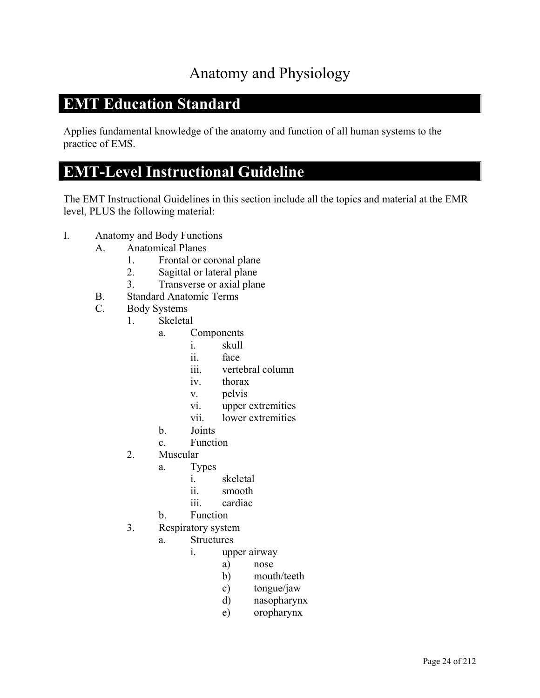### Anatomy and Physiology

#### **EMT Education Standard**

Applies fundamental knowledge of the anatomy and function of all human systems to the practice of EMS.

#### **EMT-Level Instructional Guideline**

- I. Anatomy and Body Functions
	- A. Anatomical Planes
		- 1. Frontal or coronal plane
		- 2. Sagittal or lateral plane
		- 3. Transverse or axial plane
	- B. Standard Anatomic Terms
	- C. Body Systems
		- 1. Skeletal
			- a. Components
				- i. skull
				- ii. face
				- iii. vertebral column
				- iv. thorax
				- v. pelvis
				- vi. upper extremities
				- vii. lower extremities
			- b. Joints
			- c. Function
		- 2. Muscular
			- a. Types
				- i. skeletal
				- ii. smooth
				- iii. cardiac
			- b. Function
		- 3. Respiratory system
			- a. Structures
				- i. upper airway
					- a) nose
					- b) mouth/teeth
					- c) tongue/jaw
					- d) nasopharynx
					- e) oropharynx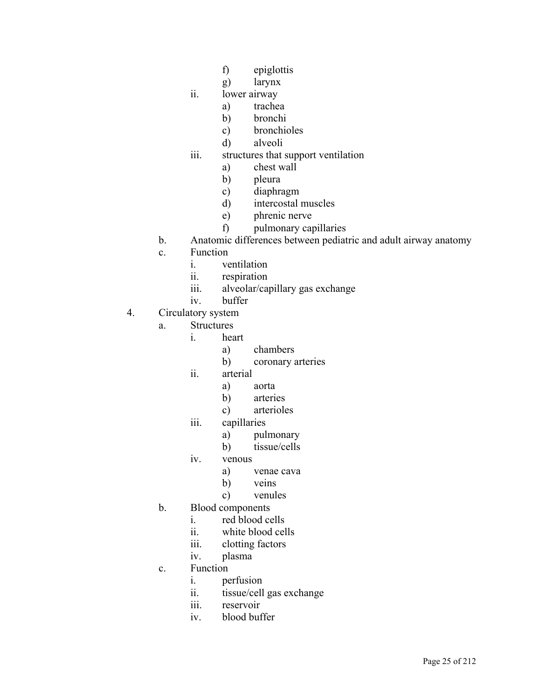- f) epiglottis
- g) larynx
- ii. lower airway
	- a) trachea
	- b) bronchi
	- c) bronchioles
	- d) alveoli
- iii. structures that support ventilation
	- a) chest wall
	- b) pleura
	- c) diaphragm
	- d) intercostal muscles
	- e) phrenic nerve
	- f) pulmonary capillaries
- b. Anatomic differences between pediatric and adult airway anatomy
- c. Function
	- i. ventilation
	- ii. respiration
	- iii. alveolar/capillary gas exchange
	- iv. buffer
- 4. Circulatory system
	- a. Structures
		- i. heart
			- a) chambers
			- b) coronary arteries
		- ii. arterial
			- a) aorta
			- b) arteries
			- c) arterioles
		- iii. capillaries
			- a) pulmonary
			- b) tissue/cells
		- iv. venous
			- a) venae cava
			- b) veins
			- c) venules
	- b. Blood components
		- i. red blood cells
		- ii. white blood cells
		- iii. clotting factors
		- iv. plasma
	- c. Function
		- i. perfusion
		- ii. tissue/cell gas exchange
		- iii. reservoir
		- iv. blood buffer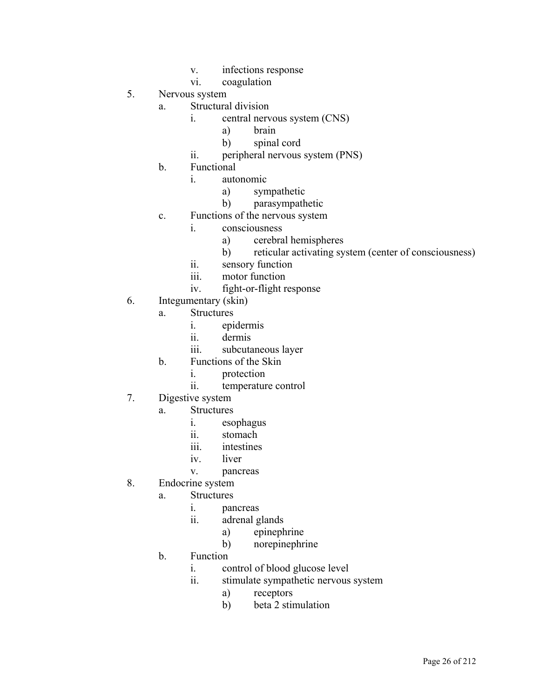- v. infections response
- vi. coagulation
- 5. Nervous system
	- a. Structural division
		- i. central nervous system (CNS)
			- a) brain
			- b) spinal cord
		- ii. peripheral nervous system (PNS)
	- b. Functional
		- i. autonomic
			- a) sympathetic
			- b) parasympathetic
	- c. Functions of the nervous system
		- i. consciousness
			- a) cerebral hemispheres
			- b) reticular activating system (center of consciousness)
			- ii. sensory function
			- iii. motor function
			- iv. fight-or-flight response
- 6. Integumentary (skin)
	- a. Structures
		- i. epidermis
		- ii. dermis
		- iii. subcutaneous layer
	- b. Functions of the Skin
		- i. protection
		- ii. temperature control
- 7. Digestive system
	- a. Structures
		- i. esophagus
		- ii. stomach
		- iii. intestines
		- iv. liver
		- v. pancreas
- 8. Endocrine system
	- a. Structures
		- i. pancreas
		- ii. adrenal glands
			- a) epinephrine
			- b) norepinephrine
	- b. Function
		- i. control of blood glucose level
		- ii. stimulate sympathetic nervous system
			- a) receptors
			- b) beta 2 stimulation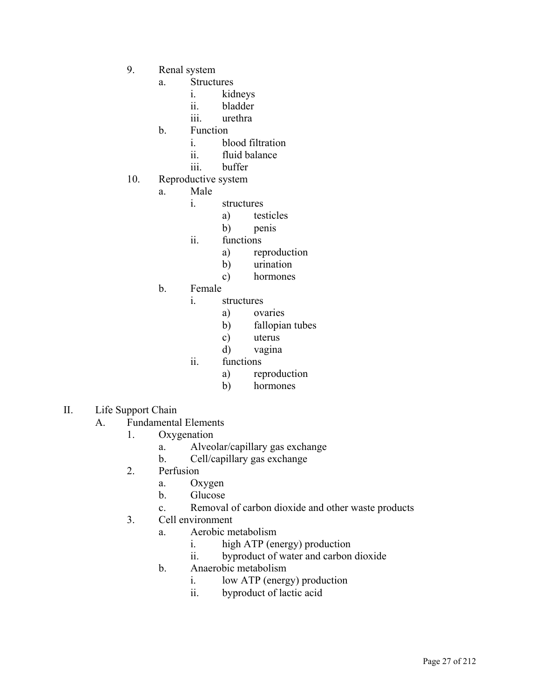- 9. Renal system
	- a. Structures
		- i. kidneys
		- ii. bladder
		- iii. urethra
	- b. Function
		- i. blood filtration
		- ii. fluid balance
		- iii. buffer
- 10. Reproductive system
	- a. Male
		- i. structures
			- a) testicles
			- b) penis
		- ii. functions
			- a) reproduction
			- b) urination
			- c) hormones
	- b. Female
		- i. structures
			- a) ovaries
			- b) fallopian tubes
			- c) uterus
			- d) vagina
		- ii. functions
			- a) reproduction
			- b) hormones
- II. Life Support Chain
	- A. Fundamental Elements
		- 1. Oxygenation
			- a. Alveolar/capillary gas exchange
			- b. Cell/capillary gas exchange
		- 2. Perfusion
			- a. Oxygen
			- b. Glucose
			- c. Removal of carbon dioxide and other waste products
		- 3. Cell environment
			- a. Aerobic metabolism
				- i. high ATP (energy) production
				- ii. byproduct of water and carbon dioxide
			- b. Anaerobic metabolism
				- i. low ATP (energy) production
				- ii. byproduct of lactic acid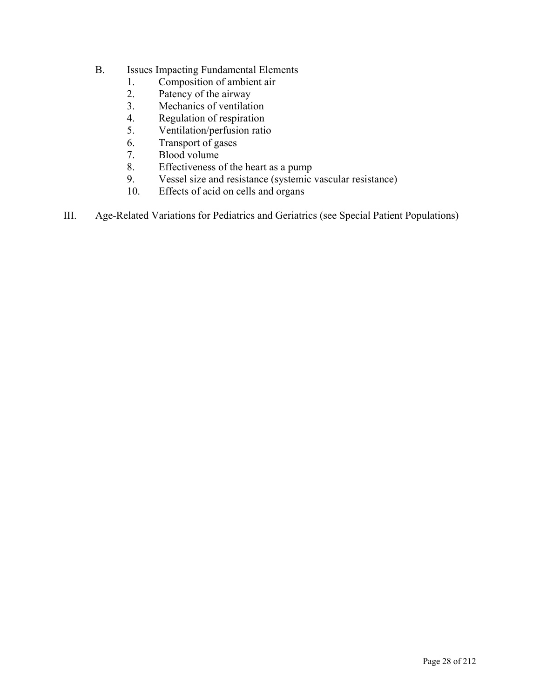- B. Issues Impacting Fundamental Elements
	- 1. Composition of ambient air
	- 2. Patency of the airway
	- 3. Mechanics of ventilation<br>4. Regulation of respiration
	- Regulation of respiration
	- 5. Ventilation/perfusion ratio
	- 6. Transport of gases
	- 7. Blood volume
	- 8. Effectiveness of the heart as a pump
	- 9. Vessel size and resistance (systemic vascular resistance)
	- 10. Effects of acid on cells and organs
- III. Age-Related Variations for Pediatrics and Geriatrics (see Special Patient Populations)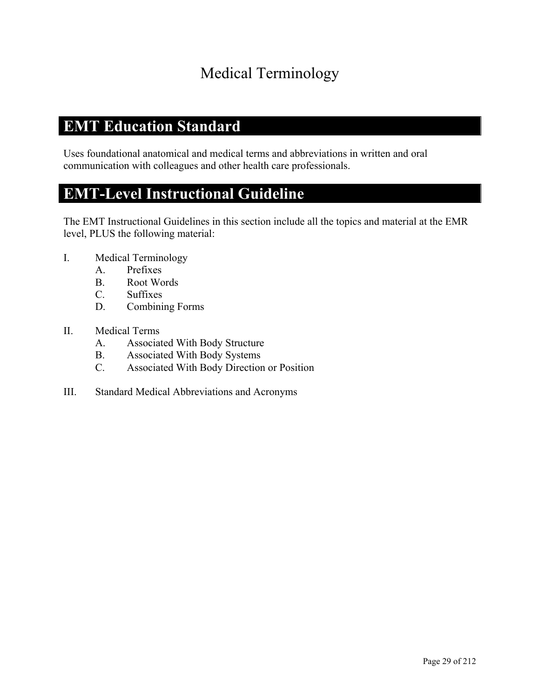### Medical Terminology

#### **EMT Education Standard**

Uses foundational anatomical and medical terms and abbreviations in written and oral communication with colleagues and other health care professionals.

#### **EMT-Level Instructional Guideline**

- I. Medical Terminology
	- A. Prefixes
	- B. Root Words
	- C. Suffixes
	- D. Combining Forms
- II. Medical Terms
	- A. Associated With Body Structure
	- B. Associated With Body Systems
	- C. Associated With Body Direction or Position
- III. Standard Medical Abbreviations and Acronyms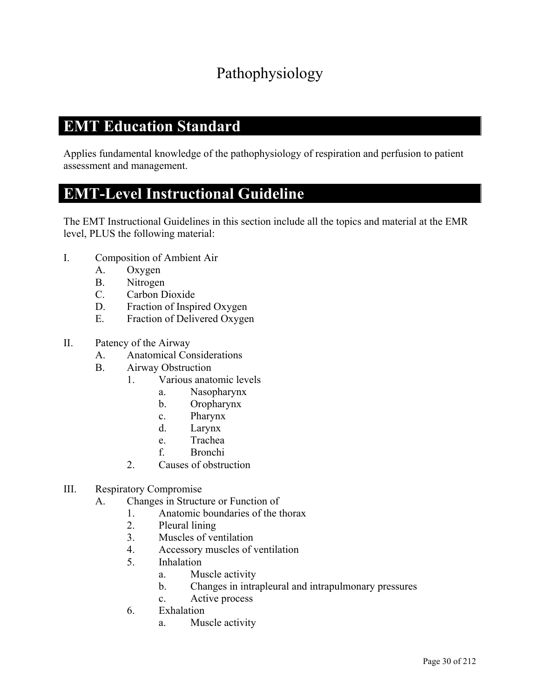### Pathophysiology

#### **EMT Education Standard**

Applies fundamental knowledge of the pathophysiology of respiration and perfusion to patient assessment and management.

#### **EMT-Level Instructional Guideline**

- I. Composition of Ambient Air
	- A. Oxygen
	- B. Nitrogen
	- C. Carbon Dioxide
	- D. Fraction of Inspired Oxygen
	- E. Fraction of Delivered Oxygen
- II. Patency of the Airway
	- A. Anatomical Considerations
	- B. Airway Obstruction
		- 1. Various anatomic levels
			- a. Nasopharynx
			- b. Oropharynx
			- c. Pharynx
			- d. Larynx
			- e. Trachea
			- f. Bronchi
		- 2. Causes of obstruction
- III. Respiratory Compromise
	- A. Changes in Structure or Function of
		- 1. Anatomic boundaries of the thorax
		- 2. Pleural lining
		- 3. Muscles of ventilation
		- 4. Accessory muscles of ventilation
		- 5. Inhalation
			- a. Muscle activity
			- b. Changes in intrapleural and intrapulmonary pressures
			- c. Active process
		- 6. Exhalation
			- a. Muscle activity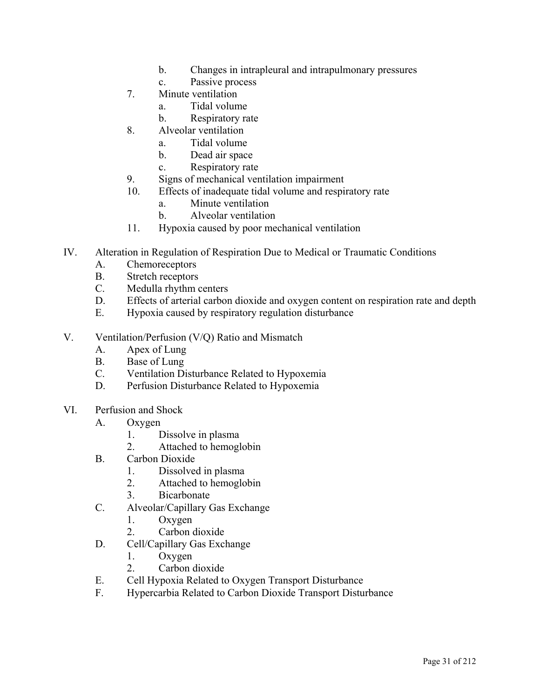- b. Changes in intrapleural and intrapulmonary pressures
- c. Passive process
- 7. Minute ventilation
	- a. Tidal volume
	- b. Respiratory rate
- 8. Alveolar ventilation
	- a. Tidal volume
	- b. Dead air space
	- c. Respiratory rate
- 9. Signs of mechanical ventilation impairment
- 10. Effects of inadequate tidal volume and respiratory rate
	- a. Minute ventilation
	- b. Alveolar ventilation
- 11. Hypoxia caused by poor mechanical ventilation
- IV. Alteration in Regulation of Respiration Due to Medical or Traumatic Conditions
	- A. Chemoreceptors
	- B. Stretch receptors
	- C. Medulla rhythm centers
	- D. Effects of arterial carbon dioxide and oxygen content on respiration rate and depth
	- E. Hypoxia caused by respiratory regulation disturbance
- V. Ventilation/Perfusion (V/Q) Ratio and Mismatch
	- A. Apex of Lung
	- B. Base of Lung
	- C. Ventilation Disturbance Related to Hypoxemia
	- D. Perfusion Disturbance Related to Hypoxemia
- VI. Perfusion and Shock
	- A. Oxygen
		- 1. Dissolve in plasma
		- 2. Attached to hemoglobin
	- B. Carbon Dioxide
		- 1. Dissolved in plasma
		- 2. Attached to hemoglobin
		- 3. Bicarbonate
	- C. Alveolar/Capillary Gas Exchange
		- 1. Oxygen
		- 2. Carbon dioxide
	- D. Cell/Capillary Gas Exchange
		- 1. Oxygen
		- 2. Carbon dioxide
	- E. Cell Hypoxia Related to Oxygen Transport Disturbance
	- F. Hypercarbia Related to Carbon Dioxide Transport Disturbance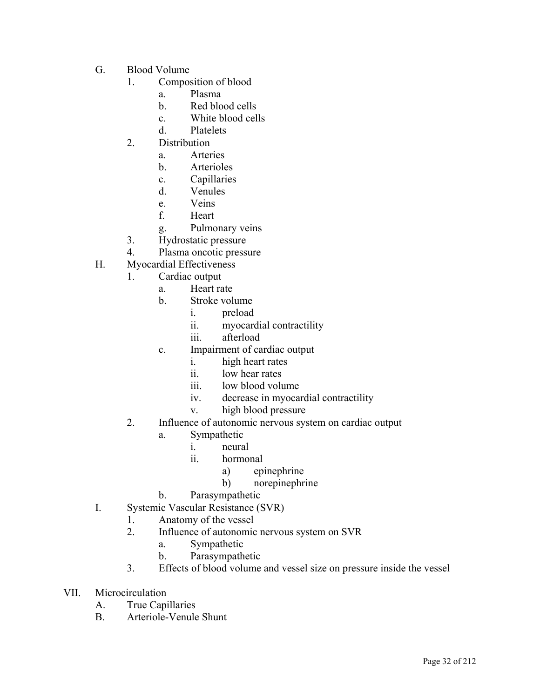- G. Blood Volume
	- 1. Composition of blood
		- a. Plasma
		- b. Red blood cells
		- c. White blood cells
		- d. Platelets
	- 2. Distribution
		- a. Arteries
		- b. Arterioles
		- c. Capillaries
		- d. Venules
		- e. Veins
		- f. Heart
		- g. Pulmonary veins
	- 3. Hydrostatic pressure
	- 4. Plasma oncotic pressure
- H. Myocardial Effectiveness
	- 1. Cardiac output
		- a. Heart rate
		- b. Stroke volume
			- i. preload
			- ii. myocardial contractility
			- iii. afterload
		- c. Impairment of cardiac output
			- i. high heart rates
			- ii. low hear rates
			- iii. low blood volume
			- iv. decrease in myocardial contractility
			- v. high blood pressure
	- 2. Influence of autonomic nervous system on cardiac output
		- a. Sympathetic
			- i. neural
			- ii. hormonal
				- a) epinephrine
				- b) norepinephrine
		- b. Parasympathetic
- I. Systemic Vascular Resistance (SVR)
	- 1. Anatomy of the vessel
	- 2. Influence of autonomic nervous system on SVR
		- a. Sympathetic
		- b. Parasympathetic
	- 3. Effects of blood volume and vessel size on pressure inside the vessel
- VII. Microcirculation
	- A. True Capillaries
	- B. Arteriole-Venule Shunt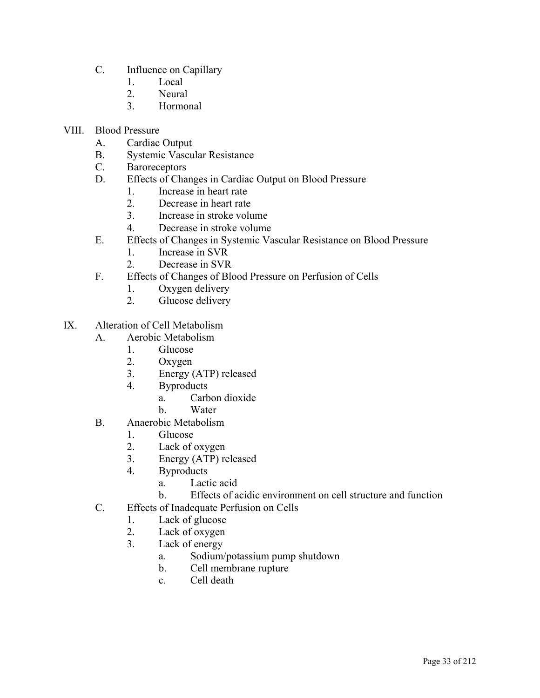- C. Influence on Capillary
	- 1. Local
	- 2. Neural
	- 3. Hormonal
- VIII. Blood Pressure
	- A. Cardiac Output
	- B. Systemic Vascular Resistance
	- C. Baroreceptors
	- D. Effects of Changes in Cardiac Output on Blood Pressure
		- 1. Increase in heart rate
		- 2. Decrease in heart rate
		- 3. Increase in stroke volume
		- 4. Decrease in stroke volume
	- E. Effects of Changes in Systemic Vascular Resistance on Blood Pressure
		- 1. Increase in SVR
		- 2. Decrease in SVR
	- F. Effects of Changes of Blood Pressure on Perfusion of Cells
		- 1. Oxygen delivery
		- 2. Glucose delivery
- IX. Alteration of Cell Metabolism
	- A. Aerobic Metabolism
		- 1. Glucose
		- 2. Oxygen
		- 3. Energy (ATP) released
		- 4. Byproducts
			- a. Carbon dioxide
			- b. Water
	- B. Anaerobic Metabolism
		- 1. Glucose
		- 2. Lack of oxygen
		- 3. Energy (ATP) released
		- 4. Byproducts
			- a. Lactic acid
			- b. Effects of acidic environment on cell structure and function
	- C. Effects of Inadequate Perfusion on Cells
		- 1. Lack of glucose
		- 2. Lack of oxygen
		- 3. Lack of energy
			- a. Sodium/potassium pump shutdown
			- b. Cell membrane rupture
			- c. Cell death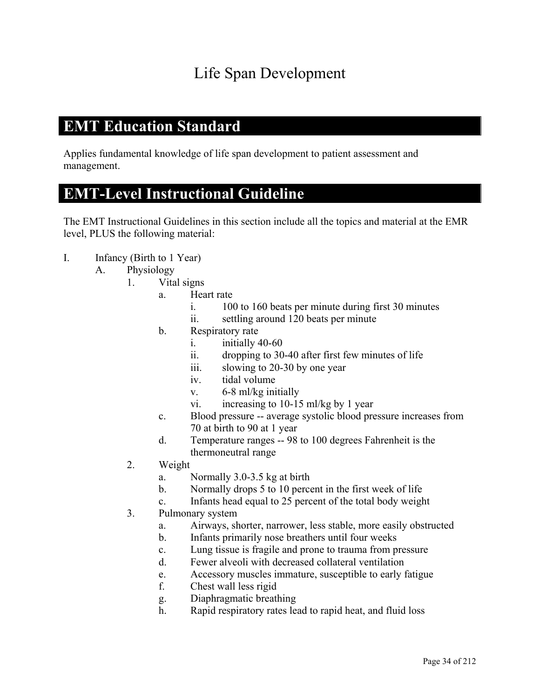### Life Span Development

#### **EMT Education Standard**

Applies fundamental knowledge of life span development to patient assessment and management.

#### **EMT-Level Instructional Guideline**

- I. Infancy (Birth to 1 Year)
	- A. Physiology
		- 1. Vital signs
			- a. Heart rate
				- i. 100 to 160 beats per minute during first 30 minutes
				- ii. settling around 120 beats per minute
			- b. Respiratory rate
				- i. initially 40-60
				- ii. dropping to 30-40 after first few minutes of life
				- iii. slowing to 20-30 by one year
				- iv. tidal volume
				- v. 6-8 ml/kg initially
				- vi. increasing to 10-15 ml/kg by 1 year
			- c. Blood pressure -- average systolic blood pressure increases from 70 at birth to 90 at 1 year
			- d. Temperature ranges -- 98 to 100 degrees Fahrenheit is the thermoneutral range
		- 2. Weight
			- a. Normally 3.0-3.5 kg at birth
			- b. Normally drops 5 to 10 percent in the first week of life
			- c. Infants head equal to 25 percent of the total body weight
		- 3. Pulmonary system
			- a. Airways, shorter, narrower, less stable, more easily obstructed
			- b. Infants primarily nose breathers until four weeks
			- c. Lung tissue is fragile and prone to trauma from pressure
			- d. Fewer alveoli with decreased collateral ventilation
			- e. Accessory muscles immature, susceptible to early fatigue
			- f. Chest wall less rigid
			- g. Diaphragmatic breathing
			- h. Rapid respiratory rates lead to rapid heat, and fluid loss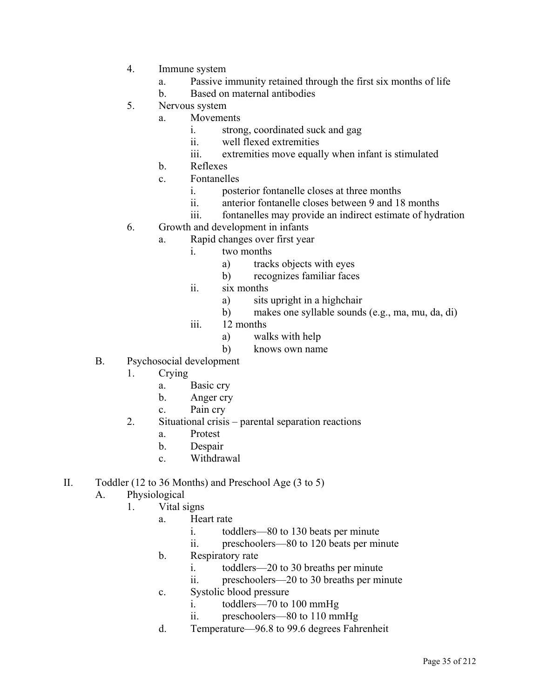- 4. Immune system
	- a. Passive immunity retained through the first six months of life
	- b. Based on maternal antibodies
- 5. Nervous system
	- a. Movements
		- i. strong, coordinated suck and gag
		- ii. well flexed extremities
		- iii. extremities move equally when infant is stimulated
	- b. Reflexes
	- c. Fontanelles
		- i. posterior fontanelle closes at three months
		- ii. anterior fontanelle closes between 9 and 18 months
		- iii. fontanelles may provide an indirect estimate of hydration
- 6. Growth and development in infants
	- a. Rapid changes over first year
		- i. two months
			- a) tracks objects with eyes
			- b) recognizes familiar faces
		- ii. six months
			- a) sits upright in a highchair
			- b) makes one syllable sounds (e.g., ma, mu, da, di)
		- iii. 12 months
			- a) walks with help
			- b) knows own name
- B. Psychosocial development
	- 1. Crying
		- a. Basic cry
		- b. Anger cry
		- c. Pain cry
	- 2. Situational crisis parental separation reactions
		- a. Protest
		- b. Despair
		- c. Withdrawal
- II. Toddler (12 to 36 Months) and Preschool Age (3 to 5)
	- A. Physiological
		- 1. Vital signs
			- a. Heart rate
				- i. toddlers—80 to 130 beats per minute
				- ii. preschoolers—80 to 120 beats per minute
			- b. Respiratory rate
				- i. toddlers—20 to 30 breaths per minute
				- ii. preschoolers—20 to 30 breaths per minute
			- c. Systolic blood pressure
				- i. toddlers—70 to 100 mmHg
				- ii. preschoolers—80 to 110 mmHg
			- d. Temperature—96.8 to 99.6 degrees Fahrenheit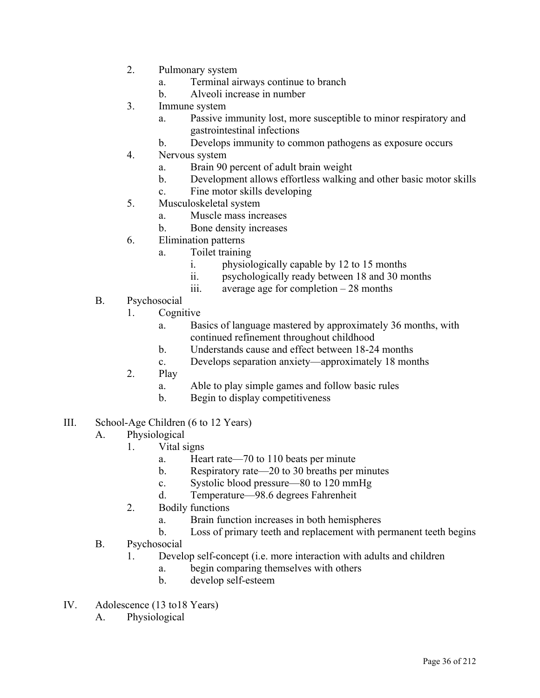- 2. Pulmonary system
	- a. Terminal airways continue to branch
	- b. Alveoli increase in number
- 3. Immune system
	- a. Passive immunity lost, more susceptible to minor respiratory and gastrointestinal infections
	- b. Develops immunity to common pathogens as exposure occurs
- 4. Nervous system
	- a. Brain 90 percent of adult brain weight
	- b. Development allows effortless walking and other basic motor skills
	- c. Fine motor skills developing
- 5. Musculoskeletal system
	- a. Muscle mass increases
	- b. Bone density increases
- 6. Elimination patterns
	- a. Toilet training
		- i. physiologically capable by 12 to 15 months
		- ii. psychologically ready between 18 and 30 months
		- iii. average age for completion 28 months
- B. Psychosocial
	- 1. Cognitive
		- a. Basics of language mastered by approximately 36 months, with continued refinement throughout childhood
		- b. Understands cause and effect between 18-24 months
		- c. Develops separation anxiety—approximately 18 months
	- 2. Play
		- a. Able to play simple games and follow basic rules
		- b. Begin to display competitiveness
- III. School-Age Children (6 to 12 Years)
	- A. Physiological
		- 1. Vital signs
			- a. Heart rate—70 to 110 beats per minute
			- b. Respiratory rate—20 to 30 breaths per minutes
			- c. Systolic blood pressure—80 to 120 mmHg
			- d. Temperature—98.6 degrees Fahrenheit
		- 2. Bodily functions
			- a. Brain function increases in both hemispheres
			- b. Loss of primary teeth and replacement with permanent teeth begins
	- B. Psychosocial
		- 1. Develop self-concept (i.e. more interaction with adults and children
			- a. begin comparing themselves with others
			- b. develop self-esteem
- IV. Adolescence (13 to18 Years)
	- A. Physiological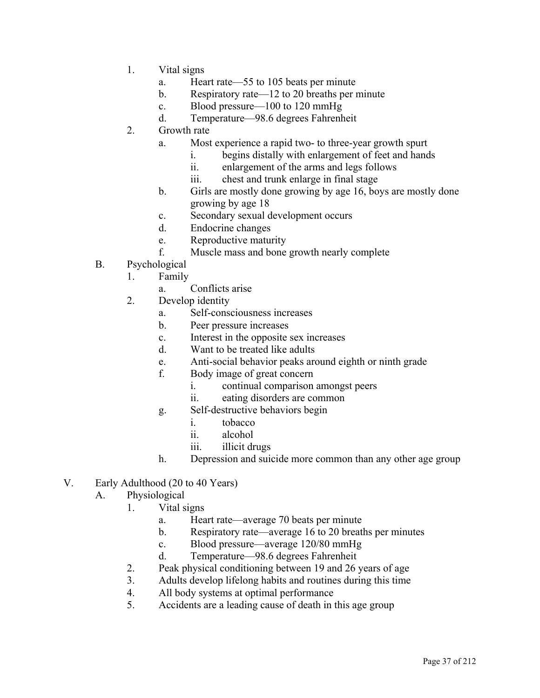- 1. Vital signs
	- a. Heart rate—55 to 105 beats per minute
	- b. Respiratory rate—12 to 20 breaths per minute
	- c. Blood pressure—100 to 120 mmHg
	- d. Temperature—98.6 degrees Fahrenheit
- 2. Growth rate
	- a. Most experience a rapid two- to three-year growth spurt
		- i. begins distally with enlargement of feet and hands
		- ii. enlargement of the arms and legs follows
		- iii. chest and trunk enlarge in final stage
	- b. Girls are mostly done growing by age 16, boys are mostly done growing by age 18
	- c. Secondary sexual development occurs
	- d. Endocrine changes
	- e. Reproductive maturity
	- f. Muscle mass and bone growth nearly complete
- B. Psychological
	- 1. Family
		- a. Conflicts arise
	- 2. Develop identity
		- a. Self-consciousness increases
		- b. Peer pressure increases
		- c. Interest in the opposite sex increases
		- d. Want to be treated like adults
		- e. Anti-social behavior peaks around eighth or ninth grade
		- f. Body image of great concern
			- i. continual comparison amongst peers
			- ii. eating disorders are common
		- g. Self-destructive behaviors begin
			- i. tobacco
			- ii. alcohol
			- iii. illicit drugs
		- h. Depression and suicide more common than any other age group
- V. Early Adulthood (20 to 40 Years)
	- A. Physiological
		- 1. Vital signs
			- a. Heart rate—average 70 beats per minute
			- b. Respiratory rate—average 16 to 20 breaths per minutes
			- c. Blood pressure—average 120/80 mmHg
			- d. Temperature—98.6 degrees Fahrenheit
		- 2. Peak physical conditioning between 19 and 26 years of age
		- 3. Adults develop lifelong habits and routines during this time
		- 4. All body systems at optimal performance
		- 5. Accidents are a leading cause of death in this age group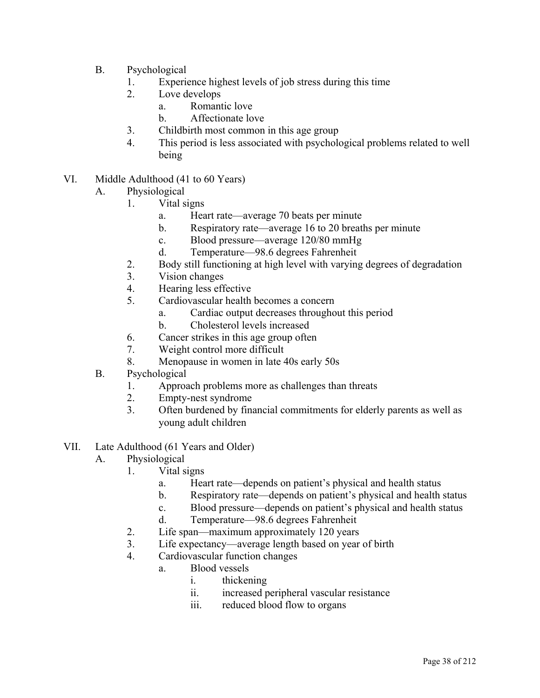- B. Psychological
	- 1. Experience highest levels of job stress during this time
	- 2. Love develops
		- a. Romantic love
		- b. Affectionate love
	- 3. Childbirth most common in this age group
	- 4. This period is less associated with psychological problems related to well being
- VI. Middle Adulthood (41 to 60 Years)
	- A. Physiological
		- 1. Vital signs
			- a. Heart rate—average 70 beats per minute
			- b. Respiratory rate—average 16 to 20 breaths per minute
			- c. Blood pressure—average 120/80 mmHg
			- d. Temperature—98.6 degrees Fahrenheit
		- 2. Body still functioning at high level with varying degrees of degradation
		- 3. Vision changes
		- 4. Hearing less effective
		- 5. Cardiovascular health becomes a concern
			- a. Cardiac output decreases throughout this period
			- b. Cholesterol levels increased
		- 6. Cancer strikes in this age group often
		- 7. Weight control more difficult
		- 8. Menopause in women in late 40s early 50s
	- B. Psychological
		- 1. Approach problems more as challenges than threats
		- 2. Empty-nest syndrome
		- 3. Often burdened by financial commitments for elderly parents as well as young adult children
- VII. Late Adulthood (61 Years and Older)
	- A. Physiological
		- 1. Vital signs
			- a. Heart rate—depends on patient's physical and health status
			- b. Respiratory rate—depends on patient's physical and health status
			- c. Blood pressure—depends on patient's physical and health status
			- d. Temperature—98.6 degrees Fahrenheit
		- 2. Life span—maximum approximately 120 years
		- 3. Life expectancy—average length based on year of birth
		- 4. Cardiovascular function changes
			- a. Blood vessels
				- i. thickening
				- ii. increased peripheral vascular resistance
				- iii. reduced blood flow to organs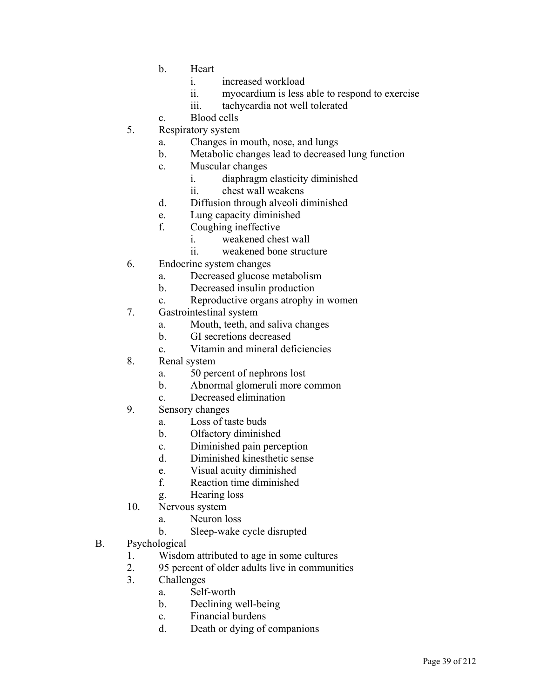- b. Heart
	- i. increased workload
	- ii. myocardium is less able to respond to exercise
	- iii. tachycardia not well tolerated
- c. Blood cells
- 5. Respiratory system
	- a. Changes in mouth, nose, and lungs
	- b. Metabolic changes lead to decreased lung function
	- c. Muscular changes
		- i. diaphragm elasticity diminished
		- ii. chest wall weakens
	- d. Diffusion through alveoli diminished
	- e. Lung capacity diminished
	- f. Coughing ineffective
		- i. weakened chest wall
		- ii. weakened bone structure
- 6. Endocrine system changes
	- a. Decreased glucose metabolism
	- b. Decreased insulin production
	- c. Reproductive organs atrophy in women
- 7. Gastrointestinal system
	- a. Mouth, teeth, and saliva changes
	- b. GI secretions decreased
	- c. Vitamin and mineral deficiencies
- 8. Renal system
	- a. 50 percent of nephrons lost
	- b. Abnormal glomeruli more common
	- c. Decreased elimination
- 9. Sensory changes
	- a. Loss of taste buds
	- b. Olfactory diminished
	- c. Diminished pain perception
	- d. Diminished kinesthetic sense
	- e. Visual acuity diminished
	- f. Reaction time diminished
	- g. Hearing loss
- 10. Nervous system
	- a. Neuron loss
	- b. Sleep-wake cycle disrupted
- B. Psychological
	- 1. Wisdom attributed to age in some cultures
	- 2. 95 percent of older adults live in communities
	- 3. Challenges
		- a. Self-worth
		- b. Declining well-being
		- c. Financial burdens
		- d. Death or dying of companions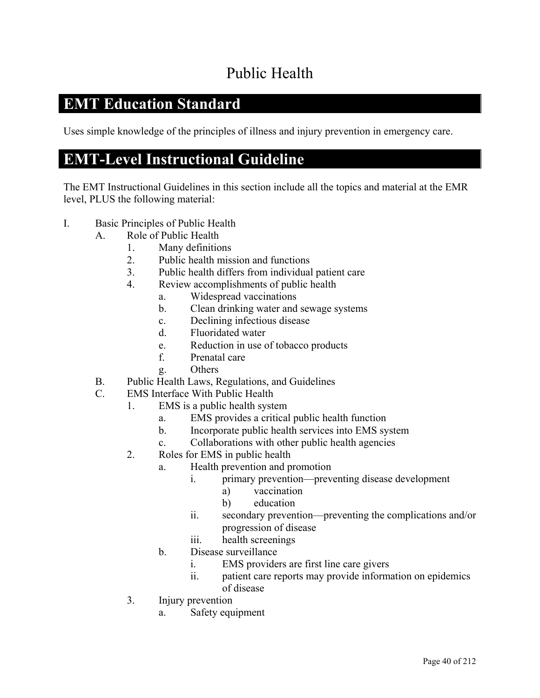# Public Health

### **EMT Education Standard**

Uses simple knowledge of the principles of illness and injury prevention in emergency care.

### **EMT-Level Instructional Guideline**

- I. Basic Principles of Public Health
	- A. Role of Public Health
		- 1. Many definitions
		- 2. Public health mission and functions
		- 3. Public health differs from individual patient care
		- 4. Review accomplishments of public health
			- a. Widespread vaccinations
			- b. Clean drinking water and sewage systems
			- c. Declining infectious disease
			- d. Fluoridated water
			- e. Reduction in use of tobacco products
			- f. Prenatal care
			- g. Others
	- B. Public Health Laws, Regulations, and Guidelines
	- C. EMS Interface With Public Health
		- 1. EMS is a public health system
			- a. EMS provides a critical public health function
			- b. Incorporate public health services into EMS system
			- c. Collaborations with other public health agencies
		- 2. Roles for EMS in public health
			- a. Health prevention and promotion
				- i. primary prevention—preventing disease development
					- a) vaccination
					- b) education
				- ii. secondary prevention—preventing the complications and/or progression of disease
				- iii. health screenings
			- b. Disease surveillance
				- i. EMS providers are first line care givers
				- ii. patient care reports may provide information on epidemics of disease
		- 3. Injury prevention
			- a. Safety equipment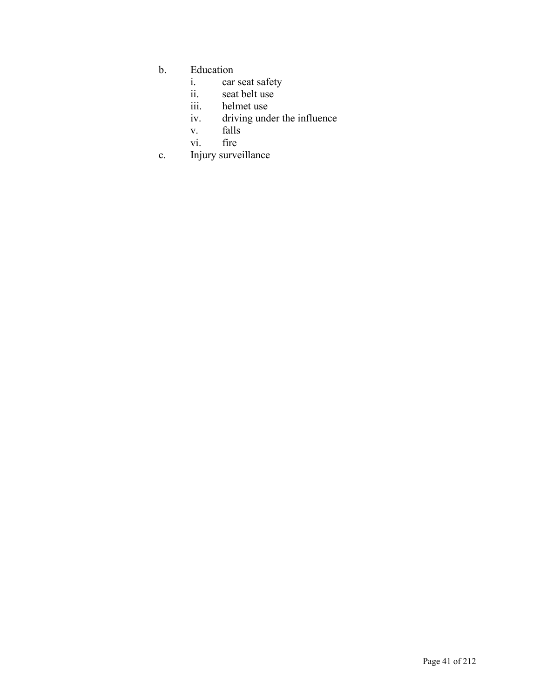- b. Education<br>i. car
	- i. car seat safety
	- ii. seat belt use
	- iii. helmet use<br>iv. driving und
	- driving under the influence
	- v. falls
	- vi. fire
- c. Injury surveillance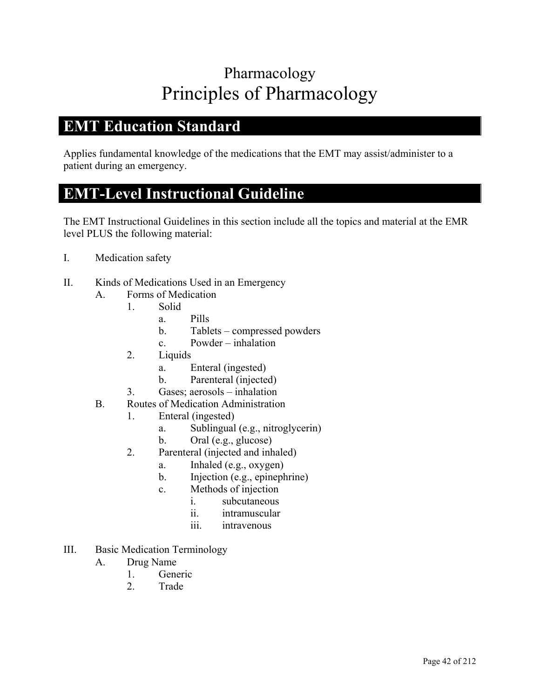# Pharmacology Principles of Pharmacology

### **EMT Education Standard**

Applies fundamental knowledge of the medications that the EMT may assist/administer to a patient during an emergency.

### **EMT-Level Instructional Guideline**

- I. Medication safety
- II. Kinds of Medications Used in an Emergency
	- A. Forms of Medication
		- 1. Solid
			- a. Pills
			- b. Tablets compressed powders
			- c. Powder inhalation
		- 2. Liquids
			- a. Enteral (ingested)
			- b. Parenteral (injected)
		- 3. Gases; aerosols inhalation
	- B. Routes of Medication Administration
		- 1. Enteral (ingested)
			- a. Sublingual (e.g., nitroglycerin)
			- b. Oral (e.g., glucose)
			- 2. Parenteral (injected and inhaled)
				- a. Inhaled (e.g., oxygen)
				- b. Injection (e.g., epinephrine)
				- c. Methods of injection
					- i. subcutaneous
					- ii. intramuscular
					- iii. intravenous
- III. Basic Medication Terminology
	- A. Drug Name
		- 1. Generic
		- 2. Trade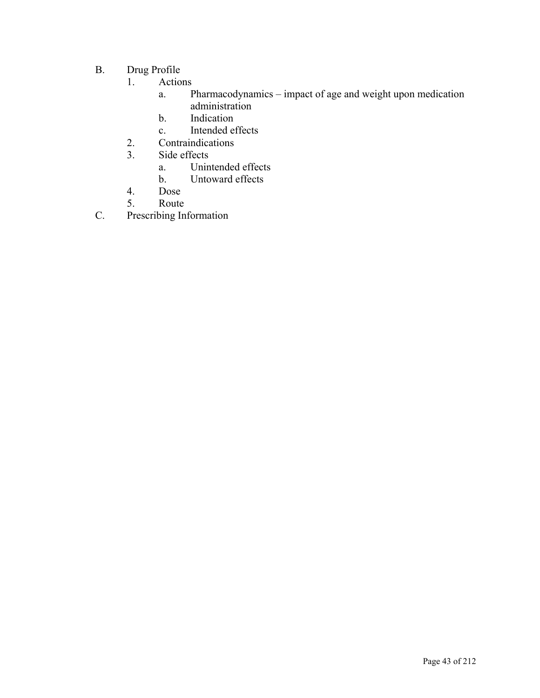- B. Drug Profile
	- 1. Actions
		- a. Pharmacodynamics impact of age and weight upon medication administration
		- b. Indication
		- c. Intended effects
	- 2. Contraindications
	- 3. Side effects
		- a. Unintended effects
		- b. Untoward effects
	- 4. Dose
	- 5. Route
- C. Prescribing Information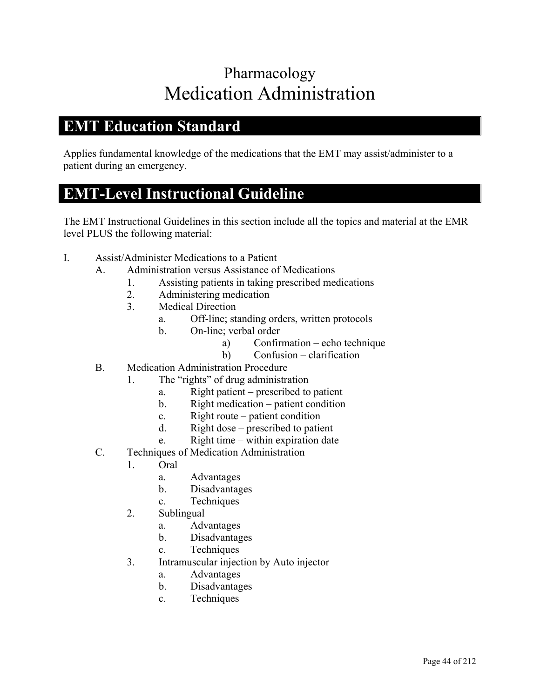# Pharmacology Medication Administration

#### **EMT Education Standard**

Applies fundamental knowledge of the medications that the EMT may assist/administer to a patient during an emergency.

### **EMT-Level Instructional Guideline**

- I. Assist/Administer Medications to a Patient
	- A. Administration versus Assistance of Medications
		- 1. Assisting patients in taking prescribed medications
		- 2. Administering medication
		- 3. Medical Direction
			- a. Off-line; standing orders, written protocols
			- b. On-line; verbal order
				- a) Confirmation echo technique
				- b) Confusion clarification
	- B. Medication Administration Procedure
		- 1. The "rights" of drug administration
			- a. Right patient prescribed to patient
			- b. Right medication patient condition
			- c. Right route patient condition
			- d. Right dose prescribed to patient
			- e. Right time within expiration date
	- C. Techniques of Medication Administration
		- 1. Oral
			- a. Advantages
			- b. Disadvantages
			- c. Techniques
		- 2. Sublingual
			- a. Advantages
			- b. Disadvantages
			- c. Techniques
		- 3. Intramuscular injection by Auto injector
			- a. Advantages
			- b. Disadvantages
			- c. Techniques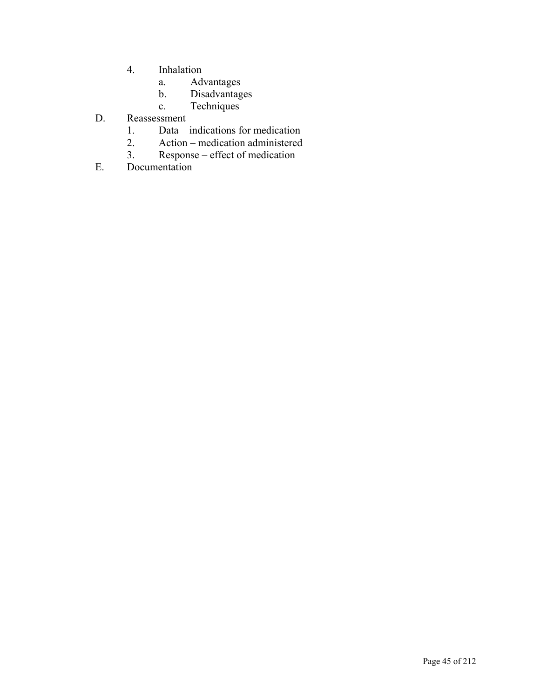- 4. Inhalation
	- a. Advantages
	- b. Disadvantages
	- c. Techniques
- D. Reassessment
	- 1. Data indications for medication<br>2. Action medication administered
	- 2. Action medication administered<br>3. Response effect of medication
	- 3. Response effect of medication
- E. Documentation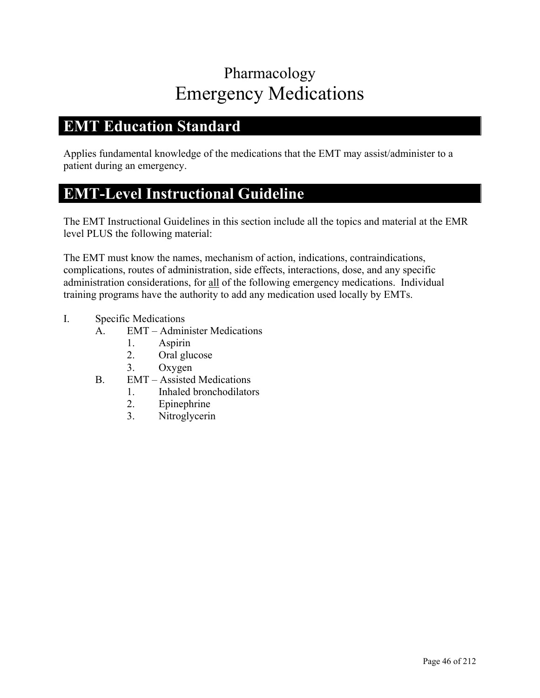# Pharmacology Emergency Medications

### **EMT Education Standard**

Applies fundamental knowledge of the medications that the EMT may assist/administer to a patient during an emergency.

### **EMT-Level Instructional Guideline**

The EMT Instructional Guidelines in this section include all the topics and material at the EMR level PLUS the following material:

The EMT must know the names, mechanism of action, indications, contraindications, complications, routes of administration, side effects, interactions, dose, and any specific administration considerations, for all of the following emergency medications. Individual training programs have the authority to add any medication used locally by EMTs.

- I. Specific Medications
	- A. EMT Administer Medications
		- 1. Aspirin
			- 2. Oral glucose
		- 3. Oxygen
	- B. EMT Assisted Medications
		- 1. Inhaled bronchodilators
		- 2. Epinephrine
		- 3. Nitroglycerin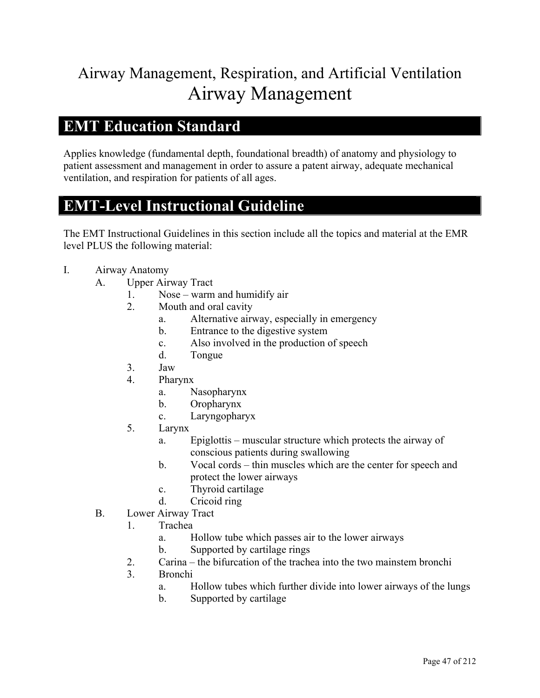# Airway Management, Respiration, and Artificial Ventilation Airway Management

#### **EMT Education Standard**

Applies knowledge (fundamental depth, foundational breadth) of anatomy and physiology to patient assessment and management in order to assure a patent airway, adequate mechanical ventilation, and respiration for patients of all ages.

### **EMT-Level Instructional Guideline**

- I. Airway Anatomy
	- A. Upper Airway Tract
		- 1. Nose warm and humidify air
		- 2. Mouth and oral cavity
			- a. Alternative airway, especially in emergency
			- b. Entrance to the digestive system
			- c. Also involved in the production of speech
			- d. Tongue
		- 3. Jaw
		- 4. Pharynx
			- a. Nasopharynx
			- b. Oropharynx
			- c. Laryngopharyx
		- 5. Larynx
			- a. Epiglottis muscular structure which protects the airway of conscious patients during swallowing
			- b. Vocal cords thin muscles which are the center for speech and protect the lower airways
			- c. Thyroid cartilage
			- d. Cricoid ring
	- B. Lower Airway Tract
		- 1. Trachea
			- a. Hollow tube which passes air to the lower airways
			- b. Supported by cartilage rings
		- 2. Carina the bifurcation of the trachea into the two mainstem bronchi
		- 3. Bronchi
			- a. Hollow tubes which further divide into lower airways of the lungs
			- b. Supported by cartilage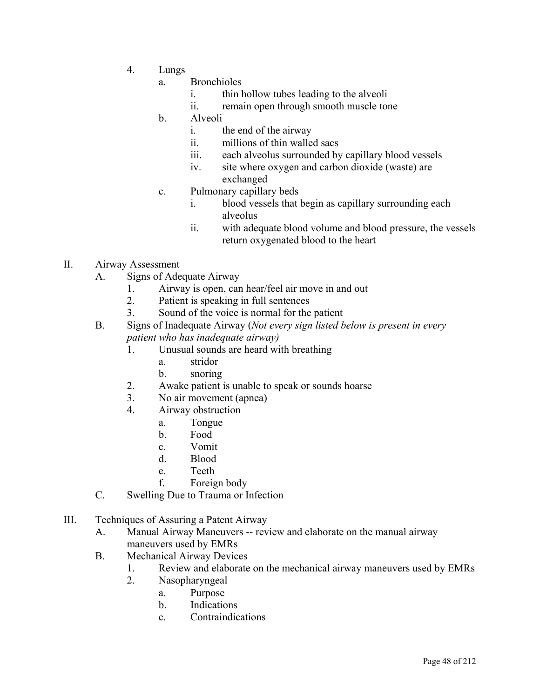- 4. Lungs
	- a. Bronchioles
		- i. thin hollow tubes leading to the alveoli
		- ii. remain open through smooth muscle tone
	- b. Alveoli
		- i. the end of the airway
		- ii. millions of thin walled sacs
		- iii. each alveolus surrounded by capillary blood vessels
		- iv. site where oxygen and carbon dioxide (waste) are exchanged
	- c. Pulmonary capillary beds
		- i. blood vessels that begin as capillary surrounding each alveolus
		- ii. with adequate blood volume and blood pressure, the vessels return oxygenated blood to the heart
- II. Airway Assessment
	- A. Signs of Adequate Airway
		- 1. Airway is open, can hear/feel air move in and out
		- 2. Patient is speaking in full sentences
		- 3. Sound of the voice is normal for the patient
	- B. Signs of Inadequate Airway (*Not every sign listed below is present in every patient who has inadequate airway)*
		- 1. Unusual sounds are heard with breathing
			- a. stridor
			- b. snoring
		- 2. Awake patient is unable to speak or sounds hoarse
		- 3. No air movement (apnea)
		- 4. Airway obstruction
			- a. Tongue
			- b. Food
			- c. Vomit
			- d. Blood
			- e. Teeth
			- f. Foreign body
	- C. Swelling Due to Trauma or Infection
- III. Techniques of Assuring a Patent Airway
	- A. Manual Airway Maneuvers -- review and elaborate on the manual airway maneuvers used by EMRs
	- B. Mechanical Airway Devices
		- 1. Review and elaborate on the mechanical airway maneuvers used by EMRs
		- 2. Nasopharyngeal
			- a. Purpose
			- b. Indications
			- c. Contraindications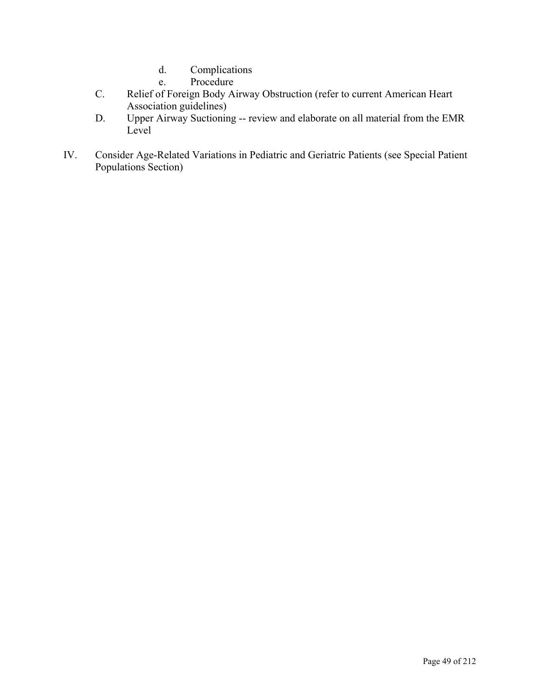- d. Complications
- e. Procedure
- C. Relief of Foreign Body Airway Obstruction (refer to current American Heart Association guidelines)
- D. Upper Airway Suctioning -- review and elaborate on all material from the EMR Level
- IV. Consider Age-Related Variations in Pediatric and Geriatric Patients (see Special Patient Populations Section)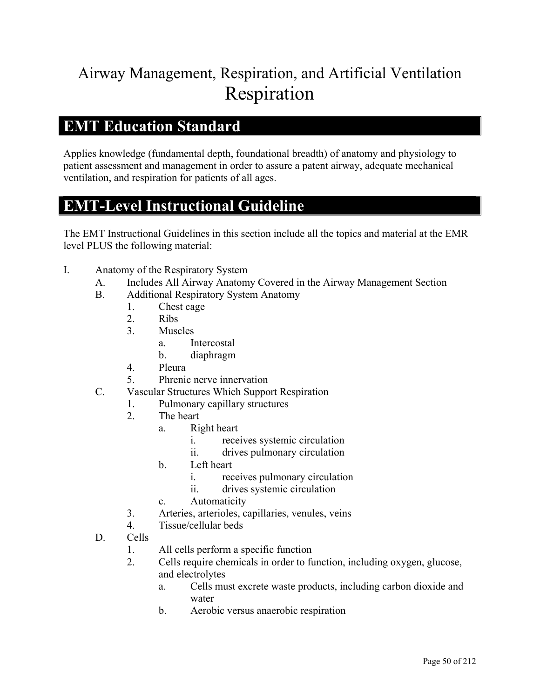# Airway Management, Respiration, and Artificial Ventilation Respiration

#### **EMT Education Standard**

Applies knowledge (fundamental depth, foundational breadth) of anatomy and physiology to patient assessment and management in order to assure a patent airway, adequate mechanical ventilation, and respiration for patients of all ages.

### **EMT-Level Instructional Guideline**

- I. Anatomy of the Respiratory System
	- A. Includes All Airway Anatomy Covered in the Airway Management Section
	- B. Additional Respiratory System Anatomy
		- 1. Chest cage
		- 2. Ribs
		- 3. Muscles
			- a. Intercostal
			- b. diaphragm
		- 4. Pleura
		- 5. Phrenic nerve innervation
	- C. Vascular Structures Which Support Respiration
		- 1. Pulmonary capillary structures
		- 2. The heart
			- a. Right heart
				- i. receives systemic circulation
				- ii. drives pulmonary circulation
			- b. Left heart
				- i. receives pulmonary circulation
				- ii. drives systemic circulation
			- c. Automaticity
		- 3. Arteries, arterioles, capillaries, venules, veins
		- 4. Tissue/cellular beds
	- D. Cells
		- 1. All cells perform a specific function
		- 2. Cells require chemicals in order to function, including oxygen, glucose, and electrolytes
			- a. Cells must excrete waste products, including carbon dioxide and water
			- b. Aerobic versus anaerobic respiration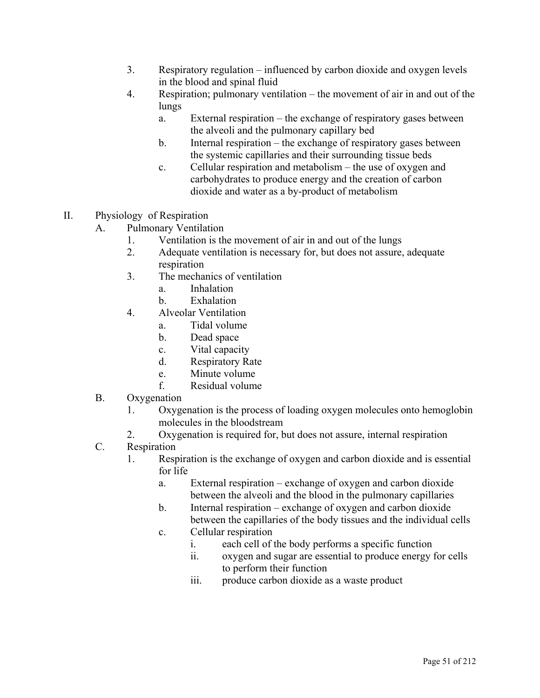- 3. Respiratory regulation influenced by carbon dioxide and oxygen levels in the blood and spinal fluid
- 4. Respiration; pulmonary ventilation the movement of air in and out of the lungs
	- a. External respiration the exchange of respiratory gases between the alveoli and the pulmonary capillary bed
	- b. Internal respiration the exchange of respiratory gases between the systemic capillaries and their surrounding tissue beds
	- c. Cellular respiration and metabolism the use of oxygen and carbohydrates to produce energy and the creation of carbon dioxide and water as a by-product of metabolism
- II. Physiology of Respiration
	- A. Pulmonary Ventilation
		- 1. Ventilation is the movement of air in and out of the lungs
		- 2. Adequate ventilation is necessary for, but does not assure, adequate respiration
		- 3. The mechanics of ventilation
			- a. Inhalation
			- b. Exhalation
		- 4. Alveolar Ventilation
			- a. Tidal volume
			- b. Dead space
			- c. Vital capacity
			- d. Respiratory Rate
			- e. Minute volume
			- f. Residual volume
	- B. Oxygenation
		- 1. Oxygenation is the process of loading oxygen molecules onto hemoglobin molecules in the bloodstream
		- 2. Oxygenation is required for, but does not assure, internal respiration
	- C. Respiration
		- 1. Respiration is the exchange of oxygen and carbon dioxide and is essential for life
			- a. External respiration exchange of oxygen and carbon dioxide between the alveoli and the blood in the pulmonary capillaries
			- b. Internal respiration exchange of oxygen and carbon dioxide between the capillaries of the body tissues and the individual cells
			- c. Cellular respiration
				- i. each cell of the body performs a specific function
				- ii. oxygen and sugar are essential to produce energy for cells to perform their function
				- iii. produce carbon dioxide as a waste product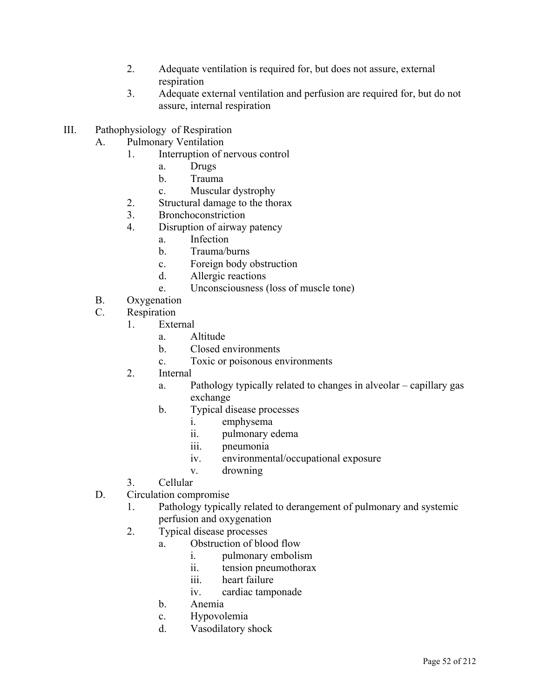- 2. Adequate ventilation is required for, but does not assure, external respiration
- 3. Adequate external ventilation and perfusion are required for, but do not assure, internal respiration
- III. Pathophysiology of Respiration
	- A. Pulmonary Ventilation
		- 1. Interruption of nervous control
			- a. Drugs
			- b. Trauma
			- c. Muscular dystrophy
		- 2. Structural damage to the thorax
		- 3. Bronchoconstriction
		- 4. Disruption of airway patency
			- a. Infection
			- b. Trauma/burns
			- c. Foreign body obstruction
			- d. Allergic reactions
			- e. Unconsciousness (loss of muscle tone)
	- B. Oxygenation
	- C. Respiration
		- 1. External
			- a. Altitude
			- b. Closed environments
			- c. Toxic or poisonous environments
		- 2. Internal
			- a. Pathology typically related to changes in alveolar capillary gas exchange
			- b. Typical disease processes
				- i. emphysema
				- ii. pulmonary edema
				- iii. pneumonia
				- iv. environmental/occupational exposure
				- v. drowning
		- 3. Cellular
	- D. Circulation compromise
		- 1. Pathology typically related to derangement of pulmonary and systemic perfusion and oxygenation
		- 2. Typical disease processes
			- a. Obstruction of blood flow
				- i. pulmonary embolism
				- ii. tension pneumothorax
				- iii. heart failure
				- iv. cardiac tamponade
			- b. Anemia
			- c. Hypovolemia
			- d. Vasodilatory shock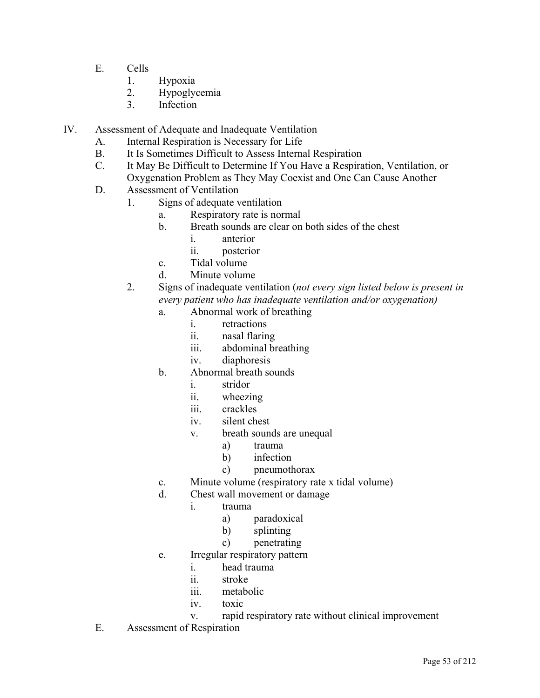- E. Cells
	- 1. Hypoxia
	- 2. Hypoglycemia
	- 3. Infection
- IV. Assessment of Adequate and Inadequate Ventilation
	- A. Internal Respiration is Necessary for Life
	- B. It Is Sometimes Difficult to Assess Internal Respiration
	- C. It May Be Difficult to Determine If You Have a Respiration, Ventilation, or Oxygenation Problem as They May Coexist and One Can Cause Another
	- D. Assessment of Ventilation
		- 1. Signs of adequate ventilation
			- a. Respiratory rate is normal
			- b. Breath sounds are clear on both sides of the chest
				- i. anterior
				- ii. posterior
			- c. Tidal volume
			- d. Minute volume
		- 2. Signs of inadequate ventilation (*not every sign listed below is present in every patient who has inadequate ventilation and/or oxygenation)*
			- a. Abnormal work of breathing
				- i. retractions
				- ii. nasal flaring
				- iii. abdominal breathing
				- iv. diaphoresis
			- b. Abnormal breath sounds
				- i. stridor
				- ii. wheezing
				- iii. crackles
				- iv. silent chest
				- v. breath sounds are unequal
					- a) trauma
					- b) infection
					- c) pneumothorax
			- c. Minute volume (respiratory rate x tidal volume)
			- d. Chest wall movement or damage
				- i. trauma
					- a) paradoxical
					- b) splinting
					- c) penetrating
			- e. Irregular respiratory pattern
				- i. head trauma
				- ii. stroke
				- iii. metabolic
				- iv. toxic
				- v. rapid respiratory rate without clinical improvement
	- E. Assessment of Respiration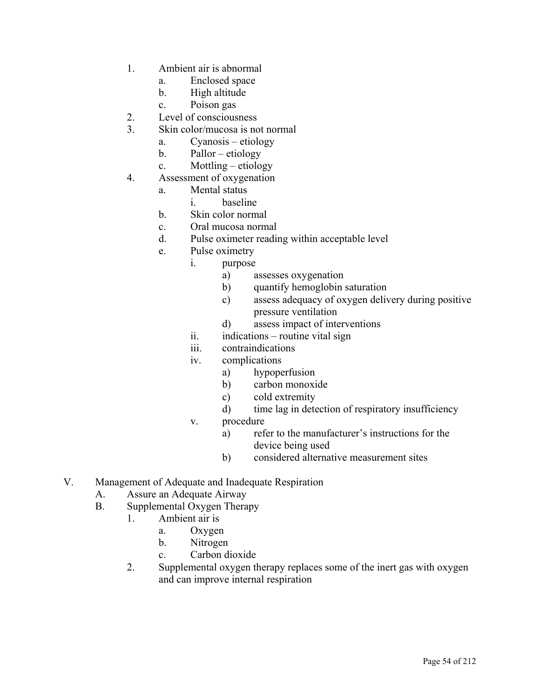- 1. Ambient air is abnormal
	- a. Enclosed space
	- b. High altitude
	- c. Poison gas
- 2. Level of consciousness
- 3. Skin color/mucosa is not normal
	- a. Cyanosis etiology
	- b. Pallor etiology
	- c. Mottling etiology
- 4. Assessment of oxygenation
	- a. Mental status
		- i. baseline
	- b. Skin color normal
	- c. Oral mucosa normal
	- d. Pulse oximeter reading within acceptable level
	- e. Pulse oximetry
		- i. purpose
			- a) assesses oxygenation
			- b) quantify hemoglobin saturation
			- c) assess adequacy of oxygen delivery during positive pressure ventilation
			- d) assess impact of interventions
		- ii. indications routine vital sign
		- iii. contraindications
		- iv. complications
			- a) hypoperfusion
			- b) carbon monoxide
			- c) cold extremity
			- d) time lag in detection of respiratory insufficiency
		- v. procedure
			- a) refer to the manufacturer's instructions for the device being used
			- b) considered alternative measurement sites
- V. Management of Adequate and Inadequate Respiration
	- A. Assure an Adequate Airway
	- B. Supplemental Oxygen Therapy
		- 1. Ambient air is
			- a. Oxygen
			- b. Nitrogen
			- c. Carbon dioxide
		- 2. Supplemental oxygen therapy replaces some of the inert gas with oxygen and can improve internal respiration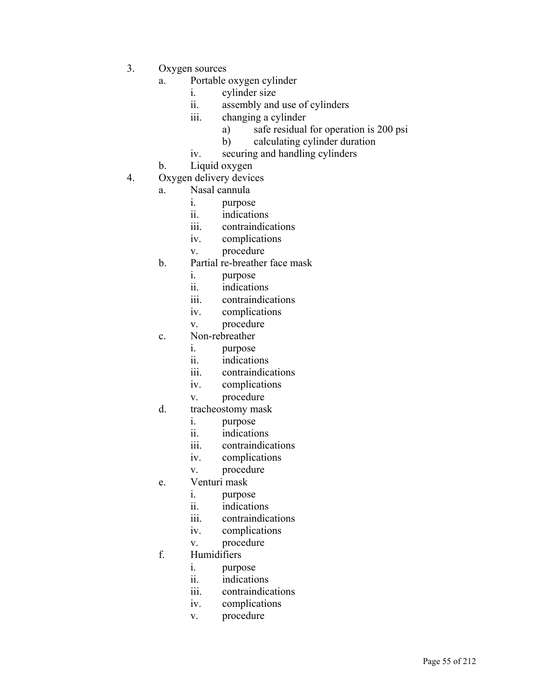- 3. Oxygen sources
	- a. Portable oxygen cylinder
		- i. cylinder size
		- ii. assembly and use of cylinders
		- iii. changing a cylinder
			- a) safe residual for operation is 200 psi
			- b) calculating cylinder duration
		- iv. securing and handling cylinders
	- b. Liquid oxygen
- 4. Oxygen delivery devices
	- a. Nasal cannula
		- i. purpose
		- ii. indications
		- iii. contraindications
		- iv. complications
		- v. procedure
	- b. Partial re-breather face mask
		- i. purpose
		- ii. indications
		- iii. contraindications
		- iv. complications
		- v. procedure
	- c. Non-rebreather
		- i. purpose
		- ii. indications
		- iii. contraindications
		- iv. complications
		- v. procedure
	- d. tracheostomy mask
		- i. purpose
		- ii. indications
		- iii. contraindications
		- iv. complications
		- v. procedure
	- e. Venturi mask
		- i. purpose
		- ii. indications
		- iii. contraindications
		- iv. complications
		- v. procedure
	- f. Humidifiers
		- i. purpose
		- ii. indications
		- iii. contraindications
		- iv. complications
		- v. procedure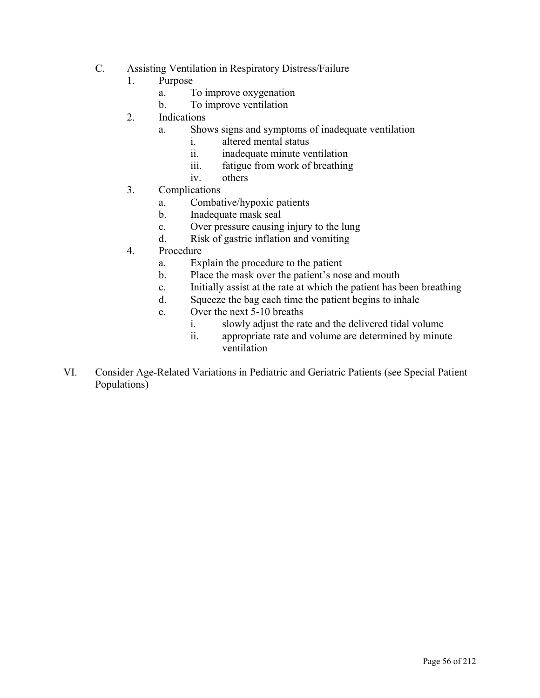- C. Assisting Ventilation in Respiratory Distress/Failure
	- 1. Purpose
		- a. To improve oxygenation
		- b. To improve ventilation
	- 2. Indications
		- a. Shows signs and symptoms of inadequate ventilation
			- i. altered mental status
				- ii. inadequate minute ventilation
				- iii. fatigue from work of breathing
				- iv. others
	- 3. Complications
		- a. Combative/hypoxic patients
		- b. Inadequate mask seal
		- c. Over pressure causing injury to the lung
		- d. Risk of gastric inflation and vomiting
	- 4. Procedure
		- a. Explain the procedure to the patient
		- b. Place the mask over the patient's nose and mouth
		- c. Initially assist at the rate at which the patient has been breathing
		- d. Squeeze the bag each time the patient begins to inhale
		- e. Over the next 5-10 breaths
			- i. slowly adjust the rate and the delivered tidal volume
			- ii. appropriate rate and volume are determined by minute ventilation
- VI. Consider Age-Related Variations in Pediatric and Geriatric Patients (see Special Patient Populations)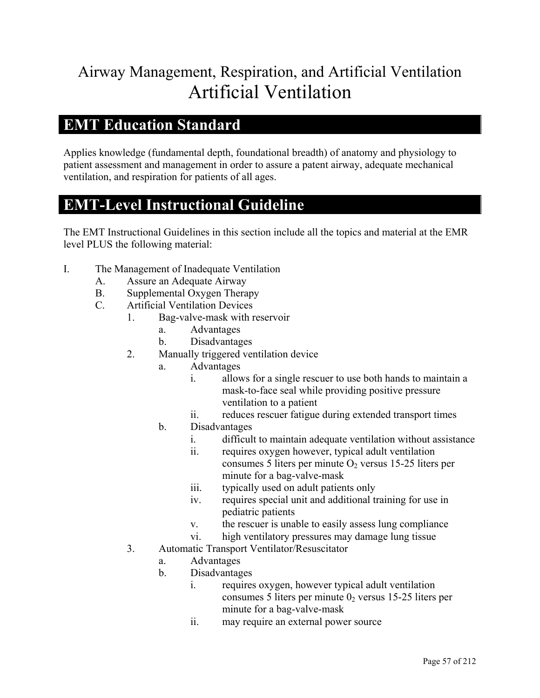# Airway Management, Respiration, and Artificial Ventilation Artificial Ventilation

#### **EMT Education Standard**

Applies knowledge (fundamental depth, foundational breadth) of anatomy and physiology to patient assessment and management in order to assure a patent airway, adequate mechanical ventilation, and respiration for patients of all ages.

#### **EMT-Level Instructional Guideline**

- I. The Management of Inadequate Ventilation
	- A. Assure an Adequate Airway
	- B. Supplemental Oxygen Therapy
	- C. Artificial Ventilation Devices
		- 1. Bag-valve-mask with reservoir
			- a. Advantages
			- b. Disadvantages
			- 2. Manually triggered ventilation device
				- a. Advantages
					- i. allows for a single rescuer to use both hands to maintain a mask-to-face seal while providing positive pressure ventilation to a patient
					- ii. reduces rescuer fatigue during extended transport times
				- b. Disadvantages
					- i. difficult to maintain adequate ventilation without assistance
					- ii. requires oxygen however, typical adult ventilation consumes 5 liters per minute  $O_2$  versus 15-25 liters per minute for a bag-valve-mask
					- iii. typically used on adult patients only
					- iv. requires special unit and additional training for use in pediatric patients
					- v. the rescuer is unable to easily assess lung compliance
					- vi. high ventilatory pressures may damage lung tissue
			- 3. Automatic Transport Ventilator/Resuscitator
				- a. Advantages
				- b. Disadvantages
					- i. requires oxygen, however typical adult ventilation consumes 5 liters per minute  $0<sub>2</sub>$  versus 15-25 liters per minute for a bag-valve-mask
					- ii. may require an external power source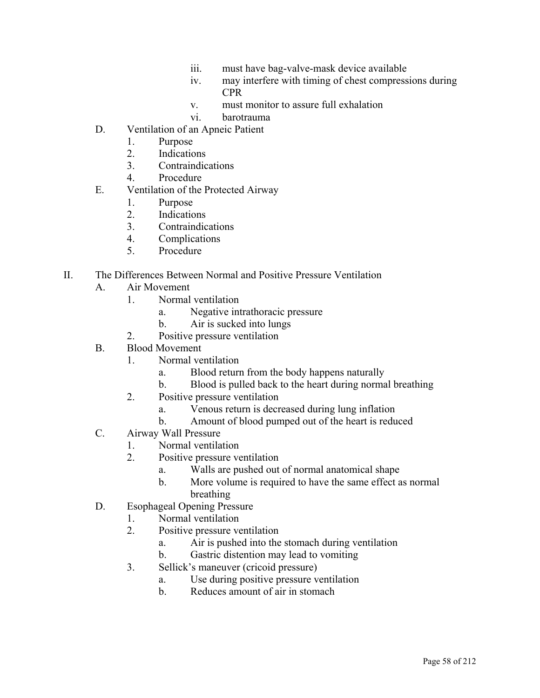- iii. must have bag-valve-mask device available
- iv. may interfere with timing of chest compressions during CPR
- v. must monitor to assure full exhalation
- vi. barotrauma
- D. Ventilation of an Apneic Patient
	- 1. Purpose
	- 2. Indications
	- 3. Contraindications
	- 4. Procedure
- E. Ventilation of the Protected Airway
	- 1. Purpose
	- 2. Indications
	- 3. Contraindications
	- 4. Complications
	- 5. Procedure

#### II. The Differences Between Normal and Positive Pressure Ventilation

- A. Air Movement
	- 1. Normal ventilation
		- a. Negative intrathoracic pressure
		- b. Air is sucked into lungs
	- 2. Positive pressure ventilation
- B. Blood Movement
	- 1. Normal ventilation
		- a. Blood return from the body happens naturally
		- b. Blood is pulled back to the heart during normal breathing
	- 2. Positive pressure ventilation
		- a. Venous return is decreased during lung inflation
		- b. Amount of blood pumped out of the heart is reduced
- C. Airway Wall Pressure
	- 1. Normal ventilation
	- 2. Positive pressure ventilation
		- a. Walls are pushed out of normal anatomical shape
		- b. More volume is required to have the same effect as normal breathing
- D. Esophageal Opening Pressure
	- 1. Normal ventilation
	- 2. Positive pressure ventilation
		- a. Air is pushed into the stomach during ventilation
		- b. Gastric distention may lead to vomiting
	- 3. Sellick's maneuver (cricoid pressure)
		- a. Use during positive pressure ventilation
		- b. Reduces amount of air in stomach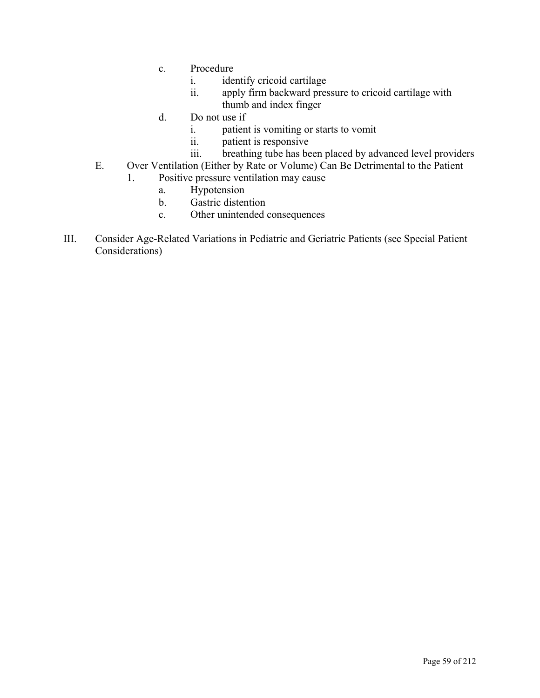- c. Procedure
	- i. identify cricoid cartilage
	- ii. apply firm backward pressure to cricoid cartilage with thumb and index finger
- d. Do not use if
	- i. patient is vomiting or starts to vomit
	- ii. patient is responsive
	- iii. breathing tube has been placed by advanced level providers
- E. Over Ventilation (Either by Rate or Volume) Can Be Detrimental to the Patient
	- 1. Positive pressure ventilation may cause
		- a. Hypotension
		- b. Gastric distention
		- c. Other unintended consequences
- III. Consider Age-Related Variations in Pediatric and Geriatric Patients (see Special Patient Considerations)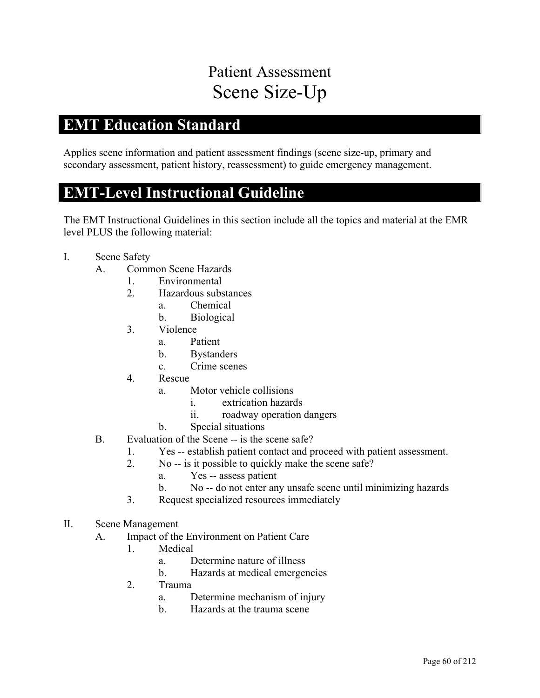# Patient Assessment Scene Size-Up

### **EMT Education Standard**

Applies scene information and patient assessment findings (scene size-up, primary and secondary assessment, patient history, reassessment) to guide emergency management.

#### **EMT-Level Instructional Guideline**

- I. Scene Safety
	- A. Common Scene Hazards
		- 1. Environmental
		- 2. Hazardous substances
			- a. Chemical
			- b. Biological
		- 3. Violence
			- a. Patient
			- b. Bystanders
			- c. Crime scenes
		- 4. Rescue
			- a. Motor vehicle collisions
				- i. extrication hazards
				- ii. roadway operation dangers
			- b. Special situations
	- B. Evaluation of the Scene -- is the scene safe?
		- 1. Yes -- establish patient contact and proceed with patient assessment.
		- 2. No -- is it possible to quickly make the scene safe?
			- a. Yes -- assess patient
			- b. No -- do not enter any unsafe scene until minimizing hazards
		- 3. Request specialized resources immediately
- II. Scene Management
	- A. Impact of the Environment on Patient Care
		- 1. Medical
			- a. Determine nature of illness
			- b. Hazards at medical emergencies
		- 2. Trauma
			- a. Determine mechanism of injury
			- b. Hazards at the trauma scene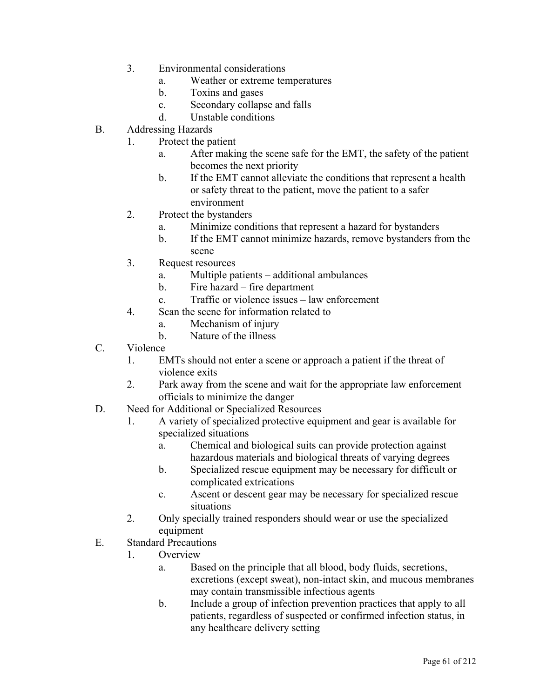- 3. Environmental considerations
	- a. Weather or extreme temperatures
	- b. Toxins and gases
	- c. Secondary collapse and falls
	- d. Unstable conditions
- B. Addressing Hazards
	- 1. Protect the patient
		- a. After making the scene safe for the EMT, the safety of the patient becomes the next priority
		- b. If the EMT cannot alleviate the conditions that represent a health or safety threat to the patient, move the patient to a safer environment
	- 2. Protect the bystanders
		- a. Minimize conditions that represent a hazard for bystanders
		- b. If the EMT cannot minimize hazards, remove bystanders from the scene
	- 3. Request resources
		- a. Multiple patients additional ambulances
		- b. Fire hazard fire department
		- c. Traffic or violence issues law enforcement
	- 4. Scan the scene for information related to
		- a. Mechanism of injury
		- b. Nature of the illness
- C. Violence
	- 1. EMTs should not enter a scene or approach a patient if the threat of violence exits
	- 2. Park away from the scene and wait for the appropriate law enforcement officials to minimize the danger
- D. Need for Additional or Specialized Resources
	- 1. A variety of specialized protective equipment and gear is available for specialized situations
		- a. Chemical and biological suits can provide protection against hazardous materials and biological threats of varying degrees
		- b. Specialized rescue equipment may be necessary for difficult or complicated extrications
		- c. Ascent or descent gear may be necessary for specialized rescue situations
	- 2. Only specially trained responders should wear or use the specialized equipment
- E. Standard Precautions
	- 1. Overview
		- a. Based on the principle that all blood, body fluids, secretions, excretions (except sweat), non-intact skin, and mucous membranes may contain transmissible infectious agents
		- b. Include a group of infection prevention practices that apply to all patients, regardless of suspected or confirmed infection status, in any healthcare delivery setting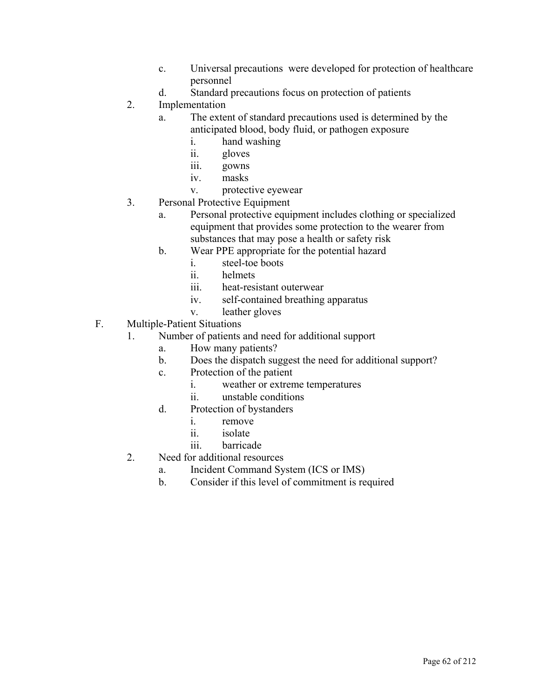- c. Universal precautions were developed for protection of healthcare personnel
- d. Standard precautions focus on protection of patients
- 2. Implementation
	- a. The extent of standard precautions used is determined by the anticipated blood, body fluid, or pathogen exposure
		- i. hand washing
		- ii. gloves
		- iii. gowns
		- iv. masks
		- v. protective eyewear
- 3. Personal Protective Equipment
	- a. Personal protective equipment includes clothing or specialized equipment that provides some protection to the wearer from substances that may pose a health or safety risk
	- b. Wear PPE appropriate for the potential hazard
		- i. steel-toe boots
		- ii. helmets
		- iii. heat-resistant outerwear
		- iv. self-contained breathing apparatus
		- v. leather gloves
- F. Multiple-Patient Situations
	- 1. Number of patients and need for additional support
		- a. How many patients?
		- b. Does the dispatch suggest the need for additional support?
		- c. Protection of the patient
			- i. weather or extreme temperatures
			- ii. unstable conditions
		- d. Protection of bystanders
			- i. remove
			- ii. isolate
			- iii. barricade
	- 2. Need for additional resources
		- a. Incident Command System (ICS or IMS)
		- b. Consider if this level of commitment is required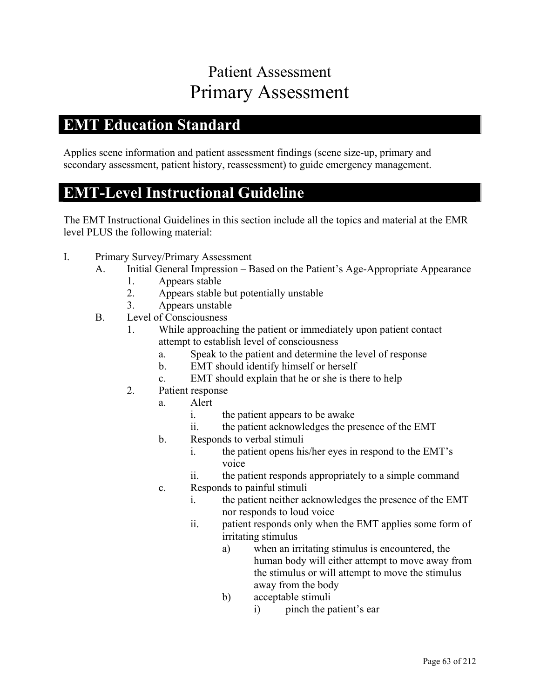# Patient Assessment Primary Assessment

### **EMT Education Standard**

Applies scene information and patient assessment findings (scene size-up, primary and secondary assessment, patient history, reassessment) to guide emergency management.

#### **EMT-Level Instructional Guideline**

- I. Primary Survey/Primary Assessment
	- A. Initial General Impression Based on the Patient's Age-Appropriate Appearance
		- 1. Appears stable
		- 2. Appears stable but potentially unstable
		- 3. Appears unstable
	- B. Level of Consciousness
		- 1. While approaching the patient or immediately upon patient contact attempt to establish level of consciousness
			- a. Speak to the patient and determine the level of response
			- b. EMT should identify himself or herself
			- c. EMT should explain that he or she is there to help
		- 2. Patient response
			- a. Alert
				- i. the patient appears to be awake
				- ii. the patient acknowledges the presence of the EMT
			- b. Responds to verbal stimuli
				- i. the patient opens his/her eyes in respond to the EMT's voice
				- ii. the patient responds appropriately to a simple command
			- c. Responds to painful stimuli
				- i. the patient neither acknowledges the presence of the EMT nor responds to loud voice
				- ii. patient responds only when the EMT applies some form of irritating stimulus
					- a) when an irritating stimulus is encountered, the human body will either attempt to move away from the stimulus or will attempt to move the stimulus away from the body
					- b) acceptable stimuli
						- i) pinch the patient's ear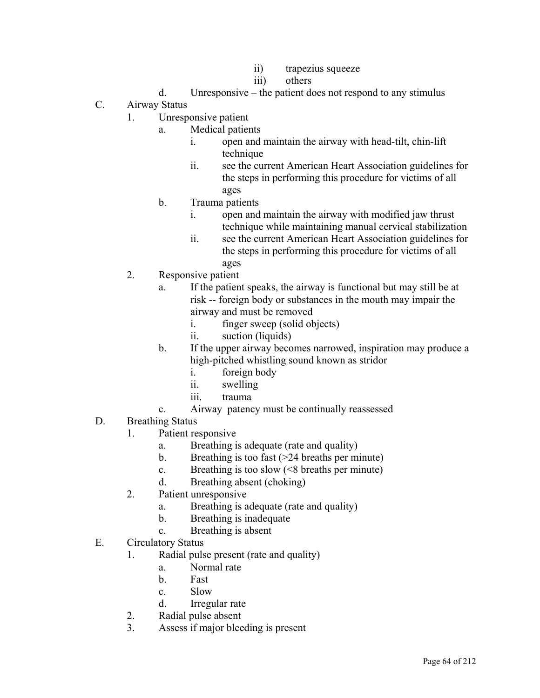- ii) trapezius squeeze
- iii) others
- d. Unresponsive the patient does not respond to any stimulus
- C. Airway Status
	- 1. Unresponsive patient
		- a. Medical patients
			- i. open and maintain the airway with head-tilt, chin-lift technique
			- ii. see the current American Heart Association guidelines for the steps in performing this procedure for victims of all ages
		- b. Trauma patients
			- i. open and maintain the airway with modified jaw thrust technique while maintaining manual cervical stabilization
			- ii. see the current American Heart Association guidelines for the steps in performing this procedure for victims of all ages
	- 2. Responsive patient
		- a. If the patient speaks, the airway is functional but may still be at risk -- foreign body or substances in the mouth may impair the airway and must be removed
			- i. finger sweep (solid objects)
			- ii. suction (liquids)
		- b. If the upper airway becomes narrowed, inspiration may produce a high-pitched whistling sound known as stridor
			- i. foreign body
			- ii. swelling
			- iii. trauma
		- c. Airway patency must be continually reassessed
- D. Breathing Status
	- 1. Patient responsive
		- a. Breathing is adequate (rate and quality)
		- b. Breathing is too fast  $($ >24 breaths per minute)
		- c. Breathing is too slow  $(< 8$  breaths per minute)
		- d. Breathing absent (choking)
	- 2. Patient unresponsive
		- a. Breathing is adequate (rate and quality)
		- b. Breathing is inadequate
		- c. Breathing is absent
- E. Circulatory Status
	- 1. Radial pulse present (rate and quality)
		- a. Normal rate
		- b. Fast
		- c. Slow
		- d. Irregular rate
	- 2. Radial pulse absent
	- 3. Assess if major bleeding is present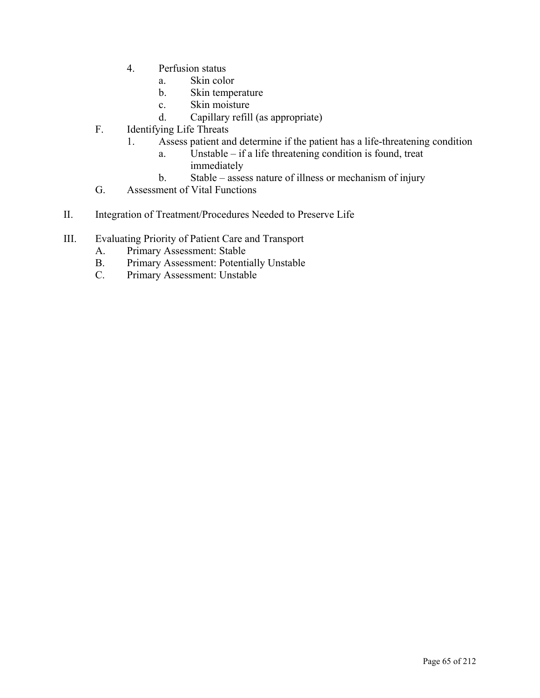- 4. Perfusion status
	- a. Skin color
	- b. Skin temperature
	- c. Skin moisture
	- d. Capillary refill (as appropriate)
- F. Identifying Life Threats
	- 1. Assess patient and determine if the patient has a life-threatening condition
		- a. Unstable if a life threatening condition is found, treat immediately
		- b. Stable assess nature of illness or mechanism of injury
- G. Assessment of Vital Functions
- II. Integration of Treatment/Procedures Needed to Preserve Life
- III. Evaluating Priority of Patient Care and Transport
	- A. Primary Assessment: Stable
	- B. Primary Assessment: Potentially Unstable
	- C. Primary Assessment: Unstable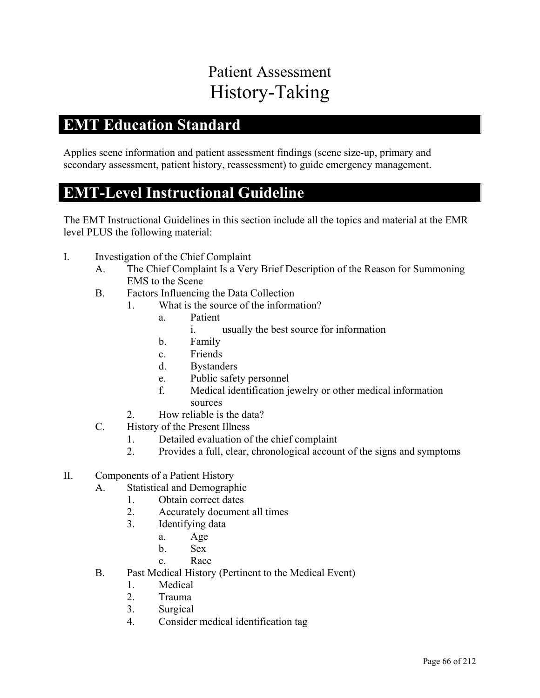# Patient Assessment History-Taking

### **EMT Education Standard**

Applies scene information and patient assessment findings (scene size-up, primary and secondary assessment, patient history, reassessment) to guide emergency management.

#### **EMT-Level Instructional Guideline**

- I. Investigation of the Chief Complaint
	- A. The Chief Complaint Is a Very Brief Description of the Reason for Summoning EMS to the Scene
	- B. Factors Influencing the Data Collection
		- 1. What is the source of the information?
			- a. Patient
				- i. usually the best source for information
			- b. Family
			- c. Friends
			- d. Bystanders
			- e. Public safety personnel
			- f. Medical identification jewelry or other medical information sources
		- 2. How reliable is the data?
	- C. History of the Present Illness
		- 1. Detailed evaluation of the chief complaint
		- 2. Provides a full, clear, chronological account of the signs and symptoms
- II. Components of a Patient History
	- A. Statistical and Demographic
		- 1. Obtain correct dates
		- 2. Accurately document all times
		- 3. Identifying data
			- a. Age
			- b. Sex
			- c. Race
	- B. Past Medical History (Pertinent to the Medical Event)
		- 1. Medical
		- 2. Trauma
		- 3. Surgical
		- 4. Consider medical identification tag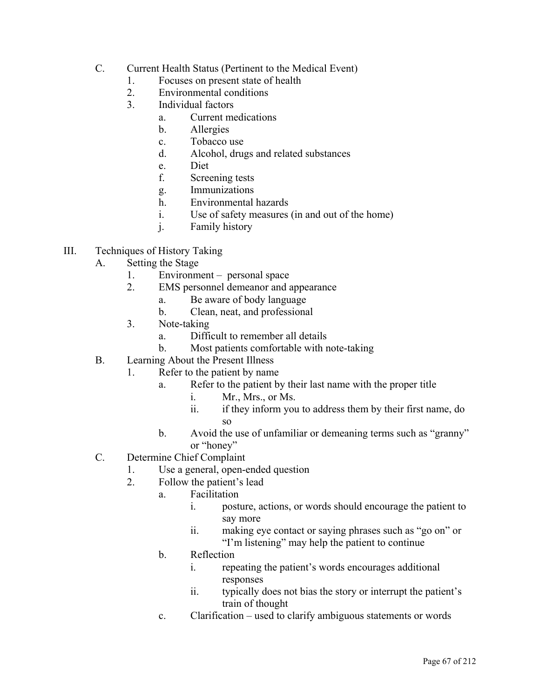- C. Current Health Status (Pertinent to the Medical Event)
	- 1. Focuses on present state of health
	- 2. Environmental conditions
	- 3. Individual factors
		- a. Current medications
		- b. Allergies
		- c. Tobacco use
		- d. Alcohol, drugs and related substances
		- e. Diet
		- f. Screening tests
		- g. Immunizations
		- h. Environmental hazards
		- i. Use of safety measures (in and out of the home)
		- j. Family history
- III. Techniques of History Taking
	- A. Setting the Stage
		- 1. Environment personal space
		- 2. EMS personnel demeanor and appearance
			- a. Be aware of body language
			- b. Clean, neat, and professional
		- 3. Note-taking
			- a. Difficult to remember all details
			- b. Most patients comfortable with note-taking
	- B. Learning About the Present Illness
		- 1. Refer to the patient by name
			- a. Refer to the patient by their last name with the proper title
				- i. Mr., Mrs., or Ms.
				- ii. if they inform you to address them by their first name, do so
			- b. Avoid the use of unfamiliar or demeaning terms such as "granny" or "honey"
	- C. Determine Chief Complaint
		- 1. Use a general, open-ended question
		- 2. Follow the patient's lead
			- a. Facilitation
				- i. posture, actions, or words should encourage the patient to say more
				- ii. making eye contact or saying phrases such as "go on" or "I'm listening" may help the patient to continue
			- b. Reflection
				- i. repeating the patient's words encourages additional responses
				- ii. typically does not bias the story or interrupt the patient's train of thought
			- c. Clarification used to clarify ambiguous statements or words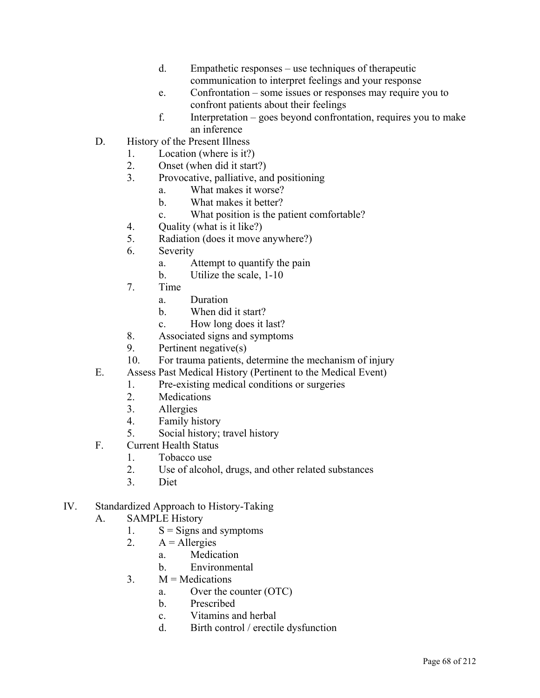- d. Empathetic responses use techniques of therapeutic communication to interpret feelings and your response
- e. Confrontation some issues or responses may require you to confront patients about their feelings
- f. Interpretation goes beyond confrontation, requires you to make an inference
- D. History of the Present Illness
	- 1. Location (where is it?)
	- 2. Onset (when did it start?)
	- 3. Provocative, palliative, and positioning
		- a. What makes it worse?
		- b. What makes it better?
		- c. What position is the patient comfortable?
	- 4. Quality (what is it like?)
	- 5. Radiation (does it move anywhere?)
	- 6. Severity
		- a. Attempt to quantify the pain
		- b. Utilize the scale, 1-10
	- 7. Time
		- a. Duration
		- b. When did it start?
		- c. How long does it last?
	- 8. Associated signs and symptoms
	- 9. Pertinent negative(s)
	- 10. For trauma patients, determine the mechanism of injury
- E. Assess Past Medical History (Pertinent to the Medical Event)
	- 1. Pre-existing medical conditions or surgeries
	- 2. Medications
	- 3. Allergies
	- 4. Family history
	- 5. Social history; travel history
- F. Current Health Status
	- 1. Tobacco use
	- 2. Use of alcohol, drugs, and other related substances
	- 3. Diet
- IV. Standardized Approach to History-Taking
	- A. SAMPLE History
		- 1.  $S =$  Signs and symptoms
		- 2.  $A =$  Allergies
			- a. Medication
			- b. Environmental
		- $3. \qquad M = \text{Medications}$ 
			- a. Over the counter (OTC)
			- b. Prescribed
			- c. Vitamins and herbal
			- d. Birth control / erectile dysfunction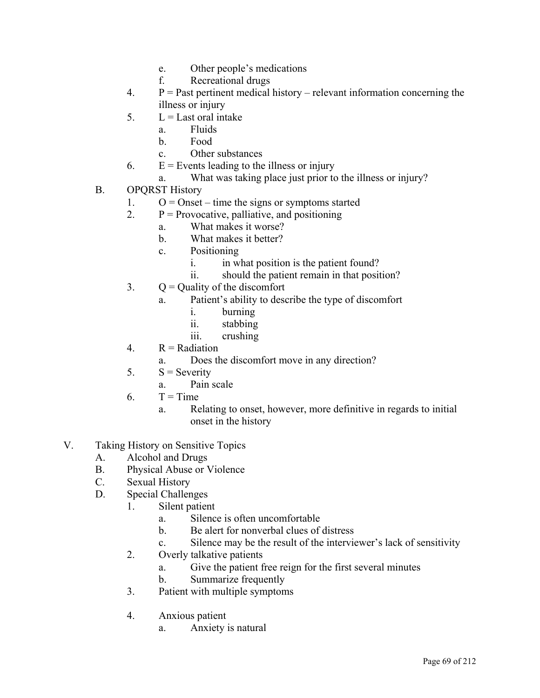- e. Other people's medications
- f. Recreational drugs
- 4.  $P =$  Past pertinent medical history relevant information concerning the illness or injury
- $5. \qquad L =$ Last oral intake
	- a. Fluids
	- b. Food
	- c. Other substances
- 6.  $E =$  Events leading to the illness or injury
	- a. What was taking place just prior to the illness or injury?
- B. OPQRST History
	- 1.  $O =$  Onset time the signs or symptoms started
	- 2.  $P = \text{Provocative}, \text{pallitative}, \text{and positioning}$ 
		- a. What makes it worse?
		- b. What makes it better?
		- c. Positioning
			- i. in what position is the patient found?
			- ii. should the patient remain in that position?
	- 3.  $Q =$  Quality of the discomfort
		- a. Patient's ability to describe the type of discomfort
			- i. burning
			- ii. stabbing
			- iii. crushing
	- 4.  $R =$  Radiation
		- a. Does the discomfort move in any direction?
	- 5.  $S =$  Severity
		- a. Pain scale
	- $6.$   $T = Time$ 
		- a. Relating to onset, however, more definitive in regards to initial onset in the history
- V. Taking History on Sensitive Topics
	- A. Alcohol and Drugs
	- B. Physical Abuse or Violence
	- C. Sexual History
	- D. Special Challenges
		- 1. Silent patient
			- a. Silence is often uncomfortable
			- b. Be alert for nonverbal clues of distress
			- c. Silence may be the result of the interviewer's lack of sensitivity
		- 2. Overly talkative patients
			- a. Give the patient free reign for the first several minutes
			- b. Summarize frequently
		- 3. Patient with multiple symptoms
		- 4. Anxious patient
			- a. Anxiety is natural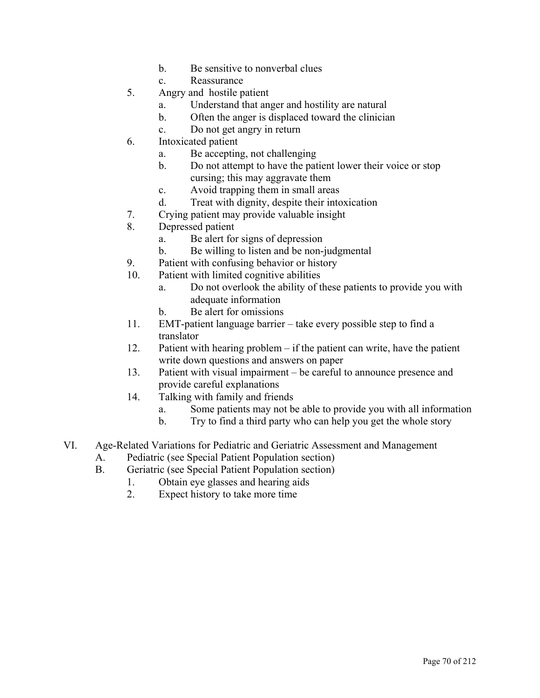- b. Be sensitive to nonverbal clues
- c. Reassurance
- 5. Angry and hostile patient
	- a. Understand that anger and hostility are natural
	- b. Often the anger is displaced toward the clinician
	- c. Do not get angry in return
- 6. Intoxicated patient
	- a. Be accepting, not challenging
	- b. Do not attempt to have the patient lower their voice or stop cursing; this may aggravate them
	- c. Avoid trapping them in small areas
	- d. Treat with dignity, despite their intoxication
- 7. Crying patient may provide valuable insight
- 8. Depressed patient
	- a. Be alert for signs of depression
	- b. Be willing to listen and be non-judgmental
- 9. Patient with confusing behavior or history
- 10. Patient with limited cognitive abilities
	- a. Do not overlook the ability of these patients to provide you with adequate information
	- b. Be alert for omissions
- 11. EMT-patient language barrier take every possible step to find a translator
- 12. Patient with hearing problem if the patient can write, have the patient write down questions and answers on paper
- 13. Patient with visual impairment be careful to announce presence and provide careful explanations
- 14. Talking with family and friends
	- a. Some patients may not be able to provide you with all information
	- b. Try to find a third party who can help you get the whole story
- VI. Age-Related Variations for Pediatric and Geriatric Assessment and Management
	- A. Pediatric (see Special Patient Population section)
	- B. Geriatric (see Special Patient Population section)
		- 1. Obtain eye glasses and hearing aids
		- 2. Expect history to take more time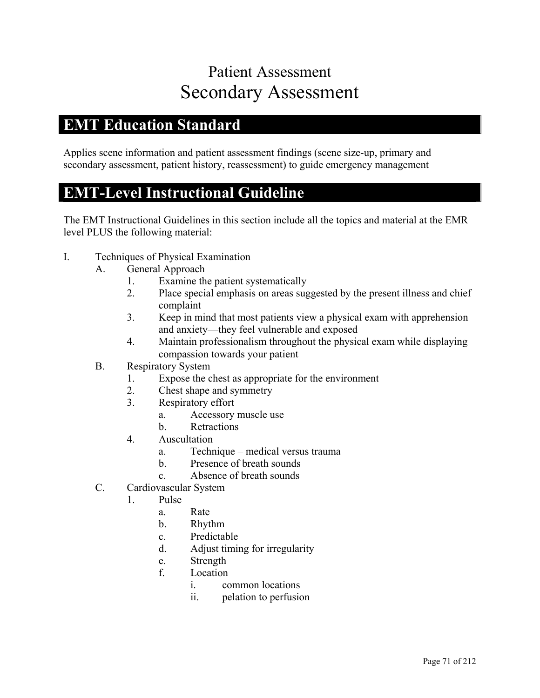# Patient Assessment Secondary Assessment

### **EMT Education Standard**

Applies scene information and patient assessment findings (scene size-up, primary and secondary assessment, patient history, reassessment) to guide emergency management

#### **EMT-Level Instructional Guideline**

- I. Techniques of Physical Examination
	- A. General Approach
		- 1. Examine the patient systematically
		- 2. Place special emphasis on areas suggested by the present illness and chief complaint
		- 3. Keep in mind that most patients view a physical exam with apprehension and anxiety—they feel vulnerable and exposed
		- 4. Maintain professionalism throughout the physical exam while displaying compassion towards your patient
	- B. Respiratory System
		- 1. Expose the chest as appropriate for the environment
		- 2. Chest shape and symmetry
		- 3. Respiratory effort
			- a. Accessory muscle use
			- b. Retractions
		- 4. Auscultation
			- a. Technique medical versus trauma
			- b. Presence of breath sounds
			- c. Absence of breath sounds
	- C. Cardiovascular System
		- 1. Pulse
			- a. Rate
			- b. Rhythm
			- c. Predictable
			- d. Adjust timing for irregularity
			- e. Strength
			- f. Location
				- i. common locations
				- ii. pelation to perfusion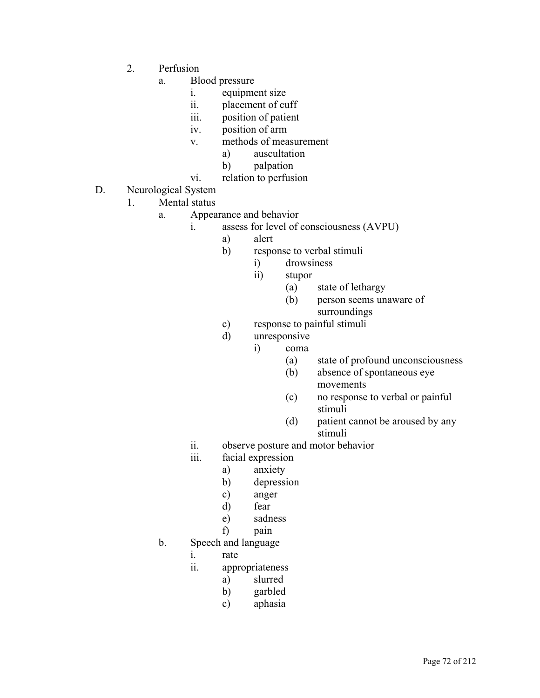- 2. Perfusion
	- a. Blood pressure
		- i. equipment size
		- ii. placement of cuff
		- iii. position of patient
		- iv. position of arm
		- v. methods of measurement
			- a) auscultation
			- b) palpation
		- vi. relation to perfusion
- D. Neurological System
	- 1. Mental status
		- a. Appearance and behavior
			- i. assess for level of consciousness (AVPU)
				- a) alert
				- b) response to verbal stimuli
					- i) drowsiness
					- ii) stupor
						- (a) state of lethargy
						- (b) person seems unaware of surroundings
				- c) response to painful stimuli
				- d) unresponsive
					- i) coma
						- (a) state of profound unconsciousness
						- (b) absence of spontaneous eye movements
						- (c) no response to verbal or painful stimuli
						- (d) patient cannot be aroused by any stimuli
			- ii. observe posture and motor behavior
			- iii. facial expression
				- a) anxiety
				- b) depression
				- c) anger
				- d) fear
				- e) sadness
				- f) pain
		- b. Speech and language
			- i. rate
			- ii. appropriateness
				- a) slurred
				- b) garbled
				- c) aphasia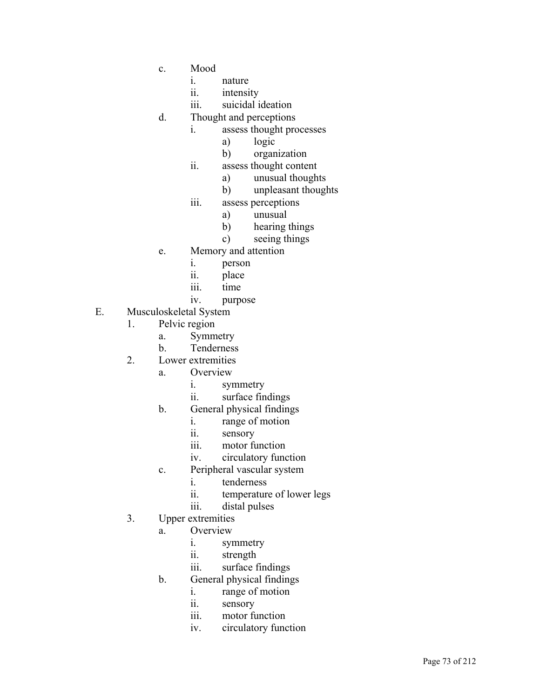- c. Mood
	- i. nature
	- ii. intensity
	- iii. suicidal ideation
- d. Thought and perceptions
	- i. assess thought processes
		- a) logic
		- b) organization
	- ii. assess thought content
		- a) unusual thoughts
		- b) unpleasant thoughts
	- iii. assess perceptions
		- a) unusual
		- b) hearing things
		- c) seeing things
- e. Memory and attention
	- i. person
	- ii. place
	- iii. time
	- iv. purpose
- E. Musculoskeletal System
	- 1. Pelvic region
		- a. Symmetry
		- b. Tenderness
	- 2. Lower extremities
		- a. Overview
			- i. symmetry
			- ii. surface findings
		- b. General physical findings
			- i. range of motion
			- ii. sensory
			- iii. motor function
			- iv. circulatory function
		- c. Peripheral vascular system
			- i. tenderness
			- ii. temperature of lower legs
			- iii. distal pulses
	- 3. Upper extremities
		- a. Overview
			- i. symmetry
			- ii. strength
			- iii. surface findings
		- b. General physical findings
			- i. range of motion
			- ii. sensory
			- iii. motor function
			- iv. circulatory function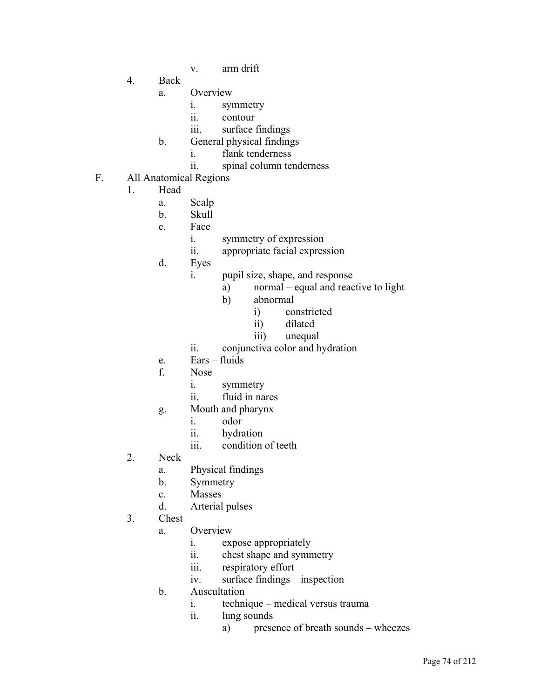- v. arm drift
- 4. Back
	- a. Overview
		- i. symmetry
		- ii. contour
		- iii. surface findings
	- b. General physical findings
		- i. flank tenderness
		- ii. spinal column tenderness
- F. All Anatomical Regions
	- 1. Head
		- a. Scalp
		- b. Skull
		- c. Face
			- i. symmetry of expression
			- ii. appropriate facial expression
		- d. Eyes
			- i. pupil size, shape, and response
				- a) normal equal and reactive to light
				- b) abnormal
					- i) constricted
					- ii) dilated
					- iii) unequal
			- ii. conjunctiva color and hydration
		- e. Ears fluids
		- f. Nose
			- i. symmetry
			- ii. fluid in nares
		- g. Mouth and pharynx
			- i. odor
			- ii. hydration
			- iii. condition of teeth
	- 2. Neck
		- a. Physical findings
		- b. Symmetry
		- c. Masses
		- d. Arterial pulses
	- 3. Chest
		- a. Overview
			- i. expose appropriately
			- ii. chest shape and symmetry
			- iii. respiratory effort
			- iv. surface findings inspection
		- b. Auscultation
			- i. technique medical versus trauma
			- ii. lung sounds
				- a) presence of breath sounds wheezes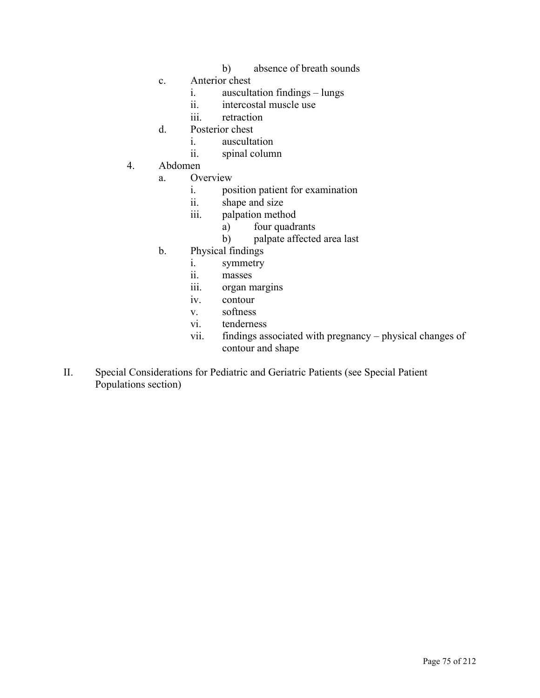- b) absence of breath sounds
- c. Anterior chest
	- i. auscultation findings lungs
	- ii. intercostal muscle use
	- iii. retraction
- d. Posterior chest
	- i. auscultation
	- ii. spinal column
- 4. Abdomen
	- a. Overview
		- i. position patient for examination
		- ii. shape and size
		- iii. palpation method
			- a) four quadrants
			- b) palpate affected area last
	- b. Physical findings
		- i. symmetry
		- ii. masses
		- iii. organ margins
		- iv. contour
		- v. softness
		- vi. tenderness
		- vii. findings associated with pregnancy physical changes of contour and shape
- II. Special Considerations for Pediatric and Geriatric Patients (see Special Patient Populations section)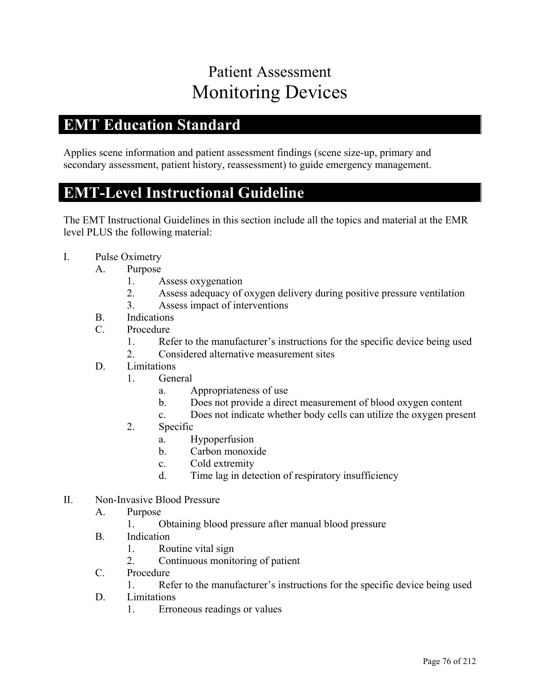# Patient Assessment Monitoring Devices

## **EMT Education Standard**

Applies scene information and patient assessment findings (scene size-up, primary and secondary assessment, patient history, reassessment) to guide emergency management.

#### **EMT-Level Instructional Guideline**

- I. Pulse Oximetry
	- A. Purpose
		- 1. Assess oxygenation
		- 2. Assess adequacy of oxygen delivery during positive pressure ventilation
		- 3. Assess impact of interventions
	- B. Indications
	- C. Procedure
		- 1. Refer to the manufacturer's instructions for the specific device being used
		- 2. Considered alternative measurement sites
	- D. Limitations
		- 1. General
			- a. Appropriateness of use
			- b. Does not provide a direct measurement of blood oxygen content
			- c. Does not indicate whether body cells can utilize the oxygen present
		- 2. Specific
			- a. Hypoperfusion
			- b. Carbon monoxide
			- c. Cold extremity
			- d. Time lag in detection of respiratory insufficiency
- II. Non-Invasive Blood Pressure
	- A. Purpose
		- 1. Obtaining blood pressure after manual blood pressure
	- B. Indication
		- 1. Routine vital sign
		- 2. Continuous monitoring of patient
	- C. Procedure
		- 1. Refer to the manufacturer's instructions for the specific device being used
	- D. Limitations
		- 1. Erroneous readings or values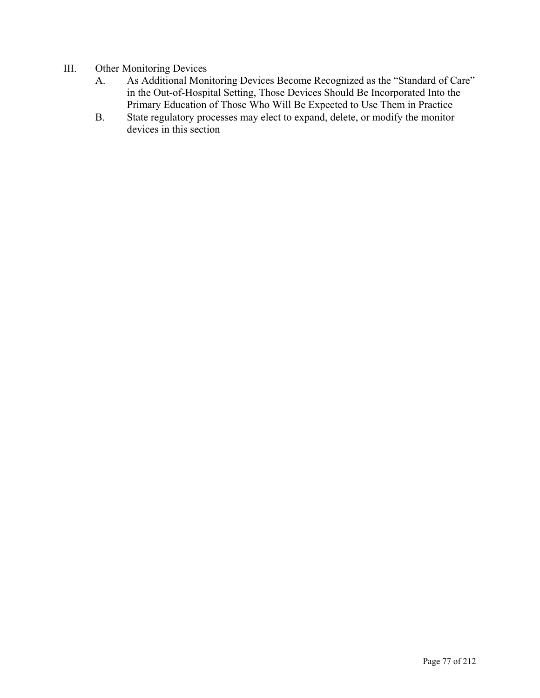- III. Other Monitoring Devices
	- A. As Additional Monitoring Devices Become Recognized as the "Standard of Care" in the Out-of-Hospital Setting, Those Devices Should Be Incorporated Into the Primary Education of Those Who Will Be Expected to Use Them in Practice
	- B. State regulatory processes may elect to expand, delete, or modify the monitor devices in this section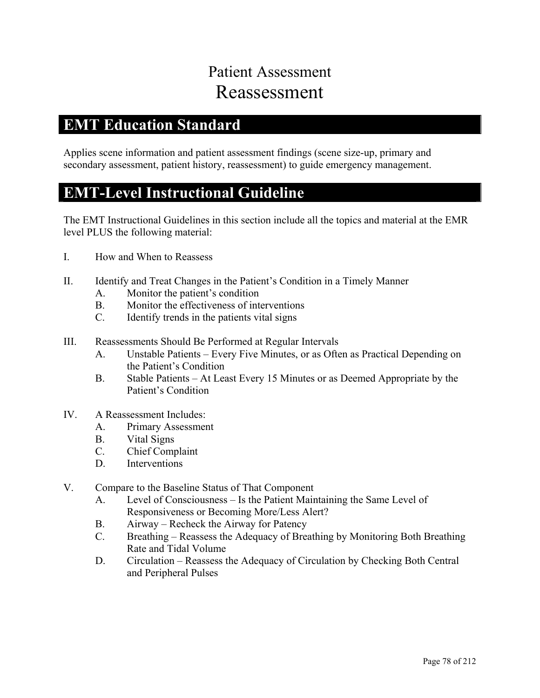# Patient Assessment Reassessment

## **EMT Education Standard**

Applies scene information and patient assessment findings (scene size-up, primary and secondary assessment, patient history, reassessment) to guide emergency management.

#### **EMT-Level Instructional Guideline**

- I. How and When to Reassess
- II. Identify and Treat Changes in the Patient's Condition in a Timely Manner
	- A. Monitor the patient's condition
	- B. Monitor the effectiveness of interventions
	- C. Identify trends in the patients vital signs
- III. Reassessments Should Be Performed at Regular Intervals
	- A. Unstable Patients Every Five Minutes, or as Often as Practical Depending on the Patient's Condition
	- B. Stable Patients At Least Every 15 Minutes or as Deemed Appropriate by the Patient's Condition
- IV. A Reassessment Includes:
	- A. Primary Assessment
	- B. Vital Signs
	- C. Chief Complaint
	- D. Interventions
- V. Compare to the Baseline Status of That Component
	- A. Level of Consciousness Is the Patient Maintaining the Same Level of Responsiveness or Becoming More/Less Alert?
	- B. Airway Recheck the Airway for Patency
	- C. Breathing Reassess the Adequacy of Breathing by Monitoring Both Breathing Rate and Tidal Volume
	- D. Circulation Reassess the Adequacy of Circulation by Checking Both Central and Peripheral Pulses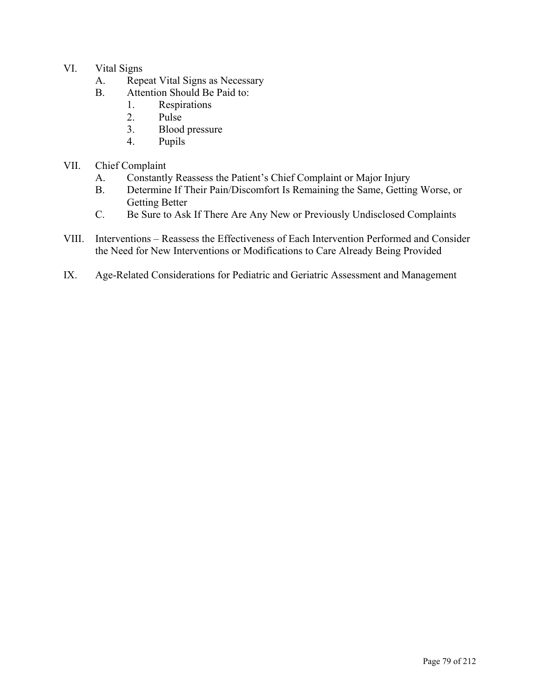- VI. Vital Signs
	- A. Repeat Vital Signs as Necessary
	- B. Attention Should Be Paid to:
		- 1. Respirations<br>2. Pulse
		- Pulse
		- 3. Blood pressure
		- 4. Pupils
- VII. Chief Complaint
	- A. Constantly Reassess the Patient's Chief Complaint or Major Injury
	- B. Determine If Their Pain/Discomfort Is Remaining the Same, Getting Worse, or Getting Better
	- C. Be Sure to Ask If There Are Any New or Previously Undisclosed Complaints
- VIII. Interventions Reassess the Effectiveness of Each Intervention Performed and Consider the Need for New Interventions or Modifications to Care Already Being Provided
- IX. Age-Related Considerations for Pediatric and Geriatric Assessment and Management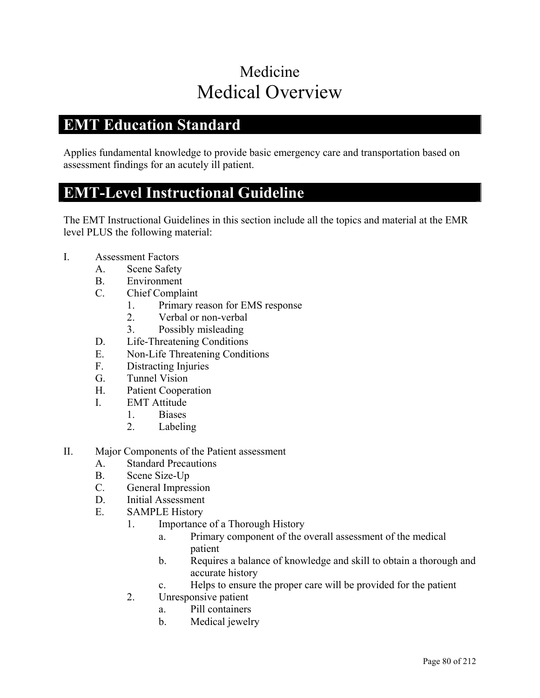# Medicine Medical Overview

## **EMT Education Standard**

Applies fundamental knowledge to provide basic emergency care and transportation based on assessment findings for an acutely ill patient.

#### **EMT-Level Instructional Guideline**

- I. Assessment Factors
	- A. Scene Safety
	- B. Environment
	- C. Chief Complaint
		- 1. Primary reason for EMS response
		- 2. Verbal or non-verbal
		- 3. Possibly misleading
	- D. Life-Threatening Conditions
	- E. Non-Life Threatening Conditions
	- F. Distracting Injuries
	- G. Tunnel Vision
	- H. Patient Cooperation
	- I. EMT Attitude
		- 1. Biases
		- 2. Labeling
- II. Major Components of the Patient assessment
	- A. Standard Precautions
	- B. Scene Size-Up
	- C. General Impression
	- D. Initial Assessment
	- E. SAMPLE History
		- 1. Importance of a Thorough History
			- a. Primary component of the overall assessment of the medical patient
			- b. Requires a balance of knowledge and skill to obtain a thorough and accurate history
			- c. Helps to ensure the proper care will be provided for the patient
		- 2. Unresponsive patient
			- a. Pill containers
			- b. Medical jewelry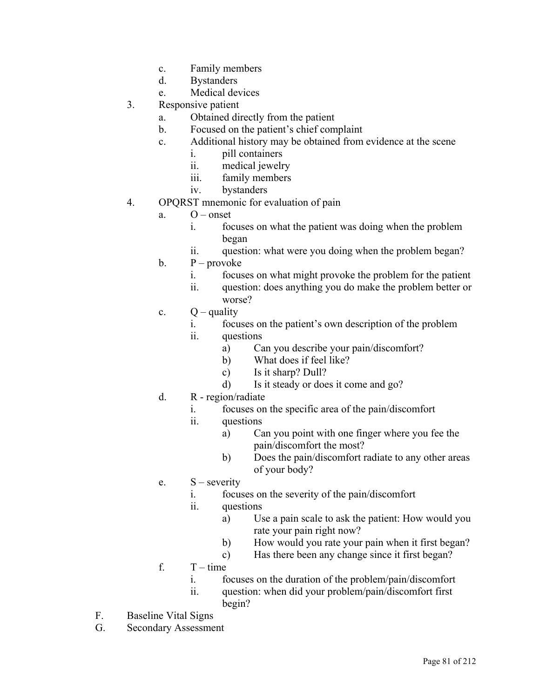- c. Family members
- d. Bystanders
- e. Medical devices
- 3. Responsive patient
	- a. Obtained directly from the patient
	- b. Focused on the patient's chief complaint
	- c. Additional history may be obtained from evidence at the scene
		- i. pill containers
		- ii. medical jewelry
		- iii. family members
		- iv. bystanders
- 4. OPQRST mnemonic for evaluation of pain
	- a.  $O$  onset
		- i. focuses on what the patient was doing when the problem began
		- ii. question: what were you doing when the problem began?
	- $b.$  P provoke
		- i. focuses on what might provoke the problem for the patient
		- ii. question: does anything you do make the problem better or worse?
	- c.  $Q$  quality
		- i. focuses on the patient's own description of the problem
		- ii. questions
			- a) Can you describe your pain/discomfort?
			- b) What does if feel like?
			- c) Is it sharp? Dull?
			- d) Is it steady or does it come and go?
	- d. R region/radiate
		- i. focuses on the specific area of the pain/discomfort
		- ii. questions
			- a) Can you point with one finger where you fee the pain/discomfort the most?
			- b) Does the pain/discomfort radiate to any other areas of your body?
	- e.  $S$  severity
		- i. focuses on the severity of the pain/discomfort
		- ii. questions
			- a) Use a pain scale to ask the patient: How would you rate your pain right now?
			- b) How would you rate your pain when it first began?
			- c) Has there been any change since it first began?
	- f.  $T time$ 
		- i. focuses on the duration of the problem/pain/discomfort
		- ii. question: when did your problem/pain/discomfort first begin?
- F. Baseline Vital Signs
- G. Secondary Assessment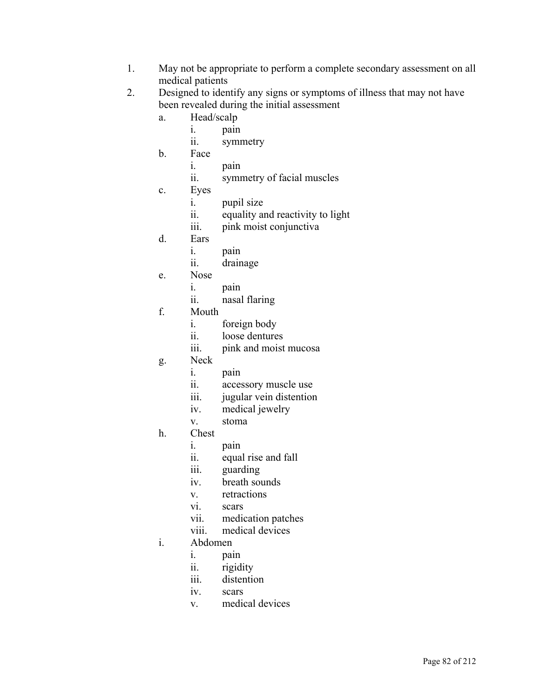- 1. May not be appropriate to perform a complete secondary assessment on all medical patients
- 2. Designed to identify any signs or symptoms of illness that may not have been revealed during the initial assessment
	- a. Head/scalp
		- i. pain
		- ii. symmetry
	- b. Face
		- i. pain
		- ii. symmetry of facial muscles
	- c. Eyes
		- i. pupil size
		- ii. equality and reactivity to light
		- iii. pink moist conjunctiva
	- d. Ears
		- i. pain
		- ii. drainage
	- e. Nose
		- i. pain
			- ii. nasal flaring
	- f. Mouth
		- i. foreign body
		- ii. loose dentures
		- iii. pink and moist mucosa
	- g. Neck
		- i. pain
		- ii. accessory muscle use
		- iii. jugular vein distention
		- iv. medical jewelry
		- v. stoma
	- h. Chest
		- i. pain
		- ii. equal rise and fall
		- iii. guarding
		- iv. breath sounds
		- v. retractions
		- vi. scars
		- vii. medication patches
		- viii. medical devices

#### i. Abdomen

- i. pain
- ii. rigidity
- iii. distention
- iv. scars
- v. medical devices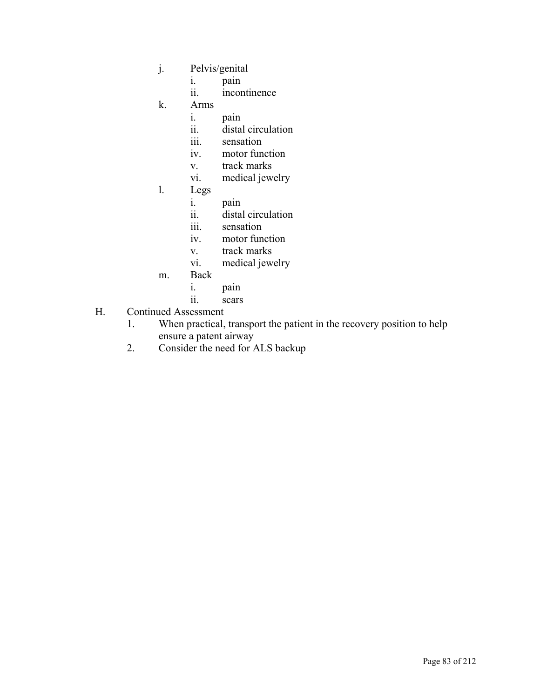- j. Pelvis/genital
	- i. pain
	- ii. incontinence
- k. Arms
	- i. pain
	- ii. distal circulation
	- iii. sensation
	- iv. motor function
	- v. track marks
	- vi. medical jewelry
- l. Legs
	- i. pain
	- ii. distal circulation
	- iii. sensation
	- iv. motor function
	- v. track marks
	- vi. medical jewelry
- m. Back
	- i. pain
	- ii. scars
- H. Continued Assessment
	- 1. When practical, transport the patient in the recovery position to help ensure a patent airway
	- 2. Consider the need for ALS backup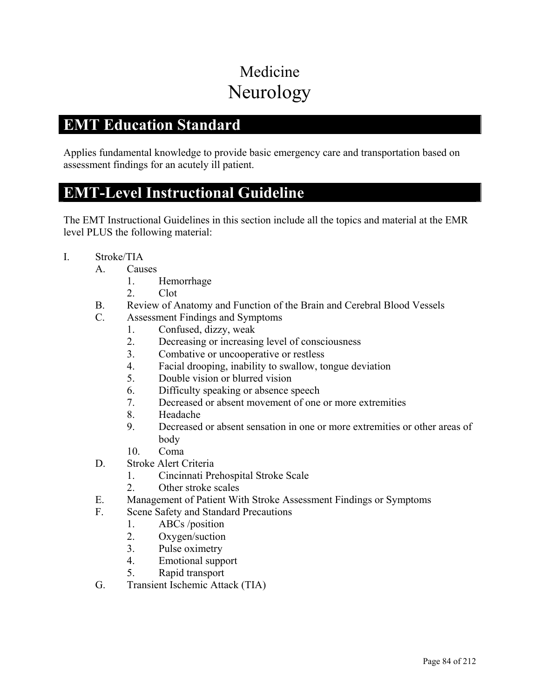# Medicine Neurology

## **EMT Education Standard**

Applies fundamental knowledge to provide basic emergency care and transportation based on assessment findings for an acutely ill patient.

#### **EMT-Level Instructional Guideline**

- I. Stroke/TIA
	- A. Causes
		- 1. Hemorrhage
		- 2. Clot
	- B. Review of Anatomy and Function of the Brain and Cerebral Blood Vessels
	- C. Assessment Findings and Symptoms
		- 1. Confused, dizzy, weak
		- 2. Decreasing or increasing level of consciousness
		- 3. Combative or uncooperative or restless
		- 4. Facial drooping, inability to swallow, tongue deviation
		- 5. Double vision or blurred vision
		- 6. Difficulty speaking or absence speech
		- 7. Decreased or absent movement of one or more extremities
		- 8. Headache
		- 9. Decreased or absent sensation in one or more extremities or other areas of body
		- 10. Coma
	- D. Stroke Alert Criteria
		- 1. Cincinnati Prehospital Stroke Scale
		- 2. Other stroke scales
	- E. Management of Patient With Stroke Assessment Findings or Symptoms
	- F. Scene Safety and Standard Precautions
		- 1. ABCs /position
		- 2. Oxygen/suction
		- 3. Pulse oximetry
		- 4. Emotional support
		- 5. Rapid transport
	- G. Transient Ischemic Attack (TIA)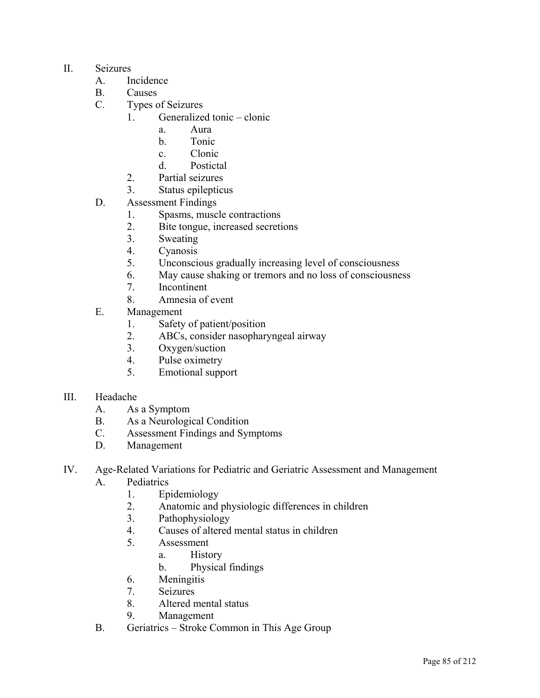- II. Seizures
	- A. Incidence
	- B. Causes
	- C. Types of Seizures
		- 1. Generalized tonic clonic
			- a. Aura
			- b. Tonic
			- c. Clonic
			- d. Postictal
		- 2. Partial seizures
		- 3. Status epilepticus
	- D. Assessment Findings
		- 1. Spasms, muscle contractions
		- 2. Bite tongue, increased secretions
		- 3. Sweating
		- 4. Cyanosis
		- 5. Unconscious gradually increasing level of consciousness
		- 6. May cause shaking or tremors and no loss of consciousness
		- 7. Incontinent
		- 8. Amnesia of event
	- E. Management
		- 1. Safety of patient/position
		- 2. ABCs, consider nasopharyngeal airway
		- 3. Oxygen/suction
		- 4. Pulse oximetry
		- 5. Emotional support
- III. Headache
	- A. As a Symptom
	- B. As a Neurological Condition
	- C. Assessment Findings and Symptoms
	- D. Management
- IV. Age-Related Variations for Pediatric and Geriatric Assessment and Management
	- A. Pediatrics
		- 1. Epidemiology
		- 2. Anatomic and physiologic differences in children
		- 3. Pathophysiology
		- 4. Causes of altered mental status in children
		- 5. Assessment
			- a. History
			- b. Physical findings
		- 6. Meningitis
		- 7. Seizures
		- 8. Altered mental status
		- 9. Management
	- B. Geriatrics Stroke Common in This Age Group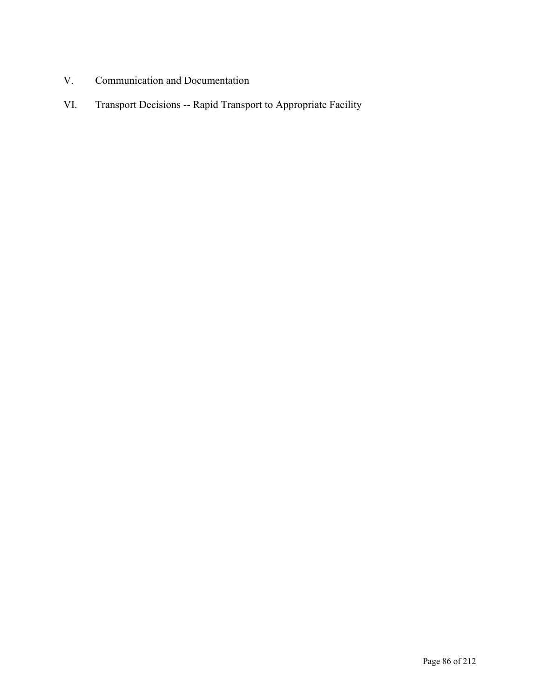- V. Communication and Documentation
- VI. Transport Decisions -- Rapid Transport to Appropriate Facility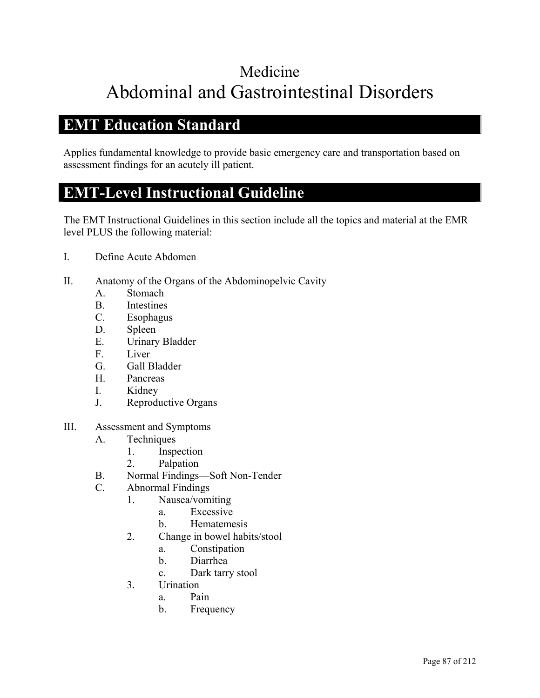# Medicine Abdominal and Gastrointestinal Disorders

## **EMT Education Standard**

Applies fundamental knowledge to provide basic emergency care and transportation based on assessment findings for an acutely ill patient.

### **EMT-Level Instructional Guideline**

- I. Define Acute Abdomen
- II. Anatomy of the Organs of the Abdominopelvic Cavity
	- A. Stomach
	- B. Intestines
	- C. Esophagus
	- D. Spleen
	- E. Urinary Bladder
	- F. Liver
	- G. Gall Bladder
	- H. Pancreas
	- I. Kidney
	- J. Reproductive Organs
- III. Assessment and Symptoms
	- A. Techniques
		- 1. Inspection
		- 2. Palpation
	- B. Normal Findings—Soft Non-Tender
	- C. Abnormal Findings
		- 1. Nausea/vomiting
			- a. Excessive
			- b. Hematemesis
		- 2. Change in bowel habits/stool
			- a. Constipation
			- b. Diarrhea
			- c. Dark tarry stool
		- 3. Urination
			- a. Pain
			- b. Frequency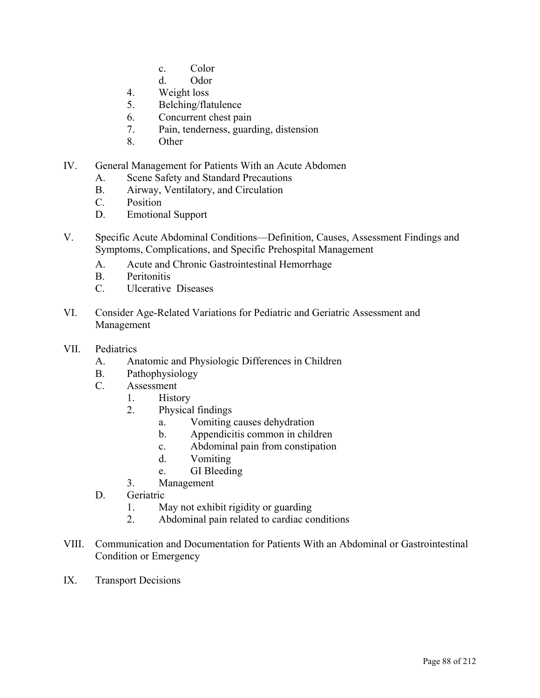- c. Color
- d. Odor
- 4. Weight loss
- 5. Belching/flatulence
- 6. Concurrent chest pain
- 7. Pain, tenderness, guarding, distension
- 8. Other
- IV. General Management for Patients With an Acute Abdomen
	- A. Scene Safety and Standard Precautions
	- B. Airway, Ventilatory, and Circulation
	- C. Position
	- D. Emotional Support
- V. Specific Acute Abdominal Conditions—Definition, Causes, Assessment Findings and Symptoms, Complications, and Specific Prehospital Management
	- A. Acute and Chronic Gastrointestinal Hemorrhage
	- B. Peritonitis
	- C. Ulcerative Diseases
- VI. Consider Age-Related Variations for Pediatric and Geriatric Assessment and Management
- VII. Pediatrics
	- A. Anatomic and Physiologic Differences in Children
	- B. Pathophysiology
	- C. Assessment
		- 1. History
		- 2. Physical findings
			- a. Vomiting causes dehydration
			- b. Appendicitis common in children
			- c. Abdominal pain from constipation
			- d. Vomiting
			- e. GI Bleeding
		- 3. Management
	- D. Geriatric
		- 1. May not exhibit rigidity or guarding
		- 2. Abdominal pain related to cardiac conditions
- VIII. Communication and Documentation for Patients With an Abdominal or Gastrointestinal Condition or Emergency
- IX. Transport Decisions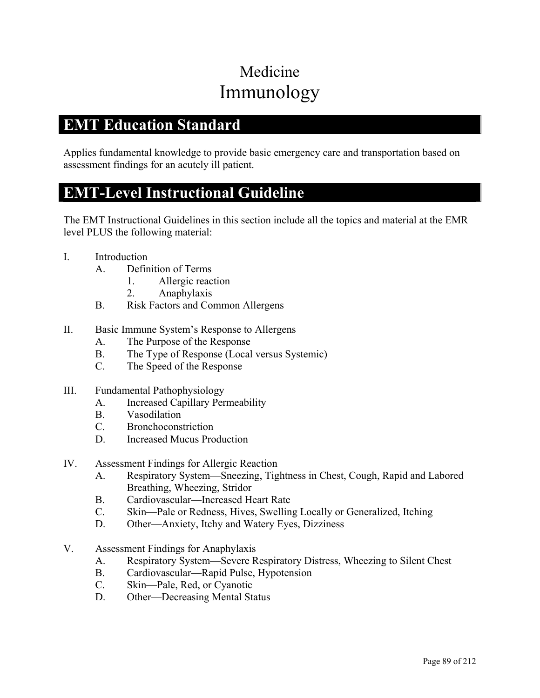# Medicine Immunology

## **EMT Education Standard**

Applies fundamental knowledge to provide basic emergency care and transportation based on assessment findings for an acutely ill patient.

#### **EMT-Level Instructional Guideline**

- I. Introduction
	- A. Definition of Terms
		- 1. Allergic reaction
		- 2. Anaphylaxis
	- B. Risk Factors and Common Allergens
- II. Basic Immune System's Response to Allergens
	- A. The Purpose of the Response
	- B. The Type of Response (Local versus Systemic)
	- C. The Speed of the Response
- III. Fundamental Pathophysiology
	- A. Increased Capillary Permeability
	- B. Vasodilation
	- C. Bronchoconstriction
	- D. Increased Mucus Production
- IV. Assessment Findings for Allergic Reaction
	- A. Respiratory System—Sneezing, Tightness in Chest, Cough, Rapid and Labored Breathing, Wheezing, Stridor
	- B. Cardiovascular—Increased Heart Rate
	- C. Skin—Pale or Redness, Hives, Swelling Locally or Generalized, Itching
	- D. Other—Anxiety, Itchy and Watery Eyes, Dizziness
- V. Assessment Findings for Anaphylaxis
	- A. Respiratory System—Severe Respiratory Distress, Wheezing to Silent Chest
	- B. Cardiovascular—Rapid Pulse, Hypotension
	- C. Skin—Pale, Red, or Cyanotic
	- D. Other—Decreasing Mental Status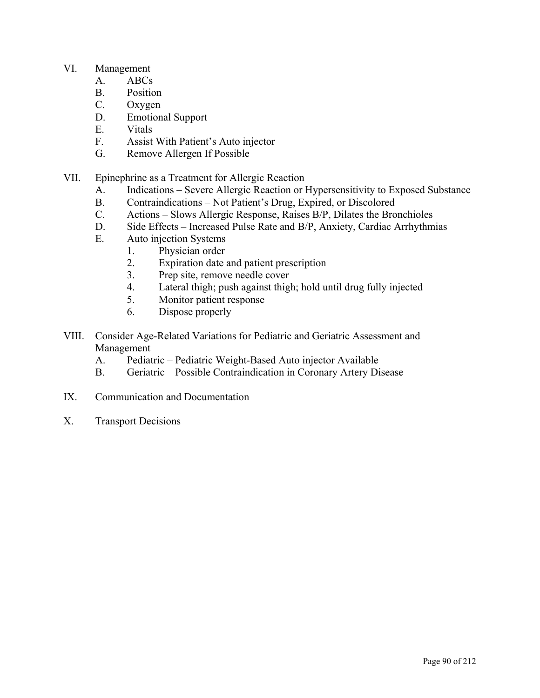#### VI. Management

- A. ABCs
- B. Position
- C. Oxygen
- D. Emotional Support
- E. Vitals
- F. Assist With Patient's Auto injector
- G. Remove Allergen If Possible
- VII. Epinephrine as a Treatment for Allergic Reaction
	- A. Indications Severe Allergic Reaction or Hypersensitivity to Exposed Substance
	- B. Contraindications Not Patient's Drug, Expired, or Discolored
	- C. Actions Slows Allergic Response, Raises B/P, Dilates the Bronchioles
	- D. Side Effects Increased Pulse Rate and B/P, Anxiety, Cardiac Arrhythmias
	- E. Auto injection Systems
		- 1. Physician order
		- 2. Expiration date and patient prescription
		- 3. Prep site, remove needle cover
		- 4. Lateral thigh; push against thigh; hold until drug fully injected
		- 5. Monitor patient response
		- 6. Dispose properly
- VIII. Consider Age-Related Variations for Pediatric and Geriatric Assessment and Management
	- A. Pediatric Pediatric Weight-Based Auto injector Available
	- B. Geriatric Possible Contraindication in Coronary Artery Disease
- IX. Communication and Documentation
- X. Transport Decisions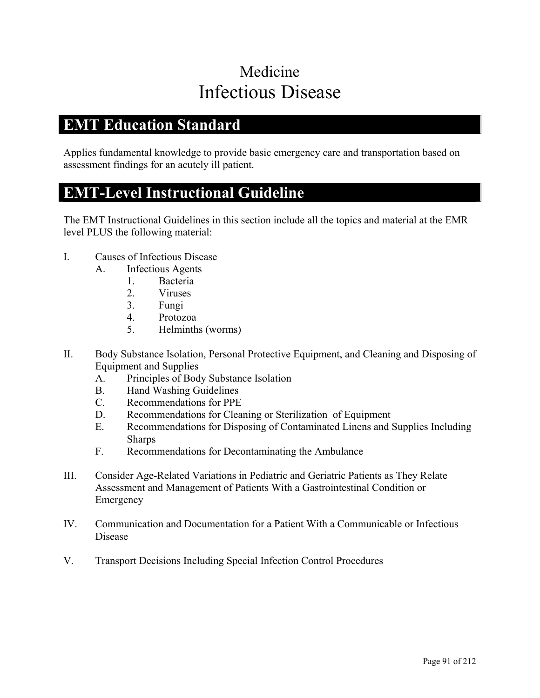# Medicine Infectious Disease

## **EMT Education Standard**

Applies fundamental knowledge to provide basic emergency care and transportation based on assessment findings for an acutely ill patient.

#### **EMT-Level Instructional Guideline**

- I. Causes of Infectious Disease
	- A. Infectious Agents
		- 1. Bacteria
		- 2. Viruses
		- 3. Fungi
		- 4. Protozoa
		- 5. Helminths (worms)
- II. Body Substance Isolation, Personal Protective Equipment, and Cleaning and Disposing of Equipment and Supplies
	- A. Principles of Body Substance Isolation
	- B. Hand Washing Guidelines
	- C. Recommendations for PPE
	- D. Recommendations for Cleaning or Sterilization of Equipment
	- E. Recommendations for Disposing of Contaminated Linens and Supplies Including Sharps
	- F. Recommendations for Decontaminating the Ambulance
- III. Consider Age-Related Variations in Pediatric and Geriatric Patients as They Relate Assessment and Management of Patients With a Gastrointestinal Condition or Emergency
- IV. Communication and Documentation for a Patient With a Communicable or Infectious Disease
- V. Transport Decisions Including Special Infection Control Procedures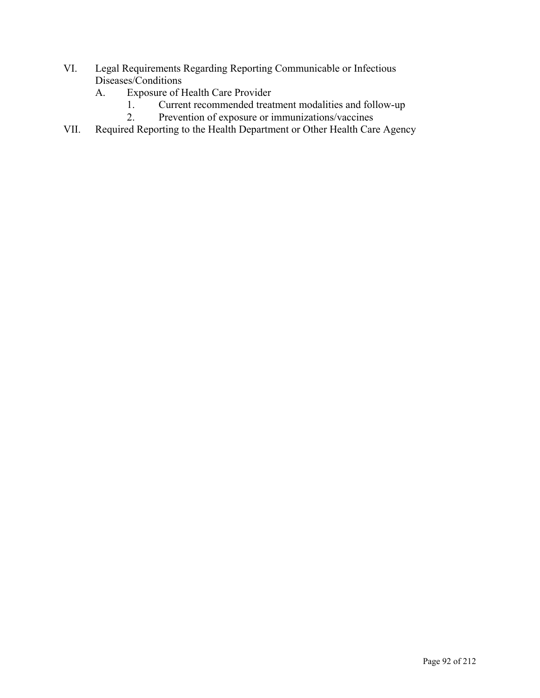- VI. Legal Requirements Regarding Reporting Communicable or Infectious Diseases/Conditions
	- A. Exposure of Health Care Provider
		- 1. Current recommended treatment modalities and follow-up<br>2. Prevention of exposure or immunizations/vaccines
			- Prevention of exposure or immunizations/vaccines
- VII. Required Reporting to the Health Department or Other Health Care Agency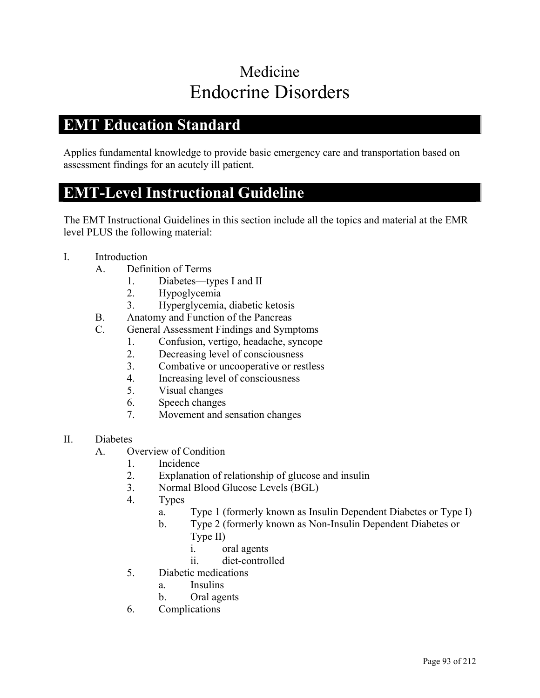# Medicine Endocrine Disorders

## **EMT Education Standard**

Applies fundamental knowledge to provide basic emergency care and transportation based on assessment findings for an acutely ill patient.

### **EMT-Level Instructional Guideline**

- I. Introduction
	- A. Definition of Terms
		- 1. Diabetes—types I and II
		- 2. Hypoglycemia
		- 3. Hyperglycemia, diabetic ketosis
	- B. Anatomy and Function of the Pancreas
	- C. General Assessment Findings and Symptoms
		- 1. Confusion, vertigo, headache, syncope
		- 2. Decreasing level of consciousness
		- 3. Combative or uncooperative or restless
		- 4. Increasing level of consciousness
		- 5. Visual changes
		- 6. Speech changes
		- 7. Movement and sensation changes
- II. Diabetes
	- A. Overview of Condition
		- 1. Incidence
		- 2. Explanation of relationship of glucose and insulin
		- 3. Normal Blood Glucose Levels (BGL)
		- 4. Types
			- a. Type 1 (formerly known as Insulin Dependent Diabetes or Type I)
			- b. Type 2 (formerly known as Non-Insulin Dependent Diabetes or Type II)
				- i. oral agents
				- ii. diet-controlled
		- 5. Diabetic medications
			- a. Insulins
			- b. Oral agents
		- 6. Complications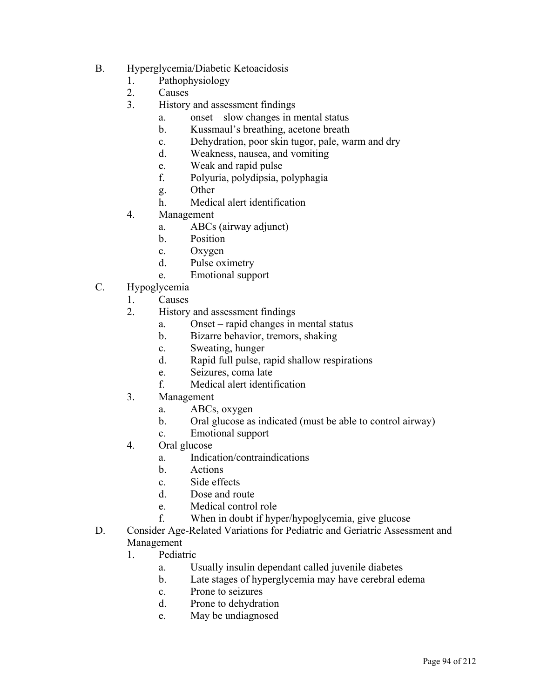- B. Hyperglycemia/Diabetic Ketoacidosis
	- 1. Pathophysiology
	- 2. Causes
	- 3. History and assessment findings
		- a. onset—slow changes in mental status
		- b. Kussmaul's breathing, acetone breath
		- c. Dehydration, poor skin tugor, pale, warm and dry
		- d. Weakness, nausea, and vomiting
		- e. Weak and rapid pulse
		- f. Polyuria, polydipsia, polyphagia
		- g. Other
		- h. Medical alert identification
	- 4. Management
		- a. ABCs (airway adjunct)
		- b. Position
		- c. Oxygen
		- d. Pulse oximetry
		- e. Emotional support
- C. Hypoglycemia
	- 1. Causes
	- 2. History and assessment findings
		- a. Onset rapid changes in mental status
		- b. Bizarre behavior, tremors, shaking
		- c. Sweating, hunger
		- d. Rapid full pulse, rapid shallow respirations
		- e. Seizures, coma late
		- f. Medical alert identification
	- 3. Management
		- a. ABCs, oxygen
		- b. Oral glucose as indicated (must be able to control airway)
		- c. Emotional support
	- 4. Oral glucose
		- a. Indication/contraindications
		- b. Actions
		- c. Side effects
		- d. Dose and route
		- e. Medical control role
		- f. When in doubt if hyper/hypoglycemia, give glucose
- D. Consider Age-Related Variations for Pediatric and Geriatric Assessment and Management
	- 1. Pediatric
		- a. Usually insulin dependant called juvenile diabetes
		- b. Late stages of hyperglycemia may have cerebral edema
		- c. Prone to seizures
		- d. Prone to dehydration
		- e. May be undiagnosed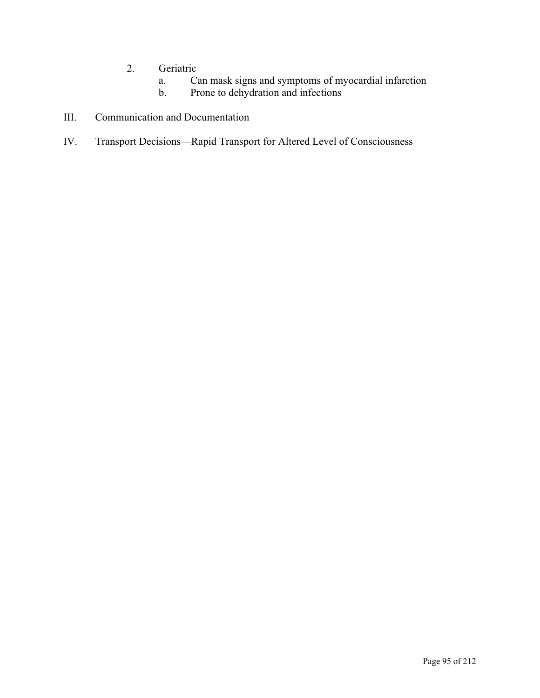- 2. Geriatric
	- a. Can mask signs and symptoms of myocardial infarction
	- Prone to dehydration and infections
- III. Communication and Documentation
- IV. Transport Decisions—Rapid Transport for Altered Level of Consciousness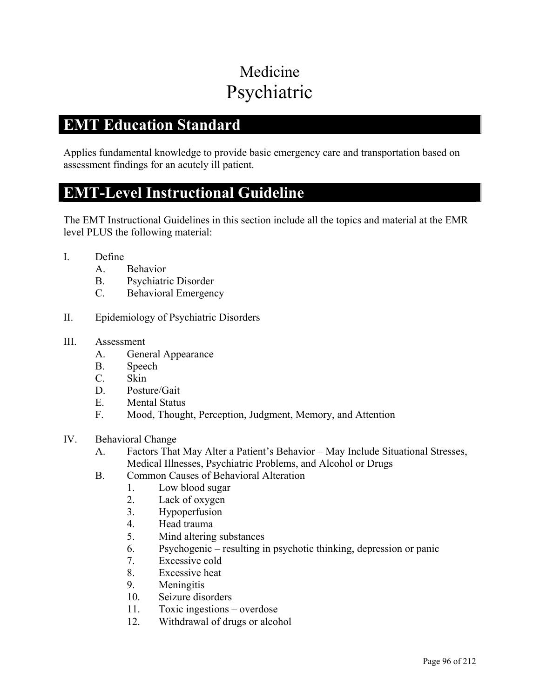# Medicine Psychiatric

## **EMT Education Standard**

Applies fundamental knowledge to provide basic emergency care and transportation based on assessment findings for an acutely ill patient.

#### **EMT-Level Instructional Guideline**

The EMT Instructional Guidelines in this section include all the topics and material at the EMR level PLUS the following material:

- I. Define
	- A. Behavior
	- B. Psychiatric Disorder
	- C. Behavioral Emergency
- II. Epidemiology of Psychiatric Disorders

#### III. Assessment

- A. General Appearance
- B. Speech
- C. Skin
- D. Posture/Gait
- E. Mental Status
- F. Mood, Thought, Perception, Judgment, Memory, and Attention
- IV. Behavioral Change
	- A. Factors That May Alter a Patient's Behavior May Include Situational Stresses, Medical Illnesses, Psychiatric Problems, and Alcohol or Drugs
	- B. Common Causes of Behavioral Alteration
		- 1. Low blood sugar
		- 2. Lack of oxygen
		- 3. Hypoperfusion
		- 4. Head trauma
		- 5. Mind altering substances
		- 6. Psychogenic resulting in psychotic thinking, depression or panic
		- 7. Excessive cold
		- 8. Excessive heat
		- 9. Meningitis
		- 10. Seizure disorders
		- 11. Toxic ingestions overdose
		- 12. Withdrawal of drugs or alcohol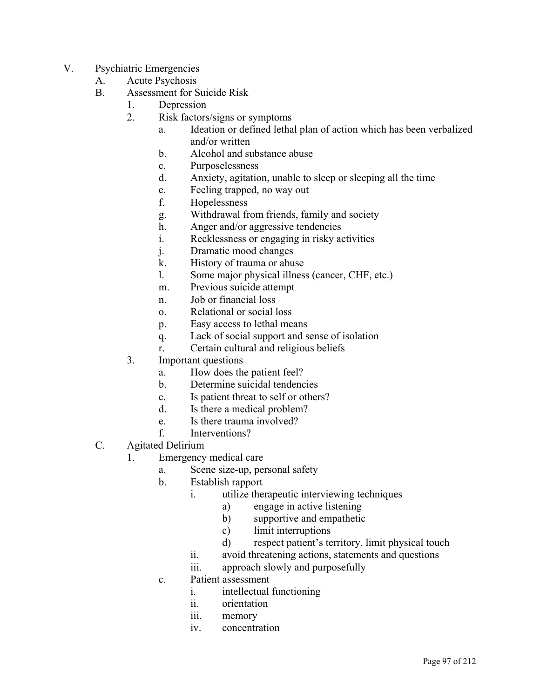- V. Psychiatric Emergencies
	- A. Acute Psychosis
	- B. Assessment for Suicide Risk
		- 1. Depression
		- 2. Risk factors/signs or symptoms
			- a. Ideation or defined lethal plan of action which has been verbalized and/or written
			- b. Alcohol and substance abuse
			- c. Purposelessness
			- d. Anxiety, agitation, unable to sleep or sleeping all the time
			- e. Feeling trapped, no way out
			- f. Hopelessness
			- g. Withdrawal from friends, family and society
			- h. Anger and/or aggressive tendencies
			- i. Recklessness or engaging in risky activities
			- j. Dramatic mood changes
			- k. History of trauma or abuse
			- l. Some major physical illness (cancer, CHF, etc.)
			- m. Previous suicide attempt
			- n. Job or financial loss
			- o. Relational or social loss
			- p. Easy access to lethal means
			- q. Lack of social support and sense of isolation
			- r. Certain cultural and religious beliefs
		- 3. Important questions
			- a. How does the patient feel?
			- b. Determine suicidal tendencies
			- c. Is patient threat to self or others?
			- d. Is there a medical problem?
			- e. Is there trauma involved?
			- f. Interventions?
	- C. Agitated Delirium
		- 1. Emergency medical care
			- a. Scene size-up, personal safety
			- b. Establish rapport
				- i. utilize therapeutic interviewing techniques
					- a) engage in active listening
					- b) supportive and empathetic
					- c) limit interruptions
					- d) respect patient's territory, limit physical touch
				- ii. avoid threatening actions, statements and questions
				- iii. approach slowly and purposefully
			- c. Patient assessment
				- i. intellectual functioning
				- ii. orientation
				- iii. memory
				- iv. concentration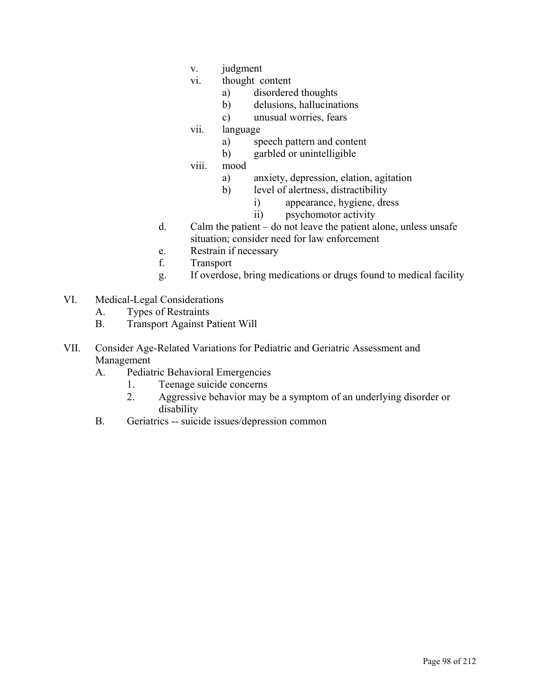- v. judgment
- vi. thought content
	- a) disordered thoughts
	- b) delusions, hallucinations
	- c) unusual worries, fears
- vii. language
	- a) speech pattern and content
	- b) garbled or unintelligible
- viii. mood
	- a) anxiety, depression, elation, agitation
	- b) level of alertness, distractibility
		- i) appearance, hygiene, dress
		- ii) psychomotor activity
- d. Calm the patient do not leave the patient alone, unless unsafe situation; consider need for law enforcement
- e. Restrain if necessary
- f. Transport
- g. If overdose, bring medications or drugs found to medical facility
- VI. Medical-Legal Considerations
	- A. Types of Restraints
	- B. Transport Against Patient Will
- VII. Consider Age-Related Variations for Pediatric and Geriatric Assessment and Management
	- A. Pediatric Behavioral Emergencies
		- 1. Teenage suicide concerns
		- 2. Aggressive behavior may be a symptom of an underlying disorder or disability
	- B. Geriatrics -- suicide issues/depression common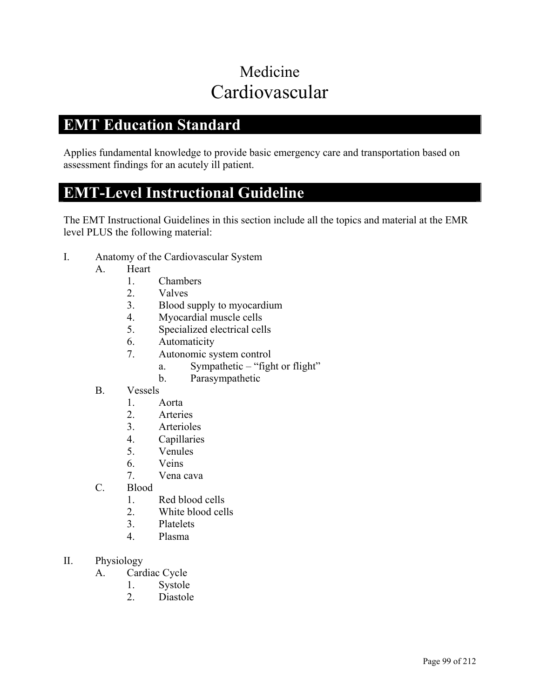# Medicine Cardiovascular

## **EMT Education Standard**

Applies fundamental knowledge to provide basic emergency care and transportation based on assessment findings for an acutely ill patient.

### **EMT-Level Instructional Guideline**

- I. Anatomy of the Cardiovascular System
	- A. Heart
		- 1. Chambers
		- 2. Valves
		- 3. Blood supply to myocardium
		- 4. Myocardial muscle cells
		- 5. Specialized electrical cells
		- 6. Automaticity
		- 7. Autonomic system control
			- a. Sympathetic "fight or flight"
			- b. Parasympathetic
	- B. Vessels
		- 1. Aorta
		- 2. Arteries
		- 3. Arterioles
		- 4. Capillaries
		- 5. Venules
		- 6. Veins
		- 7. Vena cava
	- C. Blood
		- 1. Red blood cells
		- 2. White blood cells
		- 3. Platelets
		- 4. Plasma
- II. Physiology
	- A. Cardiac Cycle
		- 1. Systole
		- 2. Diastole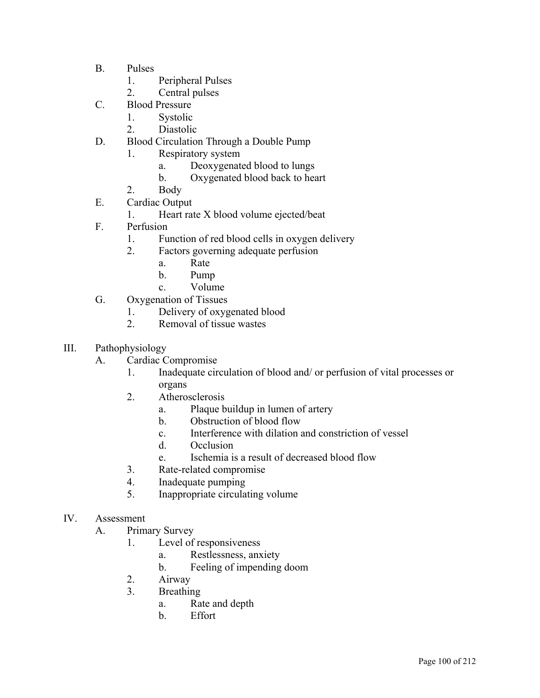- B. Pulses
	- 1. Peripheral Pulses
	- 2. Central pulses
- C. Blood Pressure
	- 1. Systolic
	- 2. Diastolic
- D. Blood Circulation Through a Double Pump
	- 1. Respiratory system
		- a. Deoxygenated blood to lungs
		- b. Oxygenated blood back to heart
	- 2. Body
- E. Cardiac Output
	- 1. Heart rate X blood volume ejected/beat
- F. Perfusion
	- 1. Function of red blood cells in oxygen delivery
	- 2. Factors governing adequate perfusion
		- a. Rate
		- b. Pump
		- c. Volume
- G. Oxygenation of Tissues
	- 1. Delivery of oxygenated blood
	- 2. Removal of tissue wastes
- III. Pathophysiology
	- A. Cardiac Compromise
		- 1. Inadequate circulation of blood and/ or perfusion of vital processes or organs
		- 2. Atherosclerosis
			- a. Plaque buildup in lumen of artery
			- b. Obstruction of blood flow
			- c. Interference with dilation and constriction of vessel
			- d. Occlusion
			- e. Ischemia is a result of decreased blood flow
		- 3. Rate-related compromise
		- 4. Inadequate pumping
		- 5. Inappropriate circulating volume
- IV. Assessment
	- A. Primary Survey
		- 1. Level of responsiveness
			- a. Restlessness, anxiety
			- b. Feeling of impending doom
		- 2. Airway
		- 3. Breathing
			- a. Rate and depth
			- b. Effort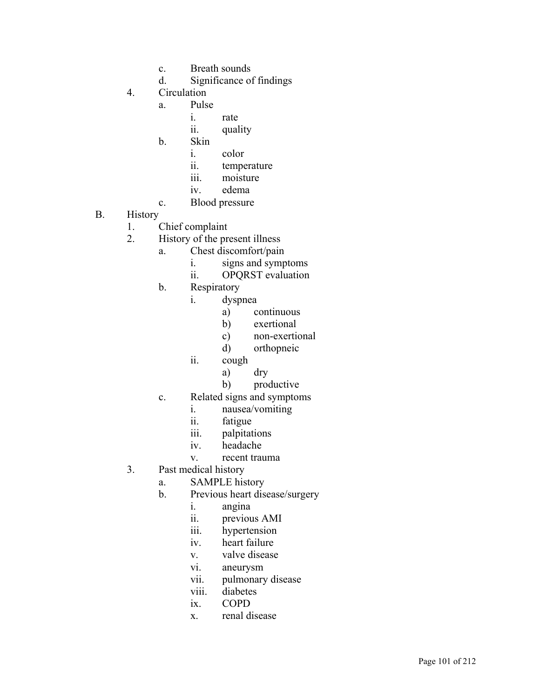- c. Breath sounds
- d. Significance of findings
- 4. Circulation
	- a. Pulse
		- i. rate
		- ii. quality
	- b. Skin
		- i. color
		- ii. temperature
		- iii. moisture
		- iv. edema
	- c. Blood pressure

#### B. History

- 1. Chief complaint
- 2. History of the present illness
	- a. Chest discomfort/pain
		- i. signs and symptoms
		- ii. OPQRST evaluation
	- b. Respiratory
		- i. dyspnea
			- a) continuous
			- b) exertional
			- c) non-exertional
			- d) orthopneic
		- ii. cough
			- a) dry
			- b) productive
	- c. Related signs and symptoms
		- i. nausea/vomiting
		- ii. fatigue
		- iii. palpitations
		- iv. headache
		- v. recent trauma
- 3. Past medical history
	- a. SAMPLE history
	- b. Previous heart disease/surgery
		- i. angina
		- ii. previous AMI
		- iii. hypertension
		- iv. heart failure
		- v. valve disease
		- vi. aneurysm
		- vii. pulmonary disease
		- viii. diabetes
		- ix. COPD
		- x. renal disease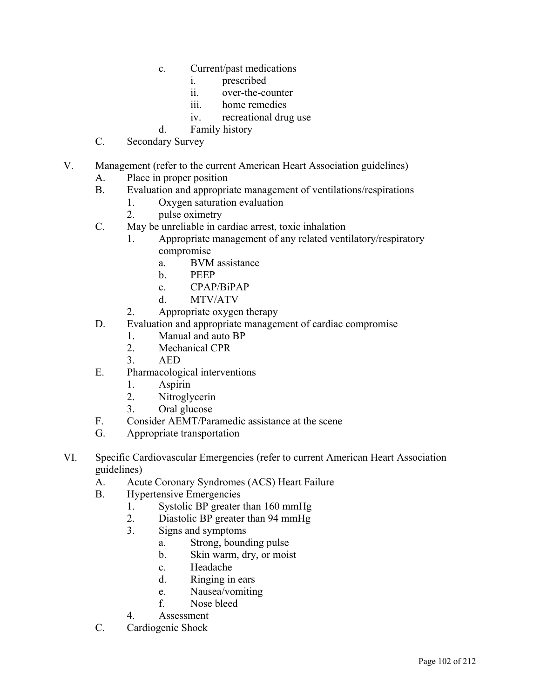- c. Current/past medications
	- i. prescribed
	- ii. over-the-counter
	- iii. home remedies
	- iv. recreational drug use
- d. Family history
- C. Secondary Survey
- V. Management (refer to the current American Heart Association guidelines)
	- A. Place in proper position
	- B. Evaluation and appropriate management of ventilations/respirations
		- 1. Oxygen saturation evaluation
		- 2. pulse oximetry
	- C. May be unreliable in cardiac arrest, toxic inhalation
		- 1. Appropriate management of any related ventilatory/respiratory compromise
			- a. BVM assistance
			- b. PEEP
			- c. CPAP/BiPAP
			- d. MTV/ATV
		- 2. Appropriate oxygen therapy
	- D. Evaluation and appropriate management of cardiac compromise
		- 1. Manual and auto BP
		- 2. Mechanical CPR
		- 3. AED
	- E. Pharmacological interventions
		- 1. Aspirin
		- 2. Nitroglycerin
		- 3. Oral glucose
	- F. Consider AEMT/Paramedic assistance at the scene
	- G. Appropriate transportation
- VI. Specific Cardiovascular Emergencies (refer to current American Heart Association guidelines)
	- A. Acute Coronary Syndromes (ACS) Heart Failure
	- B. Hypertensive Emergencies
		- 1. Systolic BP greater than 160 mmHg
		- 2. Diastolic BP greater than 94 mmHg
		- 3. Signs and symptoms
			- a. Strong, bounding pulse
			- b. Skin warm, dry, or moist
			- c. Headache
			- d. Ringing in ears
			- e. Nausea/vomiting
			- f. Nose bleed
		- 4. Assessment
	- C. Cardiogenic Shock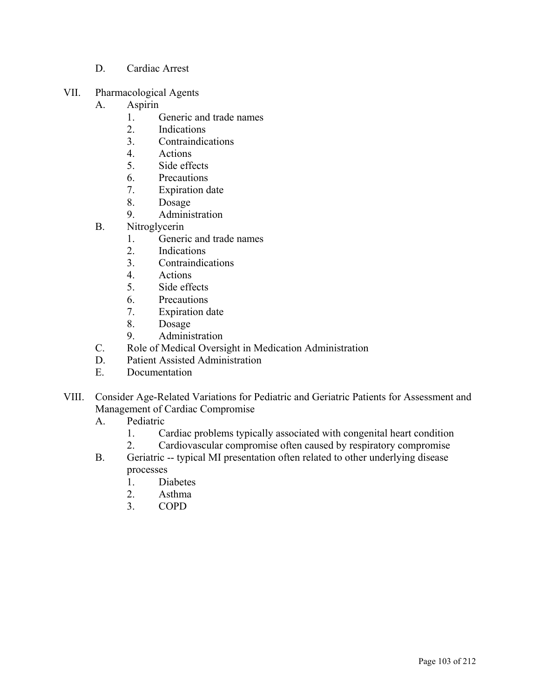- D. Cardiac Arrest
- VII. Pharmacological Agents
	- A. Aspirin
		- 1. Generic and trade names
		- 2. Indications
		- 3. Contraindications
		- 4. Actions
		- 5. Side effects
		- 6. Precautions
		- 7. Expiration date
		- 8. Dosage
		- 9. Administration
	- B. Nitroglycerin
		- 1. Generic and trade names
		- 2. Indications
		- 3. Contraindications
		- 4. Actions
		- 5. Side effects
		- 6. Precautions
		- 7. Expiration date
		- 8. Dosage
		- 9. Administration
	- C. Role of Medical Oversight in Medication Administration
	- D. Patient Assisted Administration
	- E. Documentation
- VIII. Consider Age-Related Variations for Pediatric and Geriatric Patients for Assessment and Management of Cardiac Compromise
	- A. Pediatric
		- 1. Cardiac problems typically associated with congenital heart condition
		- 2. Cardiovascular compromise often caused by respiratory compromise
	- B. Geriatric -- typical MI presentation often related to other underlying disease processes
		- 1. Diabetes
		- 2. Asthma
		- 3. COPD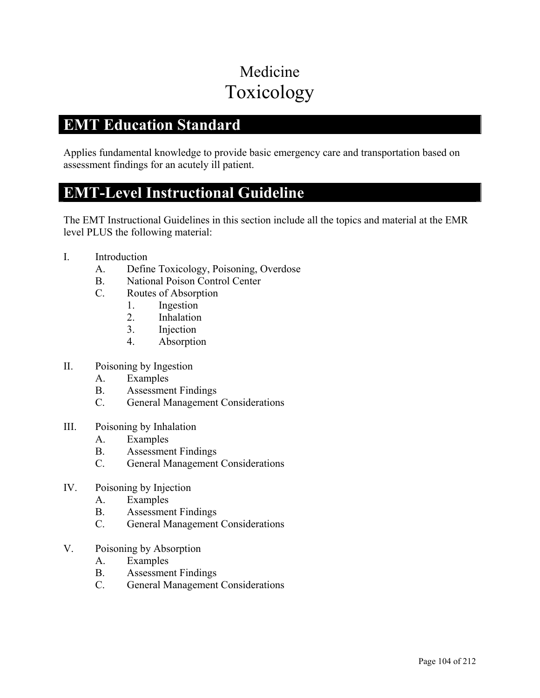# Medicine Toxicology

## **EMT Education Standard**

Applies fundamental knowledge to provide basic emergency care and transportation based on assessment findings for an acutely ill patient.

### **EMT-Level Instructional Guideline**

- I. Introduction
	- A. Define Toxicology, Poisoning, Overdose
	- B. National Poison Control Center
	- C. Routes of Absorption
		- 1. Ingestion
		- 2. Inhalation
		- 3. Injection
		- 4. Absorption
- II. Poisoning by Ingestion
	- A. Examples
	- B. Assessment Findings
	- C. General Management Considerations
- III. Poisoning by Inhalation
	- A. Examples
	- B. Assessment Findings
	- C. General Management Considerations
- IV. Poisoning by Injection
	- A. Examples
	- B. Assessment Findings
	- C. General Management Considerations
- V. Poisoning by Absorption
	- A. Examples
	- B. Assessment Findings
	- C. General Management Considerations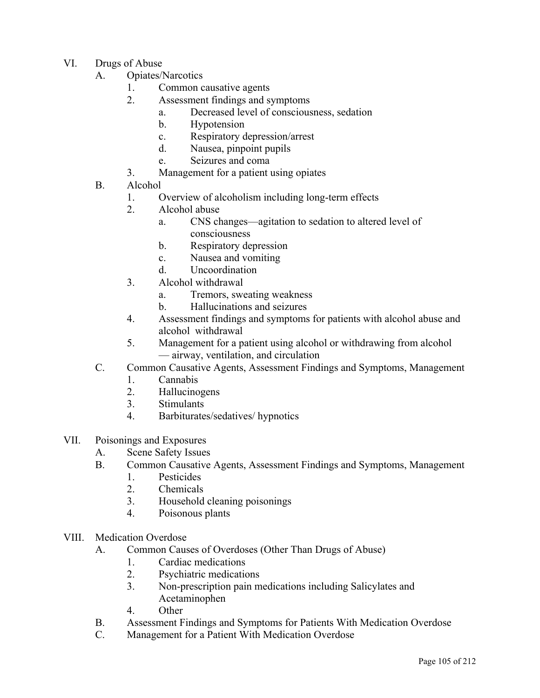- VI. Drugs of Abuse
	- A. Opiates/Narcotics
		- 1. Common causative agents
		- 2. Assessment findings and symptoms
			- a. Decreased level of consciousness, sedation
			- b. Hypotension
			- c. Respiratory depression/arrest
			- d. Nausea, pinpoint pupils
			- e. Seizures and coma
		- 3. Management for a patient using opiates
	- B. Alcohol
		- 1. Overview of alcoholism including long-term effects
		- 2. Alcohol abuse
			- a. CNS changes—agitation to sedation to altered level of consciousness
			- b. Respiratory depression
			- c. Nausea and vomiting
			- d. Uncoordination
		- 3. Alcohol withdrawal
			- a. Tremors, sweating weakness
			- b. Hallucinations and seizures
		- 4. Assessment findings and symptoms for patients with alcohol abuse and alcohol withdrawal
		- 5. Management for a patient using alcohol or withdrawing from alcohol — airway, ventilation, and circulation
	- C. Common Causative Agents, Assessment Findings and Symptoms, Management
		- 1. Cannabis
		- 2. Hallucinogens
		- 3. Stimulants
		- 4. Barbiturates/sedatives/ hypnotics
- VII. Poisonings and Exposures
	- A. Scene Safety Issues
	- B. Common Causative Agents, Assessment Findings and Symptoms, Management
		- 1. Pesticides
		- 2. Chemicals
		- 3. Household cleaning poisonings
		- 4. Poisonous plants
- VIII. Medication Overdose
	- A. Common Causes of Overdoses (Other Than Drugs of Abuse)
		- 1. Cardiac medications
		- 2. Psychiatric medications
		- 3. Non-prescription pain medications including Salicylates and Acetaminophen
		- 4. Other
	- B. Assessment Findings and Symptoms for Patients With Medication Overdose
	- C. Management for a Patient With Medication Overdose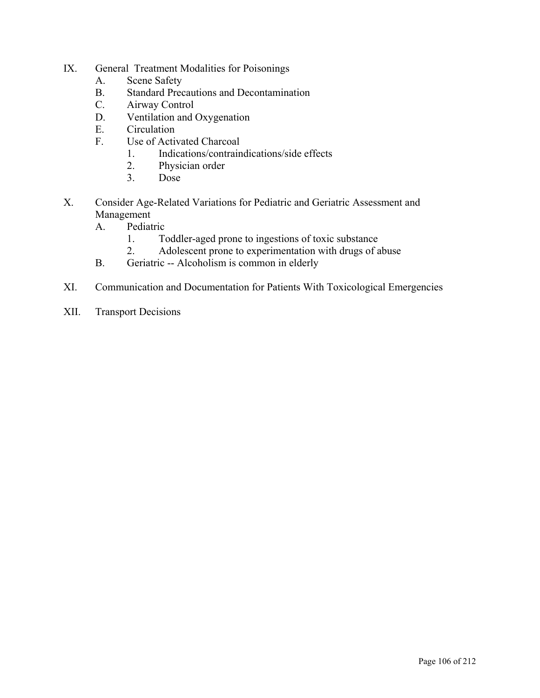- IX. General Treatment Modalities for Poisonings
	- A. Scene Safety
	- B. Standard Precautions and Decontamination
	- C. Airway Control
	- D. Ventilation and Oxygenation
	- E. Circulation
	- F. Use of Activated Charcoal
		- 1. Indications/contraindications/side effects
		- 2. Physician order
		- 3. Dose
- X. Consider Age-Related Variations for Pediatric and Geriatric Assessment and Management
	- A. Pediatric
		- 1. Toddler-aged prone to ingestions of toxic substance
		- 2. Adolescent prone to experimentation with drugs of abuse
	- B. Geriatric -- Alcoholism is common in elderly
- XI. Communication and Documentation for Patients With Toxicological Emergencies
- XII. Transport Decisions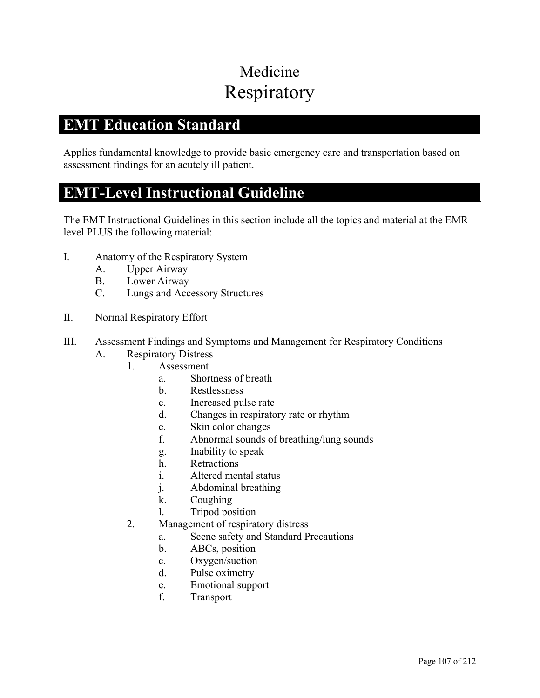# Medicine Respiratory

## **EMT Education Standard**

Applies fundamental knowledge to provide basic emergency care and transportation based on assessment findings for an acutely ill patient.

### **EMT-Level Instructional Guideline**

- I. Anatomy of the Respiratory System
	- A. Upper Airway
	- B. Lower Airway
	- C. Lungs and Accessory Structures
- II. Normal Respiratory Effort
- III. Assessment Findings and Symptoms and Management for Respiratory Conditions
	- A. Respiratory Distress
		- 1. Assessment
			- a. Shortness of breath
			- b. Restlessness
			- c. Increased pulse rate
			- d. Changes in respiratory rate or rhythm
			- e. Skin color changes
			- f. Abnormal sounds of breathing/lung sounds
			- g. Inability to speak
			- h. Retractions
			- i. Altered mental status
			- j. Abdominal breathing
			- k. Coughing
			- l. Tripod position
		- 2. Management of respiratory distress
			- a. Scene safety and Standard Precautions
			- b. ABCs, position
			- c. Oxygen/suction
			- d. Pulse oximetry
			- e. Emotional support
			- f. Transport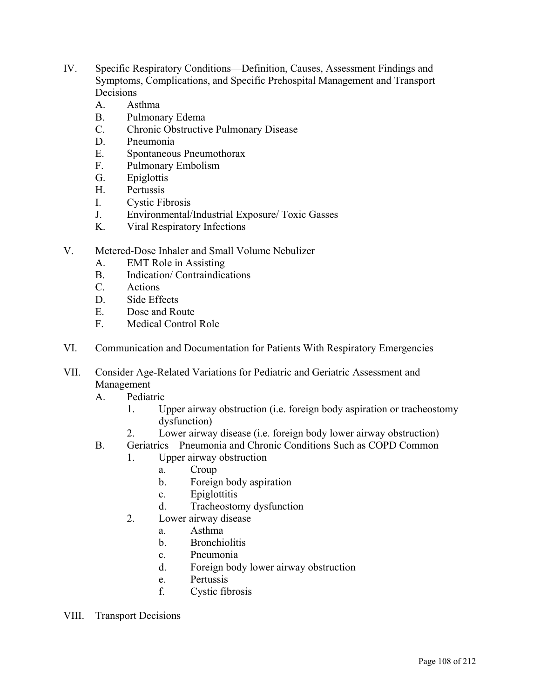- IV. Specific Respiratory Conditions—Definition, Causes, Assessment Findings and Symptoms, Complications, and Specific Prehospital Management and Transport Decisions
	- A. Asthma
	- B. Pulmonary Edema
	- C. Chronic Obstructive Pulmonary Disease
	- D. Pneumonia
	- E. Spontaneous Pneumothorax
	- F. Pulmonary Embolism
	- G. Epiglottis
	- H. Pertussis
	- I. Cystic Fibrosis
	- J. Environmental/Industrial Exposure/ Toxic Gasses
	- K. Viral Respiratory Infections
- V. Metered-Dose Inhaler and Small Volume Nebulizer
	- A. EMT Role in Assisting
	- B. Indication/ Contraindications
	- C. Actions
	- D. Side Effects
	- E. Dose and Route
	- F. Medical Control Role
- VI. Communication and Documentation for Patients With Respiratory Emergencies
- VII. Consider Age-Related Variations for Pediatric and Geriatric Assessment and Management
	- A. Pediatric
		- 1. Upper airway obstruction (i.e. foreign body aspiration or tracheostomy dysfunction)
		- 2. Lower airway disease (i.e. foreign body lower airway obstruction)
	- B. Geriatrics—Pneumonia and Chronic Conditions Such as COPD Common
		- 1. Upper airway obstruction
			- a. Croup
			- b. Foreign body aspiration
			- c. Epiglottitis
			- d. Tracheostomy dysfunction
		- 2. Lower airway disease
			- a. Asthma
			- b. Bronchiolitis
			- c. Pneumonia
			- d. Foreign body lower airway obstruction
			- e. Pertussis
			- f. Cystic fibrosis
- VIII. Transport Decisions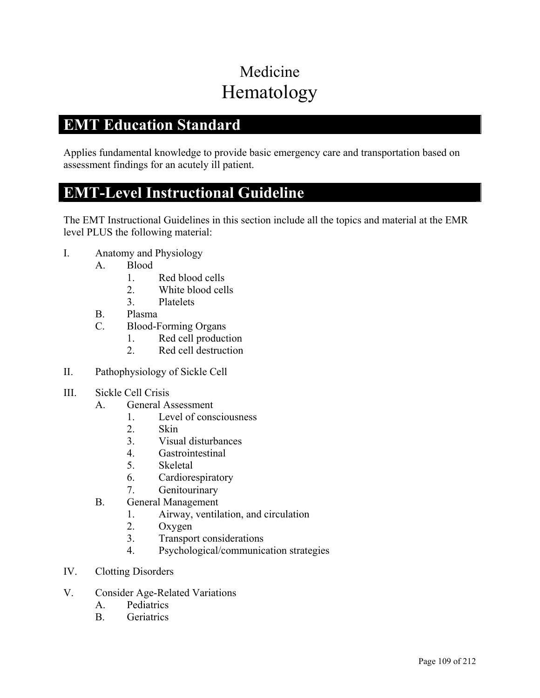# Medicine Hematology

## **EMT Education Standard**

Applies fundamental knowledge to provide basic emergency care and transportation based on assessment findings for an acutely ill patient.

### **EMT-Level Instructional Guideline**

- I. Anatomy and Physiology
	- A. Blood
		- 1. Red blood cells
		- 2. White blood cells
		- 3. Platelets
	- B. Plasma
	- C. Blood-Forming Organs
		- 1. Red cell production
		- 2. Red cell destruction
- II. Pathophysiology of Sickle Cell
- III. Sickle Cell Crisis
	- A. General Assessment
		- 1. Level of consciousness
		- 2. Skin
		- 3. Visual disturbances
		- 4. Gastrointestinal
		- 5. Skeletal
		- 6. Cardiorespiratory
		- 7. Genitourinary
	- B. General Management
		- 1. Airway, ventilation, and circulation
		- 2. Oxygen
		- 3. Transport considerations
		- 4. Psychological/communication strategies
- IV. Clotting Disorders
- V. Consider Age-Related Variations
	- A. Pediatrics
	- B. Geriatrics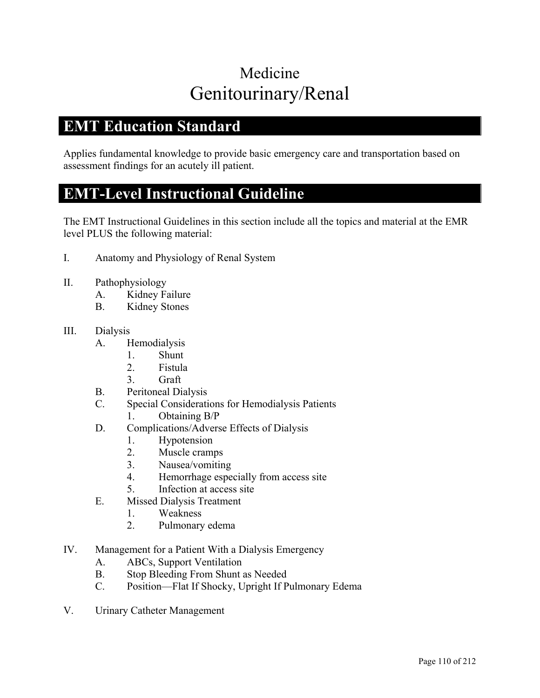## Medicine Genitourinary/Renal

### **EMT Education Standard**

Applies fundamental knowledge to provide basic emergency care and transportation based on assessment findings for an acutely ill patient.

#### **EMT-Level Instructional Guideline**

The EMT Instructional Guidelines in this section include all the topics and material at the EMR level PLUS the following material:

- I. Anatomy and Physiology of Renal System
- II. Pathophysiology
	- A. Kidney Failure
	- B. Kidney Stones

#### III. Dialysis

- A. Hemodialysis
	- 1. Shunt
	- 2. Fistula
	- 3. Graft
- B. Peritoneal Dialysis
- C. Special Considerations for Hemodialysis Patients
	- 1. Obtaining B/P
- D. Complications/Adverse Effects of Dialysis
	- 1. Hypotension
	- 2. Muscle cramps
	- 3. Nausea/vomiting
	- 4. Hemorrhage especially from access site
	- 5. Infection at access site
- E. Missed Dialysis Treatment
	- 1. Weakness
	- 2. Pulmonary edema
- IV. Management for a Patient With a Dialysis Emergency
	- A. ABCs, Support Ventilation
	- B. Stop Bleeding From Shunt as Needed
	- C. Position—Flat If Shocky, Upright If Pulmonary Edema
- V. Urinary Catheter Management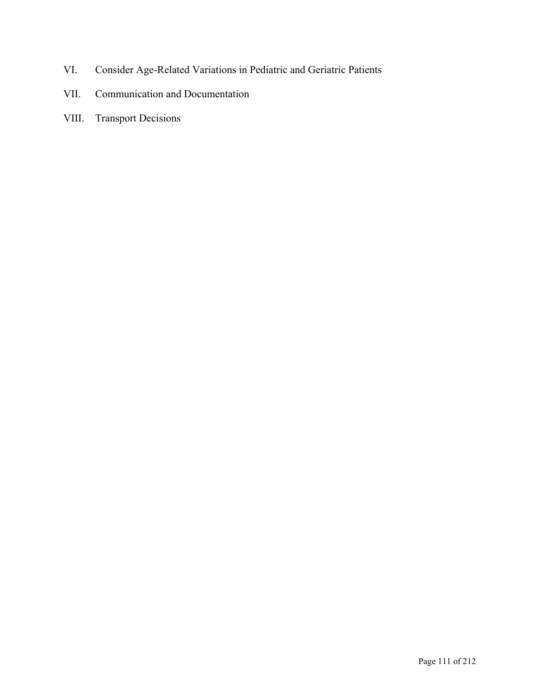- VI. Consider Age-Related Variations in Pediatric and Geriatric Patients
- VII. Communication and Documentation
- VIII. Transport Decisions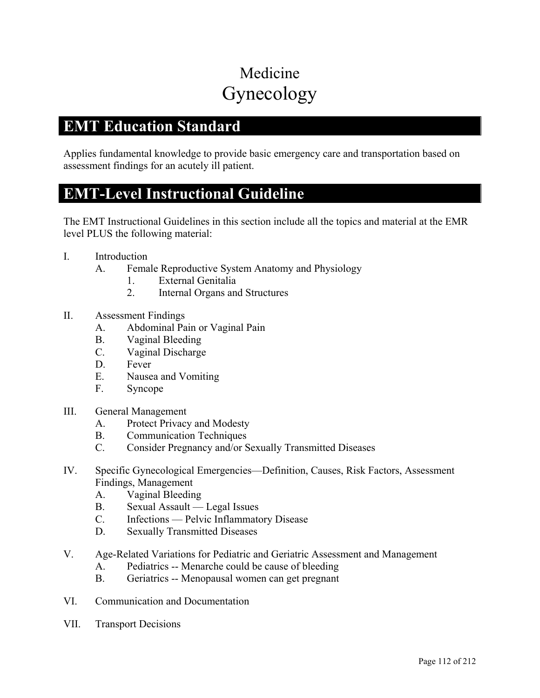# Medicine Gynecology

### **EMT Education Standard**

Applies fundamental knowledge to provide basic emergency care and transportation based on assessment findings for an acutely ill patient.

#### **EMT-Level Instructional Guideline**

- I. Introduction
	- A. Female Reproductive System Anatomy and Physiology
		- 1. External Genitalia
		- 2. Internal Organs and Structures
- II. Assessment Findings
	- A. Abdominal Pain or Vaginal Pain
	- B. Vaginal Bleeding
	- C. Vaginal Discharge
	- D. Fever
	- E. Nausea and Vomiting
	- F. Syncope
- III. General Management
	- A. Protect Privacy and Modesty
	- B. Communication Techniques
	- C. Consider Pregnancy and/or Sexually Transmitted Diseases
- IV. Specific Gynecological Emergencies—Definition, Causes, Risk Factors, Assessment Findings, Management
	- A. Vaginal Bleeding
	- B. Sexual Assault Legal Issues
	- C. Infections Pelvic Inflammatory Disease
	- D. Sexually Transmitted Diseases
- V. Age-Related Variations for Pediatric and Geriatric Assessment and Management
	- A. Pediatrics -- Menarche could be cause of bleeding
	- B. Geriatrics -- Menopausal women can get pregnant
- VI. Communication and Documentation
- VII. Transport Decisions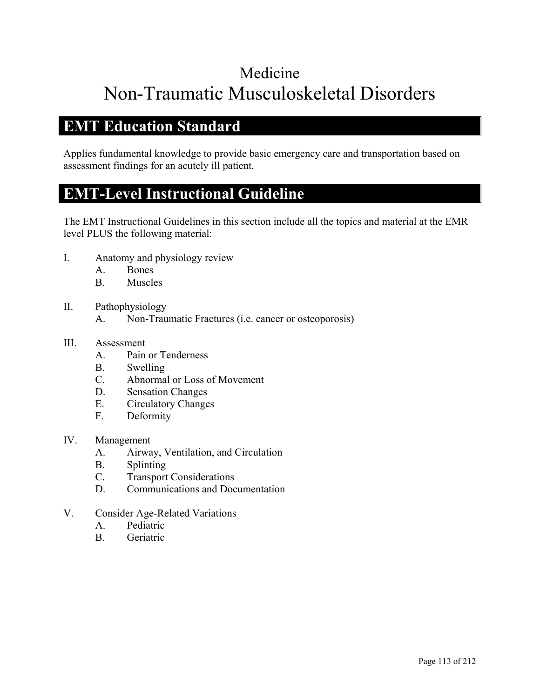# Medicine Non-Traumatic Musculoskeletal Disorders

## **EMT Education Standard**

Applies fundamental knowledge to provide basic emergency care and transportation based on assessment findings for an acutely ill patient.

## **EMT-Level Instructional Guideline**

The EMT Instructional Guidelines in this section include all the topics and material at the EMR level PLUS the following material:

- I. Anatomy and physiology review
	- A. Bones
	- B. Muscles
- II. Pathophysiology
	- A. Non-Traumatic Fractures (i.e. cancer or osteoporosis)

#### III. Assessment

- A. Pain or Tenderness
- B. Swelling
- C. Abnormal or Loss of Movement
- D. Sensation Changes
- E. Circulatory Changes
- F. Deformity
- IV. Management
	- A. Airway, Ventilation, and Circulation
	- B. Splinting
	- C. Transport Considerations
	- D. Communications and Documentation
- V. Consider Age-Related Variations
	- A. Pediatric
	- B. Geriatric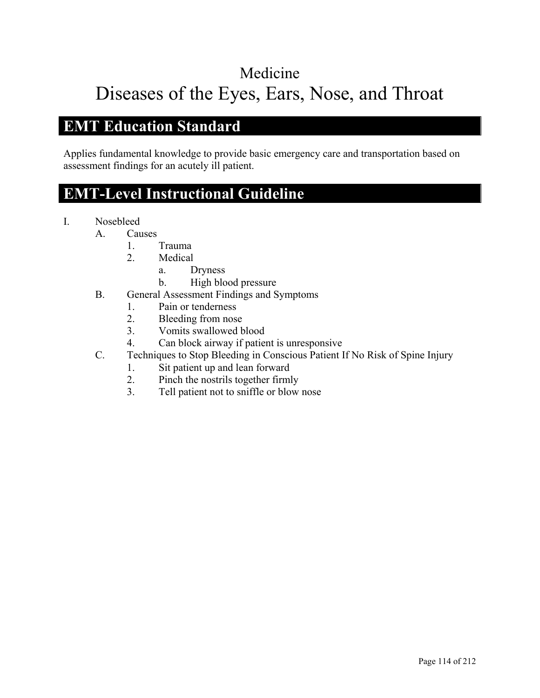# Medicine Diseases of the Eyes, Ears, Nose, and Throat

## **EMT Education Standard**

Applies fundamental knowledge to provide basic emergency care and transportation based on assessment findings for an acutely ill patient.

## **EMT-Level Instructional Guideline**

- I. Nosebleed
	- A. Causes
		- 1. Trauma
		- 2. Medical
			- a. Dryness
			- b. High blood pressure
	- B. General Assessment Findings and Symptoms
		- 1. Pain or tenderness
		- 2. Bleeding from nose
		- 3. Vomits swallowed blood
		- 4. Can block airway if patient is unresponsive
	- C. Techniques to Stop Bleeding in Conscious Patient If No Risk of Spine Injury
		- 1. Sit patient up and lean forward
		- 2. Pinch the nostrils together firmly
		- 3. Tell patient not to sniffle or blow nose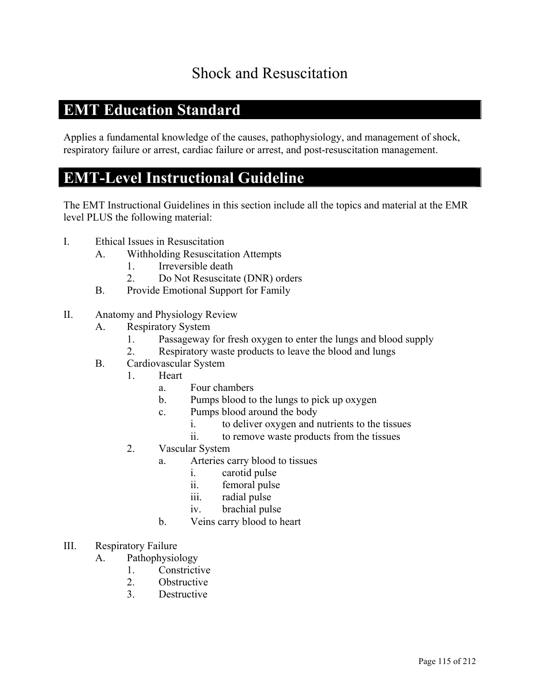## Shock and Resuscitation

## **EMT Education Standard**

Applies a fundamental knowledge of the causes, pathophysiology, and management of shock, respiratory failure or arrest, cardiac failure or arrest, and post-resuscitation management.

### **EMT-Level Instructional Guideline**

- I. Ethical Issues in Resuscitation
	- A. Withholding Resuscitation Attempts
		- 1. Irreversible death
		- 2. Do Not Resuscitate (DNR) orders
	- B. Provide Emotional Support for Family
- II. Anatomy and Physiology Review
	- A. Respiratory System
		- 1. Passageway for fresh oxygen to enter the lungs and blood supply
		- 2. Respiratory waste products to leave the blood and lungs
	- B. Cardiovascular System
		- 1. Heart
			- a. Four chambers
			- b. Pumps blood to the lungs to pick up oxygen
			- c. Pumps blood around the body
				- i. to deliver oxygen and nutrients to the tissues
				- ii. to remove waste products from the tissues
		- 2. Vascular System
			- a. Arteries carry blood to tissues
				- i. carotid pulse
				- ii. femoral pulse
				- iii. radial pulse
				- iv. brachial pulse
			- b. Veins carry blood to heart
- III. Respiratory Failure
	- A. Pathophysiology
		- 1. Constrictive
		- 2. Obstructive
		- 3. Destructive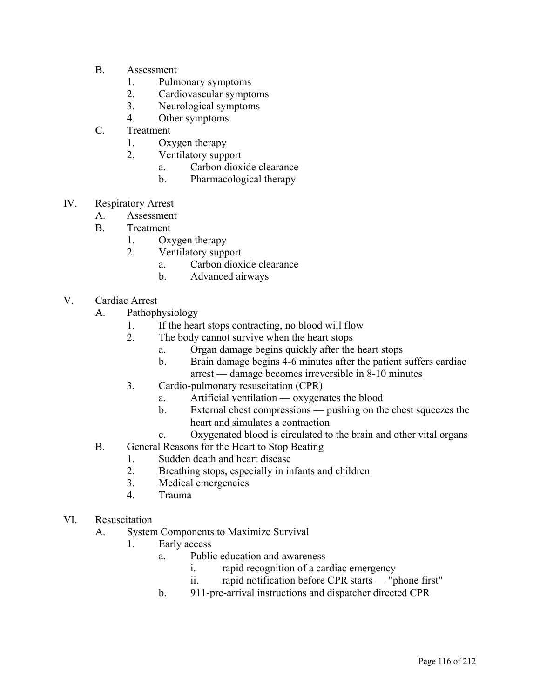- B. Assessment
	- 1. Pulmonary symptoms
	- 2. Cardiovascular symptoms
	- 3. Neurological symptoms
	- 4. Other symptoms
- C. Treatment
	- 1. Oxygen therapy
	- 2. Ventilatory support
		- a. Carbon dioxide clearance
		- b. Pharmacological therapy
- IV. Respiratory Arrest
	- A. Assessment
	- B. Treatment
		- 1. Oxygen therapy
		- 2. Ventilatory support
			- a. Carbon dioxide clearance
			- b. Advanced airways
- V. Cardiac Arrest
	- A. Pathophysiology
		- 1. If the heart stops contracting, no blood will flow
		- 2. The body cannot survive when the heart stops
			- a. Organ damage begins quickly after the heart stops
			- b. Brain damage begins 4-6 minutes after the patient suffers cardiac arrest — damage becomes irreversible in 8-10 minutes
		- 3. Cardio-pulmonary resuscitation (CPR)
			- a. Artificial ventilation oxygenates the blood
			- b. External chest compressions pushing on the chest squeezes the heart and simulates a contraction
			- c. Oxygenated blood is circulated to the brain and other vital organs
	- B. General Reasons for the Heart to Stop Beating
		- 1. Sudden death and heart disease
		- 2. Breathing stops, especially in infants and children
		- 3. Medical emergencies
		- 4. Trauma
- VI. Resuscitation
	- A. System Components to Maximize Survival
		- 1. Early access
			- a. Public education and awareness
				- i. rapid recognition of a cardiac emergency
				- ii. rapid notification before CPR starts "phone first"
			- b. 911-pre-arrival instructions and dispatcher directed CPR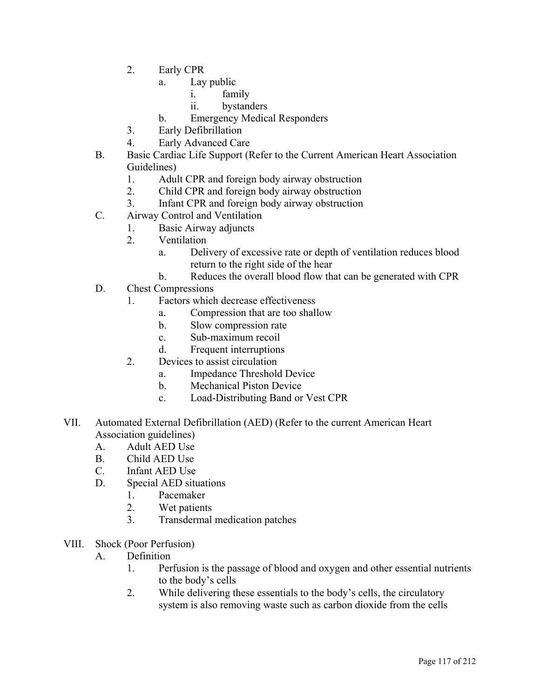- 2. Early CPR
	- a. Lay public
		- i. family
		- ii. bystanders
	- b. Emergency Medical Responders
- 3. Early Defibrillation
- 4. Early Advanced Care
- B. Basic Cardiac Life Support (Refer to the Current American Heart Association Guidelines)
	- 1. Adult CPR and foreign body airway obstruction
	- 2. Child CPR and foreign body airway obstruction
	- 3. Infant CPR and foreign body airway obstruction
- C. Airway Control and Ventilation
	- 1. Basic Airway adjuncts
		- 2. Ventilation
			- a. Delivery of excessive rate or depth of ventilation reduces blood return to the right side of the hear
			- b. Reduces the overall blood flow that can be generated with CPR
- D. Chest Compressions
	- 1. Factors which decrease effectiveness
		- a. Compression that are too shallow
		- b. Slow compression rate
		- c. Sub-maximum recoil
		- d. Frequent interruptions
	- 2. Devices to assist circulation
		- a. Impedance Threshold Device
		- b. Mechanical Piston Device
		- c. Load-Distributing Band or Vest CPR
- VII. Automated External Defibrillation (AED) (Refer to the current American Heart Association guidelines)
	- A. Adult AED Use
	- B. Child AED Use
	- C. Infant AED Use
	- D. Special AED situations
		- 1. Pacemaker
		- 2. Wet patients
		- 3. Transdermal medication patches
- VIII. Shock (Poor Perfusion)
	- A. Definition
		- 1. Perfusion is the passage of blood and oxygen and other essential nutrients to the body's cells
		- 2. While delivering these essentials to the body's cells, the circulatory system is also removing waste such as carbon dioxide from the cells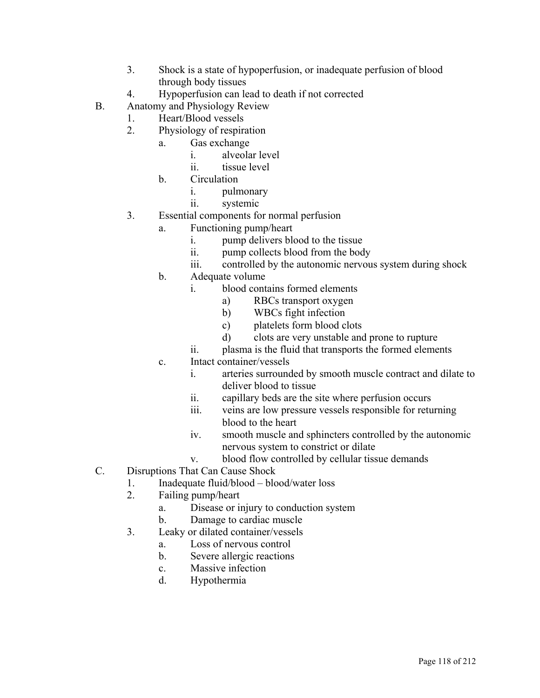- 3. Shock is a state of hypoperfusion, or inadequate perfusion of blood through body tissues
- 4. Hypoperfusion can lead to death if not corrected
- B. Anatomy and Physiology Review
	- 1. Heart/Blood vessels
	- 2. Physiology of respiration
		- a. Gas exchange
			- i. alveolar level
			- ii. tissue level
		- b. Circulation
			- i. pulmonary
			- ii. systemic
	- 3. Essential components for normal perfusion
		- a. Functioning pump/heart
			- i. pump delivers blood to the tissue
			- ii. pump collects blood from the body
			- iii. controlled by the autonomic nervous system during shock
		- b. Adequate volume
			- i. blood contains formed elements
				- a) RBCs transport oxygen
				- b) WBCs fight infection
				- c) platelets form blood clots
				- d) clots are very unstable and prone to rupture
			- ii. plasma is the fluid that transports the formed elements
		- c. Intact container/vessels
			- i. arteries surrounded by smooth muscle contract and dilate to deliver blood to tissue
			- ii. capillary beds are the site where perfusion occurs
			- iii. veins are low pressure vessels responsible for returning blood to the heart
			- iv. smooth muscle and sphincters controlled by the autonomic nervous system to constrict or dilate
			- v. blood flow controlled by cellular tissue demands
- C. Disruptions That Can Cause Shock
	- 1. Inadequate fluid/blood blood/water loss
	- 2. Failing pump/heart
		- a. Disease or injury to conduction system
		- b. Damage to cardiac muscle
	- 3. Leaky or dilated container/vessels
		- a. Loss of nervous control
		- b. Severe allergic reactions
		- c. Massive infection
		- d. Hypothermia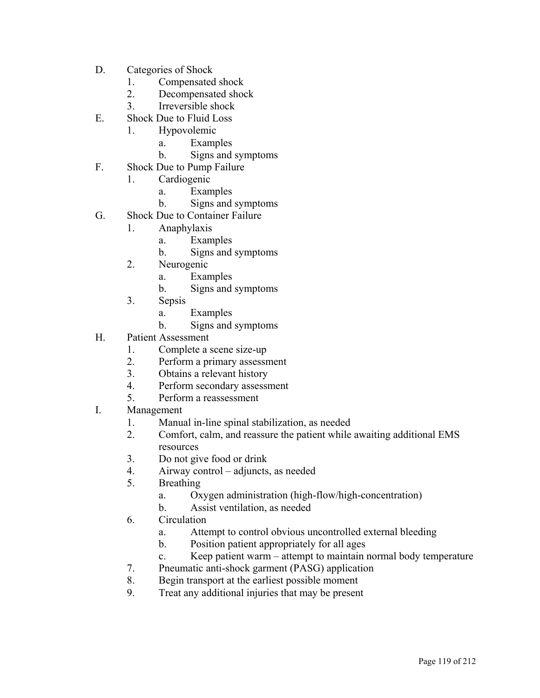- D. Categories of Shock
	- 1. Compensated shock
	- 2. Decompensated shock
	- 3. Irreversible shock
- E. Shock Due to Fluid Loss
	- 1. Hypovolemic
		- a. Examples
			- b. Signs and symptoms
- F. Shock Due to Pump Failure
	- 1. Cardiogenic
		- a. Examples
		- b. Signs and symptoms
- G. Shock Due to Container Failure
	- 1. Anaphylaxis
		- a. Examples
		- b. Signs and symptoms
		- 2. Neurogenic
			- a. Examples
			- b. Signs and symptoms
		- 3. Sepsis
			- a. Examples
			- b. Signs and symptoms
- H. Patient Assessment
	- 1. Complete a scene size-up
	- 2. Perform a primary assessment
	- 3. Obtains a relevant history
	- 4. Perform secondary assessment
	- 5. Perform a reassessment
- I. Management
	- 1. Manual in-line spinal stabilization, as needed
	- 2. Comfort, calm, and reassure the patient while awaiting additional EMS resources
	- 3. Do not give food or drink
	- 4. Airway control adjuncts, as needed
	- 5. Breathing
		- a. Oxygen administration (high-flow/high-concentration)
		- b. Assist ventilation, as needed
	- 6. Circulation
		- a. Attempt to control obvious uncontrolled external bleeding
		- b. Position patient appropriately for all ages
		- c. Keep patient warm attempt to maintain normal body temperature
	- 7. Pneumatic anti-shock garment (PASG) application
	- 8. Begin transport at the earliest possible moment
	- 9. Treat any additional injuries that may be present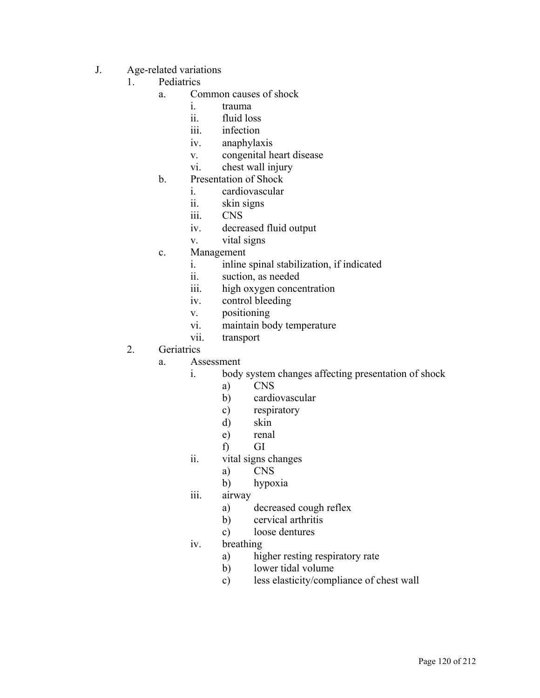- J. Age-related variations
	- 1. Pediatrics
		- a. Common causes of shock
			- i. trauma
			- ii. fluid loss
			- iii. infection
			- iv. anaphylaxis
			- v. congenital heart disease
			- vi. chest wall injury
		- b. Presentation of Shock
			- i. cardiovascular
			- ii. skin signs
			- iii. CNS
			- iv. decreased fluid output
			- v. vital signs
		- c. Management
			- i. inline spinal stabilization, if indicated
			- ii. suction, as needed
			- iii. high oxygen concentration
			- iv. control bleeding
			- v. positioning
			- vi. maintain body temperature
			- vii. transport

#### 2. Geriatrics

- a. Assessment
	- i. body system changes affecting presentation of shock
		- a) CNS
		- b) cardiovascular
		- c) respiratory
		- d) skin
		- e) renal
		- f) GI
	- ii. vital signs changes
		- a) CNS
		- b) hypoxia
	- iii. airway
		- a) decreased cough reflex
		- b) cervical arthritis
		- c) loose dentures
	- iv. breathing
		- a) higher resting respiratory rate
		- b) lower tidal volume
		- c) less elasticity/compliance of chest wall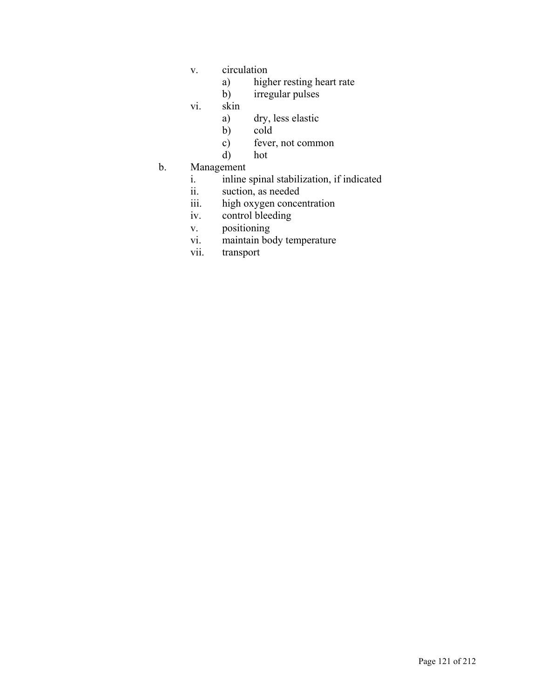- v. circulation
	- a) higher resting heart rate
	- b) irregular pulses
- vi. skin
	- a) dry, less elastic
	- b) cold
	- c) fever, not common
	- d) hot
- b. Management
	- i. inline spinal stabilization, if indicated
	- ii. suction, as needed
	- iii. high oxygen concentration
	- iv. control bleeding
	- v. positioning
	- vi. maintain body temperature
	- vii. transport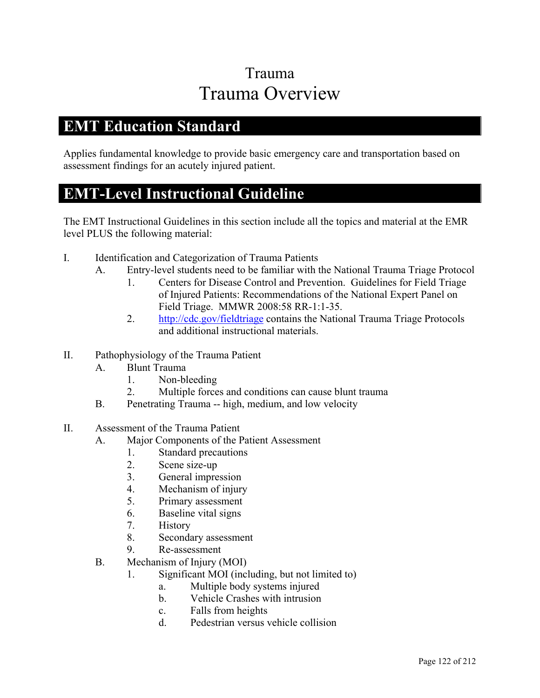## Trauma Trauma Overview

### **EMT Education Standard**

Applies fundamental knowledge to provide basic emergency care and transportation based on assessment findings for an acutely injured patient.

#### **EMT-Level Instructional Guideline**

- I. Identification and Categorization of Trauma Patients
	- A. Entry-level students need to be familiar with the National Trauma Triage Protocol
		- 1. Centers for Disease Control and Prevention. Guidelines for Field Triage of Injured Patients: Recommendations of the National Expert Panel on Field Triage. MMWR 2008:58 RR-1:1-35.
		- 2. http://cdc.gov/fieldtriage contains the National Trauma Triage Protocols and additional instructional materials.
- II. Pathophysiology of the Trauma Patient
	- A. Blunt Trauma
		- 1. Non-bleeding
		- 2. Multiple forces and conditions can cause blunt trauma
	- B. Penetrating Trauma -- high, medium, and low velocity
- II. Assessment of the Trauma Patient
	- A. Major Components of the Patient Assessment
		- 1. Standard precautions
		- 2. Scene size-up
		- 3. General impression
		- 4. Mechanism of injury
		- 5. Primary assessment
		- 6. Baseline vital signs
		- 7. History
		- 8. Secondary assessment
		- 9. Re-assessment
	- B. Mechanism of Injury (MOI)
		- 1. Significant MOI (including, but not limited to)
			- a. Multiple body systems injured
			- b. Vehicle Crashes with intrusion
			- c. Falls from heights
			- d. Pedestrian versus vehicle collision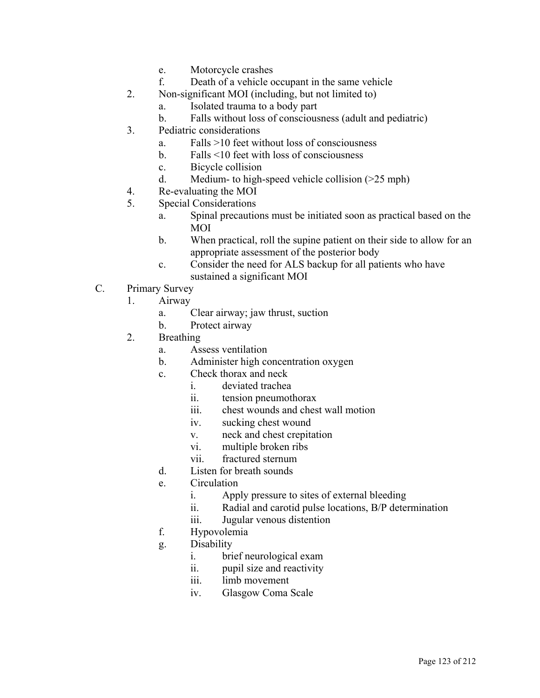- e. Motorcycle crashes
- f. Death of a vehicle occupant in the same vehicle
- 2. Non-significant MOI (including, but not limited to)
	- a. Isolated trauma to a body part
	- b. Falls without loss of consciousness (adult and pediatric)
- 3. Pediatric considerations
	- a. Falls >10 feet without loss of consciousness
	- b. Falls <10 feet with loss of consciousness
	- c. Bicycle collision
	- d. Medium- to high-speed vehicle collision (>25 mph)
- 4. Re-evaluating the MOI
- 5. Special Considerations
	- a. Spinal precautions must be initiated soon as practical based on the MOI
	- b. When practical, roll the supine patient on their side to allow for an appropriate assessment of the posterior body
	- c. Consider the need for ALS backup for all patients who have sustained a significant MOI
- C. Primary Survey
	- 1. Airway
		- a. Clear airway; jaw thrust, suction
		- b. Protect airway
	- 2. Breathing
		- a. Assess ventilation
		- b. Administer high concentration oxygen
		- c. Check thorax and neck
			- i. deviated trachea
			- ii. tension pneumothorax
			- iii. chest wounds and chest wall motion
			- iv. sucking chest wound
			- v. neck and chest crepitation
			- vi. multiple broken ribs
			- vii. fractured sternum
		- d. Listen for breath sounds
		- e. Circulation
			- i. Apply pressure to sites of external bleeding
			- ii. Radial and carotid pulse locations, B/P determination
			- iii. Jugular venous distention
		- f. Hypovolemia
		- g. Disability
			- i. brief neurological exam
			- ii. pupil size and reactivity
			- iii. limb movement
			- iv. Glasgow Coma Scale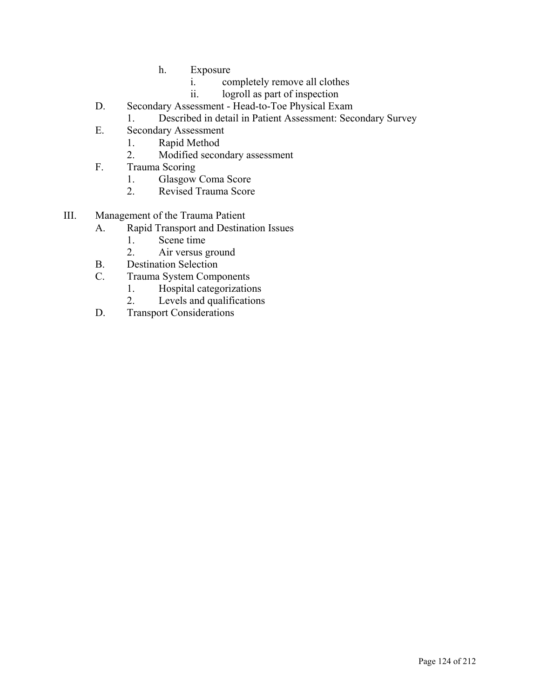- h. Exposure
	- i. completely remove all clothes
	- ii. logroll as part of inspection
- D. Secondary Assessment Head-to-Toe Physical Exam
	- 1. Described in detail in Patient Assessment: Secondary Survey
- E. Secondary Assessment
	- 1. Rapid Method
	- 2. Modified secondary assessment
- F. Trauma Scoring
	- 1. Glasgow Coma Score
	- 2. Revised Trauma Score
- III. Management of the Trauma Patient
	- A. Rapid Transport and Destination Issues
		- 1. Scene time
		- 2. Air versus ground
	- B. Destination Selection
	- C. Trauma System Components
		- 1. Hospital categorizations
		- 2. Levels and qualifications
	- D. Transport Considerations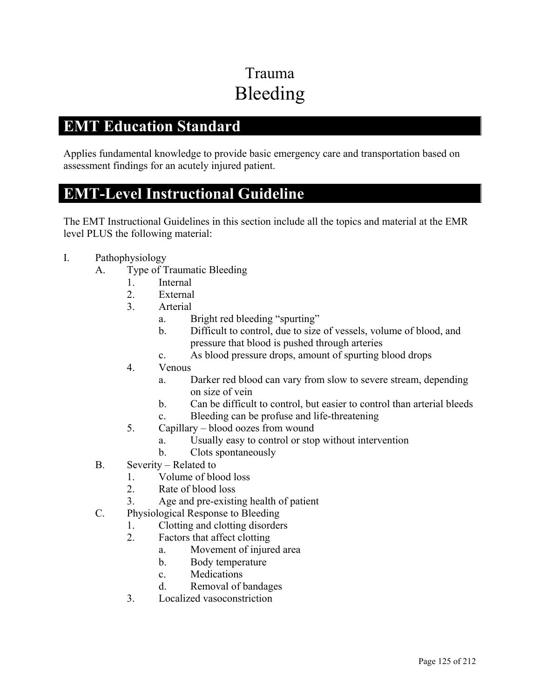# Trauma Bleeding

### **EMT Education Standard**

Applies fundamental knowledge to provide basic emergency care and transportation based on assessment findings for an acutely injured patient.

### **EMT-Level Instructional Guideline**

- I. Pathophysiology
	- A. Type of Traumatic Bleeding
		- 1. Internal
		- 2. External
		- 3. Arterial
			- a. Bright red bleeding "spurting"
			- b. Difficult to control, due to size of vessels, volume of blood, and pressure that blood is pushed through arteries
			- c. As blood pressure drops, amount of spurting blood drops
		- 4. Venous
			- a. Darker red blood can vary from slow to severe stream, depending on size of vein
			- b. Can be difficult to control, but easier to control than arterial bleeds
			- c. Bleeding can be profuse and life-threatening
		- 5. Capillary blood oozes from wound
			- a. Usually easy to control or stop without intervention
			- b. Clots spontaneously
	- B. Severity Related to
		- 1. Volume of blood loss
		- 2. Rate of blood loss
		- 3. Age and pre-existing health of patient
	- C. Physiological Response to Bleeding
		- 1. Clotting and clotting disorders
		- 2. Factors that affect clotting
			- a. Movement of injured area
			- b. Body temperature
			- c. Medications
			- d. Removal of bandages
		- 3. Localized vasoconstriction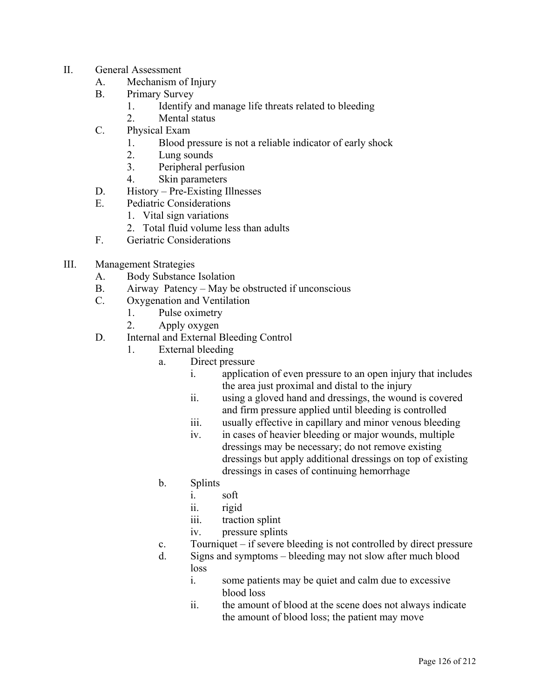- II. General Assessment
	- A. Mechanism of Injury
	- B. Primary Survey
		- 1. Identify and manage life threats related to bleeding
		- 2. Mental status
	- C. Physical Exam
		- 1. Blood pressure is not a reliable indicator of early shock
		- 2. Lung sounds
		- 3. Peripheral perfusion
		- 4. Skin parameters
	- D. History Pre-Existing Illnesses
	- E. Pediatric Considerations
		- 1. Vital sign variations
		- 2. Total fluid volume less than adults
	- F. Geriatric Considerations
- III. Management Strategies
	- A. Body Substance Isolation
	- B. Airway Patency May be obstructed if unconscious
	- C. Oxygenation and Ventilation
		- 1. Pulse oximetry
		- 2. Apply oxygen
	- D. Internal and External Bleeding Control
		- 1. External bleeding
			- a. Direct pressure
				- i. application of even pressure to an open injury that includes the area just proximal and distal to the injury
				- ii. using a gloved hand and dressings, the wound is covered and firm pressure applied until bleeding is controlled
				- iii. usually effective in capillary and minor venous bleeding
				- iv. in cases of heavier bleeding or major wounds, multiple dressings may be necessary; do not remove existing dressings but apply additional dressings on top of existing dressings in cases of continuing hemorrhage
				- b. Splints
					- i. soft
					- ii. rigid
					- iii. traction splint
					- iv. pressure splints
				- c. Tourniquet if severe bleeding is not controlled by direct pressure
				- d. Signs and symptoms bleeding may not slow after much blood loss
					- i. some patients may be quiet and calm due to excessive blood loss
					- ii. the amount of blood at the scene does not always indicate the amount of blood loss; the patient may move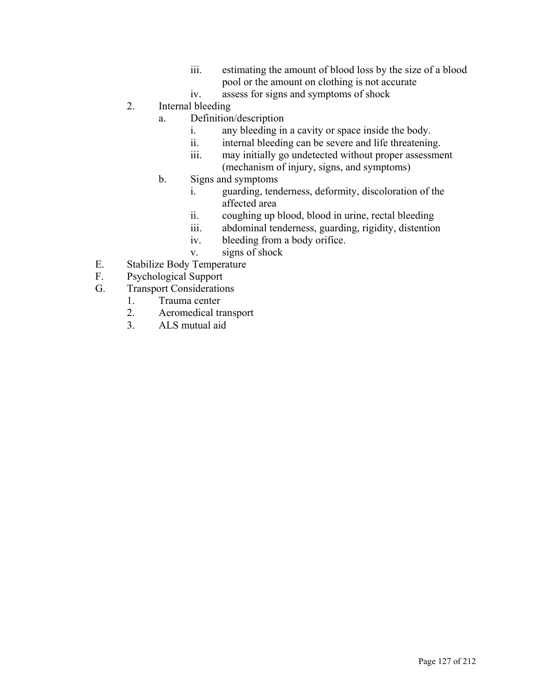- iii. estimating the amount of blood loss by the size of a blood pool or the amount on clothing is not accurate
- iv. assess for signs and symptoms of shock
- 2. Internal bleeding
	- a. Definition/description
		- i. any bleeding in a cavity or space inside the body.
		- ii. internal bleeding can be severe and life threatening.
		- iii. may initially go undetected without proper assessment (mechanism of injury, signs, and symptoms)
	- b. Signs and symptoms
		- i. guarding, tenderness, deformity, discoloration of the affected area
		- ii. coughing up blood, blood in urine, rectal bleeding
		- iii. abdominal tenderness, guarding, rigidity, distention
		- iv. bleeding from a body orifice.
		- v. signs of shock
- E. Stabilize Body Temperature
- F. Psychological Support
- G. Transport Considerations
	- 1. Trauma center
		- 2. Aeromedical transport
		- 3. ALS mutual aid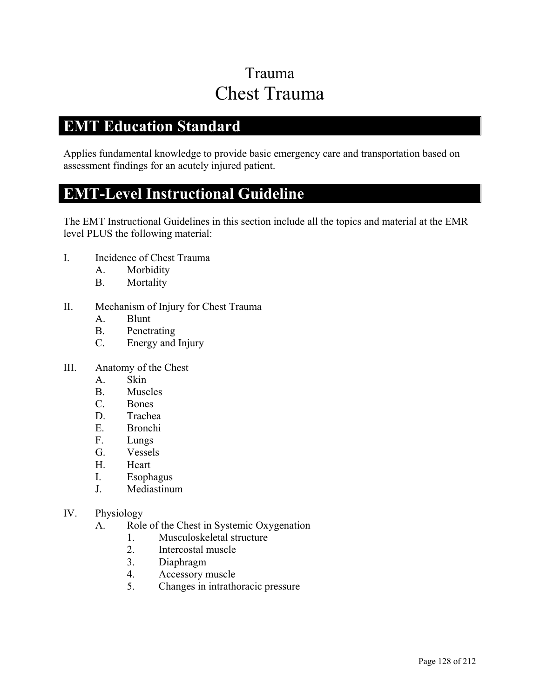## Trauma Chest Trauma

### **EMT Education Standard**

Applies fundamental knowledge to provide basic emergency care and transportation based on assessment findings for an acutely injured patient.

### **EMT-Level Instructional Guideline**

- I. Incidence of Chest Trauma
	- A. Morbidity
	- B. Mortality
- II. Mechanism of Injury for Chest Trauma
	- A. Blunt
	- B. Penetrating
	- C. Energy and Injury
- III. Anatomy of the Chest
	- A. Skin
	- B. Muscles
	- C. Bones
	- D. Trachea
	- E. Bronchi
	- F. Lungs
	- G. Vessels
	- H. Heart
	- I. Esophagus
	- J. Mediastinum
- IV. Physiology
	- A. Role of the Chest in Systemic Oxygenation
		- 1. Musculoskeletal structure
		- 2. Intercostal muscle
		- 3. Diaphragm
		- 4. Accessory muscle
		- 5. Changes in intrathoracic pressure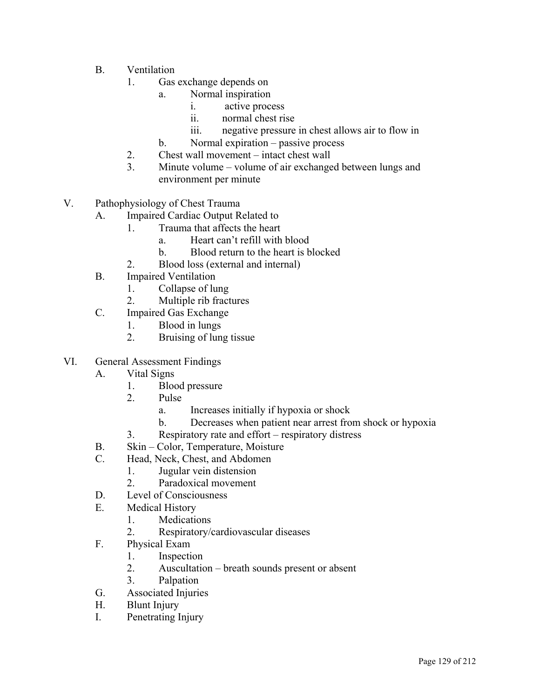- B. Ventilation
	- 1. Gas exchange depends on
		- a. Normal inspiration
			- i. active process
			- ii. normal chest rise
			- iii. negative pressure in chest allows air to flow in
		- b. Normal expiration passive process
	- 2. Chest wall movement intact chest wall
	- 3. Minute volume volume of air exchanged between lungs and environment per minute
- V. Pathophysiology of Chest Trauma
	- A. Impaired Cardiac Output Related to
		- 1. Trauma that affects the heart
			- a. Heart can't refill with blood
			- b. Blood return to the heart is blocked
		- 2. Blood loss (external and internal)
	- B. Impaired Ventilation
		- 1. Collapse of lung
		- 2. Multiple rib fractures
	- C. Impaired Gas Exchange
		- 1. Blood in lungs
		- 2. Bruising of lung tissue
- VI. General Assessment Findings
	- A. Vital Signs
		- 1. Blood pressure
		- 2. Pulse
			- a. Increases initially if hypoxia or shock
			- b. Decreases when patient near arrest from shock or hypoxia
		- 3. Respiratory rate and effort respiratory distress
	- B. Skin Color, Temperature, Moisture
	- C. Head, Neck, Chest, and Abdomen
		- 1. Jugular vein distension
		- 2. Paradoxical movement
	- D. Level of Consciousness
	- E. Medical History
		- 1. Medications
		- 2. Respiratory/cardiovascular diseases
	- F. Physical Exam
		- 1. Inspection
		- 2. Auscultation breath sounds present or absent
		- 3. Palpation
	- G. Associated Injuries
	- H. Blunt Injury
	- I. Penetrating Injury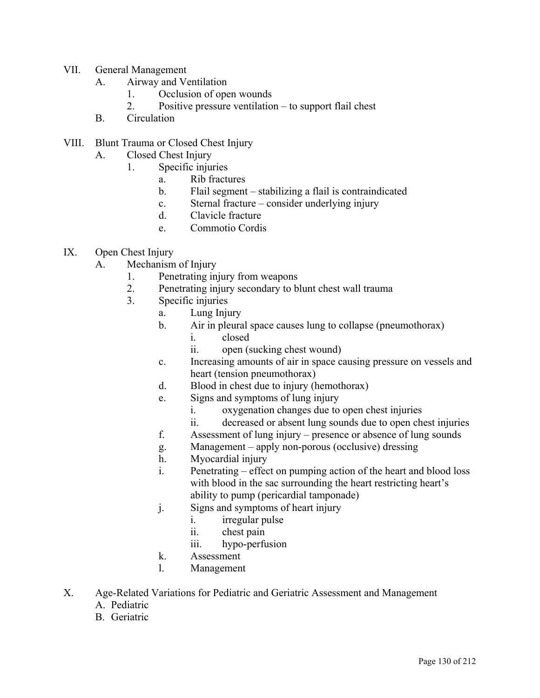- VII. General Management
	- A. Airway and Ventilation
		- 1. Occlusion of open wounds
		- 2. Positive pressure ventilation to support flail chest
	- B. Circulation
- VIII. Blunt Trauma or Closed Chest Injury
	- A. Closed Chest Injury
		- 1. Specific injuries
			- a. Rib fractures
			- b. Flail segment stabilizing a flail is contraindicated
			- c. Sternal fracture consider underlying injury
			- d. Clavicle fracture
			- e. Commotio Cordis
- IX. Open Chest Injury
	- A. Mechanism of Injury
		- 1. Penetrating injury from weapons
		- 2. Penetrating injury secondary to blunt chest wall trauma
		- 3. Specific injuries
			- a. Lung Injury
			- b. Air in pleural space causes lung to collapse (pneumothorax)
				- i. closed
				- ii. open (sucking chest wound)
			- c. Increasing amounts of air in space causing pressure on vessels and heart (tension pneumothorax)
			- d. Blood in chest due to injury (hemothorax)
			- e. Signs and symptoms of lung injury
				- i. oxygenation changes due to open chest injuries
				- ii. decreased or absent lung sounds due to open chest injuries
			- f. Assessment of lung injury presence or absence of lung sounds
			- g. Management apply non-porous (occlusive) dressing
			- h. Myocardial injury
			- i. Penetrating effect on pumping action of the heart and blood loss with blood in the sac surrounding the heart restricting heart's ability to pump (pericardial tamponade)
			- j. Signs and symptoms of heart injury
				- i. irregular pulse
					- ii. chest pain
					- iii. hypo-perfusion
			- k. Assessment
			- l. Management
- X. Age-Related Variations for Pediatric and Geriatric Assessment and Management
	- A. Pediatric
	- B. Geriatric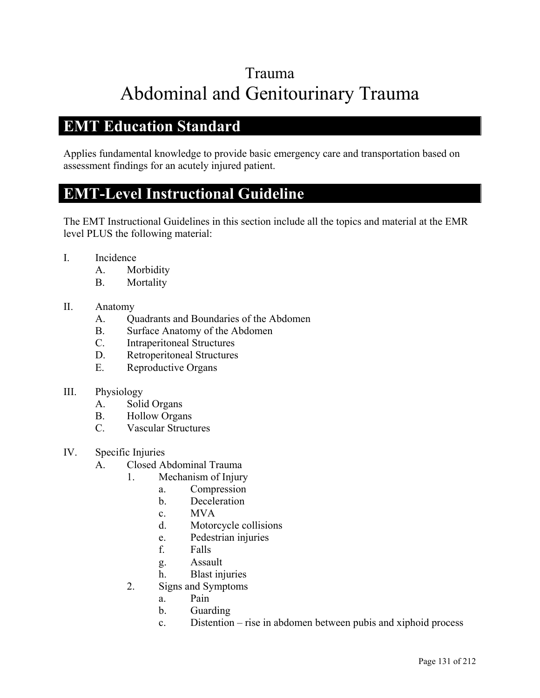## Trauma Abdominal and Genitourinary Trauma

### **EMT Education Standard**

Applies fundamental knowledge to provide basic emergency care and transportation based on assessment findings for an acutely injured patient.

### **EMT-Level Instructional Guideline**

The EMT Instructional Guidelines in this section include all the topics and material at the EMR level PLUS the following material:

- I. Incidence
	- A. Morbidity
	- B. Mortality

#### II. Anatomy

- A. Quadrants and Boundaries of the Abdomen
- B. Surface Anatomy of the Abdomen
- C. Intraperitoneal Structures
- D. Retroperitoneal Structures
- E. Reproductive Organs

#### III. Physiology

- A. Solid Organs
- B. Hollow Organs
- C. Vascular Structures
- IV. Specific Injuries
	- A. Closed Abdominal Trauma
		- 1. Mechanism of Injury
			- a. Compression
				- b. Deceleration
				- c. MVA
				- d. Motorcycle collisions
				- e. Pedestrian injuries
				- f. Falls
				- g. Assault
			- h. Blast injuries
		- 2. Signs and Symptoms
			- a. Pain
			- b. Guarding
			- c. Distention rise in abdomen between pubis and xiphoid process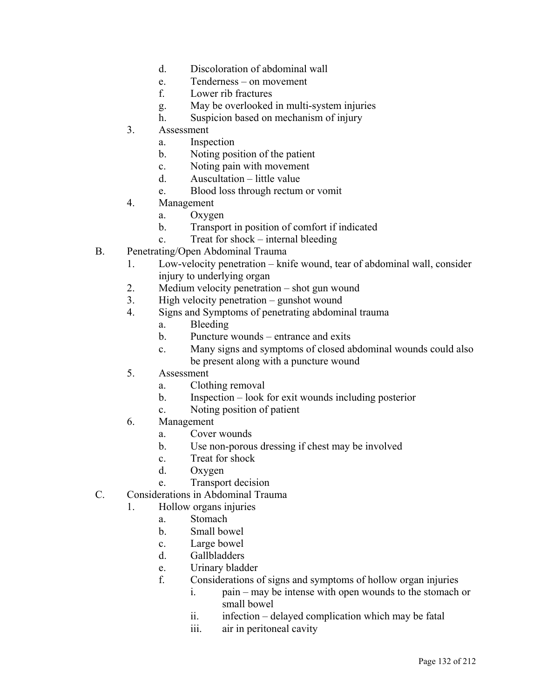- d. Discoloration of abdominal wall
- e. Tenderness on movement
- f. Lower rib fractures
- g. May be overlooked in multi-system injuries
- h. Suspicion based on mechanism of injury
- 3. Assessment
	- a. Inspection
	- b. Noting position of the patient
	- c. Noting pain with movement
	- d. Auscultation little value
	- e. Blood loss through rectum or vomit
- 4. Management
	- a. Oxygen
	- b. Transport in position of comfort if indicated
	- c. Treat for shock internal bleeding
- B. Penetrating/Open Abdominal Trauma
	- 1. Low-velocity penetration knife wound, tear of abdominal wall, consider injury to underlying organ
	- 2. Medium velocity penetration shot gun wound
	- 3. High velocity penetration gunshot wound
	- 4. Signs and Symptoms of penetrating abdominal trauma
		- a. Bleeding
		- b. Puncture wounds entrance and exits
		- c. Many signs and symptoms of closed abdominal wounds could also be present along with a puncture wound
	- 5. Assessment
		- a. Clothing removal
		- b. Inspection look for exit wounds including posterior
		- c. Noting position of patient
	- 6. Management
		- a. Cover wounds
		- b. Use non-porous dressing if chest may be involved
		- c. Treat for shock
		- d. Oxygen
		- e. Transport decision
- C. Considerations in Abdominal Trauma
	- 1. Hollow organs injuries
		- a. Stomach
		- b. Small bowel
		- c. Large bowel
		- d. Gallbladders
		- e. Urinary bladder
		- f. Considerations of signs and symptoms of hollow organ injuries
			- i. pain may be intense with open wounds to the stomach or small bowel
			- ii. infection delayed complication which may be fatal
			- iii. air in peritoneal cavity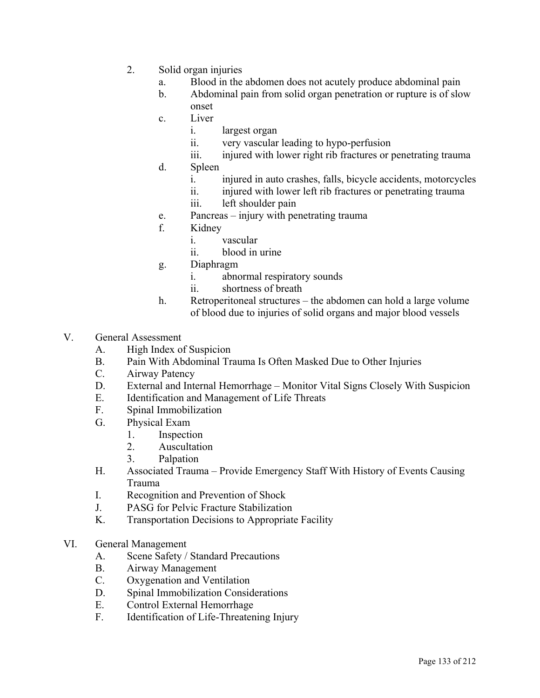- 2. Solid organ injuries
	- a. Blood in the abdomen does not acutely produce abdominal pain
	- b. Abdominal pain from solid organ penetration or rupture is of slow onset
	- c. Liver
		- i. largest organ
		- ii. very vascular leading to hypo-perfusion
		- iii. injured with lower right rib fractures or penetrating trauma
	- d. Spleen
		- i. injured in auto crashes, falls, bicycle accidents, motorcycles
		- ii. injured with lower left rib fractures or penetrating trauma
		- iii. left shoulder pain
	- e. Pancreas injury with penetrating trauma
	- f. Kidney
		- i. vascular
		- ii. blood in urine
	- g. Diaphragm
		- i. abnormal respiratory sounds
		- ii. shortness of breath
	- h. Retroperitoneal structures the abdomen can hold a large volume of blood due to injuries of solid organs and major blood vessels
- V. General Assessment
	- A. High Index of Suspicion
	- B. Pain With Abdominal Trauma Is Often Masked Due to Other Injuries
	- C. Airway Patency
	- D. External and Internal Hemorrhage Monitor Vital Signs Closely With Suspicion
	- E. Identification and Management of Life Threats
	- F. Spinal Immobilization
	- G. Physical Exam
		- 1. Inspection
		- 2. Auscultation
		- 3. Palpation
	- H. Associated Trauma Provide Emergency Staff With History of Events Causing Trauma
	- I. Recognition and Prevention of Shock
	- J. PASG for Pelvic Fracture Stabilization
	- K. Transportation Decisions to Appropriate Facility
- VI. General Management
	- A. Scene Safety / Standard Precautions
	- B. Airway Management
	- C. Oxygenation and Ventilation
	- D. Spinal Immobilization Considerations
	- E. Control External Hemorrhage
	- F. Identification of Life-Threatening Injury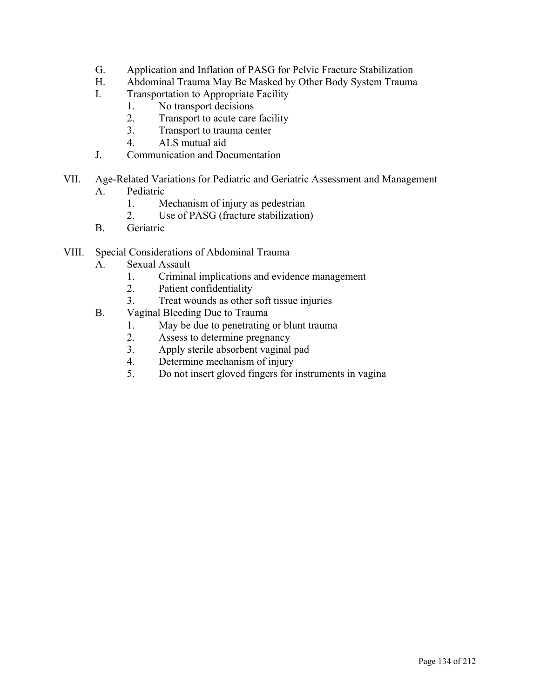- G. Application and Inflation of PASG for Pelvic Fracture Stabilization
- H. Abdominal Trauma May Be Masked by Other Body System Trauma
- I. Transportation to Appropriate Facility
	- 1. No transport decisions
	- 2. Transport to acute care facility
	- 3. Transport to trauma center
	- 4. ALS mutual aid
- J. Communication and Documentation
- VII. Age-Related Variations for Pediatric and Geriatric Assessment and Management
	- A. Pediatric
		- 1. Mechanism of injury as pedestrian
		- 2. Use of PASG (fracture stabilization)
	- B. Geriatric
- VIII. Special Considerations of Abdominal Trauma
	- A. Sexual Assault
		- 1. Criminal implications and evidence management
		- 2. Patient confidentiality
		- 3. Treat wounds as other soft tissue injuries
	- B. Vaginal Bleeding Due to Trauma
		- 1. May be due to penetrating or blunt trauma
		- 2. Assess to determine pregnancy
		- 3. Apply sterile absorbent vaginal pad
		- 4. Determine mechanism of injury
		- 5. Do not insert gloved fingers for instruments in vagina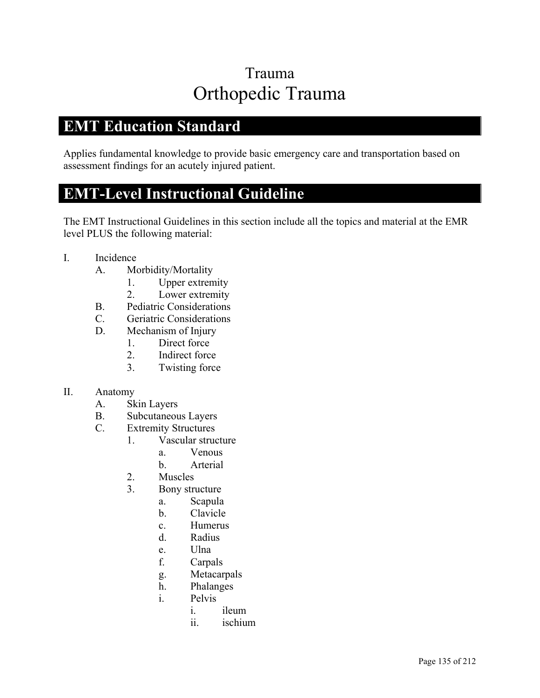## Trauma Orthopedic Trauma

### **EMT Education Standard**

Applies fundamental knowledge to provide basic emergency care and transportation based on assessment findings for an acutely injured patient.

## **EMT-Level Instructional Guideline**

- I. Incidence
	- A. Morbidity/Mortality
		- 1. Upper extremity
		- 2. Lower extremity
	- B. Pediatric Considerations
	- C. Geriatric Considerations
	- D. Mechanism of Injury
		- 1. Direct force
		- 2. Indirect force
		- 3. Twisting force
- II. Anatomy
	- A. Skin Layers
	- B. Subcutaneous Layers
	- C. Extremity Structures
		- 1. Vascular structure
			- a. Venous
			- b. Arterial
			- 2. Muscles
			- 3. Bony structure
				- a. Scapula
				- b. Clavicle
				- c. Humerus
				- d. Radius
				- e. Ulna
				- f. Carpals
				- g. Metacarpals
				- h. Phalanges
				- i. Pelvis
					- i. ileum
					- ii. ischium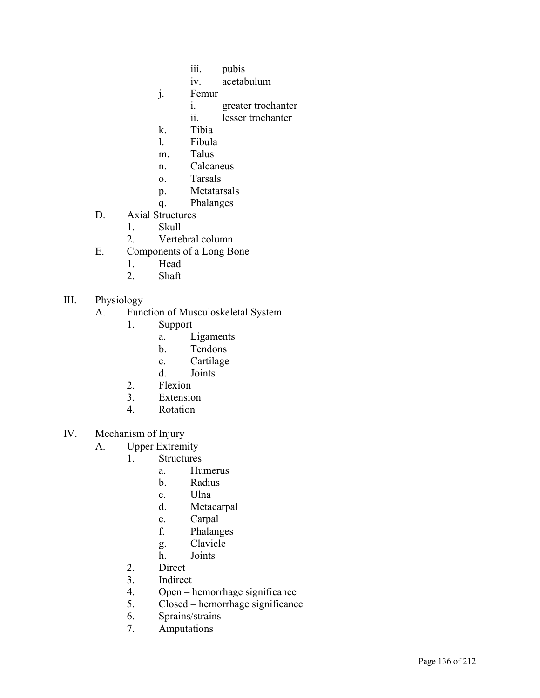- iii. pubis
- iv. acetabulum
- j. Femur
	- i. greater trochanter
	- ii. lesser trochanter
- k. Tibia
- l. Fibula
- m. Talus
- n. Calcaneus
- o. Tarsals
- p. Metatarsals
- q. Phalanges
- D. Axial Structures
	- 1. Skull
	- 2. Vertebral column
- E. Components of a Long Bone
	- 1. Head
	- 2. Shaft
- III. Physiology
	- A. Function of Musculoskeletal System
		- 1. Support
			- a. Ligaments
			- b. Tendons
			- c. Cartilage
			- d. Joints
		- 2. Flexion
		- 3. Extension
		- 4. Rotation
- IV. Mechanism of Injury
	- A. Upper Extremity
		- 1. Structures
			- a. Humerus
			- b. Radius
			- c. Ulna
			- d. Metacarpal
			- e. Carpal
			- f. Phalanges
			- g. Clavicle
			- h. Joints
		- 2. Direct
		- 3. Indirect
		- 4. Open hemorrhage significance
		- 5. Closed hemorrhage significance
		- 6. Sprains/strains
		- 7. Amputations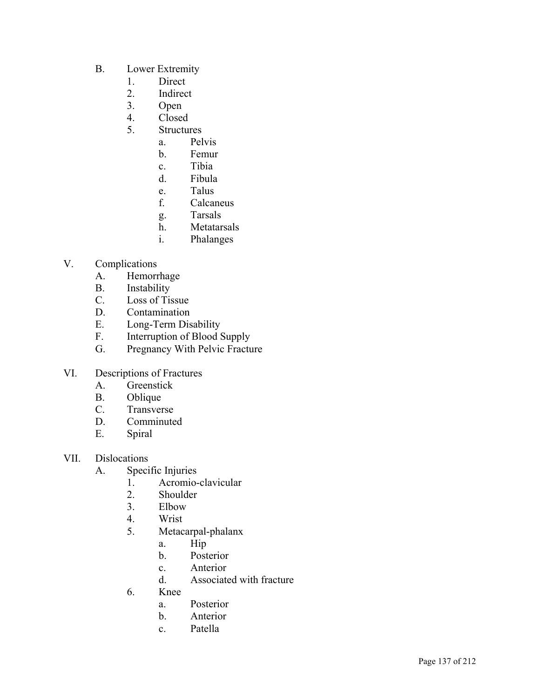- B. Lower Extremity
	- 1. Direct
	- 2. Indirect
	- 3. Open
	- 4. Closed
	- 5. Structures
		- a. Pelvis
			- b. Femur
			- c. Tibia
			- d. Fibula
			- e. Talus
			- f. Calcaneus
			- g. Tarsals
			- h. Metatarsals
			- i. Phalanges
- V. Complications
	- A. Hemorrhage
	- B. Instability
	- C. Loss of Tissue
	- D. Contamination
	- E. Long-Term Disability
	- F. Interruption of Blood Supply
	- G. Pregnancy With Pelvic Fracture
- VI. Descriptions of Fractures
	- A. Greenstick
	- B. Oblique
	- C. Transverse
	- D. Comminuted
	- E. Spiral
- VII. Dislocations
	- A. Specific Injuries
		- 1. Acromio-clavicular
		- 2. Shoulder
		- 3. Elbow
		- 4. Wrist
		- 5. Metacarpal-phalanx
			- a. Hip
			- b. Posterior
			- c. Anterior
			- d. Associated with fracture
		- 6. Knee
			- a. Posterior
			- b. Anterior
			- c. Patella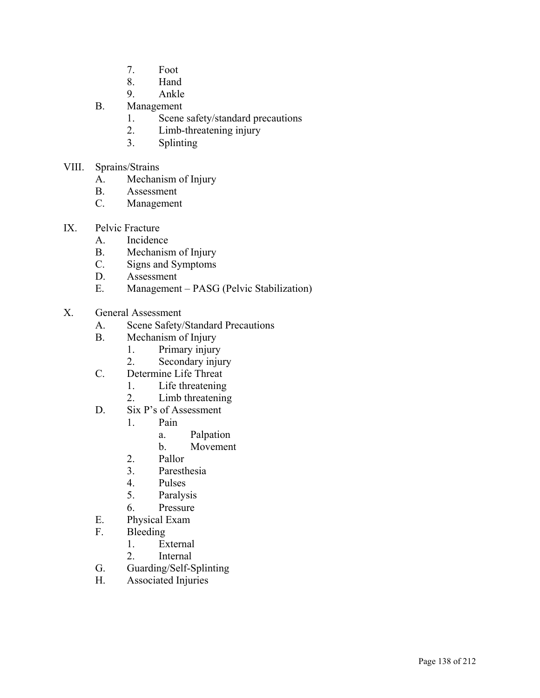- 7. Foot
- 8. Hand
- 9. Ankle
- B. Management
	- 1. Scene safety/standard precautions
	- 2. Limb-threatening injury
	- 3. Splinting
- VIII. Sprains/Strains
	- A. Mechanism of Injury
	- B. Assessment
	- C. Management
- IX. Pelvic Fracture
	- A. Incidence
	- B. Mechanism of Injury
	- C. Signs and Symptoms
	- D. Assessment
	- E. Management PASG (Pelvic Stabilization)
- X. General Assessment
	- A. Scene Safety/Standard Precautions
	- B. Mechanism of Injury
		- 1. Primary injury
		- 2. Secondary injury
	- C. Determine Life Threat
		- 1. Life threatening
		- 2. Limb threatening
	- D. Six P's of Assessment
		- 1. Pain
			- a. Palpation
				- b. Movement
		- 2. Pallor
		- 3. Paresthesia
		- 4. Pulses
		- 5. Paralysis
		- 6. Pressure
	- E. Physical Exam
	- F. Bleeding
		- 1. External
		- 2. Internal
	- G. Guarding/Self-Splinting
	- H. Associated Injuries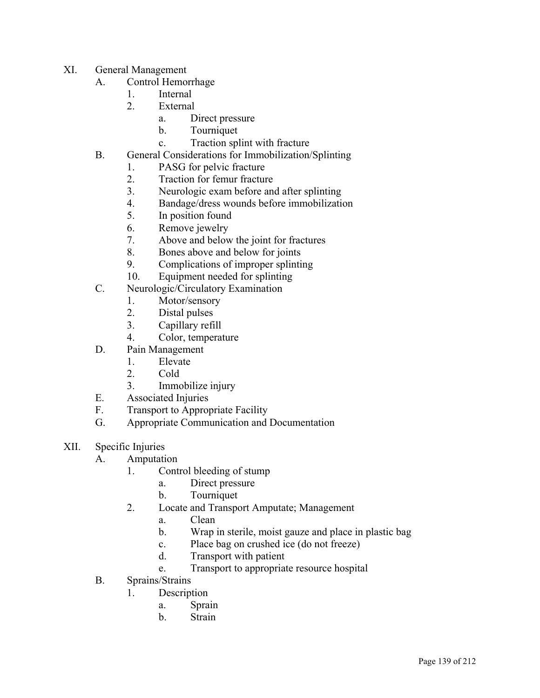- XI. General Management
	- A. Control Hemorrhage
		- 1. Internal
		- 2. External
			- a. Direct pressure
			- b. Tourniquet
			- c. Traction splint with fracture
	- B. General Considerations for Immobilization/Splinting
		- 1. PASG for pelvic fracture
		- 2. Traction for femur fracture
		- 3. Neurologic exam before and after splinting
		- 4. Bandage/dress wounds before immobilization
		- 5. In position found
		- 6. Remove jewelry
		- 7. Above and below the joint for fractures
		- 8. Bones above and below for joints
		- 9. Complications of improper splinting
		- 10. Equipment needed for splinting
	- C. Neurologic/Circulatory Examination
		- 1. Motor/sensory
		- 2. Distal pulses
		- 3. Capillary refill
		- 4. Color, temperature
	- D. Pain Management
		- 1. Elevate
		- 2. Cold
		- 3. Immobilize injury
	- E. Associated Injuries
	- F. Transport to Appropriate Facility
	- G. Appropriate Communication and Documentation
- XII. Specific Injuries
	- A. Amputation
		- 1. Control bleeding of stump
			- a. Direct pressure
			- b. Tourniquet
		- 2. Locate and Transport Amputate; Management
			- a. Clean
			- b. Wrap in sterile, moist gauze and place in plastic bag
			- c. Place bag on crushed ice (do not freeze)
			- d. Transport with patient
			- e. Transport to appropriate resource hospital
	- B. Sprains/Strains
		- 1. Description
			- a. Sprain
			- b. Strain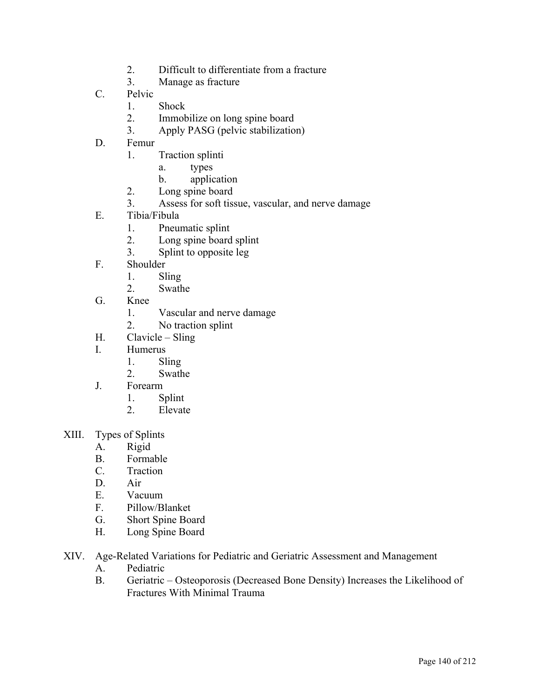- 2. Difficult to differentiate from a fracture
- 3. Manage as fracture
- C. Pelvic
	- 1. Shock
	- 2. Immobilize on long spine board
	- 3. Apply PASG (pelvic stabilization)
- D. Femur
	- 1. Traction splinti
		- a. types
		- b. application
	- 2. Long spine board
	- 3. Assess for soft tissue, vascular, and nerve damage
- E. Tibia/Fibula
	- 1. Pneumatic splint
	- 2. Long spine board splint
	- 3. Splint to opposite leg
- F. Shoulder
	- 1. Sling
	- 2. Swathe
- G. Knee
	- 1. Vascular and nerve damage
	- 2. No traction splint
- H. Clavicle Sling
- I. Humerus
	- 1. Sling
	- 2. Swathe
- J. Forearm
	- 1. Splint
	- 2. Elevate
- XIII. Types of Splints
	- A. Rigid
	- B. Formable
	- C. Traction
	- D. Air
	- E. Vacuum
	- F. Pillow/Blanket
	- G. Short Spine Board
	- H. Long Spine Board
- XIV. Age-Related Variations for Pediatric and Geriatric Assessment and Management
	- A. Pediatric
	- B. Geriatric Osteoporosis (Decreased Bone Density) Increases the Likelihood of Fractures With Minimal Trauma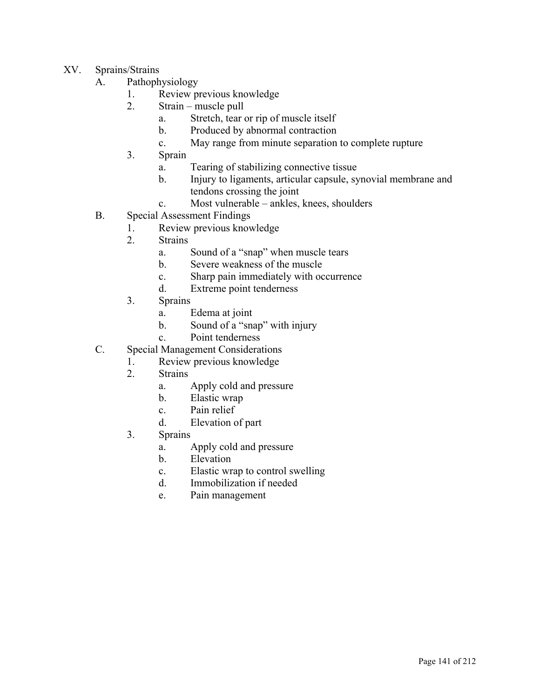- XV. Sprains/Strains
	- A. Pathophysiology
		- 1. Review previous knowledge
		- 2. Strain muscle pull
			- a. Stretch, tear or rip of muscle itself
			- b. Produced by abnormal contraction
			- c. May range from minute separation to complete rupture
		- 3. Sprain
			- a. Tearing of stabilizing connective tissue
			- b. Injury to ligaments, articular capsule, synovial membrane and tendons crossing the joint
			- c. Most vulnerable ankles, knees, shoulders
	- B. Special Assessment Findings
		- 1. Review previous knowledge
			- 2. Strains
				- a. Sound of a "snap" when muscle tears
				- b. Severe weakness of the muscle
				- c. Sharp pain immediately with occurrence
				- d. Extreme point tenderness
			- 3. Sprains
				- a. Edema at joint
				- b. Sound of a "snap" with injury
				- c. Point tenderness
	- C. Special Management Considerations
		- 1. Review previous knowledge
		- 2. Strains
			- a. Apply cold and pressure
			- b. Elastic wrap
			- c. Pain relief
			- d. Elevation of part
		- 3. Sprains
			- a. Apply cold and pressure
			- b. Elevation
			- c. Elastic wrap to control swelling
			- d. Immobilization if needed
			- e. Pain management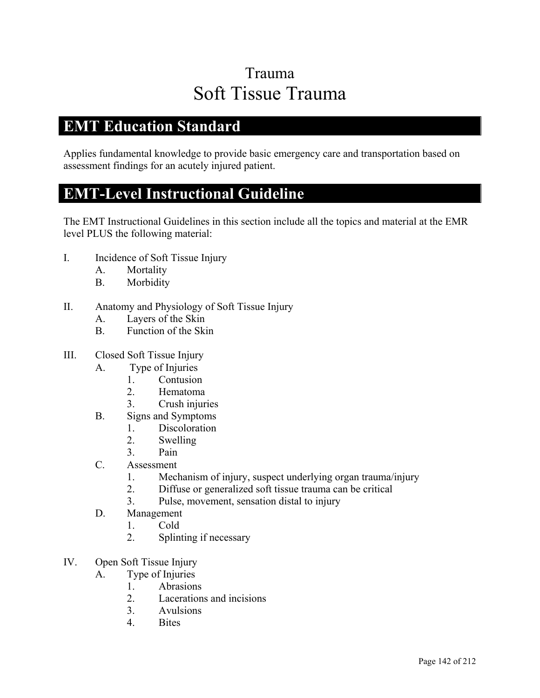## Trauma Soft Tissue Trauma

### **EMT Education Standard**

Applies fundamental knowledge to provide basic emergency care and transportation based on assessment findings for an acutely injured patient.

### **EMT-Level Instructional Guideline**

- I. Incidence of Soft Tissue Injury
	- A. Mortality
	- B. Morbidity
- II. Anatomy and Physiology of Soft Tissue Injury
	- A. Layers of the Skin
	- B. Function of the Skin
- III. Closed Soft Tissue Injury
	- A. Type of Injuries
		- 1. Contusion
		- 2. Hematoma
		- 3. Crush injuries
	- B. Signs and Symptoms
		- 1. Discoloration
		- 2. Swelling
		- 3. Pain
	- C. Assessment
		- 1. Mechanism of injury, suspect underlying organ trauma/injury
		- 2. Diffuse or generalized soft tissue trauma can be critical
		- 3. Pulse, movement, sensation distal to injury
	- D. Management
		- 1. Cold
		- 2. Splinting if necessary
- IV. Open Soft Tissue Injury
	- A. Type of Injuries
		- 1. Abrasions
		- 2. Lacerations and incisions
		- 3. Avulsions
		- 4. Bites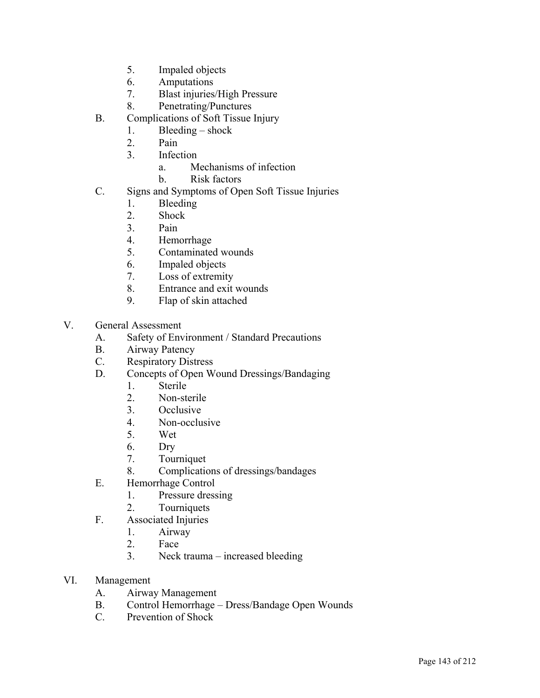- 5. Impaled objects
- 6. Amputations
- 7. Blast injuries/High Pressure
- 8. Penetrating/Punctures
- B. Complications of Soft Tissue Injury
	- 1. Bleeding shock
	- 2. Pain
	- 3. Infection
		- a. Mechanisms of infection
		- b. Risk factors
- C. Signs and Symptoms of Open Soft Tissue Injuries
	- 1. Bleeding
	- 2. Shock
	- 3. Pain
	- 4. Hemorrhage
	- 5. Contaminated wounds
	- 6. Impaled objects
	- 7. Loss of extremity
	- 8. Entrance and exit wounds
	- 9. Flap of skin attached
- V. General Assessment
	- A. Safety of Environment / Standard Precautions
	- B. Airway Patency
	- C. Respiratory Distress
	- D. Concepts of Open Wound Dressings/Bandaging
		- 1. Sterile
		- 2. Non-sterile
		- 3. Occlusive
		- 4. Non-occlusive
		- 5. Wet
		- 6. Dry
		- 7. Tourniquet
		- 8. Complications of dressings/bandages
	- E. Hemorrhage Control
		- 1. Pressure dressing
		- 2. Tourniquets
	- F. Associated Injuries
		- 1. Airway
		- 2. Face
		- 3. Neck trauma increased bleeding
- VI. Management
	- A. Airway Management
	- B. Control Hemorrhage Dress/Bandage Open Wounds
	- C. Prevention of Shock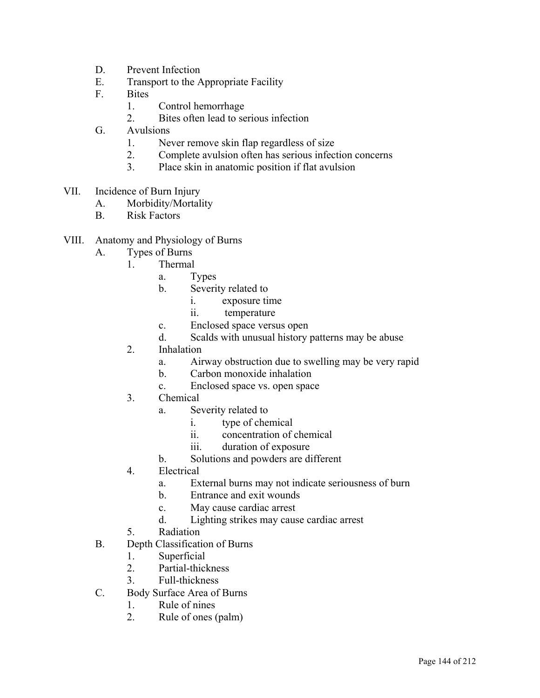- D. Prevent Infection
- E. Transport to the Appropriate Facility
- F. Bites
	- 1. Control hemorrhage
	- 2. Bites often lead to serious infection
- G. Avulsions
	- 1. Never remove skin flap regardless of size
	- 2. Complete avulsion often has serious infection concerns
	- 3. Place skin in anatomic position if flat avulsion
- VII. Incidence of Burn Injury
	- A. Morbidity/Mortality
	- B. Risk Factors
- VIII. Anatomy and Physiology of Burns
	- A. Types of Burns
		- 1. Thermal
			- a. Types
			- b. Severity related to
				- i. exposure time
				- ii. temperature
			- c. Enclosed space versus open
			- d. Scalds with unusual history patterns may be abuse
		- 2. Inhalation
			- a. Airway obstruction due to swelling may be very rapid
			- b. Carbon monoxide inhalation
			- c. Enclosed space vs. open space
		- 3. Chemical
			- a. Severity related to
				- i. type of chemical
				- ii. concentration of chemical
				- iii. duration of exposure
			- b. Solutions and powders are different
		- 4. Electrical
			- a. External burns may not indicate seriousness of burn
			- b. Entrance and exit wounds
			- c. May cause cardiac arrest
			- d. Lighting strikes may cause cardiac arrest
		- 5. Radiation
	- B. Depth Classification of Burns
		- 1. Superficial
		- 2. Partial-thickness
		- 3. Full-thickness
	- C. Body Surface Area of Burns
		- 1. Rule of nines
		- 2. Rule of ones (palm)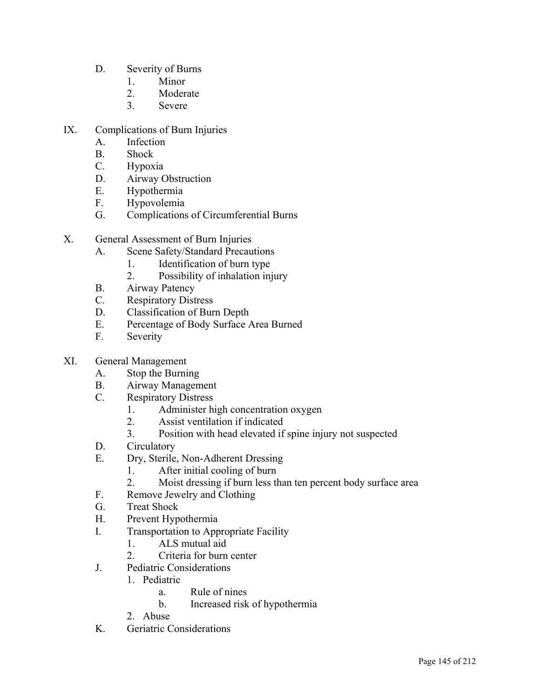- D. Severity of Burns
	- 1. Minor
	- 2. Moderate
	- 3. Severe
- IX. Complications of Burn Injuries
	- A. Infection
	- B. Shock
	- C. Hypoxia
	- D. Airway Obstruction
	- E. Hypothermia
	- F. Hypovolemia
	- G. Complications of Circumferential Burns
- X. General Assessment of Burn Injuries
	- A. Scene Safety/Standard Precautions
		- 1. Identification of burn type
		- 2. Possibility of inhalation injury
	- B. Airway Patency
	- C. Respiratory Distress
	- D. Classification of Burn Depth
	- E. Percentage of Body Surface Area Burned
	- F. Severity
- XI. General Management
	- A. Stop the Burning
	- B. Airway Management
	- C. Respiratory Distress
		- 1. Administer high concentration oxygen
		- 2. Assist ventilation if indicated
		- 3. Position with head elevated if spine injury not suspected
	- D. Circulatory
	- E. Dry, Sterile, Non-Adherent Dressing
		- 1. After initial cooling of burn
		- 2. Moist dressing if burn less than ten percent body surface area
	- F. Remove Jewelry and Clothing
	- G. Treat Shock
	- H. Prevent Hypothermia
	- I. Transportation to Appropriate Facility
		- 1. ALS mutual aid
		- 2. Criteria for burn center
	- J. Pediatric Considerations
		- 1. Pediatric
			- a. Rule of nines
			- b. Increased risk of hypothermia
		- 2. Abuse
	- K. Geriatric Considerations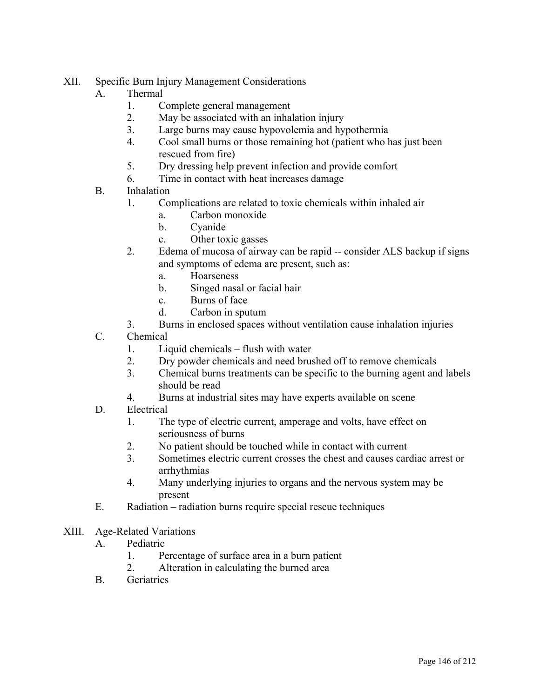- XII. Specific Burn Injury Management Considerations
	- A. Thermal
		- 1. Complete general management
		- 2. May be associated with an inhalation injury
		- 3. Large burns may cause hypovolemia and hypothermia
		- 4. Cool small burns or those remaining hot (patient who has just been rescued from fire)
		- 5. Dry dressing help prevent infection and provide comfort
		- 6. Time in contact with heat increases damage
	- B. Inhalation
		- 1. Complications are related to toxic chemicals within inhaled air
			- a. Carbon monoxide
				- b. Cyanide
			- c. Other toxic gasses
		- 2. Edema of mucosa of airway can be rapid -- consider ALS backup if signs and symptoms of edema are present, such as:
			- a. Hoarseness
			- b. Singed nasal or facial hair
			- c. Burns of face
			- d. Carbon in sputum
		- 3. Burns in enclosed spaces without ventilation cause inhalation injuries
	- C. Chemical
		- 1. Liquid chemicals flush with water
		- 2. Dry powder chemicals and need brushed off to remove chemicals
		- 3. Chemical burns treatments can be specific to the burning agent and labels should be read
		- 4. Burns at industrial sites may have experts available on scene
	- D. Electrical
		- 1. The type of electric current, amperage and volts, have effect on seriousness of burns
		- 2. No patient should be touched while in contact with current
		- 3. Sometimes electric current crosses the chest and causes cardiac arrest or arrhythmias
		- 4. Many underlying injuries to organs and the nervous system may be present
	- E. Radiation radiation burns require special rescue techniques
- XIII. Age-Related Variations
	- A. Pediatric
		- 1. Percentage of surface area in a burn patient
		- 2. Alteration in calculating the burned area
	- B. Geriatrics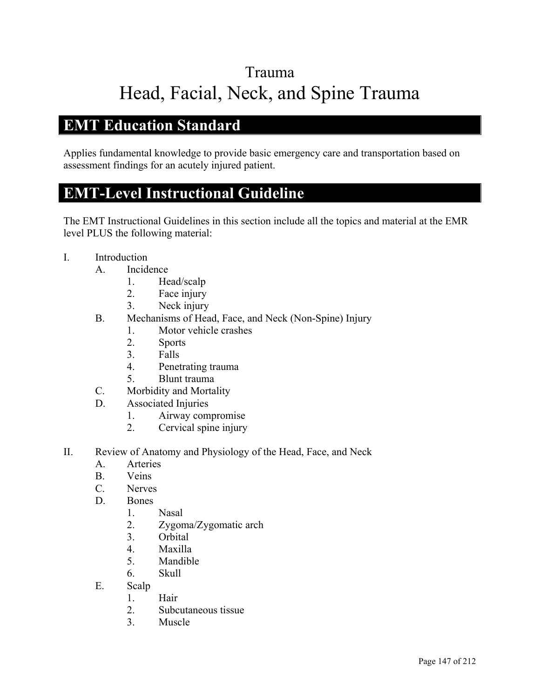# Trauma Head, Facial, Neck, and Spine Trauma

### **EMT Education Standard**

Applies fundamental knowledge to provide basic emergency care and transportation based on assessment findings for an acutely injured patient.

### **EMT-Level Instructional Guideline**

- I. Introduction
	- A. Incidence
		- 1. Head/scalp
		- 2. Face injury
		- 3. Neck injury
	- B. Mechanisms of Head, Face, and Neck (Non-Spine) Injury
		- 1. Motor vehicle crashes
		- 2. Sports
		- 3. Falls
		- 4. Penetrating trauma
		- 5. Blunt trauma
	- C. Morbidity and Mortality
	- D. Associated Injuries
		- 1. Airway compromise
		- 2. Cervical spine injury
- II. Review of Anatomy and Physiology of the Head, Face, and Neck
	- A. Arteries
	- B. Veins
	- C. Nerves
	- D. Bones
		- 1. Nasal
		- 2. Zygoma/Zygomatic arch
		- 3. Orbital
		- 4. Maxilla
		- 5. Mandible
		- 6. Skull
	- E. Scalp
		- 1. Hair
		- 2. Subcutaneous tissue
		- 3. Muscle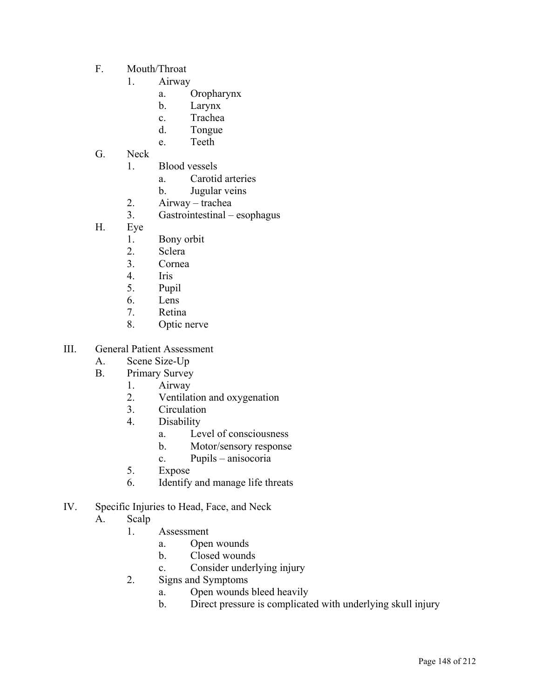- F. Mouth/Throat
	- 1. Airway
		- a. Oropharynx
		- b. Larynx
		- c. Trachea
		- d. Tongue
		- e. Teeth
- G. Neck
	- 1. Blood vessels
		- a. Carotid arteries
		- b. Jugular veins
	- 2. Airway trachea
	- 3. Gastrointestinal esophagus
- H. Eye
	- 1. Bony orbit
	- 2. Sclera
	- 3. Cornea
	- 4. Iris
	- 5. Pupil
	- 6. Lens
	- 7. Retina
	- 8. Optic nerve
- III. General Patient Assessment
	- A. Scene Size-Up
	- B. Primary Survey
		- 1. Airway
			- 2. Ventilation and oxygenation
			- 3. Circulation
			- 4. Disability
				- a. Level of consciousness
				- b. Motor/sensory response
				- c. Pupils anisocoria
			- 5. Expose
			- 6. Identify and manage life threats
- IV. Specific Injuries to Head, Face, and Neck
	- A. Scalp
		- 1. Assessment
			- a. Open wounds
			- b. Closed wounds
			- c. Consider underlying injury
		- 2. Signs and Symptoms
			- a. Open wounds bleed heavily
			- b. Direct pressure is complicated with underlying skull injury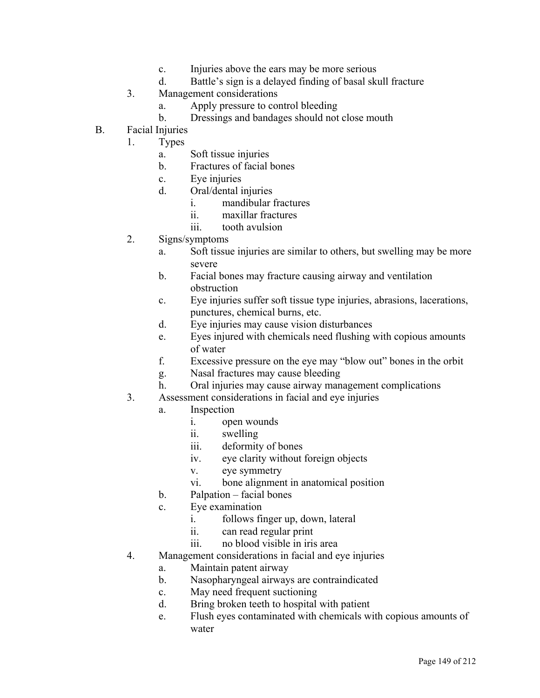- c. Injuries above the ears may be more serious
- d. Battle's sign is a delayed finding of basal skull fracture
- 3. Management considerations
	- a. Apply pressure to control bleeding
	- b. Dressings and bandages should not close mouth
- B. Facial Injuries
	- 1. Types
		- a. Soft tissue injuries
		- b. Fractures of facial bones
		- c. Eye injuries
		- d. Oral/dental injuries
			- i. mandibular fractures
			- ii. maxillar fractures
			- iii. tooth avulsion
	- 2. Signs/symptoms
		- a. Soft tissue injuries are similar to others, but swelling may be more severe
		- b. Facial bones may fracture causing airway and ventilation obstruction
		- c. Eye injuries suffer soft tissue type injuries, abrasions, lacerations, punctures, chemical burns, etc.
		- d. Eye injuries may cause vision disturbances
		- e. Eyes injured with chemicals need flushing with copious amounts of water
		- f. Excessive pressure on the eye may "blow out" bones in the orbit
		- g. Nasal fractures may cause bleeding
		- h. Oral injuries may cause airway management complications
	- 3. Assessment considerations in facial and eye injuries
		- a. Inspection
			- i. open wounds
			- ii. swelling
			- iii. deformity of bones
			- iv. eye clarity without foreign objects
			- v. eye symmetry
			- vi. bone alignment in anatomical position
		- b. Palpation facial bones
		- c. Eye examination
			- i. follows finger up, down, lateral
			- ii. can read regular print
			- iii. no blood visible in iris area
	- 4. Management considerations in facial and eye injuries
		- a. Maintain patent airway
		- b. Nasopharyngeal airways are contraindicated
		- c. May need frequent suctioning
		- d. Bring broken teeth to hospital with patient
		- e. Flush eyes contaminated with chemicals with copious amounts of water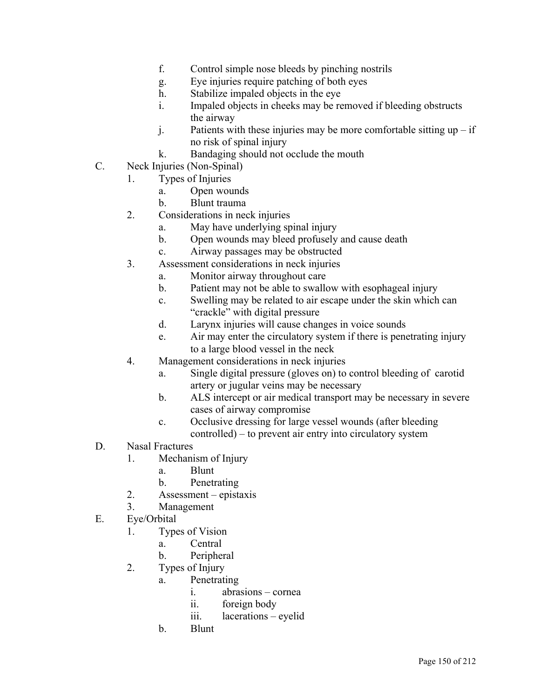- f. Control simple nose bleeds by pinching nostrils
- g. Eye injuries require patching of both eyes
- h. Stabilize impaled objects in the eye
- i. Impaled objects in cheeks may be removed if bleeding obstructs the airway
- j. Patients with these injuries may be more comfortable sitting  $up if$ no risk of spinal injury
- k. Bandaging should not occlude the mouth
- C. Neck Injuries (Non-Spinal)
	- 1. Types of Injuries
		- a. Open wounds
		- b. Blunt trauma
	- 2. Considerations in neck injuries
		- a. May have underlying spinal injury
		- b. Open wounds may bleed profusely and cause death
		- c. Airway passages may be obstructed
	- 3. Assessment considerations in neck injuries
		- a. Monitor airway throughout care
		- b. Patient may not be able to swallow with esophageal injury
		- c. Swelling may be related to air escape under the skin which can "crackle" with digital pressure
		- d. Larynx injuries will cause changes in voice sounds
		- e. Air may enter the circulatory system if there is penetrating injury to a large blood vessel in the neck
	- 4. Management considerations in neck injuries
		- a. Single digital pressure (gloves on) to control bleeding of carotid artery or jugular veins may be necessary
		- b. ALS intercept or air medical transport may be necessary in severe cases of airway compromise
		- c. Occlusive dressing for large vessel wounds (after bleeding controlled) – to prevent air entry into circulatory system
- D. Nasal Fractures
	- 1. Mechanism of Injury
		- a. Blunt
		- b. Penetrating
	- 2. Assessment epistaxis
	- 3. Management
- E. Eye/Orbital
	- 1. Types of Vision
		- a. Central
		- b. Peripheral
	- 2. Types of Injury
		- a. Penetrating
			- i. abrasions cornea
			- ii. foreign body
			- iii. lacerations eyelid
		- b. Blunt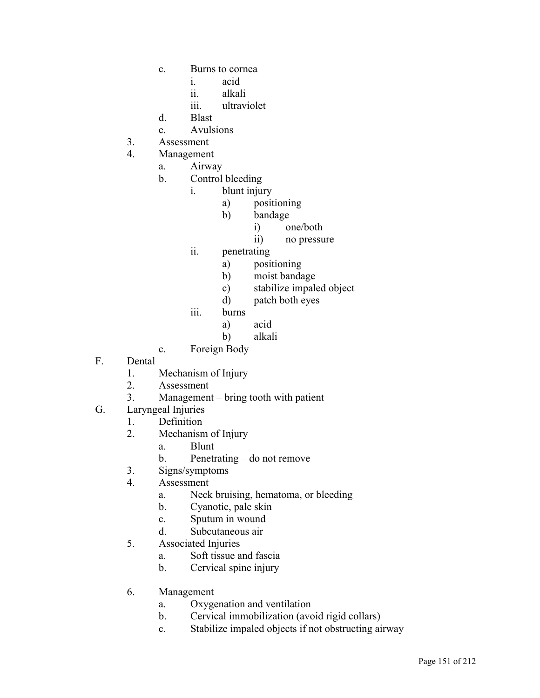- c. Burns to cornea
	- i. acid
	- ii. alkali
	- iii. ultraviolet
- d. Blast
- e. Avulsions
- 3. Assessment
- 4. Management
	- a. Airway
	- b. Control bleeding
		- i. blunt injury
			- a) positioning
			- b) bandage
				- i) one/both
					- ii) no pressure
			- ii. penetrating
				- a) positioning
				- b) moist bandage
				- c) stabilize impaled object
				- d) patch both eyes
			- iii. burns
				- a) acid
				- b) alkali
	- c. Foreign Body
- F. Dental
	- 1. Mechanism of Injury
	- 2. Assessment
	- 3. Management bring tooth with patient
- G. Laryngeal Injuries
	- 1. Definition
	- 2. Mechanism of Injury
		- a. Blunt
		- b. Penetrating do not remove
	- 3. Signs/symptoms
	- 4. Assessment
		- a. Neck bruising, hematoma, or bleeding
		- b. Cyanotic, pale skin
		- c. Sputum in wound
		- d. Subcutaneous air
	- 5. Associated Injuries
		- a. Soft tissue and fascia
		- b. Cervical spine injury
	- 6. Management
		- a. Oxygenation and ventilation
		- b. Cervical immobilization (avoid rigid collars)
		- c. Stabilize impaled objects if not obstructing airway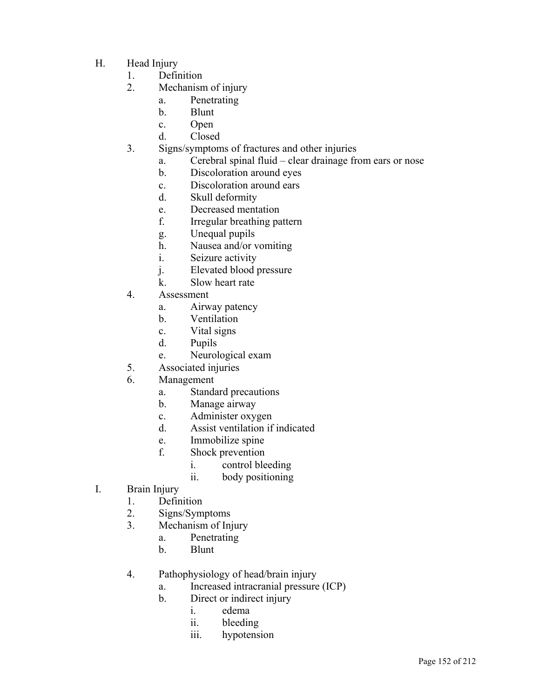- H. Head Injury
	- 1. Definition
	- 2. Mechanism of injury
		- a. Penetrating
		- b. Blunt
		- c. Open
		- d. Closed
	- 3. Signs/symptoms of fractures and other injuries
		- a. Cerebral spinal fluid clear drainage from ears or nose
		- b. Discoloration around eyes
		- c. Discoloration around ears
		- d. Skull deformity
		- e. Decreased mentation
		- f. Irregular breathing pattern
		- g. Unequal pupils
		- h. Nausea and/or vomiting
		- i. Seizure activity
		- j. Elevated blood pressure
		- k. Slow heart rate
	- 4. Assessment
		- a. Airway patency
		- b. Ventilation
		- c. Vital signs
		- d. Pupils
		- e. Neurological exam
	- 5. Associated injuries
	- 6. Management
		- a. Standard precautions
		- b. Manage airway
		- c. Administer oxygen
		- d. Assist ventilation if indicated
		- e. Immobilize spine
		- f. Shock prevention
			- i. control bleeding
			- ii. body positioning
- I. Brain Injury
	- 1. Definition
	- 2. Signs/Symptoms
	- 3. Mechanism of Injury
		- a. Penetrating
		- b. Blunt
	- 4. Pathophysiology of head/brain injury
		- a. Increased intracranial pressure (ICP)
		- b. Direct or indirect injury
			- i. edema
			- ii. bleeding
			- iii. hypotension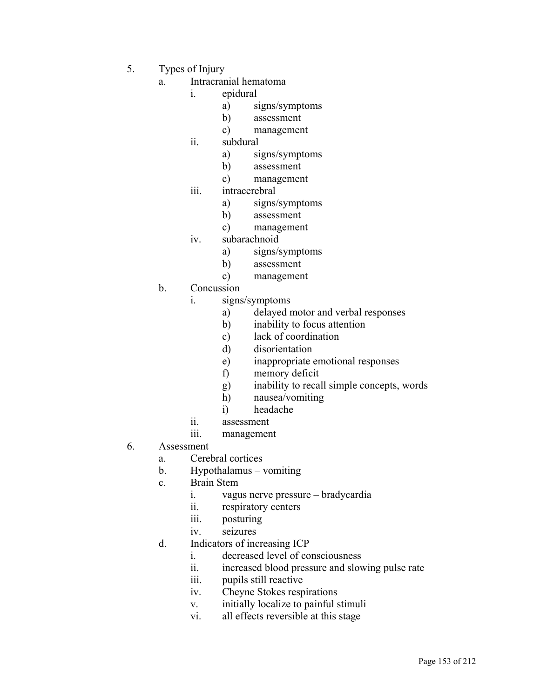- 5. Types of Injury
	- a. Intracranial hematoma
		- i. epidural
			- a) signs/symptoms
			- b) assessment
			- c) management
		- ii. subdural
			- a) signs/symptoms
			- b) assessment
			- c) management
		- iii. intracerebral
			- a) signs/symptoms
			- b) assessment
			- c) management
		- iv. subarachnoid
			- a) signs/symptoms
			- b) assessment
			- c) management
	- b. Concussion
		- i. signs/symptoms
			- a) delayed motor and verbal responses
			- b) inability to focus attention
			- c) lack of coordination
			- d) disorientation
			- e) inappropriate emotional responses
			- f) memory deficit
			- g) inability to recall simple concepts, words
			- h) nausea/vomiting
			- i) headache
		- ii. assessment
		- iii. management
- 6. Assessment
	- a. Cerebral cortices
	- b. Hypothalamus vomiting
	- c. Brain Stem
		- i. vagus nerve pressure bradycardia
		- ii. respiratory centers
		- iii. posturing
		- iv. seizures
	- d. Indicators of increasing ICP
		- i. decreased level of consciousness
		- ii. increased blood pressure and slowing pulse rate
		- iii. pupils still reactive
		- iv. Cheyne Stokes respirations
		- v. initially localize to painful stimuli
		- vi. all effects reversible at this stage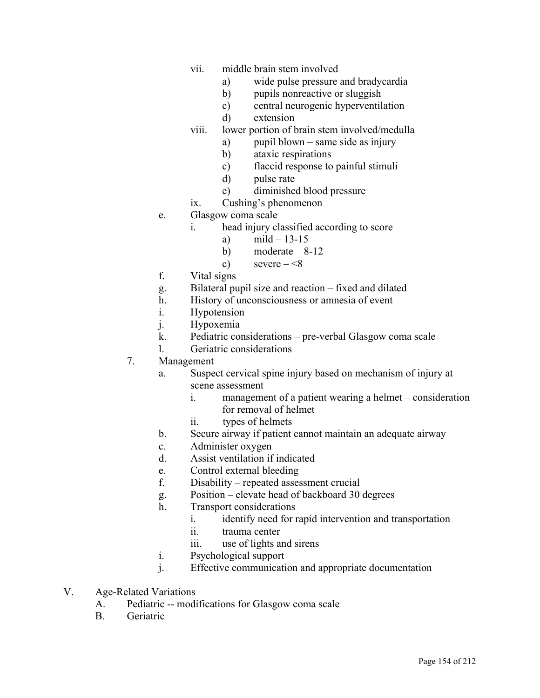- vii. middle brain stem involved
	- a) wide pulse pressure and bradycardia
	- b) pupils nonreactive or sluggish
	- c) central neurogenic hyperventilation
	- d) extension
- viii. lower portion of brain stem involved/medulla
	- a) pupil blown same side as injury
	- b) ataxic respirations
	- c) flaccid response to painful stimuli
	- d) pulse rate
	- e) diminished blood pressure
- ix. Cushing's phenomenon
- e. Glasgow coma scale
	- i. head injury classified according to score
		- a)  $\text{mild} 13 15$
		- b) moderate  $-8-12$
		- c) severe  $-\leq 8$
- f. Vital signs
- g. Bilateral pupil size and reaction fixed and dilated
- h. History of unconsciousness or amnesia of event
- i. Hypotension
- j. Hypoxemia
- k. Pediatric considerations pre-verbal Glasgow coma scale
- l. Geriatric considerations
- 7. Management
	- a. Suspect cervical spine injury based on mechanism of injury at scene assessment
		- i. management of a patient wearing a helmet consideration for removal of helmet
		- ii. types of helmets
	- b. Secure airway if patient cannot maintain an adequate airway
	- c. Administer oxygen
	- d. Assist ventilation if indicated
	- e. Control external bleeding
	- f. Disability repeated assessment crucial
	- g. Position elevate head of backboard 30 degrees
	- h. Transport considerations
		- i. identify need for rapid intervention and transportation
		- ii. trauma center
		- iii. use of lights and sirens
	- i. Psychological support
	- j. Effective communication and appropriate documentation
- V. Age-Related Variations
	- A. Pediatric -- modifications for Glasgow coma scale
	- B. Geriatric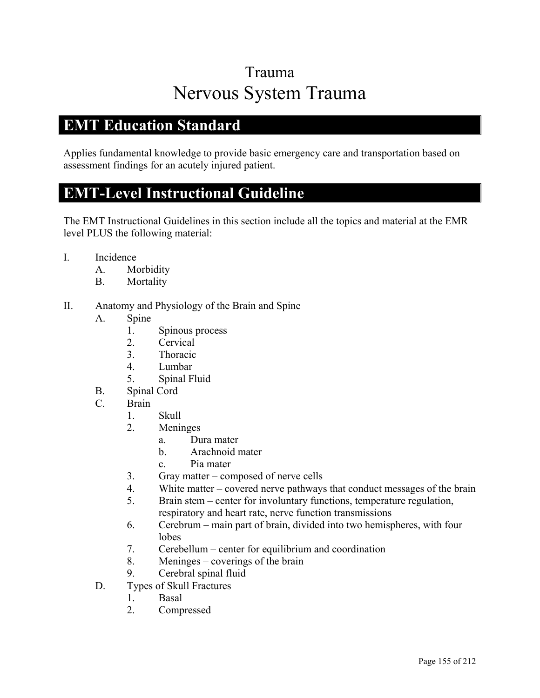## Trauma Nervous System Trauma

#### **EMT Education Standard**

Applies fundamental knowledge to provide basic emergency care and transportation based on assessment findings for an acutely injured patient.

### **EMT-Level Instructional Guideline**

- I. Incidence
	- A. Morbidity
	- B. Mortality
- II. Anatomy and Physiology of the Brain and Spine
	- A. Spine
		- 1. Spinous process
		- 2. Cervical
		- 3. Thoracic
		- 4. Lumbar
		- 5. Spinal Fluid
	- B. Spinal Cord
	- C. Brain
		- 1. Skull
		- 2. Meninges
			- a. Dura mater
			- b. Arachnoid mater
			- c. Pia mater
		- 3. Gray matter composed of nerve cells
		- 4. White matter covered nerve pathways that conduct messages of the brain
		- 5. Brain stem center for involuntary functions, temperature regulation, respiratory and heart rate, nerve function transmissions
		- 6. Cerebrum main part of brain, divided into two hemispheres, with four lobes
		- 7. Cerebellum center for equilibrium and coordination
		- 8. Meninges coverings of the brain
		- 9. Cerebral spinal fluid
	- D. Types of Skull Fractures
		- 1. Basal
		- 2. Compressed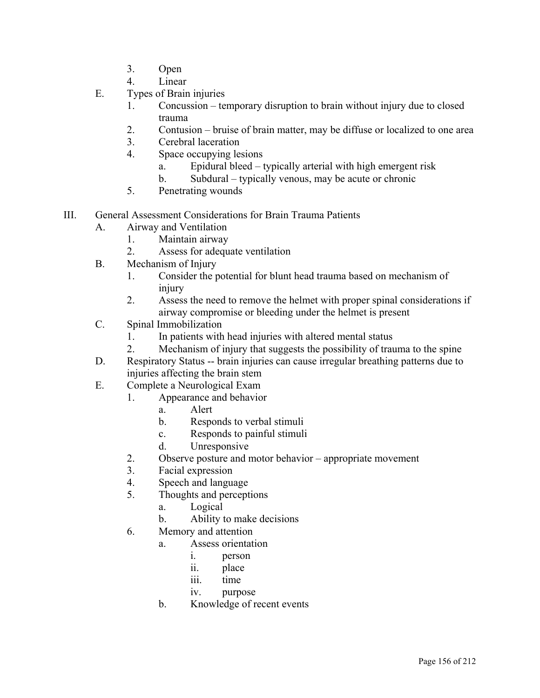- 3. Open
- 4. Linear
- E. Types of Brain injuries
	- 1. Concussion temporary disruption to brain without injury due to closed trauma
	- 2. Contusion bruise of brain matter, may be diffuse or localized to one area
	- 3. Cerebral laceration
	- 4. Space occupying lesions
		- a. Epidural bleed typically arterial with high emergent risk
		- b. Subdural typically venous, may be acute or chronic
	- 5. Penetrating wounds
- III. General Assessment Considerations for Brain Trauma Patients
	- A. Airway and Ventilation
		- 1. Maintain airway
		- 2. Assess for adequate ventilation
	- B. Mechanism of Injury
		- 1. Consider the potential for blunt head trauma based on mechanism of injury
		- 2. Assess the need to remove the helmet with proper spinal considerations if airway compromise or bleeding under the helmet is present
	- C. Spinal Immobilization
		- 1. In patients with head injuries with altered mental status
		- 2. Mechanism of injury that suggests the possibility of trauma to the spine
	- D. Respiratory Status -- brain injuries can cause irregular breathing patterns due to injuries affecting the brain stem
	- E. Complete a Neurological Exam
		- 1. Appearance and behavior
			- a. Alert
			- b. Responds to verbal stimuli
			- c. Responds to painful stimuli
			- d. Unresponsive
		- 2. Observe posture and motor behavior appropriate movement
		- 3. Facial expression
		- 4. Speech and language
		- 5. Thoughts and perceptions
			- a. Logical
			- b. Ability to make decisions
		- 6. Memory and attention
			- a. Assess orientation
				- i. person
				- ii. place
				- iii. time
				- iv. purpose
			- b. Knowledge of recent events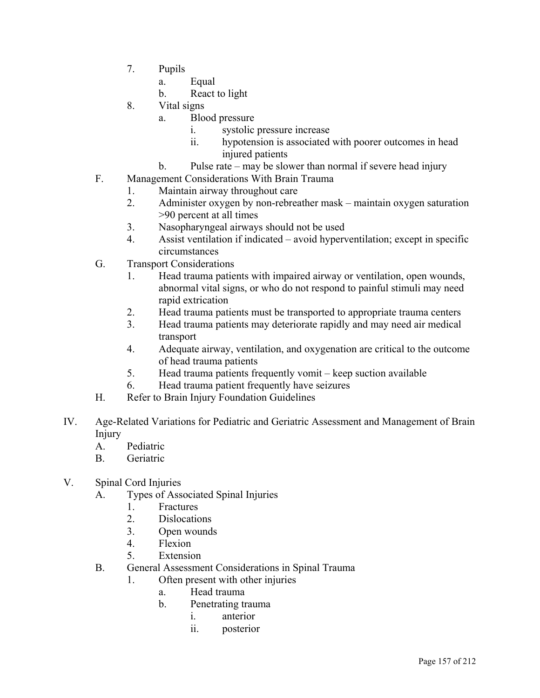- 7. Pupils
	- a. Equal
	- b. React to light
- 8. Vital signs
	- a. Blood pressure
		- i. systolic pressure increase
		- ii. hypotension is associated with poorer outcomes in head injured patients
	- b. Pulse rate may be slower than normal if severe head injury
- F. Management Considerations With Brain Trauma
	- 1. Maintain airway throughout care
	- 2. Administer oxygen by non-rebreather mask maintain oxygen saturation >90 percent at all times
	- 3. Nasopharyngeal airways should not be used
	- 4. Assist ventilation if indicated avoid hyperventilation; except in specific circumstances
- G. Transport Considerations
	- 1. Head trauma patients with impaired airway or ventilation, open wounds, abnormal vital signs, or who do not respond to painful stimuli may need rapid extrication
	- 2. Head trauma patients must be transported to appropriate trauma centers
	- 3. Head trauma patients may deteriorate rapidly and may need air medical transport
	- 4. Adequate airway, ventilation, and oxygenation are critical to the outcome of head trauma patients
	- 5. Head trauma patients frequently vomit keep suction available
	- 6. Head trauma patient frequently have seizures
- H. Refer to Brain Injury Foundation Guidelines
- IV. Age-Related Variations for Pediatric and Geriatric Assessment and Management of Brain Injury
	- A. Pediatric
	- B. Geriatric
- V. Spinal Cord Injuries
	- A. Types of Associated Spinal Injuries
		- 1. Fractures
		- 2. Dislocations
		- 3. Open wounds
		- 4. Flexion
		- 5. Extension
	- B. General Assessment Considerations in Spinal Trauma
		- 1. Often present with other injuries
			- a. Head trauma
			- b. Penetrating trauma
				- i. anterior
				- ii. posterior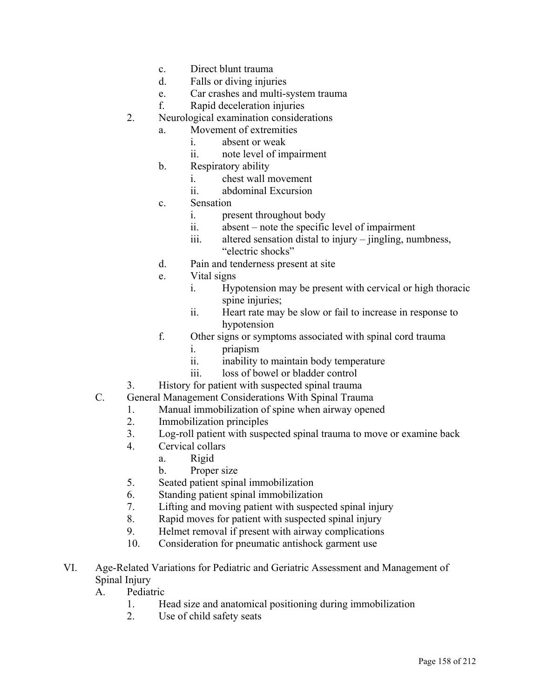- c. Direct blunt trauma
- d. Falls or diving injuries
- e. Car crashes and multi-system trauma
- f. Rapid deceleration injuries
- 2. Neurological examination considerations
	- a. Movement of extremities
		- i. absent or weak
		- ii. note level of impairment
	- b. Respiratory ability
		- i. chest wall movement
		- ii. abdominal Excursion
	- c. Sensation
		- i. present throughout body
		- ii. absent note the specific level of impairment
		- iii. altered sensation distal to injury jingling, numbness, "electric shocks"
	- d. Pain and tenderness present at site
	- e. Vital signs
		- i. Hypotension may be present with cervical or high thoracic spine injuries;
		- ii. Heart rate may be slow or fail to increase in response to hypotension
	- f. Other signs or symptoms associated with spinal cord trauma
		- i. priapism
		- ii. inability to maintain body temperature
		- iii. loss of bowel or bladder control
- 3. History for patient with suspected spinal trauma
- C. General Management Considerations With Spinal Trauma
	- 1. Manual immobilization of spine when airway opened
	- 2. Immobilization principles
	- 3. Log-roll patient with suspected spinal trauma to move or examine back
	- 4. Cervical collars
		- a. Rigid
		- b. Proper size
	- 5. Seated patient spinal immobilization
	- 6. Standing patient spinal immobilization
	- 7. Lifting and moving patient with suspected spinal injury
	- 8. Rapid moves for patient with suspected spinal injury
	- 9. Helmet removal if present with airway complications
	- 10. Consideration for pneumatic antishock garment use
- VI. Age-Related Variations for Pediatric and Geriatric Assessment and Management of Spinal Injury

A. Pediatric

- 1. Head size and anatomical positioning during immobilization
- 2. Use of child safety seats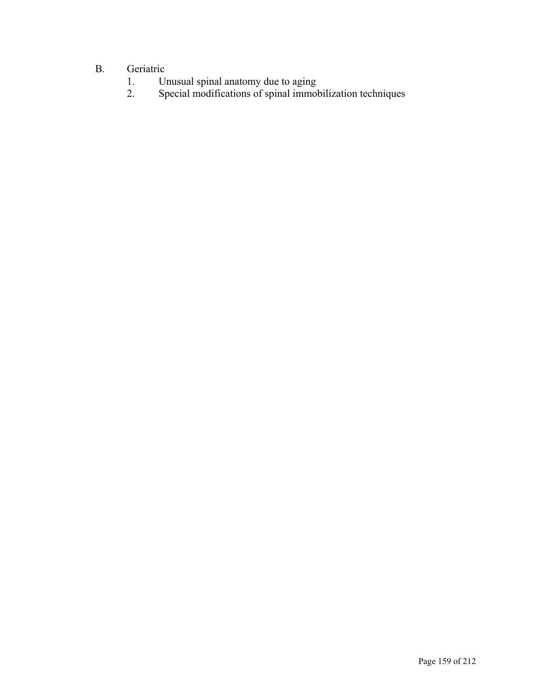# B. Geriatric<br>1. U

- 1. Unusual spinal anatomy due to aging
- 2. Special modifications of spinal immobilization techniques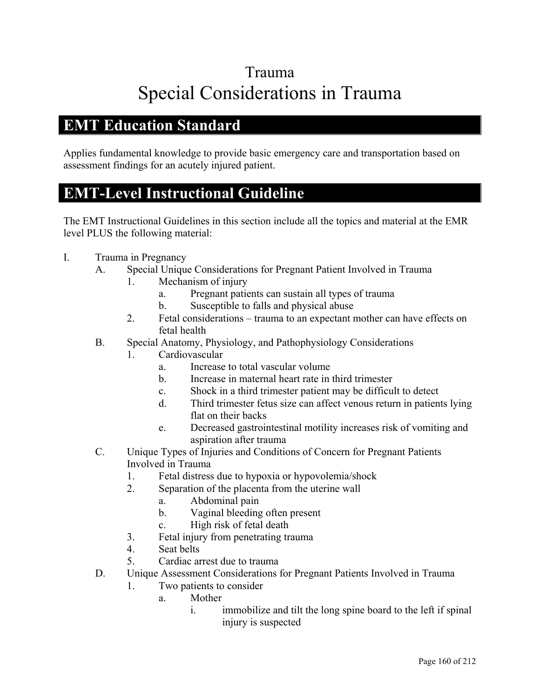# Trauma Special Considerations in Trauma

#### **EMT Education Standard**

Applies fundamental knowledge to provide basic emergency care and transportation based on assessment findings for an acutely injured patient.

### **EMT-Level Instructional Guideline**

- I. Trauma in Pregnancy
	- A. Special Unique Considerations for Pregnant Patient Involved in Trauma
		- 1. Mechanism of injury
			- a. Pregnant patients can sustain all types of trauma
			- b. Susceptible to falls and physical abuse
		- 2. Fetal considerations trauma to an expectant mother can have effects on fetal health
	- B. Special Anatomy, Physiology, and Pathophysiology Considerations
		- 1. Cardiovascular
			- a. Increase to total vascular volume
			- b. Increase in maternal heart rate in third trimester
			- c. Shock in a third trimester patient may be difficult to detect
			- d. Third trimester fetus size can affect venous return in patients lying flat on their backs
			- e. Decreased gastrointestinal motility increases risk of vomiting and aspiration after trauma
	- C. Unique Types of Injuries and Conditions of Concern for Pregnant Patients Involved in Trauma
		- 1. Fetal distress due to hypoxia or hypovolemia/shock
		- 2. Separation of the placenta from the uterine wall
			- a. Abdominal pain
			- b. Vaginal bleeding often present
			- c. High risk of fetal death
		- 3. Fetal injury from penetrating trauma
		- 4. Seat belts
		- 5. Cardiac arrest due to trauma
	- D. Unique Assessment Considerations for Pregnant Patients Involved in Trauma
		- 1. Two patients to consider
			- a. Mother
				- i. immobilize and tilt the long spine board to the left if spinal injury is suspected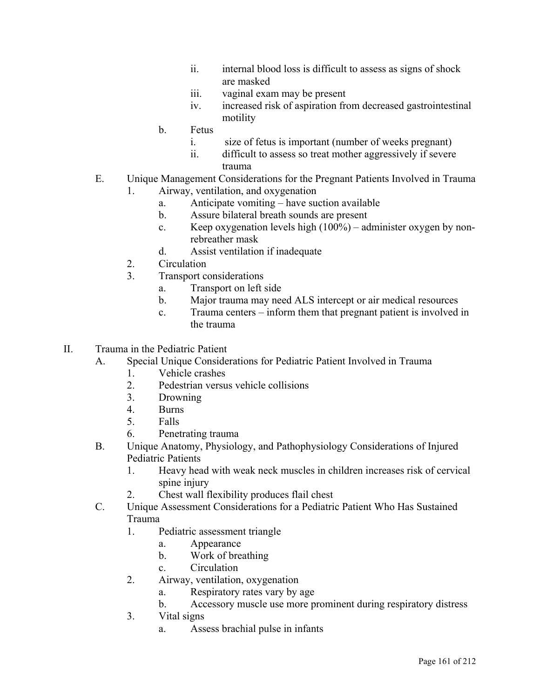- ii. internal blood loss is difficult to assess as signs of shock are masked
- iii. vaginal exam may be present
- iv. increased risk of aspiration from decreased gastrointestinal motility
- b. Fetus
	- i. size of fetus is important (number of weeks pregnant)
	- ii. difficult to assess so treat mother aggressively if severe trauma
- E. Unique Management Considerations for the Pregnant Patients Involved in Trauma
	- 1. Airway, ventilation, and oxygenation
		- a. Anticipate vomiting have suction available
		- b. Assure bilateral breath sounds are present
		- c. Keep oxygenation levels high (100%) administer oxygen by nonrebreather mask
		- d. Assist ventilation if inadequate
	- 2. Circulation
	- 3. Transport considerations
		- a. Transport on left side
		- b. Major trauma may need ALS intercept or air medical resources
		- c. Trauma centers inform them that pregnant patient is involved in the trauma
- II. Trauma in the Pediatric Patient
	- A. Special Unique Considerations for Pediatric Patient Involved in Trauma
		- 1. Vehicle crashes
		- 2. Pedestrian versus vehicle collisions
		- 3. Drowning
		- 4. Burns
		- 5. Falls
		- 6. Penetrating trauma
	- B. Unique Anatomy, Physiology, and Pathophysiology Considerations of Injured Pediatric Patients
		- 1. Heavy head with weak neck muscles in children increases risk of cervical spine injury
		- 2. Chest wall flexibility produces flail chest
	- C. Unique Assessment Considerations for a Pediatric Patient Who Has Sustained Trauma
		- 1. Pediatric assessment triangle
			- a. Appearance
			- b. Work of breathing
			- c. Circulation
		- 2. Airway, ventilation, oxygenation
			- a. Respiratory rates vary by age
			- b. Accessory muscle use more prominent during respiratory distress
		- 3. Vital signs
			- a. Assess brachial pulse in infants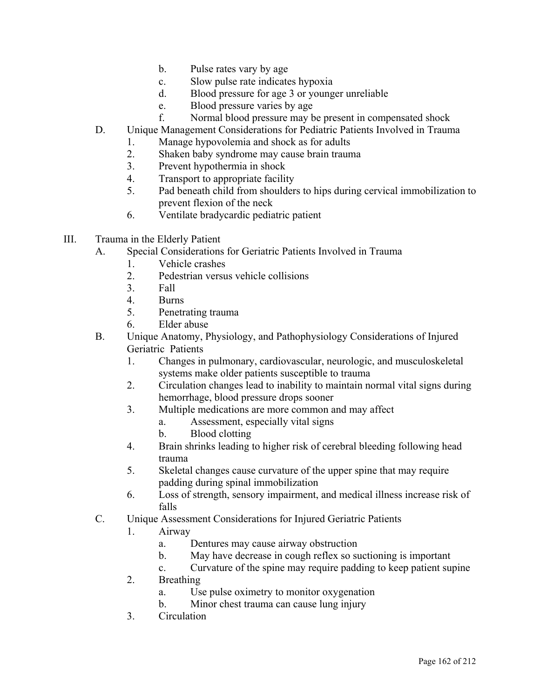- b. Pulse rates vary by age
- c. Slow pulse rate indicates hypoxia
- d. Blood pressure for age 3 or younger unreliable
- e. Blood pressure varies by age
- f. Normal blood pressure may be present in compensated shock
- D. Unique Management Considerations for Pediatric Patients Involved in Trauma
	- 1. Manage hypovolemia and shock as for adults
	- 2. Shaken baby syndrome may cause brain trauma
	- 3. Prevent hypothermia in shock
	- 4. Transport to appropriate facility
	- 5. Pad beneath child from shoulders to hips during cervical immobilization to prevent flexion of the neck
	- 6. Ventilate bradycardic pediatric patient
- III. Trauma in the Elderly Patient
	- A. Special Considerations for Geriatric Patients Involved in Trauma
		- 1. Vehicle crashes
		- 2. Pedestrian versus vehicle collisions
		- 3. Fall
		- 4. Burns
		- 5. Penetrating trauma
		- 6. Elder abuse
	- B. Unique Anatomy, Physiology, and Pathophysiology Considerations of Injured Geriatric Patients
		- 1. Changes in pulmonary, cardiovascular, neurologic, and musculoskeletal systems make older patients susceptible to trauma
		- 2. Circulation changes lead to inability to maintain normal vital signs during hemorrhage, blood pressure drops sooner
		- 3. Multiple medications are more common and may affect
			- a. Assessment, especially vital signs
			- b. Blood clotting
		- 4. Brain shrinks leading to higher risk of cerebral bleeding following head trauma
		- 5. Skeletal changes cause curvature of the upper spine that may require padding during spinal immobilization
		- 6. Loss of strength, sensory impairment, and medical illness increase risk of falls
	- C. Unique Assessment Considerations for Injured Geriatric Patients
		- 1. Airway
			- a. Dentures may cause airway obstruction
			- b. May have decrease in cough reflex so suctioning is important
			- c. Curvature of the spine may require padding to keep patient supine
		- 2. Breathing
			- a. Use pulse oximetry to monitor oxygenation
			- b. Minor chest trauma can cause lung injury
		- 3. Circulation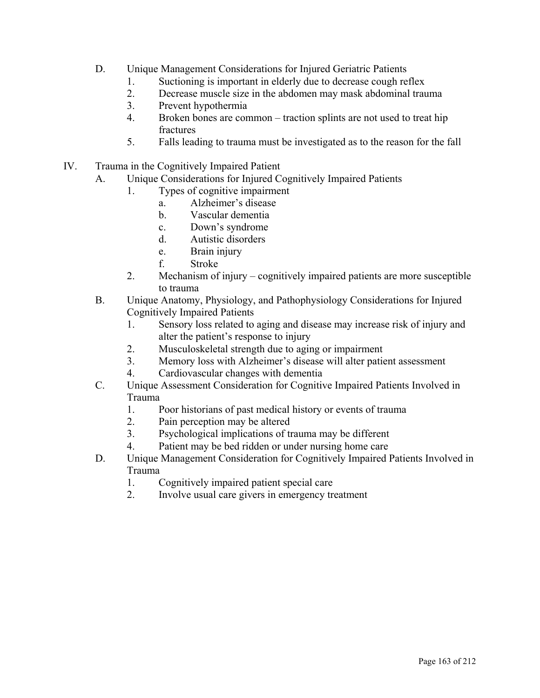- D. Unique Management Considerations for Injured Geriatric Patients
	- 1. Suctioning is important in elderly due to decrease cough reflex
	- 2. Decrease muscle size in the abdomen may mask abdominal trauma
	- 3. Prevent hypothermia
	- 4. Broken bones are common traction splints are not used to treat hip **fractures**
	- 5. Falls leading to trauma must be investigated as to the reason for the fall
- IV. Trauma in the Cognitively Impaired Patient
	- A. Unique Considerations for Injured Cognitively Impaired Patients
		- 1. Types of cognitive impairment
			- a. Alzheimer's disease
			- b. Vascular dementia
			- c. Down's syndrome
			- d. Autistic disorders
			- e. Brain injury
			- f. Stroke
		- 2. Mechanism of injury cognitively impaired patients are more susceptible to trauma
	- B. Unique Anatomy, Physiology, and Pathophysiology Considerations for Injured Cognitively Impaired Patients
		- 1. Sensory loss related to aging and disease may increase risk of injury and alter the patient's response to injury
		- 2. Musculoskeletal strength due to aging or impairment
		- 3. Memory loss with Alzheimer's disease will alter patient assessment
		- 4. Cardiovascular changes with dementia
	- C. Unique Assessment Consideration for Cognitive Impaired Patients Involved in Trauma
		- 1. Poor historians of past medical history or events of trauma
		- 2. Pain perception may be altered
		- 3. Psychological implications of trauma may be different
		- 4. Patient may be bed ridden or under nursing home care
	- D. Unique Management Consideration for Cognitively Impaired Patients Involved in Trauma
		- 1. Cognitively impaired patient special care
		- 2. Involve usual care givers in emergency treatment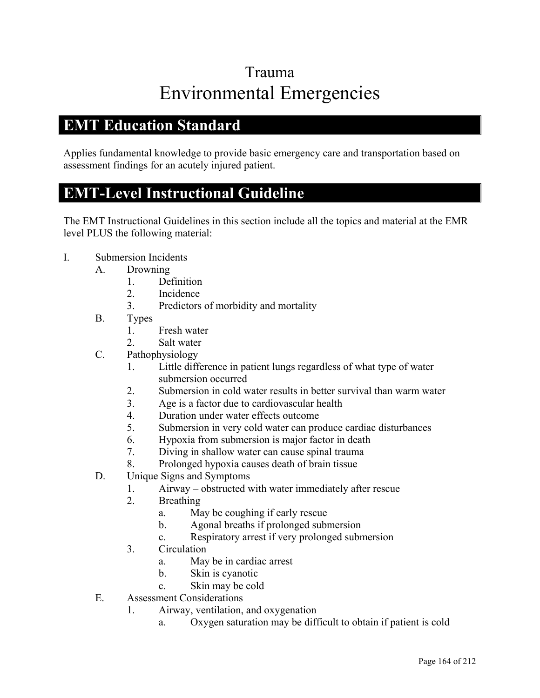# Trauma Environmental Emergencies

### **EMT Education Standard**

Applies fundamental knowledge to provide basic emergency care and transportation based on assessment findings for an acutely injured patient.

#### **EMT-Level Instructional Guideline**

- I. Submersion Incidents
	- A. Drowning
		- 1. Definition
		- 2. Incidence
		- 3. Predictors of morbidity and mortality
	- B. Types
		- 1. Fresh water
		- 2. Salt water
	- C. Pathophysiology
		- 1. Little difference in patient lungs regardless of what type of water submersion occurred
		- 2. Submersion in cold water results in better survival than warm water
		- 3. Age is a factor due to cardiovascular health
		- 4. Duration under water effects outcome
		- 5. Submersion in very cold water can produce cardiac disturbances
		- 6. Hypoxia from submersion is major factor in death
		- 7. Diving in shallow water can cause spinal trauma
		- 8. Prolonged hypoxia causes death of brain tissue
	- D. Unique Signs and Symptoms
		- 1. Airway obstructed with water immediately after rescue
		- 2. Breathing
			- a. May be coughing if early rescue
			- b. Agonal breaths if prolonged submersion
			- c. Respiratory arrest if very prolonged submersion
		- 3. Circulation
			- a. May be in cardiac arrest
			- b. Skin is cyanotic
			- c. Skin may be cold
	- E. Assessment Considerations
		- 1. Airway, ventilation, and oxygenation
			- a. Oxygen saturation may be difficult to obtain if patient is cold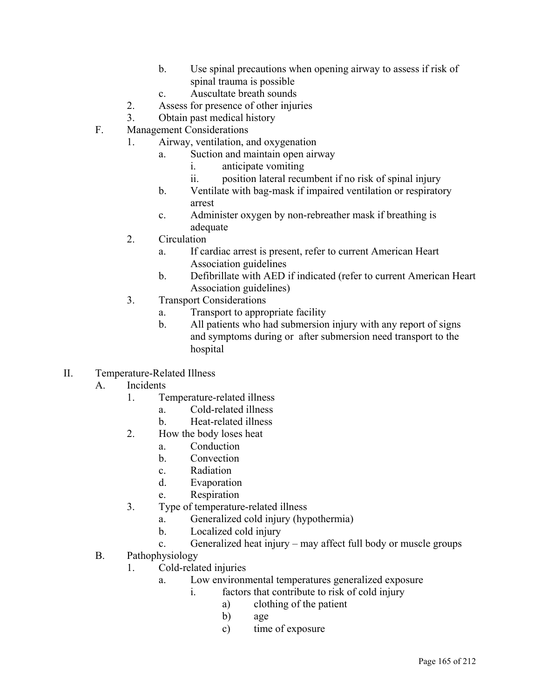- b. Use spinal precautions when opening airway to assess if risk of spinal trauma is possible
- c. Auscultate breath sounds
- 2. Assess for presence of other injuries
- 3. Obtain past medical history
- F. Management Considerations
	- 1. Airway, ventilation, and oxygenation
		- a. Suction and maintain open airway
			- i. anticipate vomiting
			- ii. position lateral recumbent if no risk of spinal injury
		- b. Ventilate with bag-mask if impaired ventilation or respiratory arrest
		- c. Administer oxygen by non-rebreather mask if breathing is adequate
	- 2. Circulation
		- a. If cardiac arrest is present, refer to current American Heart Association guidelines
		- b. Defibrillate with AED if indicated (refer to current American Heart Association guidelines)
	- 3. Transport Considerations
		- a. Transport to appropriate facility
		- b. All patients who had submersion injury with any report of signs and symptoms during or after submersion need transport to the hospital
- II. Temperature-Related Illness
	- A. Incidents
		- 1. Temperature-related illness
			- a. Cold-related illness
			- b. Heat-related illness
		- 2. How the body loses heat
			- a. Conduction
			- b. Convection
			- c. Radiation
			- d. Evaporation
			- e. Respiration
		- 3. Type of temperature-related illness
			- a. Generalized cold injury (hypothermia)
			- b. Localized cold injury
			- c. Generalized heat injury may affect full body or muscle groups
	- B. Pathophysiology
		- 1. Cold-related injuries
			- a. Low environmental temperatures generalized exposure
				- i. factors that contribute to risk of cold injury
					- a) clothing of the patient
						- b) age
					- c) time of exposure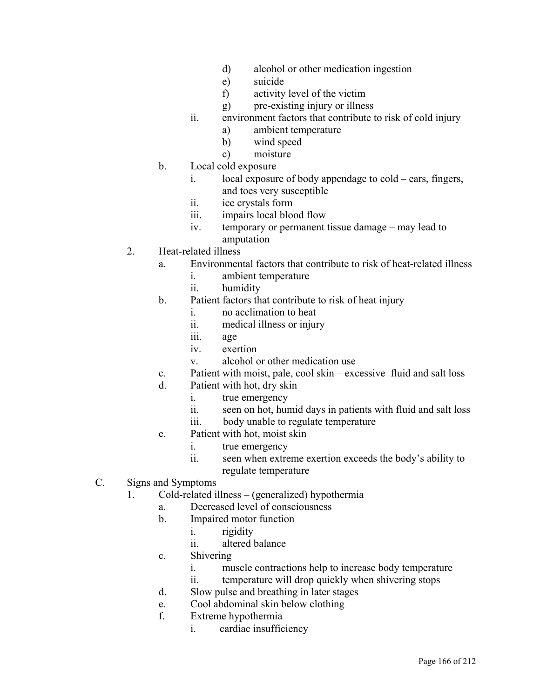- d) alcohol or other medication ingestion
- e) suicide
- f) activity level of the victim
- g) pre-existing injury or illness
- ii. environment factors that contribute to risk of cold injury
	- a) ambient temperature
	- b) wind speed
	- c) moisture
- b. Local cold exposure
	- i. local exposure of body appendage to cold ears, fingers, and toes very susceptible
	- ii. ice crystals form
	- iii. impairs local blood flow
	- iv. temporary or permanent tissue damage may lead to amputation
- 2. Heat-related illness
	- a. Environmental factors that contribute to risk of heat-related illness
		- i. ambient temperature
		- ii. humidity
	- b. Patient factors that contribute to risk of heat injury
		- i. no acclimation to heat
		- ii. medical illness or injury
		- iii. age
		- iv. exertion
		- v. alcohol or other medication use
	- c. Patient with moist, pale, cool skin excessive fluid and salt loss
	- d. Patient with hot, dry skin
		- i. true emergency
		- ii. seen on hot, humid days in patients with fluid and salt loss
		- iii. body unable to regulate temperature
	- e. Patient with hot, moist skin
		- i. true emergency
		- ii. seen when extreme exertion exceeds the body's ability to regulate temperature
- C. Signs and Symptoms
	- 1. Cold-related illness (generalized) hypothermia
		- a. Decreased level of consciousness
			- b. Impaired motor function
				- i. rigidity
				- ii. altered balance
			- c. Shivering
				- i. muscle contractions help to increase body temperature
				- ii. temperature will drop quickly when shivering stops
			- d. Slow pulse and breathing in later stages
			- e. Cool abdominal skin below clothing
			- f. Extreme hypothermia
				- i. cardiac insufficiency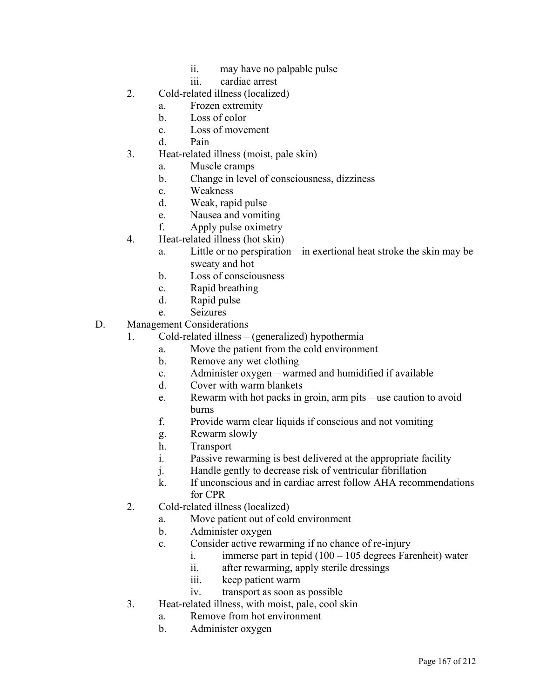- ii. may have no palpable pulse
- iii. cardiac arrest
- 2. Cold-related illness (localized)
	- a. Frozen extremity
	- b. Loss of color
	- c. Loss of movement
	- d. Pain
- 3. Heat-related illness (moist, pale skin)
	- a. Muscle cramps
	- b. Change in level of consciousness, dizziness
	- c. Weakness
	- d. Weak, rapid pulse
	- e. Nausea and vomiting
	- f. Apply pulse oximetry
- 4. Heat-related illness (hot skin)
	- a. Little or no perspiration in exertional heat stroke the skin may be sweaty and hot
	- b. Loss of consciousness
	- c. Rapid breathing
	- d. Rapid pulse
	- e. Seizures
- D. Management Considerations
	- 1. Cold-related illness (generalized) hypothermia
		- a. Move the patient from the cold environment
		- b. Remove any wet clothing
		- c. Administer oxygen warmed and humidified if available
		- d. Cover with warm blankets
		- e. Rewarm with hot packs in groin, arm pits use caution to avoid burns
		- f. Provide warm clear liquids if conscious and not vomiting
		- g. Rewarm slowly
		- h. Transport
		- i. Passive rewarming is best delivered at the appropriate facility
		- j. Handle gently to decrease risk of ventricular fibrillation
		- k. If unconscious and in cardiac arrest follow AHA recommendations for CPR
	- 2. Cold-related illness (localized)
		- a. Move patient out of cold environment
		- b. Administer oxygen
		- c. Consider active rewarming if no chance of re-injury
			- i. immerse part in tepid  $(100 105$  degrees Farenheit) water
			- ii. after rewarming, apply sterile dressings
			- iii. keep patient warm
			- iv. transport as soon as possible
	- 3. Heat-related illness, with moist, pale, cool skin
		- a. Remove from hot environment
		- b. Administer oxygen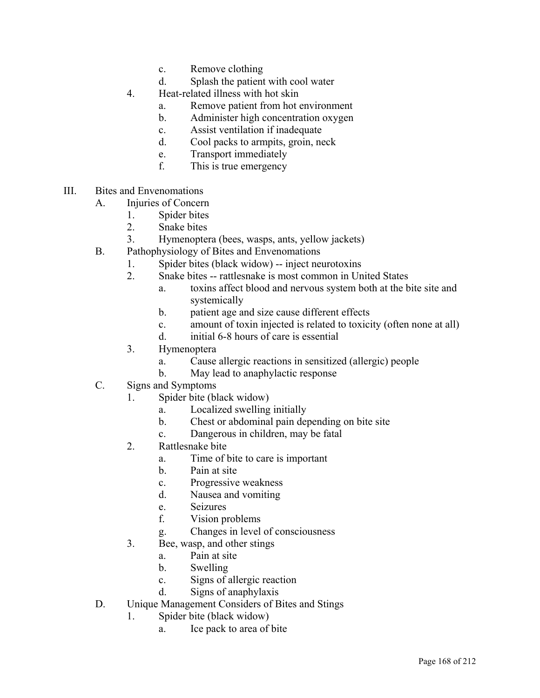- c. Remove clothing
- d. Splash the patient with cool water
- 4. Heat-related illness with hot skin
	- a. Remove patient from hot environment
	- b. Administer high concentration oxygen
	- c. Assist ventilation if inadequate
	- d. Cool packs to armpits, groin, neck
	- e. Transport immediately
	- f. This is true emergency
- III. Bites and Envenomations
	- A. Injuries of Concern
		- 1. Spider bites
		- 2. Snake bites
		- 3. Hymenoptera (bees, wasps, ants, yellow jackets)
	- B. Pathophysiology of Bites and Envenomations
		- 1. Spider bites (black widow) -- inject neurotoxins
		- 2. Snake bites -- rattlesnake is most common in United States
			- a. toxins affect blood and nervous system both at the bite site and systemically
			- b. patient age and size cause different effects
			- c. amount of toxin injected is related to toxicity (often none at all)
			- d. initial 6-8 hours of care is essential
		- 3. Hymenoptera
			- a. Cause allergic reactions in sensitized (allergic) people
			- b. May lead to anaphylactic response
	- C. Signs and Symptoms
		- 1. Spider bite (black widow)
			- a. Localized swelling initially
			- b. Chest or abdominal pain depending on bite site
			- c. Dangerous in children, may be fatal
		- 2. Rattlesnake bite
			- a. Time of bite to care is important
			- b. Pain at site
			- c. Progressive weakness
			- d. Nausea and vomiting
			- e. Seizures
			- f. Vision problems
			- g. Changes in level of consciousness
		- 3. Bee, wasp, and other stings
			- a. Pain at site
			- b. Swelling
			- c. Signs of allergic reaction
			- d. Signs of anaphylaxis
	- D. Unique Management Considers of Bites and Stings
		- 1. Spider bite (black widow)
			- a. Ice pack to area of bite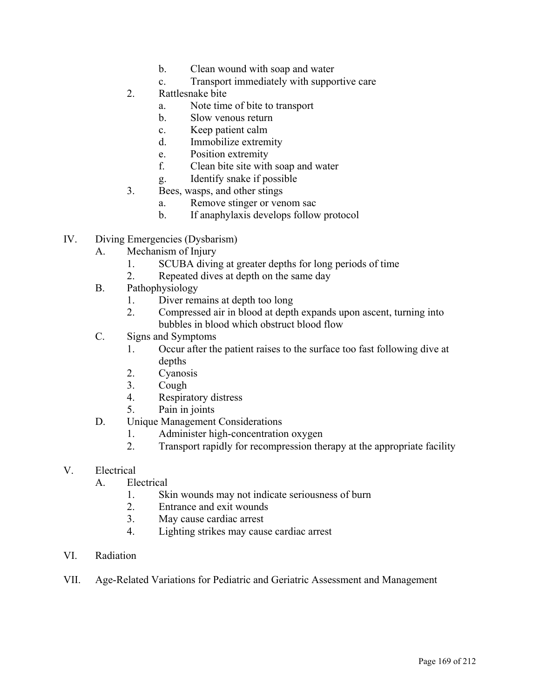- b. Clean wound with soap and water
- c. Transport immediately with supportive care
- 2. Rattlesnake bite
	- a. Note time of bite to transport
	- b. Slow venous return
	- c. Keep patient calm
	- d. Immobilize extremity
	- e. Position extremity
	- f. Clean bite site with soap and water
	- g. Identify snake if possible
- 3. Bees, wasps, and other stings
	- a. Remove stinger or venom sac
	- b. If anaphylaxis develops follow protocol
- IV. Diving Emergencies (Dysbarism)
	- A. Mechanism of Injury
		- 1. SCUBA diving at greater depths for long periods of time
		- 2. Repeated dives at depth on the same day
	- B. Pathophysiology
		- 1. Diver remains at depth too long
		- 2. Compressed air in blood at depth expands upon ascent, turning into bubbles in blood which obstruct blood flow
	- C. Signs and Symptoms
		- 1. Occur after the patient raises to the surface too fast following dive at depths
		- 2. Cyanosis
		- 3. Cough
		- 4. Respiratory distress
		- 5. Pain in joints
	- D. Unique Management Considerations
		- 1. Administer high-concentration oxygen
		- 2. Transport rapidly for recompression therapy at the appropriate facility
- V. Electrical
	- A. Electrical
		- 1. Skin wounds may not indicate seriousness of burn
		- 2. Entrance and exit wounds
		- 3. May cause cardiac arrest
		- 4. Lighting strikes may cause cardiac arrest
- VI. Radiation
- VII. Age-Related Variations for Pediatric and Geriatric Assessment and Management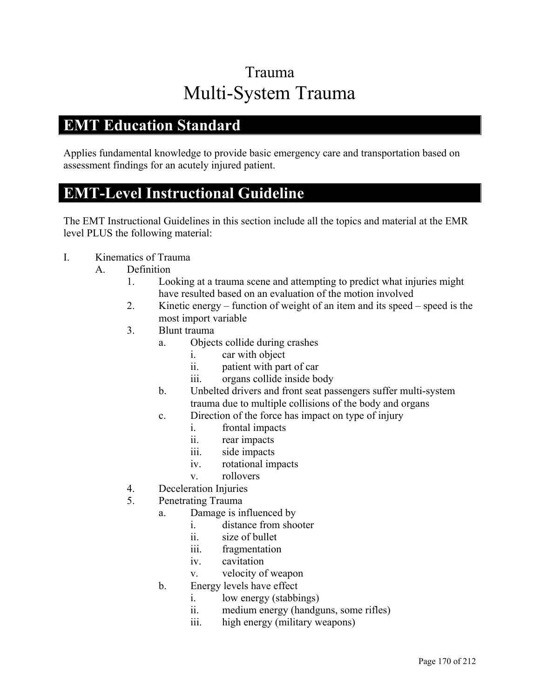## Trauma Multi-System Trauma

#### **EMT Education Standard**

Applies fundamental knowledge to provide basic emergency care and transportation based on assessment findings for an acutely injured patient.

### **EMT-Level Instructional Guideline**

- I. Kinematics of Trauma
	- A. Definition
		- 1. Looking at a trauma scene and attempting to predict what injuries might have resulted based on an evaluation of the motion involved
		- 2. Kinetic energy function of weight of an item and its speed speed is the most import variable
		- 3. Blunt trauma
			- a. Objects collide during crashes
				- i. car with object
				- ii. patient with part of car
				- iii. organs collide inside body
			- b. Unbelted drivers and front seat passengers suffer multi-system trauma due to multiple collisions of the body and organs
			- c. Direction of the force has impact on type of injury
				- i. frontal impacts
				- ii. rear impacts
				- iii. side impacts
				- iv. rotational impacts
				- v. rollovers
		- 4. Deceleration Injuries
		- 5. Penetrating Trauma
			- a. Damage is influenced by
				- i. distance from shooter
				- ii. size of bullet
				- iii. fragmentation
				- iv. cavitation
				- v. velocity of weapon
			- b. Energy levels have effect
				- i. low energy (stabbings)
				- ii. medium energy (handguns, some rifles)
				- iii. high energy (military weapons)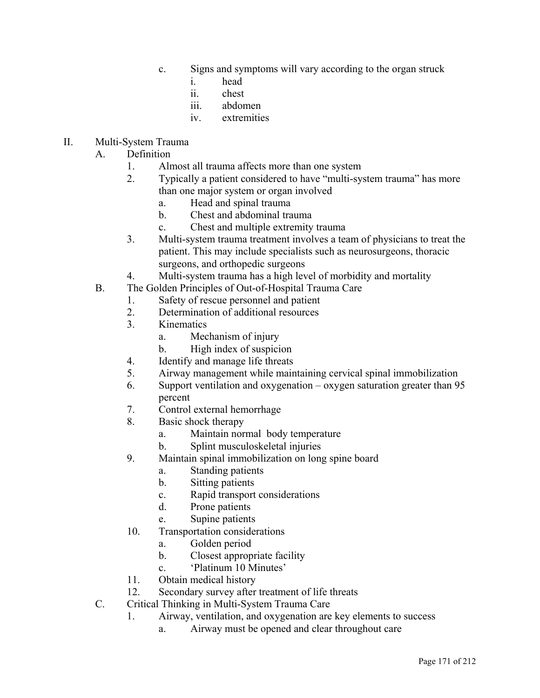- c. Signs and symptoms will vary according to the organ struck
	- i. head
	- ii. chest
	- iii. abdomen
	- iv. extremities
- II. Multi-System Trauma
	- A. Definition
		- 1. Almost all trauma affects more than one system
		- 2. Typically a patient considered to have "multi-system trauma" has more than one major system or organ involved
			- a. Head and spinal trauma
			- b. Chest and abdominal trauma
			- c. Chest and multiple extremity trauma
		- 3. Multi-system trauma treatment involves a team of physicians to treat the patient. This may include specialists such as neurosurgeons, thoracic surgeons, and orthopedic surgeons
		- 4. Multi-system trauma has a high level of morbidity and mortality
	- B. The Golden Principles of Out-of-Hospital Trauma Care
		- 1. Safety of rescue personnel and patient
		- 2. Determination of additional resources
		- 3. Kinematics
			- a. Mechanism of injury
			- b. High index of suspicion
		- 4. Identify and manage life threats
		- 5. Airway management while maintaining cervical spinal immobilization
		- 6. Support ventilation and oxygenation oxygen saturation greater than 95 percent
		- 7. Control external hemorrhage
		- 8. Basic shock therapy
			- a. Maintain normal body temperature
			- b. Splint musculoskeletal injuries
		- 9. Maintain spinal immobilization on long spine board
			- a. Standing patients
			- b. Sitting patients
			- c. Rapid transport considerations
			- d. Prone patients
			- e. Supine patients
		- 10. Transportation considerations
			- a. Golden period
			- b. Closest appropriate facility
			- c. 'Platinum 10 Minutes'
		- 11. Obtain medical history
		- 12. Secondary survey after treatment of life threats
	- C. Critical Thinking in Multi-System Trauma Care
		- 1. Airway, ventilation, and oxygenation are key elements to success
			- a. Airway must be opened and clear throughout care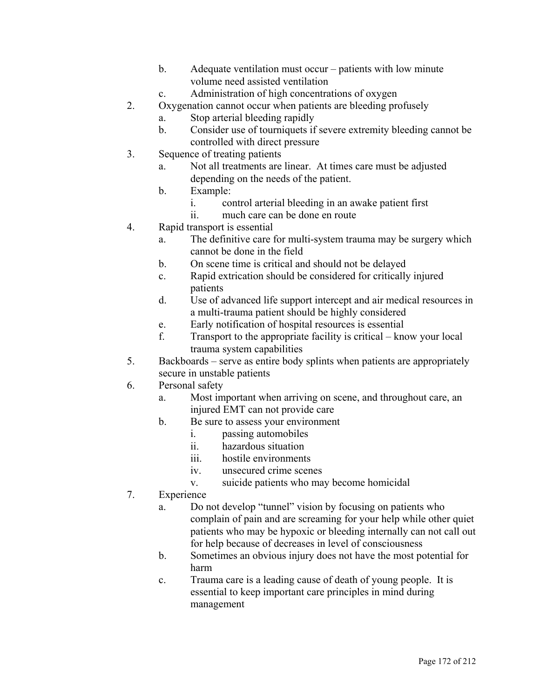- b. Adequate ventilation must occur patients with low minute volume need assisted ventilation
- c. Administration of high concentrations of oxygen
- 2. Oxygenation cannot occur when patients are bleeding profusely
	- a. Stop arterial bleeding rapidly
	- b. Consider use of tourniquets if severe extremity bleeding cannot be controlled with direct pressure
- 3. Sequence of treating patients
	- a. Not all treatments are linear. At times care must be adjusted depending on the needs of the patient.
	- b. Example:
		- i. control arterial bleeding in an awake patient first
		- ii. much care can be done en route
- 4. Rapid transport is essential
	- a. The definitive care for multi-system trauma may be surgery which cannot be done in the field
	- b. On scene time is critical and should not be delayed
	- c. Rapid extrication should be considered for critically injured patients
	- d. Use of advanced life support intercept and air medical resources in a multi-trauma patient should be highly considered
	- e. Early notification of hospital resources is essential
	- f. Transport to the appropriate facility is critical know your local trauma system capabilities
- 5. Backboards serve as entire body splints when patients are appropriately secure in unstable patients
- 6. Personal safety
	- a. Most important when arriving on scene, and throughout care, an injured EMT can not provide care
	- b. Be sure to assess your environment
		- i. passing automobiles
		- ii. hazardous situation
		- iii. hostile environments
		- iv. unsecured crime scenes
		- v. suicide patients who may become homicidal
- 7. Experience
	- a. Do not develop "tunnel" vision by focusing on patients who complain of pain and are screaming for your help while other quiet patients who may be hypoxic or bleeding internally can not call out for help because of decreases in level of consciousness
	- b. Sometimes an obvious injury does not have the most potential for harm
	- c. Trauma care is a leading cause of death of young people. It is essential to keep important care principles in mind during management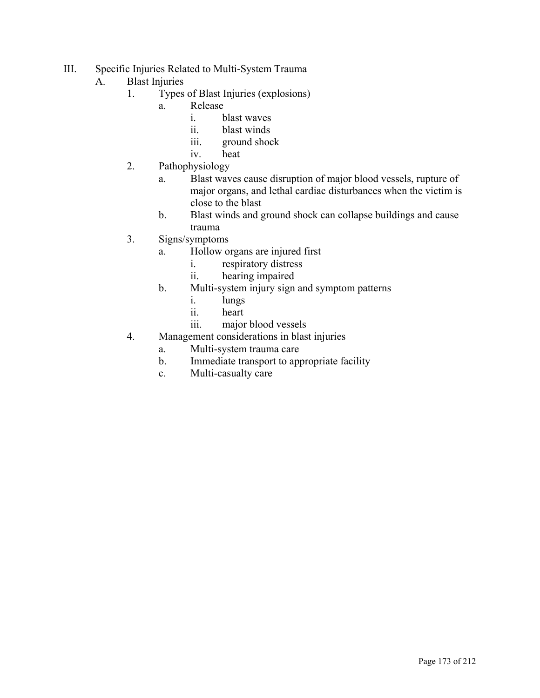- III. Specific Injuries Related to Multi-System Trauma
	- A. Blast Injuries
		- 1. Types of Blast Injuries (explosions)
			- a. Release
				- i. blast waves
				- ii. blast winds
				- iii. ground shock
				- iv. heat
		- 2. Pathophysiology
			- a. Blast waves cause disruption of major blood vessels, rupture of major organs, and lethal cardiac disturbances when the victim is close to the blast
			- b. Blast winds and ground shock can collapse buildings and cause trauma
		- 3. Signs/symptoms
			- a. Hollow organs are injured first
				- i. respiratory distress
				- ii. hearing impaired
			- b. Multi-system injury sign and symptom patterns
				- i. lungs
				- ii. heart
				- iii. major blood vessels
		- 4. Management considerations in blast injuries
			- a. Multi-system trauma care
			- b. Immediate transport to appropriate facility
			- c. Multi-casualty care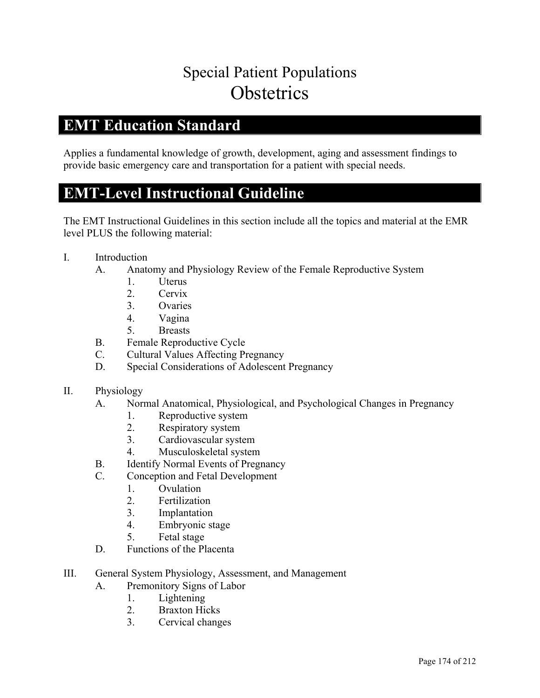# Special Patient Populations **Obstetrics**

#### **EMT Education Standard**

Applies a fundamental knowledge of growth, development, aging and assessment findings to provide basic emergency care and transportation for a patient with special needs.

### **EMT-Level Instructional Guideline**

- I. Introduction
	- A. Anatomy and Physiology Review of the Female Reproductive System
		- 1. Uterus
		- 2. Cervix
		- 3. Ovaries
		- 4. Vagina
		- 5. Breasts
	- B. Female Reproductive Cycle
	- C. Cultural Values Affecting Pregnancy
	- D. Special Considerations of Adolescent Pregnancy
- II. Physiology
	- A. Normal Anatomical, Physiological, and Psychological Changes in Pregnancy
		- 1. Reproductive system
		- 2. Respiratory system
		- 3. Cardiovascular system
		- 4. Musculoskeletal system
	- B. Identify Normal Events of Pregnancy
	- C. Conception and Fetal Development
		- 1. Ovulation
			- 2. Fertilization
			- 3. Implantation
			- 4. Embryonic stage
			- 5. Fetal stage
	- D. Functions of the Placenta
- III. General System Physiology, Assessment, and Management
	- A. Premonitory Signs of Labor
		- 1. Lightening
		- 2. Braxton Hicks
		- 3. Cervical changes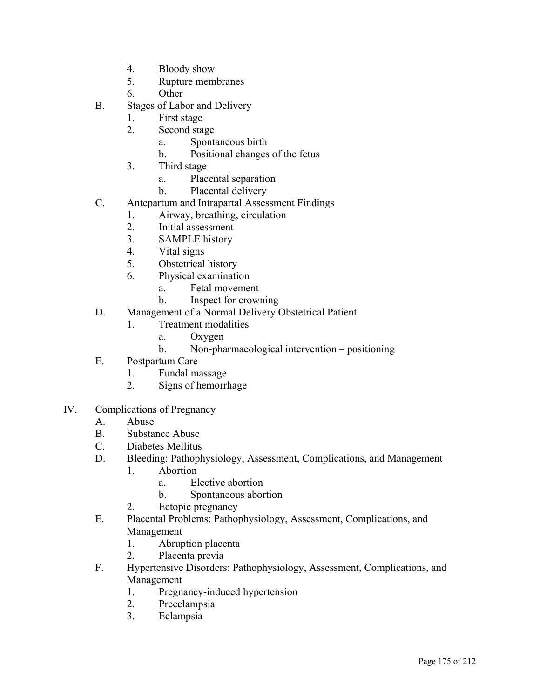- 4. Bloody show
- 5. Rupture membranes
- 6. Other
- B. Stages of Labor and Delivery
	- 1. First stage
	- 2. Second stage
		- a. Spontaneous birth
		- b. Positional changes of the fetus
	- 3. Third stage
		- a. Placental separation
		- b. Placental delivery
- C. Antepartum and Intrapartal Assessment Findings
	- 1. Airway, breathing, circulation
	- 2. Initial assessment
	- 3. SAMPLE history
	- 4. Vital signs
	- 5. Obstetrical history
	- 6. Physical examination
		- a. Fetal movement
		- b. Inspect for crowning
- D. Management of a Normal Delivery Obstetrical Patient
	- 1. Treatment modalities
		- a. Oxygen
		- b. Non-pharmacological intervention positioning
- E. Postpartum Care
	- 1. Fundal massage
	- 2. Signs of hemorrhage
- IV. Complications of Pregnancy
	- A. Abuse
	- B. Substance Abuse
	- C. Diabetes Mellitus
	- D. Bleeding: Pathophysiology, Assessment, Complications, and Management
		- 1. Abortion
			- a. Elective abortion
			- b. Spontaneous abortion
		- 2. Ectopic pregnancy
	- E. Placental Problems: Pathophysiology, Assessment, Complications, and Management
		- 1. Abruption placenta
		- 2. Placenta previa
	- F. Hypertensive Disorders: Pathophysiology, Assessment, Complications, and Management
		- 1. Pregnancy-induced hypertension
		- 2. Preeclampsia
		- 3. Eclampsia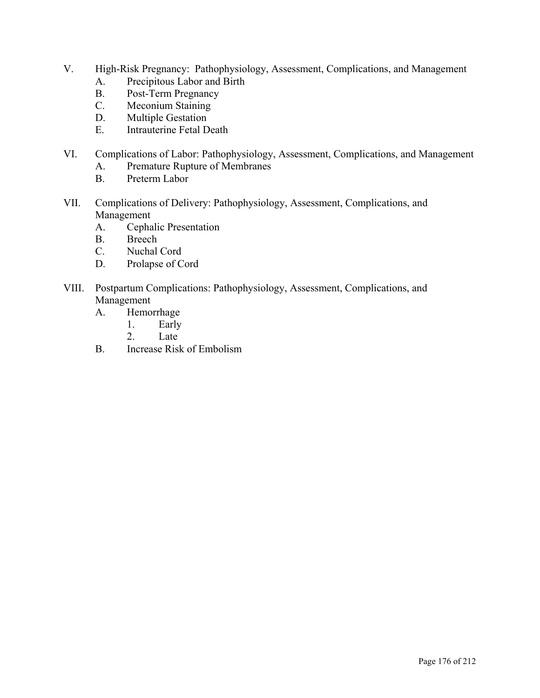- V. High-Risk Pregnancy: Pathophysiology, Assessment, Complications, and Management
	- A. Precipitous Labor and Birth
	- B. Post-Term Pregnancy
	- C. Meconium Staining
	- D. Multiple Gestation
	- E. Intrauterine Fetal Death
- VI. Complications of Labor: Pathophysiology, Assessment, Complications, and Management
	- A. Premature Rupture of Membranes
	- B. Preterm Labor
- VII. Complications of Delivery: Pathophysiology, Assessment, Complications, and Management
	- A. Cephalic Presentation
	- B. Breech
	- C. Nuchal Cord
	- D. Prolapse of Cord
- VIII. Postpartum Complications: Pathophysiology, Assessment, Complications, and Management
	- A. Hemorrhage
		- 1. Early
		- 2. Late
	- B. Increase Risk of Embolism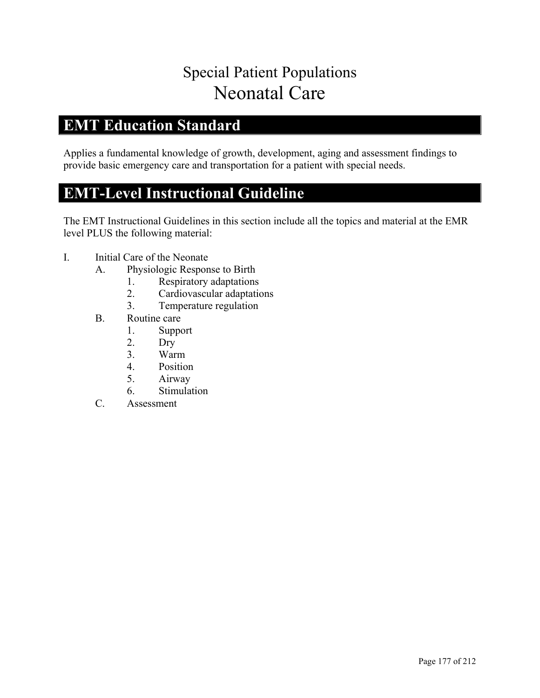# Special Patient Populations Neonatal Care

### **EMT Education Standard**

Applies a fundamental knowledge of growth, development, aging and assessment findings to provide basic emergency care and transportation for a patient with special needs.

### **EMT-Level Instructional Guideline**

- I. Initial Care of the Neonate
	- A. Physiologic Response to Birth
		- 1. Respiratory adaptations
		- 2. Cardiovascular adaptations
		- 3. Temperature regulation
	- B. Routine care
		- 1. Support
		- 2. Dry
		- 3. Warm
		- 4. Position
		- 5. Airway
		- 6. Stimulation
	- C. Assessment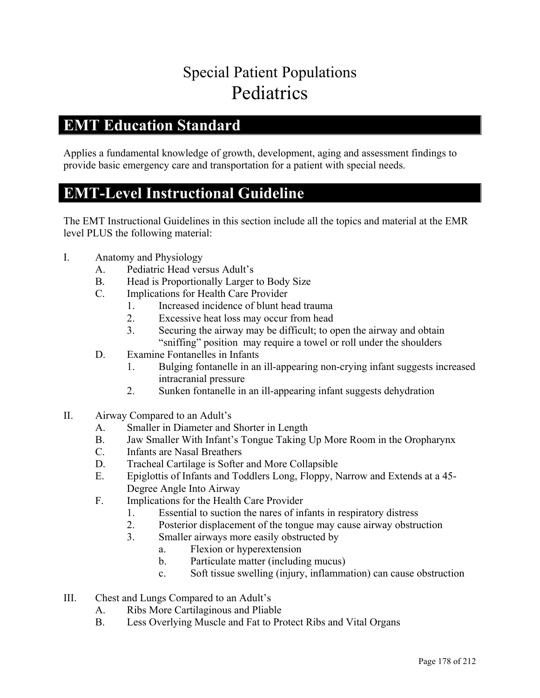# Special Patient Populations Pediatrics

#### **EMT Education Standard**

Applies a fundamental knowledge of growth, development, aging and assessment findings to provide basic emergency care and transportation for a patient with special needs.

#### **EMT-Level Instructional Guideline**

- I. Anatomy and Physiology
	- A. Pediatric Head versus Adult's
	- B. Head is Proportionally Larger to Body Size
	- C. Implications for Health Care Provider
		- 1. Increased incidence of blunt head trauma
		- 2. Excessive heat loss may occur from head
		- 3. Securing the airway may be difficult; to open the airway and obtain "sniffing" position may require a towel or roll under the shoulders
	- D. Examine Fontanelles in Infants
		- 1. Bulging fontanelle in an ill-appearing non-crying infant suggests increased intracranial pressure
		- 2. Sunken fontanelle in an ill-appearing infant suggests dehydration
- II. Airway Compared to an Adult's
	- A. Smaller in Diameter and Shorter in Length
	- B. Jaw Smaller With Infant's Tongue Taking Up More Room in the Oropharynx
	- C. Infants are Nasal Breathers
	- D. Tracheal Cartilage is Softer and More Collapsible
	- E. Epiglottis of Infants and Toddlers Long, Floppy, Narrow and Extends at a 45- Degree Angle Into Airway
	- F. Implications for the Health Care Provider
		- 1. Essential to suction the nares of infants in respiratory distress
		- 2. Posterior displacement of the tongue may cause airway obstruction
		- 3. Smaller airways more easily obstructed by
			- a. Flexion or hyperextension
			- b. Particulate matter (including mucus)
			- c. Soft tissue swelling (injury, inflammation) can cause obstruction
- III. Chest and Lungs Compared to an Adult's
	- A. Ribs More Cartilaginous and Pliable
	- B. Less Overlying Muscle and Fat to Protect Ribs and Vital Organs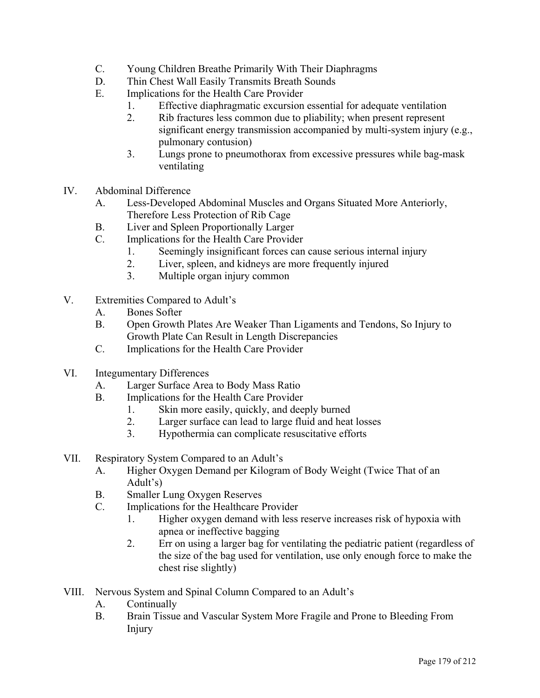- C. Young Children Breathe Primarily With Their Diaphragms
- D. Thin Chest Wall Easily Transmits Breath Sounds
- E. Implications for the Health Care Provider
	- 1. Effective diaphragmatic excursion essential for adequate ventilation
	- 2. Rib fractures less common due to pliability; when present represent significant energy transmission accompanied by multi-system injury (e.g., pulmonary contusion)
	- 3. Lungs prone to pneumothorax from excessive pressures while bag-mask ventilating
- IV. Abdominal Difference
	- A. Less-Developed Abdominal Muscles and Organs Situated More Anteriorly, Therefore Less Protection of Rib Cage
	- B. Liver and Spleen Proportionally Larger
	- C. Implications for the Health Care Provider
		- 1. Seemingly insignificant forces can cause serious internal injury
		- 2. Liver, spleen, and kidneys are more frequently injured
		- 3. Multiple organ injury common
- V. Extremities Compared to Adult's
	- A. Bones Softer
	- B. Open Growth Plates Are Weaker Than Ligaments and Tendons, So Injury to Growth Plate Can Result in Length Discrepancies
	- C. Implications for the Health Care Provider
- VI. Integumentary Differences
	- A. Larger Surface Area to Body Mass Ratio
	- B. Implications for the Health Care Provider
		- 1. Skin more easily, quickly, and deeply burned
		- 2. Larger surface can lead to large fluid and heat losses
		- 3. Hypothermia can complicate resuscitative efforts
- VII. Respiratory System Compared to an Adult's
	- A. Higher Oxygen Demand per Kilogram of Body Weight (Twice That of an Adult's)
	- B. Smaller Lung Oxygen Reserves
	- C. Implications for the Healthcare Provider
		- 1. Higher oxygen demand with less reserve increases risk of hypoxia with apnea or ineffective bagging
		- 2. Err on using a larger bag for ventilating the pediatric patient (regardless of the size of the bag used for ventilation, use only enough force to make the chest rise slightly)
- VIII. Nervous System and Spinal Column Compared to an Adult's
	- A. Continually
	- B. Brain Tissue and Vascular System More Fragile and Prone to Bleeding From Injury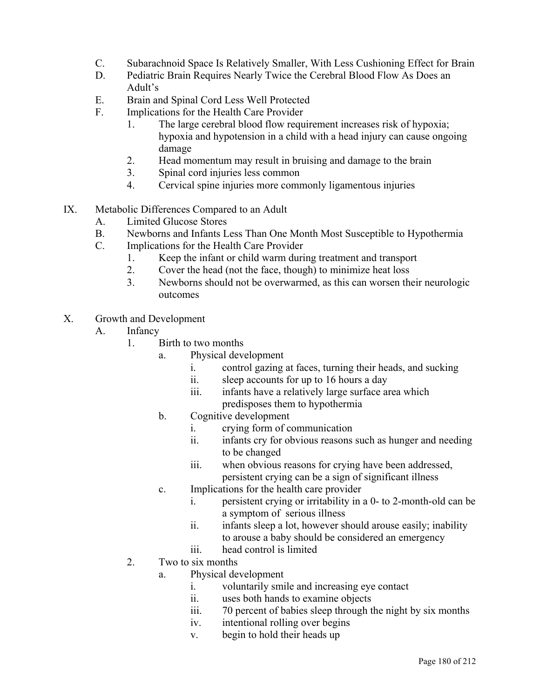- C. Subarachnoid Space Is Relatively Smaller, With Less Cushioning Effect for Brain
- D. Pediatric Brain Requires Nearly Twice the Cerebral Blood Flow As Does an Adult's
- E. Brain and Spinal Cord Less Well Protected
- F. Implications for the Health Care Provider
	- 1. The large cerebral blood flow requirement increases risk of hypoxia; hypoxia and hypotension in a child with a head injury can cause ongoing damage
	- 2. Head momentum may result in bruising and damage to the brain
	- 3. Spinal cord injuries less common
	- 4. Cervical spine injuries more commonly ligamentous injuries
- IX. Metabolic Differences Compared to an Adult
	- A. Limited Glucose Stores
	- B. Newborns and Infants Less Than One Month Most Susceptible to Hypothermia
	- C. Implications for the Health Care Provider
		- 1. Keep the infant or child warm during treatment and transport
		- 2. Cover the head (not the face, though) to minimize heat loss
		- 3. Newborns should not be overwarmed, as this can worsen their neurologic outcomes
- X. Growth and Development
	- A. Infancy
		- 1. Birth to two months
			- a. Physical development
				- i. control gazing at faces, turning their heads, and sucking
				- ii. sleep accounts for up to 16 hours a day
				- iii. infants have a relatively large surface area which predisposes them to hypothermia
			- b. Cognitive development
				- i. crying form of communication
				- ii. infants cry for obvious reasons such as hunger and needing to be changed
				- iii. when obvious reasons for crying have been addressed, persistent crying can be a sign of significant illness
			- c. Implications for the health care provider
				- i. persistent crying or irritability in a 0- to 2-month-old can be a symptom of serious illness
				- ii. infants sleep a lot, however should arouse easily; inability to arouse a baby should be considered an emergency
				- iii. head control is limited
		- 2. Two to six months
			- a. Physical development
				- i. voluntarily smile and increasing eye contact
				- ii. uses both hands to examine objects
				- iii. 70 percent of babies sleep through the night by six months
				- iv. intentional rolling over begins
				- v. begin to hold their heads up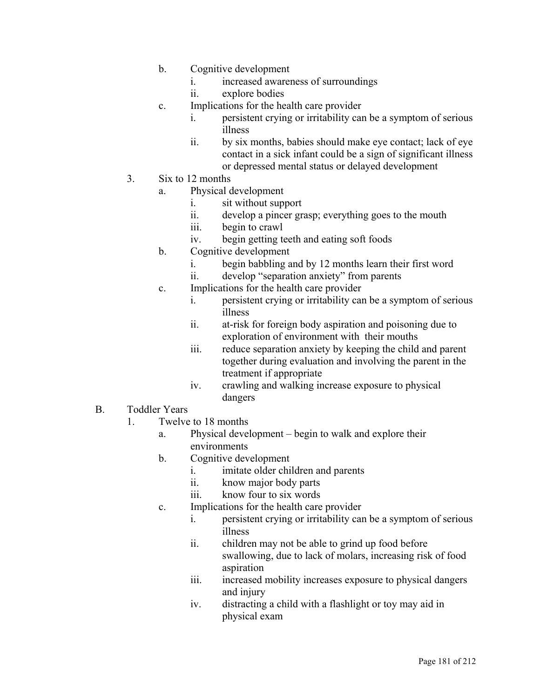- b. Cognitive development
	- i. increased awareness of surroundings
	- ii. explore bodies
- c. Implications for the health care provider
	- i. persistent crying or irritability can be a symptom of serious illness
	- ii. by six months, babies should make eye contact; lack of eye contact in a sick infant could be a sign of significant illness or depressed mental status or delayed development
- 3. Six to 12 months
	- a. Physical development
		- i. sit without support
		- ii. develop a pincer grasp; everything goes to the mouth
		- iii. begin to crawl
		- iv. begin getting teeth and eating soft foods
	- b. Cognitive development
		- i. begin babbling and by 12 months learn their first word
		- ii. develop "separation anxiety" from parents
	- c. Implications for the health care provider
		- i. persistent crying or irritability can be a symptom of serious illness
		- ii. at-risk for foreign body aspiration and poisoning due to exploration of environment with their mouths
		- iii. reduce separation anxiety by keeping the child and parent together during evaluation and involving the parent in the treatment if appropriate
		- iv. crawling and walking increase exposure to physical dangers
- B. Toddler Years
	- 1. Twelve to 18 months
		- a. Physical development begin to walk and explore their environments
		- b. Cognitive development
			- i. imitate older children and parents
			- ii. know major body parts
			- iii. know four to six words
		- c. Implications for the health care provider
			- i. persistent crying or irritability can be a symptom of serious illness
			- ii. children may not be able to grind up food before swallowing, due to lack of molars, increasing risk of food aspiration
			- iii. increased mobility increases exposure to physical dangers and injury
			- iv. distracting a child with a flashlight or toy may aid in physical exam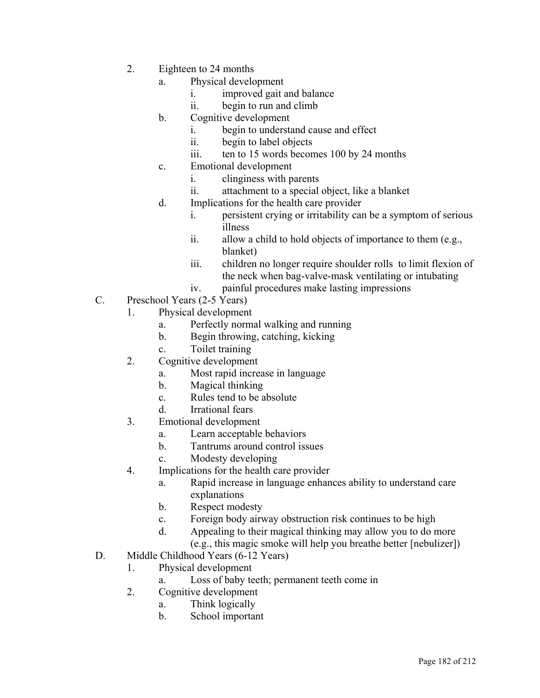- 2. Eighteen to 24 months
	- a. Physical development
		- i. improved gait and balance
		- ii. begin to run and climb
	- b. Cognitive development
		- i. begin to understand cause and effect
		- ii. begin to label objects
		- iii. ten to 15 words becomes 100 by 24 months
	- c. Emotional development
		- i. clinginess with parents
		- ii. attachment to a special object, like a blanket
	- d. Implications for the health care provider
		- i. persistent crying or irritability can be a symptom of serious illness
		- ii. allow a child to hold objects of importance to them (e.g., blanket)
		- iii. children no longer require shoulder rolls to limit flexion of the neck when bag-valve-mask ventilating or intubating
		- iv. painful procedures make lasting impressions
- C. Preschool Years (2-5 Years)
	- 1. Physical development
		- a. Perfectly normal walking and running
		- b. Begin throwing, catching, kicking
		- c. Toilet training
	- 2. Cognitive development
		- a. Most rapid increase in language
		- b. Magical thinking
		- c. Rules tend to be absolute
		- d. Irrational fears
	- 3. Emotional development
		- a. Learn acceptable behaviors
		- b. Tantrums around control issues
		- c. Modesty developing
	- 4. Implications for the health care provider
		- a. Rapid increase in language enhances ability to understand care explanations
		- b. Respect modesty
		- c. Foreign body airway obstruction risk continues to be high
		- d. Appealing to their magical thinking may allow you to do more (e.g., this magic smoke will help you breathe better [nebulizer])
- D. Middle Childhood Years (6-12 Years)
	- 1. Physical development
		- a. Loss of baby teeth; permanent teeth come in
	- 2. Cognitive development
		- a. Think logically
		- b. School important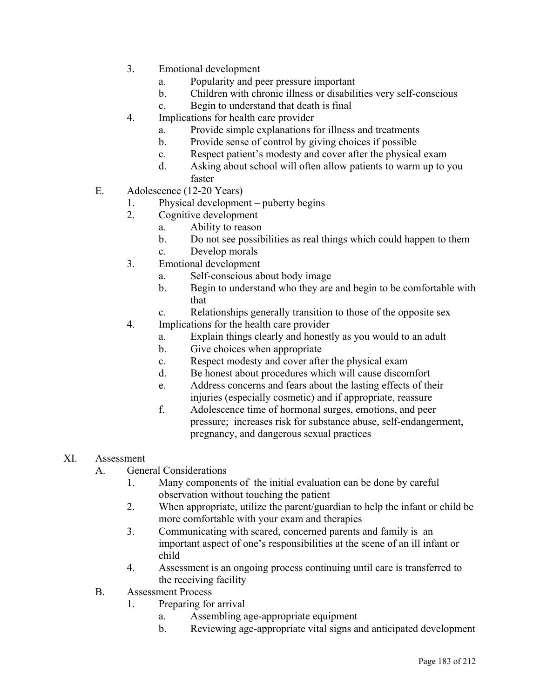- 3. Emotional development
	- a. Popularity and peer pressure important
	- b. Children with chronic illness or disabilities very self-conscious
	- c. Begin to understand that death is final
- 4. Implications for health care provider
	- a. Provide simple explanations for illness and treatments
	- b. Provide sense of control by giving choices if possible
	- c. Respect patient's modesty and cover after the physical exam
	- d. Asking about school will often allow patients to warm up to you faster
- E. Adolescence (12-20 Years)
	- 1. Physical development puberty begins
	- 2. Cognitive development
		- a. Ability to reason
			- b. Do not see possibilities as real things which could happen to them
			- c. Develop morals
	- 3. Emotional development
		- a. Self-conscious about body image
		- b. Begin to understand who they are and begin to be comfortable with that
		- c. Relationships generally transition to those of the opposite sex
	- 4. Implications for the health care provider
		- a. Explain things clearly and honestly as you would to an adult
		- b. Give choices when appropriate
		- c. Respect modesty and cover after the physical exam
		- d. Be honest about procedures which will cause discomfort
		- e. Address concerns and fears about the lasting effects of their injuries (especially cosmetic) and if appropriate, reassure
		- f. Adolescence time of hormonal surges, emotions, and peer pressure; increases risk for substance abuse, self-endangerment, pregnancy, and dangerous sexual practices
- XI. Assessment
	- A. General Considerations
		- 1. Many components of the initial evaluation can be done by careful observation without touching the patient
		- 2. When appropriate, utilize the parent/guardian to help the infant or child be more comfortable with your exam and therapies
		- 3. Communicating with scared, concerned parents and family is an important aspect of one's responsibilities at the scene of an ill infant or child
		- 4. Assessment is an ongoing process continuing until care is transferred to the receiving facility
	- B. Assessment Process
		- 1. Preparing for arrival
			- a. Assembling age-appropriate equipment
			- b. Reviewing age-appropriate vital signs and anticipated development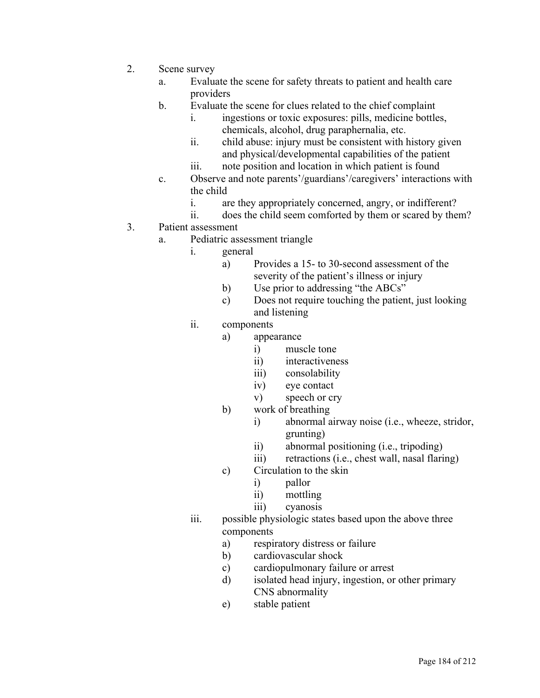- 2. Scene survey
	- a. Evaluate the scene for safety threats to patient and health care providers
	- b. Evaluate the scene for clues related to the chief complaint
		- i. ingestions or toxic exposures: pills, medicine bottles, chemicals, alcohol, drug paraphernalia, etc.
		- ii. child abuse: injury must be consistent with history given and physical/developmental capabilities of the patient
		- iii. note position and location in which patient is found
	- c. Observe and note parents'/guardians'/caregivers' interactions with the child
		- i. are they appropriately concerned, angry, or indifferent?
		- ii. does the child seem comforted by them or scared by them?
- 3. Patient assessment
	- a. Pediatric assessment triangle
		- i. general
			- a) Provides a 15- to 30-second assessment of the severity of the patient's illness or injury
			- b) Use prior to addressing "the ABCs"
			- c) Does not require touching the patient, just looking and listening
		- ii. components
			- a) appearance
				- i) muscle tone
				- ii) interactiveness
				- iii) consolability
				- iv) eye contact
				- v) speech or cry
			- b) work of breathing
				- i) abnormal airway noise (i.e., wheeze, stridor, grunting)
				- ii) abnormal positioning (i.e., tripoding)
				- iii) retractions (i.e., chest wall, nasal flaring)
			- c) Circulation to the skin
				- i) pallor
				- ii) mottling
				- iii) cyanosis
		- iii. possible physiologic states based upon the above three components
			- a) respiratory distress or failure
			- b) cardiovascular shock
			- c) cardiopulmonary failure or arrest
			- d) isolated head injury, ingestion, or other primary CNS abnormality
			- e) stable patient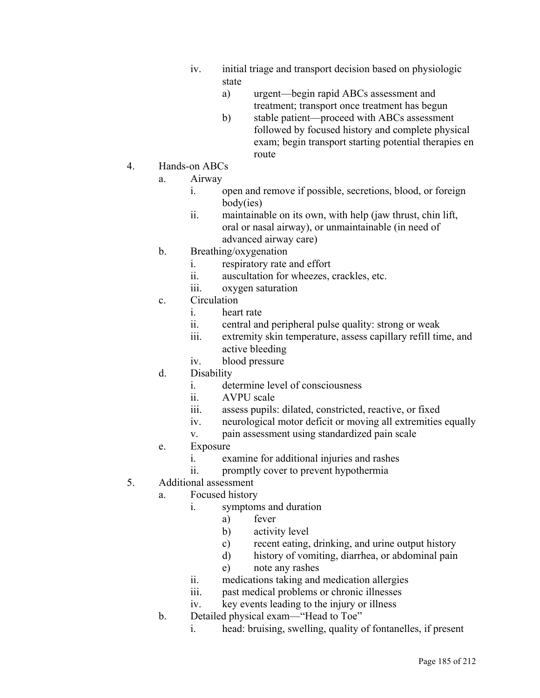- iv. initial triage and transport decision based on physiologic state
	- a) urgent—begin rapid ABCs assessment and treatment; transport once treatment has begun
	- b) stable patient—proceed with ABCs assessment followed by focused history and complete physical exam; begin transport starting potential therapies en route
- 4. Hands-on ABCs
	- a. Airway
		- i. open and remove if possible, secretions, blood, or foreign body(ies)
		- ii. maintainable on its own, with help (jaw thrust, chin lift, oral or nasal airway), or unmaintainable (in need of advanced airway care)
	- b. Breathing/oxygenation
		- i. respiratory rate and effort
		- ii. auscultation for wheezes, crackles, etc.
		- iii. oxygen saturation
	- c. Circulation
		- i. heart rate
		- ii. central and peripheral pulse quality: strong or weak
		- iii. extremity skin temperature, assess capillary refill time, and active bleeding
		- iv. blood pressure
	- d. Disability
		- i. determine level of consciousness
		- ii. AVPU scale
		- iii. assess pupils: dilated, constricted, reactive, or fixed
		- iv. neurological motor deficit or moving all extremities equally
		- v. pain assessment using standardized pain scale
	- e. Exposure
		- i. examine for additional injuries and rashes
		- ii. promptly cover to prevent hypothermia
- 5. Additional assessment
	- a. Focused history
		- i. symptoms and duration
			- a) fever
				- b) activity level
				- c) recent eating, drinking, and urine output history
				- d) history of vomiting, diarrhea, or abdominal pain
				- e) note any rashes
		- ii. medications taking and medication allergies
		- iii. past medical problems or chronic illnesses
		- iv. key events leading to the injury or illness
	- b. Detailed physical exam—"Head to Toe"
		- i. head: bruising, swelling, quality of fontanelles, if present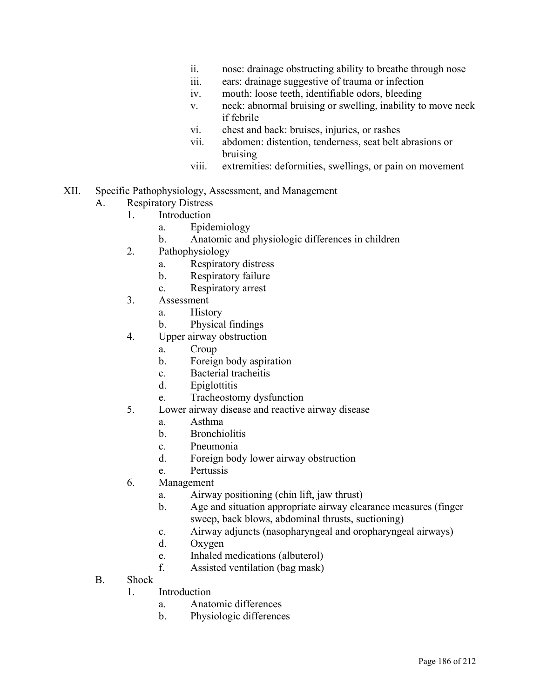- ii. nose: drainage obstructing ability to breathe through nose
- iii. ears: drainage suggestive of trauma or infection
- iv. mouth: loose teeth, identifiable odors, bleeding
- v. neck: abnormal bruising or swelling, inability to move neck if febrile
- vi. chest and back: bruises, injuries, or rashes
- vii. abdomen: distention, tenderness, seat belt abrasions or bruising
- viii. extremities: deformities, swellings, or pain on movement
- XII. Specific Pathophysiology, Assessment, and Management
	- A. Respiratory Distress
		- 1. Introduction
			- a. Epidemiology
			- b. Anatomic and physiologic differences in children
			- 2. Pathophysiology
				- a. Respiratory distress
				- b. Respiratory failure
				- c. Respiratory arrest
			- 3. Assessment
				- a. History
				- b. Physical findings
			- 4. Upper airway obstruction
				- a. Croup
				- b. Foreign body aspiration
				- c. Bacterial tracheitis
				- d. Epiglottitis
				- e. Tracheostomy dysfunction
			- 5. Lower airway disease and reactive airway disease
				- a. Asthma
				- b. Bronchiolitis
				- c. Pneumonia
				- d. Foreign body lower airway obstruction
				- e. Pertussis
			- 6. Management
				- a. Airway positioning (chin lift, jaw thrust)
				- b. Age and situation appropriate airway clearance measures (finger sweep, back blows, abdominal thrusts, suctioning)
				- c. Airway adjuncts (nasopharyngeal and oropharyngeal airways)
				- d. Oxygen
				- e. Inhaled medications (albuterol)
				- f. Assisted ventilation (bag mask)
	- B. Shock
		- 1. Introduction
			- a. Anatomic differences
			- b. Physiologic differences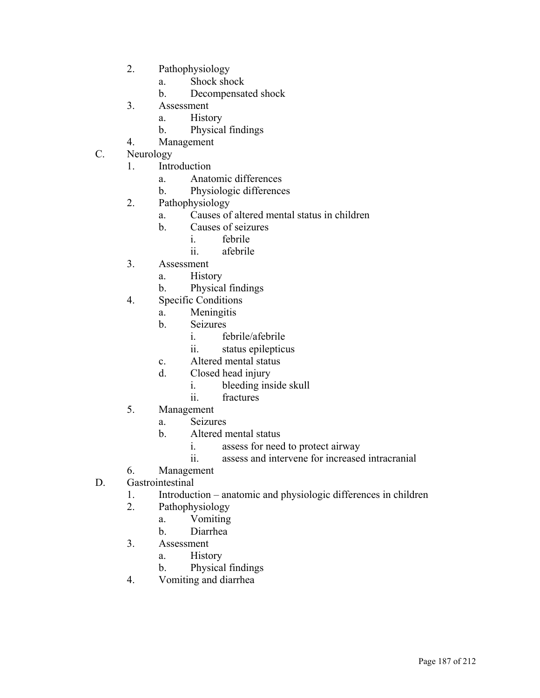- 2. Pathophysiology
	- a. Shock shock
	- b. Decompensated shock
- 3. Assessment
	- a. History
	- b. Physical findings
- 4. Management
- C. Neurology
	- 1. Introduction
		- a. Anatomic differences
		- b. Physiologic differences
	- 2. Pathophysiology
		- a. Causes of altered mental status in children
		- b. Causes of seizures
			- i. febrile
			- ii. afebrile
	- 3. Assessment
		- a. History
		- b. Physical findings
	- 4. Specific Conditions
		- a. Meningitis
		- b. Seizures
			- i. febrile/afebrile
			- ii. status epilepticus
		- c. Altered mental status
		- d. Closed head injury
			- i. bleeding inside skull
			- ii. fractures
	- 5. Management
		- a. Seizures
		- b. Altered mental status
			- i. assess for need to protect airway
			- ii. assess and intervene for increased intracranial
	- 6. Management
- D. Gastrointestinal
	- 1. Introduction anatomic and physiologic differences in children
	- 2. Pathophysiology
		- a. Vomiting
		- b. Diarrhea
	- 3. Assessment
		- a. History
		- b. Physical findings
	- 4. Vomiting and diarrhea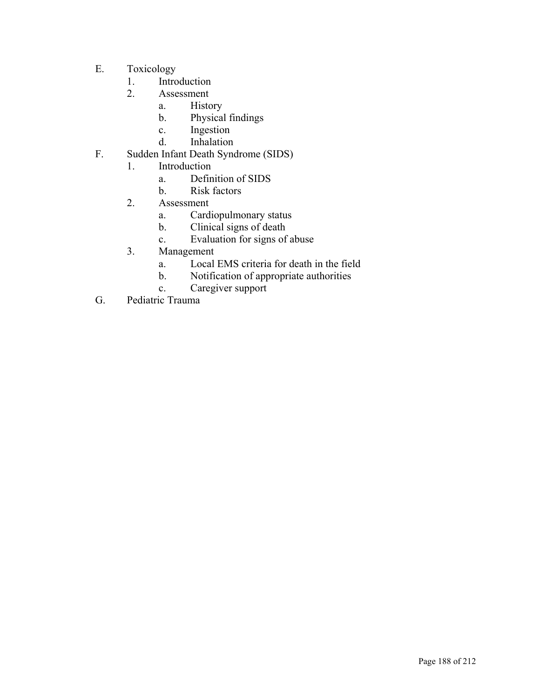- E. Toxicology
	- 1. Introduction
	- 2. Assessment
		- a. History
		- b. Physical findings
		- c. Ingestion
		- d. Inhalation
- F. Sudden Infant Death Syndrome (SIDS)
	- 1. Introduction
		- a. Definition of SIDS
		- b. Risk factors
	- 2. Assessment
		- a. Cardiopulmonary status
		- b. Clinical signs of death
		- c. Evaluation for signs of abuse
	- 3. Management
		- a. Local EMS criteria for death in the field
		- b. Notification of appropriate authorities
		- c. Caregiver support
- G. Pediatric Trauma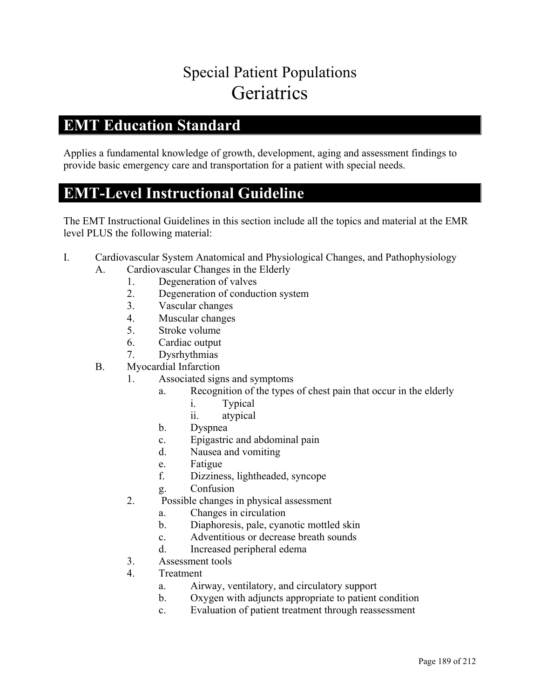## Special Patient Populations **Geriatrics**

#### **EMT Education Standard**

Applies a fundamental knowledge of growth, development, aging and assessment findings to provide basic emergency care and transportation for a patient with special needs.

#### **EMT-Level Instructional Guideline**

- I. Cardiovascular System Anatomical and Physiological Changes, and Pathophysiology
	- A. Cardiovascular Changes in the Elderly
		- 1. Degeneration of valves
		- 2. Degeneration of conduction system
		- 3. Vascular changes
		- 4. Muscular changes
		- 5. Stroke volume
		- 6. Cardiac output
		- 7. Dysrhythmias
	- B. Myocardial Infarction
		- 1. Associated signs and symptoms
			- a. Recognition of the types of chest pain that occur in the elderly
				- i. Typical
				- ii. atypical
			- b. Dyspnea
			- c. Epigastric and abdominal pain
			- d. Nausea and vomiting
			- e. Fatigue
			- f. Dizziness, lightheaded, syncope
			- g. Confusion
		- 2. Possible changes in physical assessment
			- a. Changes in circulation
			- b. Diaphoresis, pale, cyanotic mottled skin
			- c. Adventitious or decrease breath sounds
			- d. Increased peripheral edema
		- 3. Assessment tools
		- 4. Treatment
			- a. Airway, ventilatory, and circulatory support
			- b. Oxygen with adjuncts appropriate to patient condition
			- c. Evaluation of patient treatment through reassessment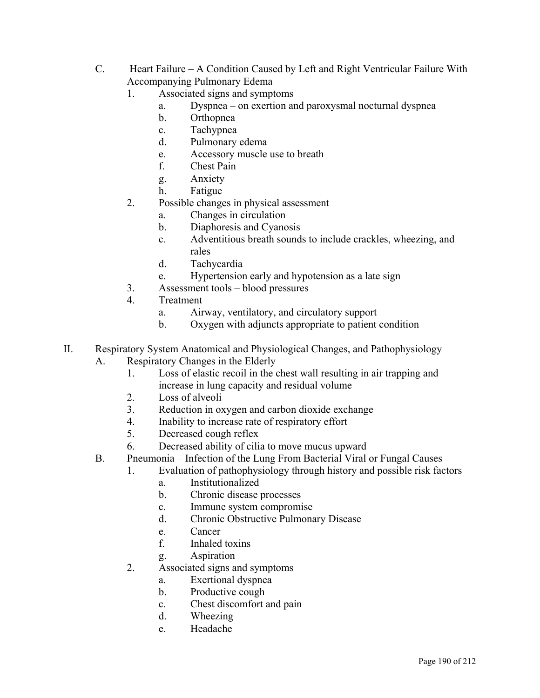- C. Heart Failure A Condition Caused by Left and Right Ventricular Failure With Accompanying Pulmonary Edema
	- 1. Associated signs and symptoms
		- a. Dyspnea on exertion and paroxysmal nocturnal dyspnea
		- b. Orthopnea
		- c. Tachypnea
		- d. Pulmonary edema
		- e. Accessory muscle use to breath
		- f. Chest Pain
		- g. Anxiety
		- h. Fatigue
	- 2. Possible changes in physical assessment
		- a. Changes in circulation
		- b. Diaphoresis and Cyanosis
		- c. Adventitious breath sounds to include crackles, wheezing, and rales
		- d. Tachycardia
		- e. Hypertension early and hypotension as a late sign
	- 3. Assessment tools blood pressures
	- 4. Treatment
		- a. Airway, ventilatory, and circulatory support
		- b. Oxygen with adjuncts appropriate to patient condition
- II. Respiratory System Anatomical and Physiological Changes, and Pathophysiology A. Respiratory Changes in the Elderly
	- 1. Loss of elastic recoil in the chest wall resulting in air trapping and increase in lung capacity and residual volume
	- 2. Loss of alveoli
	- 3. Reduction in oxygen and carbon dioxide exchange
	- 4. Inability to increase rate of respiratory effort
	- 5. Decreased cough reflex
	- 6. Decreased ability of cilia to move mucus upward
	- B. Pneumonia Infection of the Lung From Bacterial Viral or Fungal Causes
		- 1. Evaluation of pathophysiology through history and possible risk factors
			- a. Institutionalized
			- b. Chronic disease processes
			- c. Immune system compromise
			- d. Chronic Obstructive Pulmonary Disease
			- e. Cancer
			- f. Inhaled toxins
			- g. Aspiration
		- 2. Associated signs and symptoms
			- a. Exertional dyspnea
			- b. Productive cough
			- c. Chest discomfort and pain
			- d. Wheezing
			- e. Headache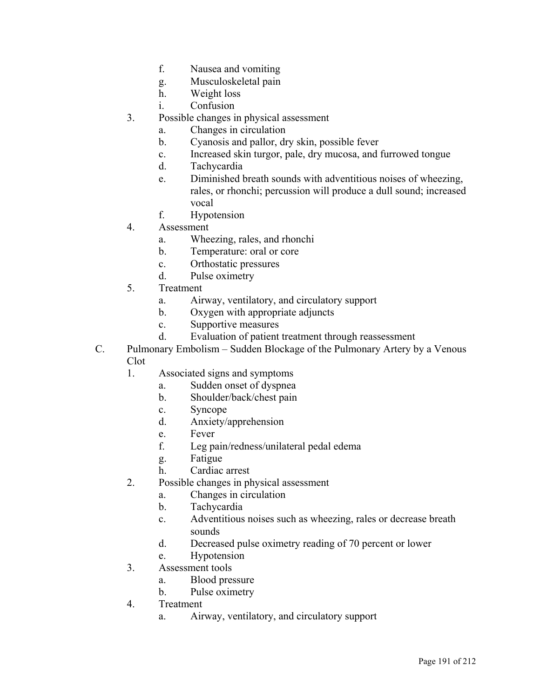- f. Nausea and vomiting
- g. Musculoskeletal pain
- h. Weight loss
- i. Confusion
- 3. Possible changes in physical assessment
	- a. Changes in circulation
	- b. Cyanosis and pallor, dry skin, possible fever
	- c. Increased skin turgor, pale, dry mucosa, and furrowed tongue
	- d. Tachycardia
	- e. Diminished breath sounds with adventitious noises of wheezing, rales, or rhonchi; percussion will produce a dull sound; increased vocal
	- f. Hypotension
- 4. Assessment
	- a. Wheezing, rales, and rhonchi
	- b. Temperature: oral or core
	- c. Orthostatic pressures
	- d. Pulse oximetry
- 5. Treatment
	- a. Airway, ventilatory, and circulatory support
	- b. Oxygen with appropriate adjuncts
	- c. Supportive measures
	- d. Evaluation of patient treatment through reassessment
- C. Pulmonary Embolism Sudden Blockage of the Pulmonary Artery by a Venous Clot
	- 1. Associated signs and symptoms
		- a. Sudden onset of dyspnea
		- b. Shoulder/back/chest pain
		- c. Syncope
		- d. Anxiety/apprehension
		- e. Fever
		- f. Leg pain/redness/unilateral pedal edema
		- g. Fatigue
		- h. Cardiac arrest
	- 2. Possible changes in physical assessment
		- a. Changes in circulation
		- b. Tachycardia
		- c. Adventitious noises such as wheezing, rales or decrease breath sounds
		- d. Decreased pulse oximetry reading of 70 percent or lower
		- e. Hypotension
	- 3. Assessment tools
		- a. Blood pressure
		- b. Pulse oximetry
	- 4. Treatment
		- a. Airway, ventilatory, and circulatory support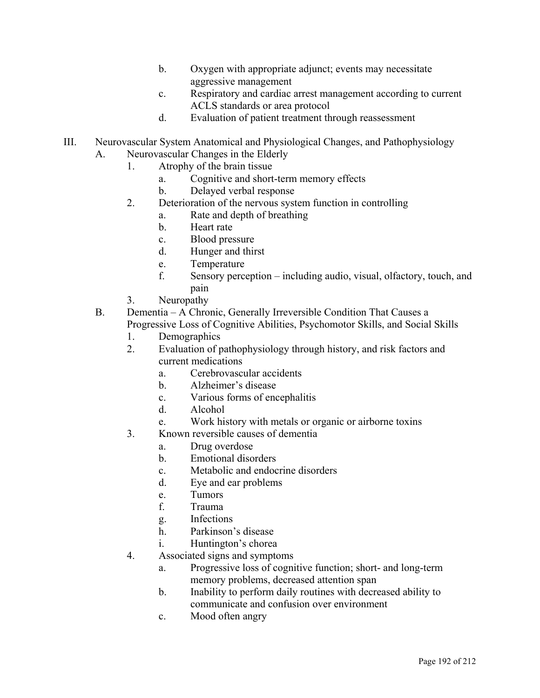- b. Oxygen with appropriate adjunct; events may necessitate aggressive management
- c. Respiratory and cardiac arrest management according to current ACLS standards or area protocol
- d. Evaluation of patient treatment through reassessment
- III. Neurovascular System Anatomical and Physiological Changes, and Pathophysiology
	- A. Neurovascular Changes in the Elderly
		- 1. Atrophy of the brain tissue
			- a. Cognitive and short-term memory effects
			- b. Delayed verbal response
		- 2. Deterioration of the nervous system function in controlling
			- a. Rate and depth of breathing
				- b. Heart rate
				- c. Blood pressure
				- d. Hunger and thirst
				- e. Temperature
				- f. Sensory perception including audio, visual, olfactory, touch, and pain
		- 3. Neuropathy

B. Dementia – A Chronic, Generally Irreversible Condition That Causes a Progressive Loss of Cognitive Abilities, Psychomotor Skills, and Social Skills

- 1. Demographics
- 2. Evaluation of pathophysiology through history, and risk factors and current medications
	- a. Cerebrovascular accidents
	- b. Alzheimer's disease
	- c. Various forms of encephalitis
	- d. Alcohol
	- e. Work history with metals or organic or airborne toxins
- 3. Known reversible causes of dementia
	- a. Drug overdose
	- b. Emotional disorders
	- c. Metabolic and endocrine disorders
	- d. Eye and ear problems
	- e. Tumors
	- f. Trauma
	- g. Infections
	- h. Parkinson's disease
	- i. Huntington's chorea
- 4. Associated signs and symptoms
	- a. Progressive loss of cognitive function; short- and long-term memory problems, decreased attention span
	- b. Inability to perform daily routines with decreased ability to communicate and confusion over environment
	- c. Mood often angry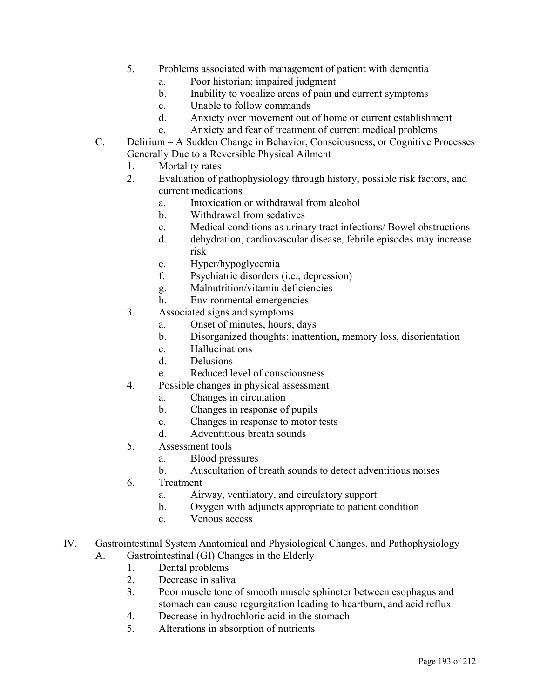- 5. Problems associated with management of patient with dementia
	- a. Poor historian; impaired judgment
	- b. Inability to vocalize areas of pain and current symptoms
	- c. Unable to follow commands
	- d. Anxiety over movement out of home or current establishment
	- e. Anxiety and fear of treatment of current medical problems
- C. Delirium A Sudden Change in Behavior, Consciousness, or Cognitive Processes Generally Due to a Reversible Physical Ailment
	- 1. Mortality rates
	- 2. Evaluation of pathophysiology through history, possible risk factors, and current medications
		- a. Intoxication or withdrawal from alcohol
		- b. Withdrawal from sedatives
		- c. Medical conditions as urinary tract infections/ Bowel obstructions
		- d. dehydration, cardiovascular disease, febrile episodes may increase risk
		- e. Hyper/hypoglycemia
		- f. Psychiatric disorders (i.e., depression)
		- g. Malnutrition/vitamin deficiencies
		- h. Environmental emergencies
	- 3. Associated signs and symptoms
		- a. Onset of minutes, hours, days
		- b. Disorganized thoughts: inattention, memory loss, disorientation
		- c. Hallucinations
		- d. Delusions
		- e. Reduced level of consciousness
	- 4. Possible changes in physical assessment
		- a. Changes in circulation
		- b. Changes in response of pupils
		- c. Changes in response to motor tests
		- d. Adventitious breath sounds
	- 5. Assessment tools
		- a. Blood pressures
		- b. Auscultation of breath sounds to detect adventitious noises
	- 6. Treatment
		- a. Airway, ventilatory, and circulatory support
		- b. Oxygen with adjuncts appropriate to patient condition
		- c. Venous access
- IV. Gastrointestinal System Anatomical and Physiological Changes, and Pathophysiology A. Gastrointestinal (GI) Changes in the Elderly
	- 1. Dental problems
	- 2. Decrease in saliva
	- 3. Poor muscle tone of smooth muscle sphincter between esophagus and stomach can cause regurgitation leading to heartburn, and acid reflux
	- 4. Decrease in hydrochloric acid in the stomach
	- 5. Alterations in absorption of nutrients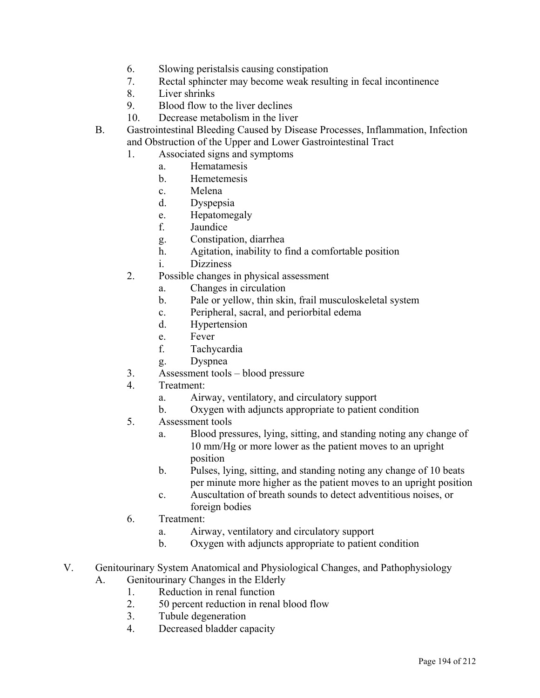- 6. Slowing peristalsis causing constipation
- 7. Rectal sphincter may become weak resulting in fecal incontinence
- 8. Liver shrinks
- 9. Blood flow to the liver declines
- 10. Decrease metabolism in the liver
- B. Gastrointestinal Bleeding Caused by Disease Processes, Inflammation, Infection and Obstruction of the Upper and Lower Gastrointestinal Tract
	- 1. Associated signs and symptoms
		- a. Hematamesis
		- b. Hemetemesis
		- c. Melena
		- d. Dyspepsia
		- e. Hepatomegaly
		- f. Jaundice
		- g. Constipation, diarrhea
		- h. Agitation, inability to find a comfortable position
		- i. Dizziness
	- 2. Possible changes in physical assessment
		- a. Changes in circulation
		- b. Pale or yellow, thin skin, frail musculoskeletal system
		- c. Peripheral, sacral, and periorbital edema
		- d. Hypertension
		- e. Fever
		- f. Tachycardia
		- g. Dyspnea
	- 3. Assessment tools blood pressure
	- 4. Treatment:
		- a. Airway, ventilatory, and circulatory support
		- b. Oxygen with adjuncts appropriate to patient condition
	- 5. Assessment tools
		- a. Blood pressures, lying, sitting, and standing noting any change of 10 mm/Hg or more lower as the patient moves to an upright position
		- b. Pulses, lying, sitting, and standing noting any change of 10 beats per minute more higher as the patient moves to an upright position
		- c. Auscultation of breath sounds to detect adventitious noises, or foreign bodies
	- 6. Treatment:
		- a. Airway, ventilatory and circulatory support
		- b. Oxygen with adjuncts appropriate to patient condition
- V. Genitourinary System Anatomical and Physiological Changes, and Pathophysiology
	- A. Genitourinary Changes in the Elderly
		- 1. Reduction in renal function
		- 2. 50 percent reduction in renal blood flow
		- 3. Tubule degeneration
		- 4. Decreased bladder capacity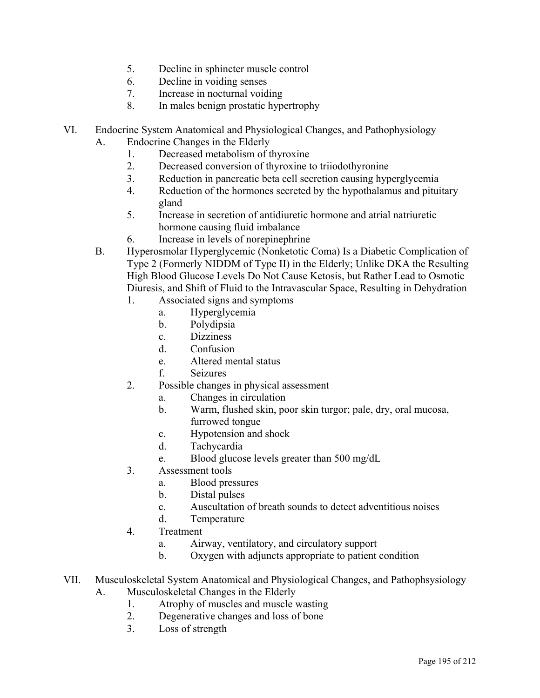- 5. Decline in sphincter muscle control
- 6. Decline in voiding senses
- 7. Increase in nocturnal voiding
- 8. In males benign prostatic hypertrophy
- VI. Endocrine System Anatomical and Physiological Changes, and Pathophysiology
	- A. Endocrine Changes in the Elderly
		- 1. Decreased metabolism of thyroxine
		- 2. Decreased conversion of thyroxine to triiodothyronine
		- 3. Reduction in pancreatic beta cell secretion causing hyperglycemia
		- 4. Reduction of the hormones secreted by the hypothalamus and pituitary gland
		- 5. Increase in secretion of antidiuretic hormone and atrial natriuretic hormone causing fluid imbalance
		- 6. Increase in levels of norepinephrine
	- B. Hyperosmolar Hyperglycemic (Nonketotic Coma) Is a Diabetic Complication of Type 2 (Formerly NIDDM of Type II) in the Elderly; Unlike DKA the Resulting High Blood Glucose Levels Do Not Cause Ketosis, but Rather Lead to Osmotic Diuresis, and Shift of Fluid to the Intravascular Space, Resulting in Dehydration
		- 1. Associated signs and symptoms
			- a. Hyperglycemia
			- b. Polydipsia
			- c. Dizziness
			- d. Confusion
			- e. Altered mental status
			- f. Seizures
		- 2. Possible changes in physical assessment
			- a. Changes in circulation
			- b. Warm, flushed skin, poor skin turgor; pale, dry, oral mucosa, furrowed tongue
			- c. Hypotension and shock
			- d. Tachycardia
			- e. Blood glucose levels greater than 500 mg/dL
		- 3. Assessment tools
			- a. Blood pressures
			- b. Distal pulses
			- c. Auscultation of breath sounds to detect adventitious noises
			- d. Temperature
		- 4. Treatment
			- a. Airway, ventilatory, and circulatory support
			- b. Oxygen with adjuncts appropriate to patient condition
- VII. Musculoskeletal System Anatomical and Physiological Changes, and Pathophsysiology A. Musculoskeletal Changes in the Elderly
	- - 1. Atrophy of muscles and muscle wasting
		- 2. Degenerative changes and loss of bone
		- 3. Loss of strength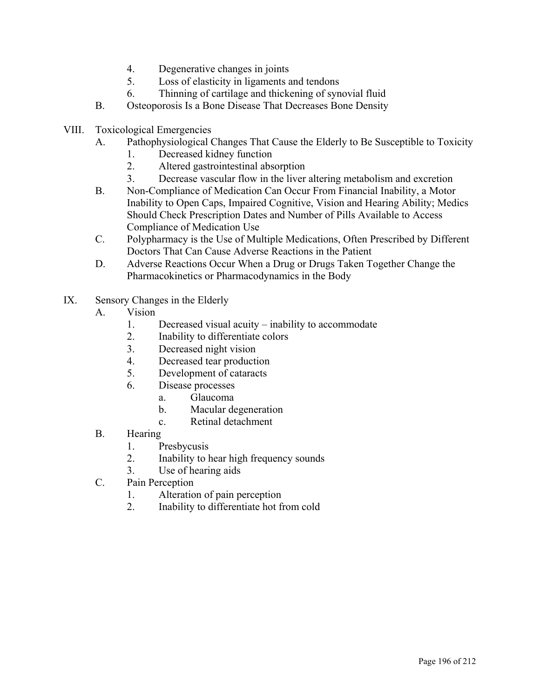- 4. Degenerative changes in joints
- 5. Loss of elasticity in ligaments and tendons
- 6. Thinning of cartilage and thickening of synovial fluid
- B. Osteoporosis Is a Bone Disease That Decreases Bone Density
- VIII. Toxicological Emergencies
	- A. Pathophysiological Changes That Cause the Elderly to Be Susceptible to Toxicity
		- 1. Decreased kidney function
		- 2. Altered gastrointestinal absorption
		- 3. Decrease vascular flow in the liver altering metabolism and excretion
	- B. Non-Compliance of Medication Can Occur From Financial Inability, a Motor Inability to Open Caps, Impaired Cognitive, Vision and Hearing Ability; Medics Should Check Prescription Dates and Number of Pills Available to Access Compliance of Medication Use
	- C. Polypharmacy is the Use of Multiple Medications, Often Prescribed by Different Doctors That Can Cause Adverse Reactions in the Patient
	- D. Adverse Reactions Occur When a Drug or Drugs Taken Together Change the Pharmacokinetics or Pharmacodynamics in the Body
- IX. Sensory Changes in the Elderly
	- A. Vision
		- 1. Decreased visual acuity inability to accommodate
		- 2. Inability to differentiate colors
		- 3. Decreased night vision
		- 4. Decreased tear production
		- 5. Development of cataracts
		- 6. Disease processes
			- a. Glaucoma
			- b. Macular degeneration
			- c. Retinal detachment
	- B. Hearing
		- 1. Presbycusis
		- 2. Inability to hear high frequency sounds
		- 3. Use of hearing aids
	- C. Pain Perception
		- 1. Alteration of pain perception
		- 2. Inability to differentiate hot from cold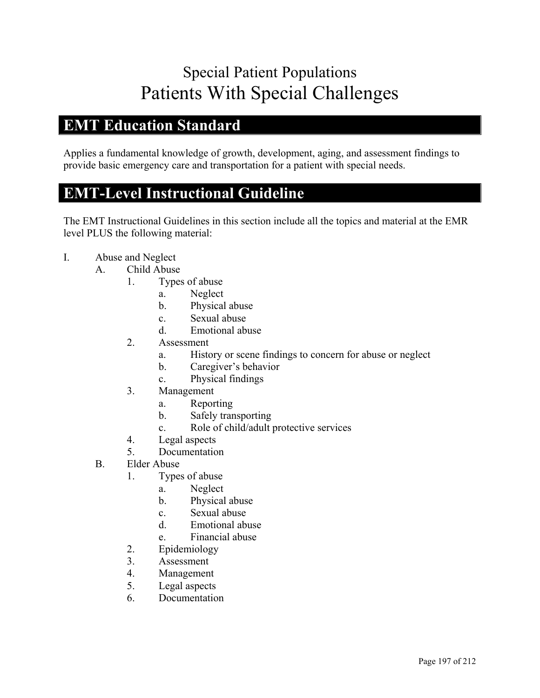# Special Patient Populations Patients With Special Challenges

#### **EMT Education Standard**

Applies a fundamental knowledge of growth, development, aging, and assessment findings to provide basic emergency care and transportation for a patient with special needs.

#### **EMT-Level Instructional Guideline**

- I. Abuse and Neglect
	- A. Child Abuse
		- 1. Types of abuse
			- a. Neglect
			- b. Physical abuse
			- c. Sexual abuse
			- d. Emotional abuse
		- 2. Assessment
			- a. History or scene findings to concern for abuse or neglect
			- b. Caregiver's behavior
			- c. Physical findings
		- 3. Management
			- a. Reporting
			- b. Safely transporting
			- c. Role of child/adult protective services
		- 4. Legal aspects
		- 5. Documentation
	- B. Elder Abuse
		- 1. Types of abuse
			- a. Neglect
			- b. Physical abuse
			- c. Sexual abuse
			- d. Emotional abuse
			- e. Financial abuse
		- 2. Epidemiology
		- 3. Assessment
		- 4. Management
		- 5. Legal aspects
		- 6. Documentation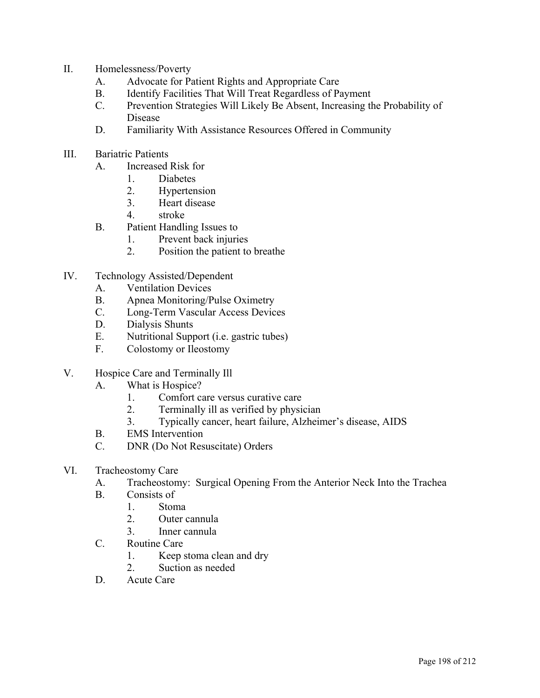- II. Homelessness/Poverty
	- A. Advocate for Patient Rights and Appropriate Care
	- B. Identify Facilities That Will Treat Regardless of Payment
	- C. Prevention Strategies Will Likely Be Absent, Increasing the Probability of Disease
	- D. Familiarity With Assistance Resources Offered in Community
- III. Bariatric Patients
	- A. Increased Risk for
		- 1. Diabetes
		- 2. Hypertension
		- 3. Heart disease
		- 4. stroke
	- B. Patient Handling Issues to
		- 1. Prevent back injuries
		- 2. Position the patient to breathe
- IV. Technology Assisted/Dependent
	- A. Ventilation Devices
	- B. Apnea Monitoring/Pulse Oximetry
	- C. Long-Term Vascular Access Devices
	- D. Dialysis Shunts
	- E. Nutritional Support (i.e. gastric tubes)
	- F. Colostomy or Ileostomy
- V. Hospice Care and Terminally Ill
	- A. What is Hospice?
		- 1. Comfort care versus curative care
		- 2. Terminally ill as verified by physician
		- 3. Typically cancer, heart failure, Alzheimer's disease, AIDS
	- B. EMS Intervention
	- C. DNR (Do Not Resuscitate) Orders
- VI. Tracheostomy Care
	- A. Tracheostomy: Surgical Opening From the Anterior Neck Into the Trachea
	- B. Consists of
		- 1. Stoma
			- 2. Outer cannula
			- 3. Inner cannula
	- C. Routine Care
		- 1. Keep stoma clean and dry
		- 2. Suction as needed
	- D. Acute Care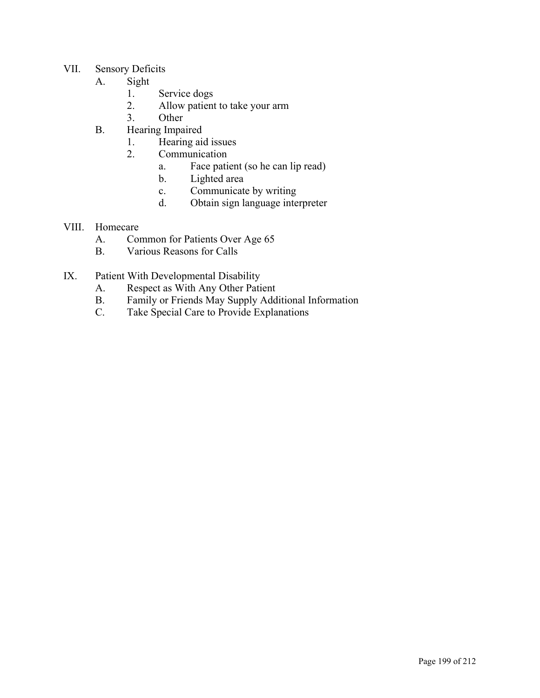- VII. Sensory Deficits
	- A. Sight
		- 1. Service dogs
		- 2. Allow patient to take your arm
		- 3. Other
	- B. Hearing Impaired
		- 1. Hearing aid issues
		- 2. Communication
			- a. Face patient (so he can lip read)
			- b. Lighted area
			- c. Communicate by writing
			- d. Obtain sign language interpreter
- VIII. Homecare
	- A. Common for Patients Over Age 65
	- B. Various Reasons for Calls
- IX. Patient With Developmental Disability
	- A. Respect as With Any Other Patient
	- B. Family or Friends May Supply Additional Information
	- C. Take Special Care to Provide Explanations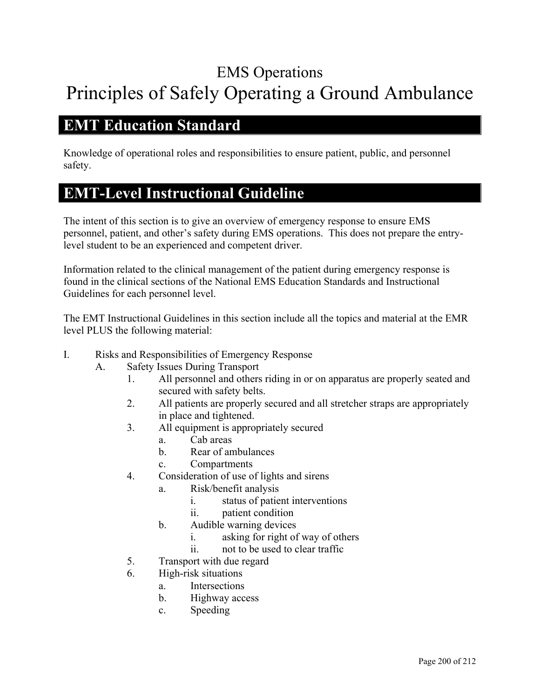# EMS Operations Principles of Safely Operating a Ground Ambulance

#### **EMT Education Standard**

Knowledge of operational roles and responsibilities to ensure patient, public, and personnel safety.

### **EMT-Level Instructional Guideline**

The intent of this section is to give an overview of emergency response to ensure EMS personnel, patient, and other's safety during EMS operations. This does not prepare the entrylevel student to be an experienced and competent driver.

Information related to the clinical management of the patient during emergency response is found in the clinical sections of the National EMS Education Standards and Instructional Guidelines for each personnel level.

- I. Risks and Responsibilities of Emergency Response
	- A. Safety Issues During Transport
		- 1. All personnel and others riding in or on apparatus are properly seated and secured with safety belts.
		- 2. All patients are properly secured and all stretcher straps are appropriately in place and tightened.
		- 3. All equipment is appropriately secured
			- a. Cab areas
			- b. Rear of ambulances
			- c. Compartments
		- 4. Consideration of use of lights and sirens
			- a. Risk/benefit analysis
				- i. status of patient interventions
				- ii. patient condition
			- b. Audible warning devices
				- i. asking for right of way of others
				- ii. not to be used to clear traffic
		- 5. Transport with due regard
		- 6. High-risk situations
			- a. Intersections
			- b. Highway access
			- c. Speeding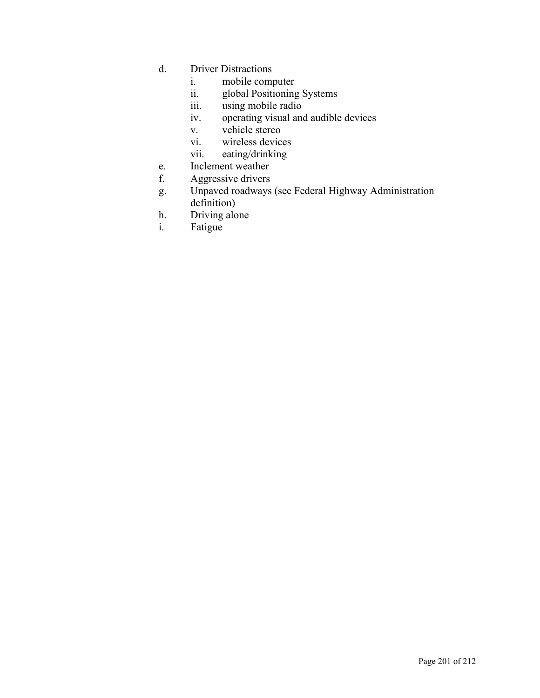- d. Driver Distractions
	- i. mobile computer
	- ii. global Positioning Systems
	- iii. using mobile radio
	- iv. operating visual and audible devices
	- v. vehicle stereo
	- vi. wireless devices
	- vii. eating/drinking
- e. Inclement weather
- f. Aggressive drivers
- g. Unpaved roadways (see Federal Highway Administration definition)
- h. Driving alone
- i. Fatigue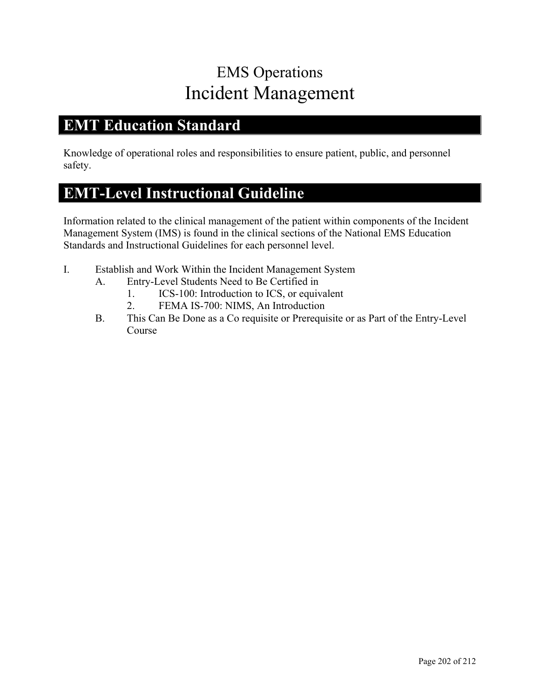## EMS Operations Incident Management

#### **EMT Education Standard**

Knowledge of operational roles and responsibilities to ensure patient, public, and personnel safety.

### **EMT-Level Instructional Guideline**

Information related to the clinical management of the patient within components of the Incident Management System (IMS) is found in the clinical sections of the National EMS Education Standards and Instructional Guidelines for each personnel level.

- I. Establish and Work Within the Incident Management System
	- A. Entry-Level Students Need to Be Certified in
		- 1. ICS-100: Introduction to ICS, or equivalent
		- 2. FEMA IS-700: NIMS, An Introduction
	- B. This Can Be Done as a Co requisite or Prerequisite or as Part of the Entry-Level Course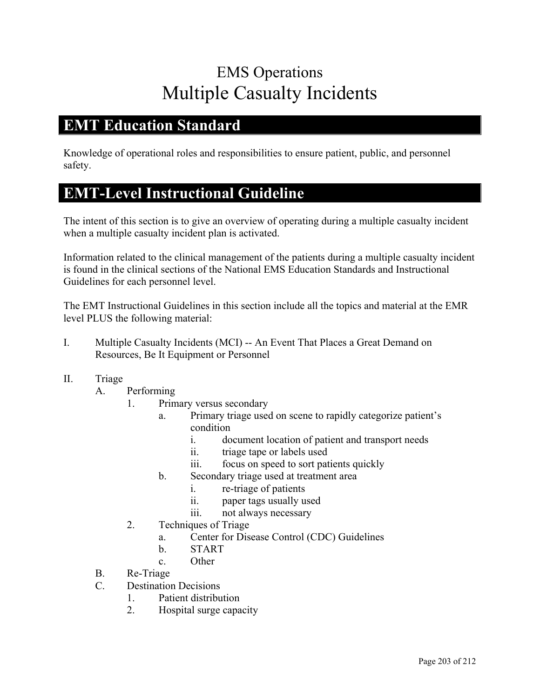## EMS Operations Multiple Casualty Incidents

#### **EMT Education Standard**

Knowledge of operational roles and responsibilities to ensure patient, public, and personnel safety.

#### **EMT-Level Instructional Guideline**

The intent of this section is to give an overview of operating during a multiple casualty incident when a multiple casualty incident plan is activated.

Information related to the clinical management of the patients during a multiple casualty incident is found in the clinical sections of the National EMS Education Standards and Instructional Guidelines for each personnel level.

- I. Multiple Casualty Incidents (MCI) -- An Event That Places a Great Demand on Resources, Be It Equipment or Personnel
- II. Triage
	- A. Performing
		- 1. Primary versus secondary
			- a. Primary triage used on scene to rapidly categorize patient's condition
				- i. document location of patient and transport needs
				- ii. triage tape or labels used
				- iii. focus on speed to sort patients quickly
			- b. Secondary triage used at treatment area
				- i. re-triage of patients
				- ii. paper tags usually used
				- iii. not always necessary
		- 2. Techniques of Triage
			- a. Center for Disease Control (CDC) Guidelines
			- b. START
			- c. Other
	- B. Re-Triage
	- C. Destination Decisions
		- 1. Patient distribution
		- 2. Hospital surge capacity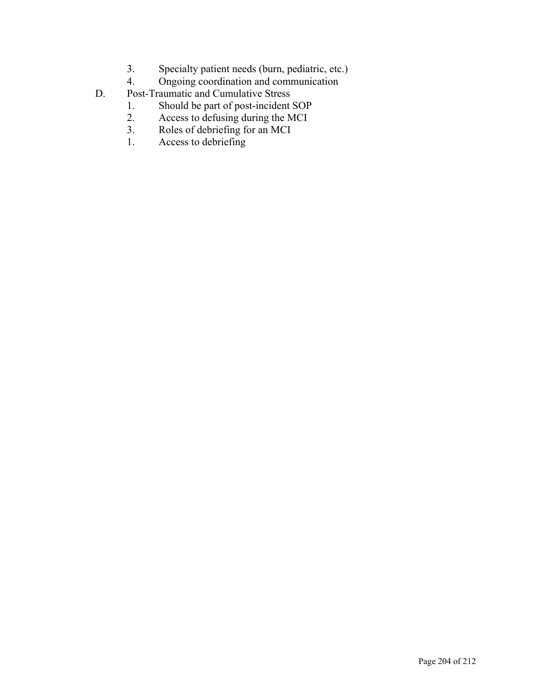- 3. Specialty patient needs (burn, pediatric, etc.)
- 4. Ongoing coordination and communication
- D. Post-Traumatic and Cumulative Stress
	- 1. Should be part of post-incident SOP<br>2. Access to defusing during the MCI
	- 2. Access to defusing during the MCI<br>3. Roles of debriefing for an MCI
	- Roles of debriefing for an MCI
	- 1. Access to debriefing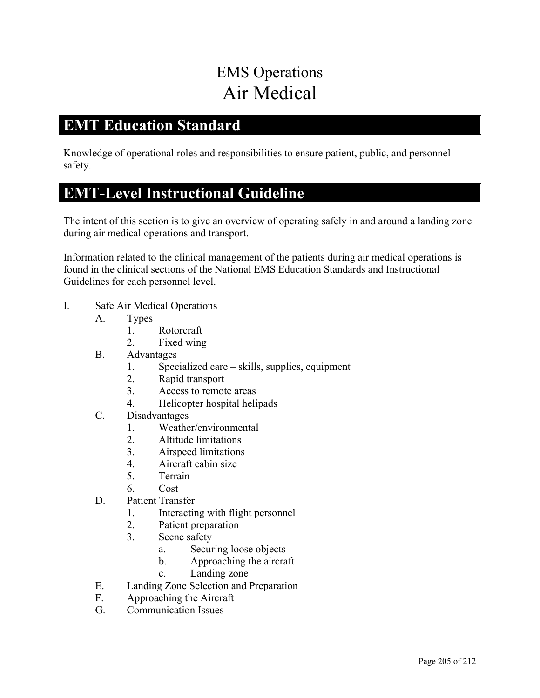# EMS Operations Air Medical

#### **EMT Education Standard**

Knowledge of operational roles and responsibilities to ensure patient, public, and personnel safety.

#### **EMT-Level Instructional Guideline**

The intent of this section is to give an overview of operating safely in and around a landing zone during air medical operations and transport.

Information related to the clinical management of the patients during air medical operations is found in the clinical sections of the National EMS Education Standards and Instructional Guidelines for each personnel level.

- I. Safe Air Medical Operations
	- A. Types
		- 1. Rotorcraft
		- 2. Fixed wing
	- B. Advantages
		- 1. Specialized care skills, supplies, equipment
		- 2. Rapid transport
		- 3. Access to remote areas
		- 4. Helicopter hospital helipads
	- C. Disadvantages
		- 1. Weather/environmental
		- 2. Altitude limitations
		- 3. Airspeed limitations
		- 4. Aircraft cabin size
		- 5. Terrain
		- 6. Cost
	- D. Patient Transfer
		- 1. Interacting with flight personnel
		- 2. Patient preparation
		- 3. Scene safety
			- a. Securing loose objects
			- b. Approaching the aircraft
			- c. Landing zone
	- E. Landing Zone Selection and Preparation
	- F. Approaching the Aircraft
	- G. Communication Issues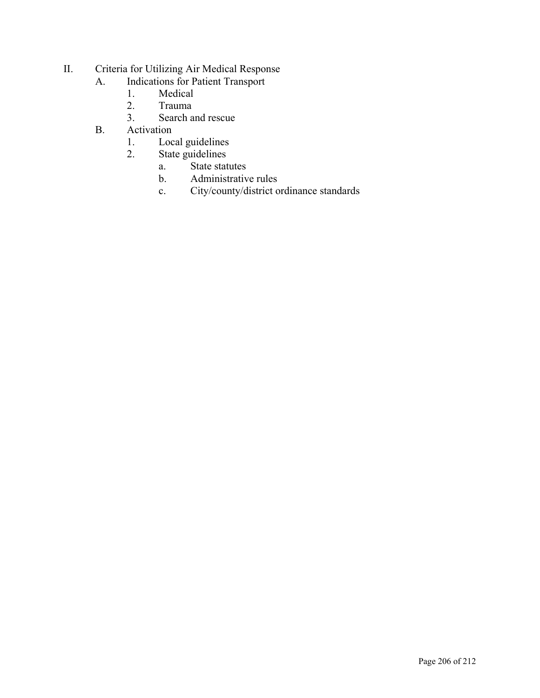- II. Criteria for Utilizing Air Medical Response
	- A. Indications for Patient Transport
		- 1. Medical
		- 2. Trauma<br>3. Search a
		- Search and rescue
	- B. Activation
		- 1. Local guidelines
		- 2. State guidelines
			- a. State statutes
			- b. Administrative rules
			- c. City/county/district ordinance standards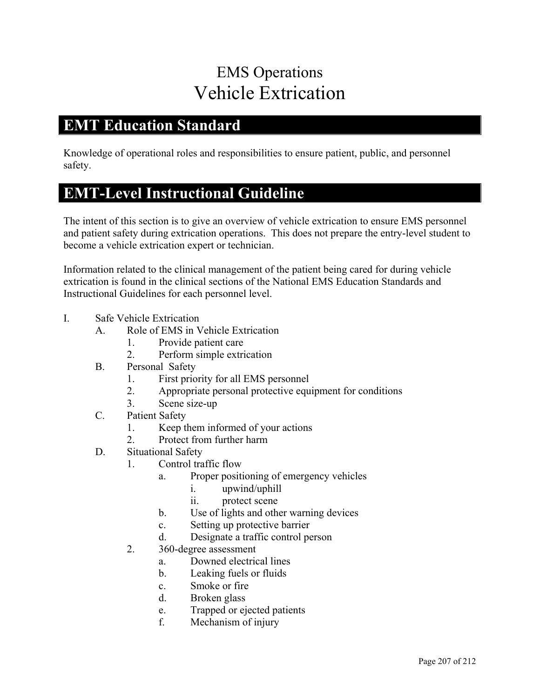## EMS Operations Vehicle Extrication

#### **EMT Education Standard**

Knowledge of operational roles and responsibilities to ensure patient, public, and personnel safety.

### **EMT-Level Instructional Guideline**

The intent of this section is to give an overview of vehicle extrication to ensure EMS personnel and patient safety during extrication operations. This does not prepare the entry-level student to become a vehicle extrication expert or technician.

Information related to the clinical management of the patient being cared for during vehicle extrication is found in the clinical sections of the National EMS Education Standards and Instructional Guidelines for each personnel level.

- I. Safe Vehicle Extrication
	- A. Role of EMS in Vehicle Extrication
		- 1. Provide patient care
		- 2. Perform simple extrication
	- B. Personal Safety
		- 1. First priority for all EMS personnel
		- 2. Appropriate personal protective equipment for conditions
		- 3. Scene size-up
	- C. Patient Safety
		- 1. Keep them informed of your actions
		- 2. Protect from further harm
	- D. Situational Safety
		- 1. Control traffic flow
			- a. Proper positioning of emergency vehicles
				- i. upwind/uphill
				- ii. protect scene
			- b. Use of lights and other warning devices
			- c. Setting up protective barrier
			- d. Designate a traffic control person
		- 2. 360-degree assessment
			- a. Downed electrical lines
			- b. Leaking fuels or fluids
			- c. Smoke or fire
			- d. Broken glass
			- e. Trapped or ejected patients
			- f. Mechanism of injury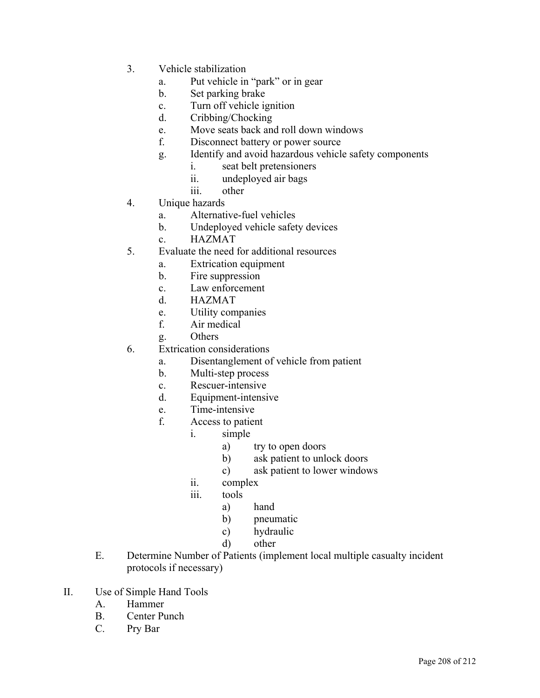- 3. Vehicle stabilization
	- a. Put vehicle in "park" or in gear
	- b. Set parking brake
	- c. Turn off vehicle ignition
	- d. Cribbing/Chocking
	- e. Move seats back and roll down windows
	- f. Disconnect battery or power source
	- g. Identify and avoid hazardous vehicle safety components
		- i. seat belt pretensioners
		- ii. undeployed air bags
		- iii. other
- 4. Unique hazards
	- a. Alternative-fuel vehicles
	- b. Undeployed vehicle safety devices
	- c. HAZMAT
- 5. Evaluate the need for additional resources
	- a. Extrication equipment
	- b. Fire suppression
	- c. Law enforcement
	- d. HAZMAT
	- e. Utility companies
	- f. Air medical
	- g. Others
- 6. Extrication considerations
	- a. Disentanglement of vehicle from patient
	- b. Multi-step process
	- c. Rescuer-intensive
	- d. Equipment-intensive
	- e. Time-intensive
	- f. Access to patient
		- i. simple
			- a) try to open doors
			- b) ask patient to unlock doors
			- c) ask patient to lower windows
		- ii. complex
		- iii. tools
			- a) hand
			- b) pneumatic
			- c) hydraulic
			- d) other
- E. Determine Number of Patients (implement local multiple casualty incident protocols if necessary)
- II. Use of Simple Hand Tools
	- A. Hammer
	- B. Center Punch
	- C. Pry Bar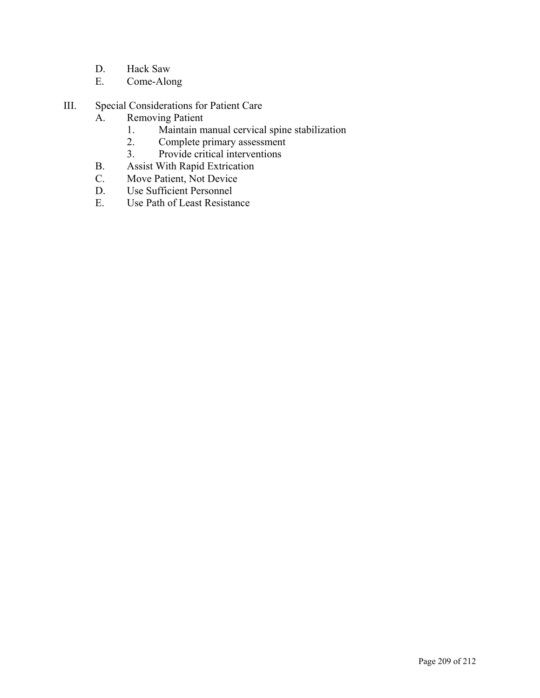- D. Hack Saw
- E. Come-Along
- III. Special Considerations for Patient Care
	- A. Removing Patient
		- 1. Maintain manual cervical spine stabilization<br>2. Complete primary assessment
		- Complete primary assessment
		- 3. Provide critical interventions
	- B. Assist With Rapid Extrication
	- C. Move Patient, Not Device<br>D. Use Sufficient Personnel
	- Use Sufficient Personnel
	- E. Use Path of Least Resistance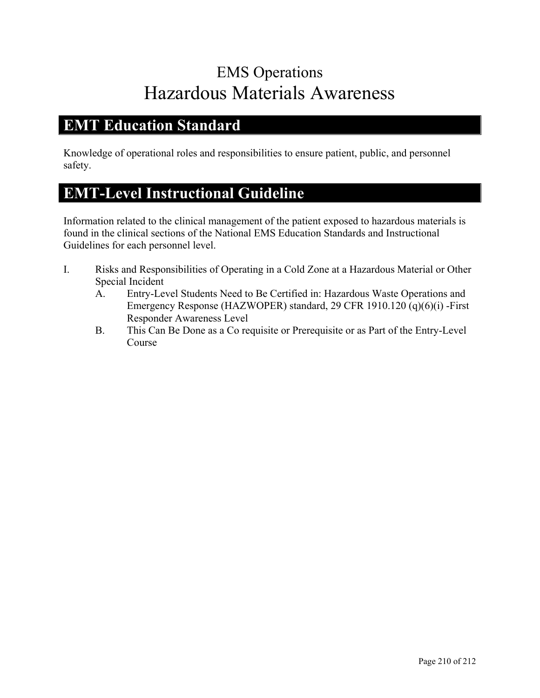# EMS Operations Hazardous Materials Awareness

#### **EMT Education Standard**

Knowledge of operational roles and responsibilities to ensure patient, public, and personnel safety.

### **EMT-Level Instructional Guideline**

Information related to the clinical management of the patient exposed to hazardous materials is found in the clinical sections of the National EMS Education Standards and Instructional Guidelines for each personnel level.

- I. Risks and Responsibilities of Operating in a Cold Zone at a Hazardous Material or Other Special Incident
	- A. Entry-Level Students Need to Be Certified in: Hazardous Waste Operations and Emergency Response (HAZWOPER) standard, 29 CFR 1910.120 (q)(6)(i) -First Responder Awareness Level
	- B. This Can Be Done as a Co requisite or Prerequisite or as Part of the Entry-Level Course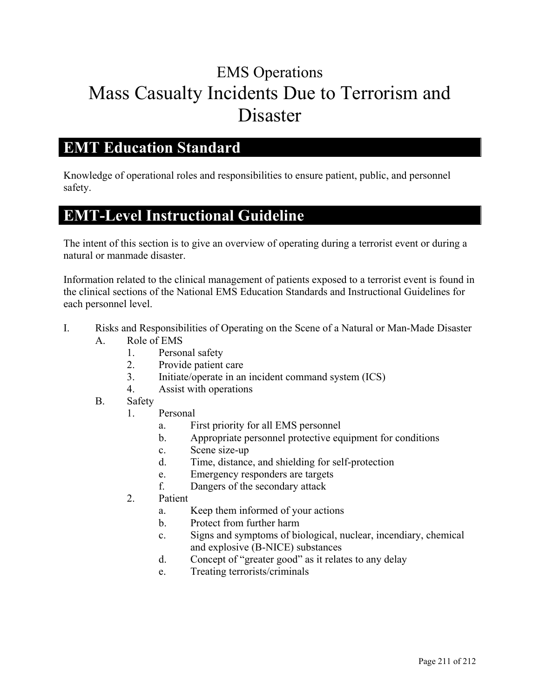# EMS Operations Mass Casualty Incidents Due to Terrorism and Disaster

#### **EMT Education Standard**

Knowledge of operational roles and responsibilities to ensure patient, public, and personnel safety.

### **EMT-Level Instructional Guideline**

The intent of this section is to give an overview of operating during a terrorist event or during a natural or manmade disaster.

Information related to the clinical management of patients exposed to a terrorist event is found in the clinical sections of the National EMS Education Standards and Instructional Guidelines for each personnel level.

- I. Risks and Responsibilities of Operating on the Scene of a Natural or Man-Made Disaster
	- A. Role of EMS
		- 1. Personal safety
		- 2. Provide patient care
		- 3. Initiate/operate in an incident command system (ICS)
		- 4. Assist with operations
	- B. Safety
		- 1. Personal
			- a. First priority for all EMS personnel
			- b. Appropriate personnel protective equipment for conditions
			- c. Scene size-up
			- d. Time, distance, and shielding for self-protection
			- e. Emergency responders are targets
			- f. Dangers of the secondary attack
		- 2. Patient
			- a. Keep them informed of your actions
			- b. Protect from further harm
			- c. Signs and symptoms of biological, nuclear, incendiary, chemical and explosive (B-NICE) substances
			- d. Concept of "greater good" as it relates to any delay
			- e. Treating terrorists/criminals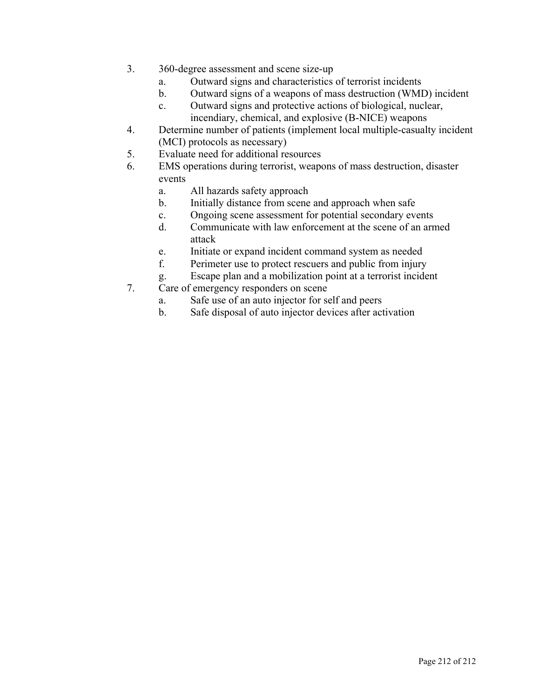- 3. 360-degree assessment and scene size-up
	- a. Outward signs and characteristics of terrorist incidents
	- b. Outward signs of a weapons of mass destruction (WMD) incident
	- c. Outward signs and protective actions of biological, nuclear, incendiary, chemical, and explosive (B-NICE) weapons
- 4. Determine number of patients (implement local multiple-casualty incident (MCI) protocols as necessary)
- 5. Evaluate need for additional resources
- 6. EMS operations during terrorist, weapons of mass destruction, disaster events
	- a. All hazards safety approach
	- b. Initially distance from scene and approach when safe
	- c. Ongoing scene assessment for potential secondary events
	- d. Communicate with law enforcement at the scene of an armed attack
	- e. Initiate or expand incident command system as needed
	- f. Perimeter use to protect rescuers and public from injury
	- g. Escape plan and a mobilization point at a terrorist incident
- 7. Care of emergency responders on scene
	- a. Safe use of an auto injector for self and peers
	- b. Safe disposal of auto injector devices after activation